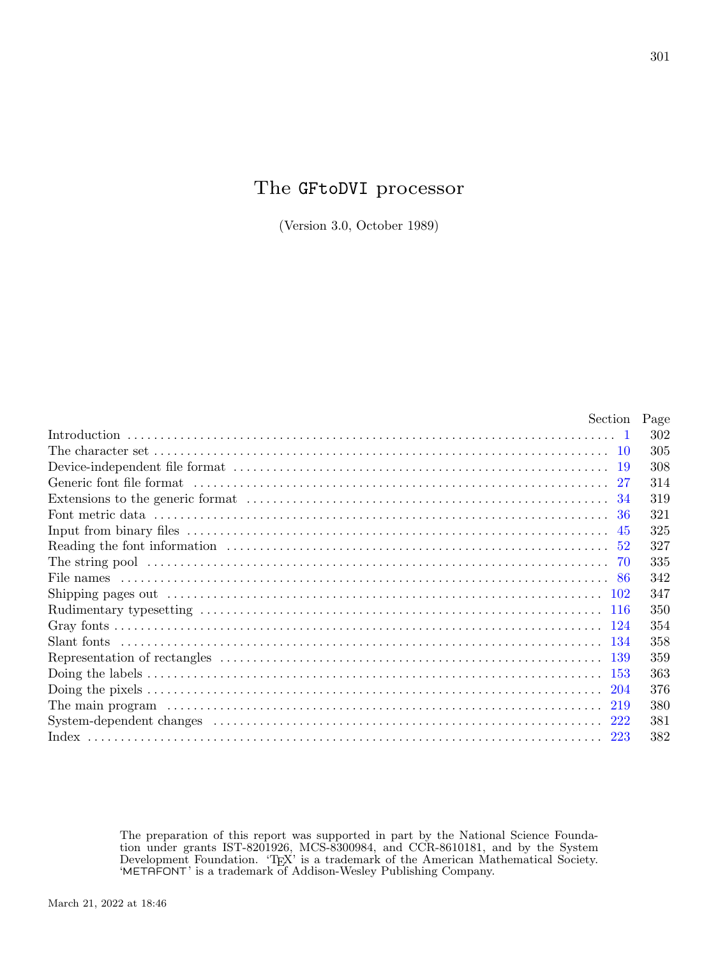## The GFtoDVI processor

(Version 3.0, October 1989)

| Section | Page |
|---------|------|
|         | 302  |
| -10     | 305  |
| -19     | 308  |
|         | 314  |
|         | 319  |
|         | 321  |
|         | 325  |
|         | 327  |
| 70      | 335  |
|         | 342  |
|         | 347  |
|         | 350  |
|         | 354  |
|         | 358  |
|         | 359  |
|         | 363  |
|         | 376  |
| 219     | 380  |
| 222     | 381  |
|         | 382  |

The preparation of this report was supported in part by the National Science Foundation under grants IST-8201926, MCS-8300984, and CCR-8610181, and by the System Development Foundation. 'TEX' is a trademark of the American Mathematical Society. 'METAFONT' is a trademark of Addison-Wesley Publishing Company.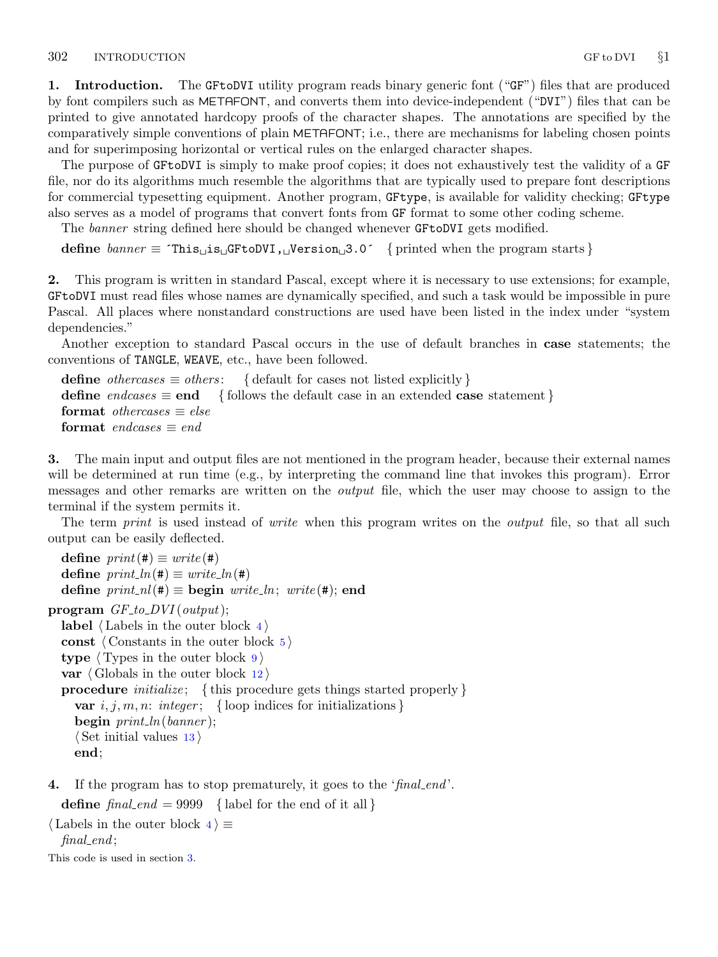<span id="page-1-0"></span>1. Introduction. The GFtoDVI utility program reads binary generic font ("GF") files that are produced by font compilers such as METAFONT, and converts them into device-independent ("DVI") files that can be printed to give annotated hardcopy proofs of the character shapes. The annotations are specified by the comparatively simple conventions of plain METAFONT; i.e., there are mechanisms for labeling chosen points and for superimposing horizontal or vertical rules on the enlarged character shapes.

The purpose of GFtoDVI is simply to make proof copies; it does not exhaustively test the validity of a GF file, nor do its algorithms much resemble the algorithms that are typically used to prepare font descriptions for commercial typesetting equipment. Another program, GFtype, is available for validity checking; GFtype also serves as a model of programs that convert fonts from GF format to some other coding scheme.

The banner string defined here should be changed whenever GFtoDVI gets modified.

define banner ≡ ´This is GFtoDVI, Version 3.0´ { printed when the program starts }

2. This program is written in standard Pascal, except where it is necessary to use extensions; for example, GFtoDVI must read files whose names are dynamically specified, and such a task would be impossible in pure Pascal. All places where nonstandard constructions are used have been listed in the index under "system dependencies."

Another exception to standard Pascal occurs in the use of default branches in case statements; the conventions of TANGLE, WEAVE, etc., have been followed.

define *othercases*  $\equiv$  *others*: { default for cases not listed explicitly } define endcases  $\equiv$  end { follows the default case in an extended case statement } format *othercases*  $\equiv$  *else* format endcases  $\equiv$  end

3. The main input and output files are not mentioned in the program header, because their external names will be determined at run time (e.g., by interpreting the command line that invokes this program). Error messages and other remarks are written on the *output* file, which the user may choose to assign to the terminal if the system permits it.

The term *print* is used instead of *write* when this program writes on the *output* file, so that all such output can be easily deflected.

```
define print(\textbf{\#}) \equiv write(\textbf{\#})define print\_ln(\texttt{\#}) \equiv write\_ln(\texttt{\#})define print\_nl(\#) \equiv begin write_ln; write(#); end
program GF_to_DVI(out);
  label \langle Labels in the outer block 4\rangleconst \langle5 \rangletype \langle9\ranglevar \langle12\rangleprocedure initialize; {this procedure gets things started properly }
    var i, j, m, n: integer; \{loop indices for initializations\}beginingscriptstyle} begin print_ln(banner);
    \langle13 \rangleend;
```
4. If the program has to stop prematurely, it goes to the 'final end'.

define  $final\_end = 9999$  { label for the end of it all }

```
\langle Labels in the outer block 4\rangle \equivfinal.
```
This code is used in section 3.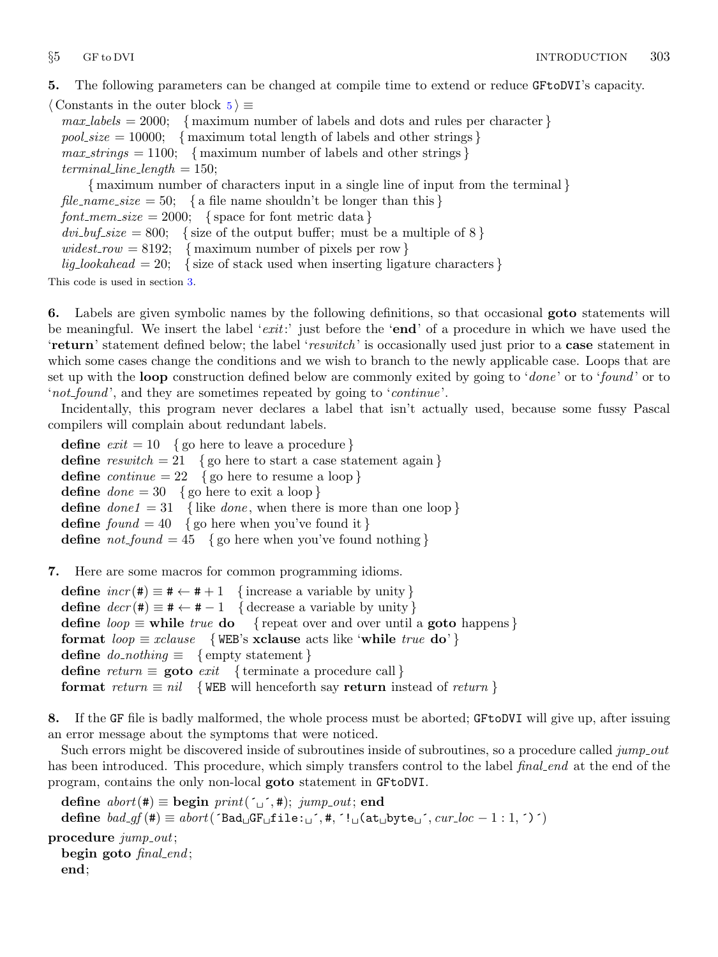<span id="page-2-0"></span>5. The following parameters can be changed at compile time to extend or reduce GFtoDVI's capacity.

 $\langle$  Constants in the outer block  $5 \rangle \equiv$ 

 $max\_labels = 2000;$  { maximum number of labels and dots and rules per character }  $pool_size = 10000;$  {maximum total length of labels and other strings}  $max\_strings = 1100;$  { maximum number of labels and other strings }  $terminal\_line\_length = 150;$ { maximum number of characters input in a single line of input from the terminal } *file\_name\_size* = 50; { a file name shouldn't be longer than this }  $font\_mem\_size = 2000;$  {space for font metric data }  $div\_buf\_size = 800;$  {size of the output buffer; must be a multiple of 8}

widest\_row = 8192; { maximum number of pixels per row }

 $liq\_look ahead = 20;$  { size of stack used when inserting ligature characters }

This code is used in section [3](#page-1-0).

6. Labels are given symbolic names by the following definitions, so that occasional goto statements will be meaningful. We insert the label 'exit:' just before the '**end**' of a procedure in which we have used the 'return' statement defined below; the label 'reswitch' is occasionally used just prior to a case statement in which some cases change the conditions and we wish to branch to the newly applicable case. Loops that are set up with the **loop** construction defined below are commonly exited by going to 'done' or to 'found' or to 'not-found', and they are sometimes repeated by going to 'continue'.

Incidentally, this program never declares a label that isn't actually used, because some fussy Pascal compilers will complain about redundant labels.

**define**  $exit = 10$  { go here to leave a procedure } define  $resultch = 21$  {go here to start a case statement again } define *continue* = 22 { go here to resume a loop } define  $done = 30 \{$ go here to exit a loop } define  $done1 = 31$  { like  $done$ , when there is more than one loop } define  $found = 40$  { go here when you've found it } **define** not found = 45 { go here when you've found nothing }

7. Here are some macros for common programming idioms.

define  $incr(\texttt{\#}) \equiv \texttt{\#} \leftarrow \texttt{\#} + 1$  {increase a variable by unity} define  $decr(\texttt{\#}) \equiv \texttt{\#} \leftarrow \texttt{\#} - 1$  { decrease a variable by unity } define  $loop \equiv$  while true do { repeat over and over until a goto happens} format  $loop \equiv x clause$  {WEB's xclause acts like 'while true do' } define  $do\_nothing \equiv \{$  empty statement  $\}$ define return  $\equiv$  goto exit { terminate a procedure call } format return  $\equiv nil \{$  WEB will henceforth say return instead of return }

8. If the GF file is badly malformed, the whole process must be aborted; GFtoDVI will give up, after issuing an error message about the symptoms that were noticed.

Such errors might be discovered inside of subroutines inside of subroutines, so a procedure called jump out has been introduced. This procedure, which simply transfers control to the label *final end* at the end of the program, contains the only non-local goto statement in GFtoDVI.

define  $abort(\ddagger) \equiv \text{begin}$  print( $\ulcorner \Box \urcorner, \ddagger \end{math}$ ); jump\_out; end define  $bad\_gf$  (#)  $\equiv abort('Bad_GF_Ufile:_i', *, '!_U(at_Ubyte_U', cur\_loc - 1: 1, ')')$ procedure  $jump\_out;$ begin goto  $\mathit{final\_end}$ ; end;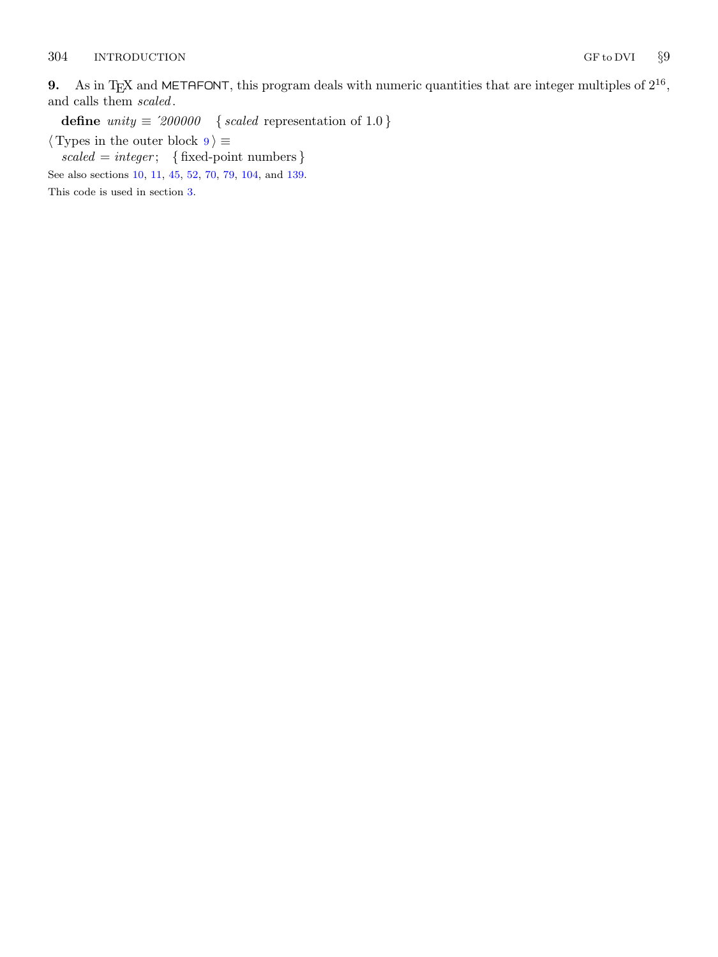<span id="page-3-0"></span>**9.** As in T<sub>E</sub>X and METAFONT, this program deals with numeric quantities that are integer multiples of  $2^{16}$ , and calls them scaled.

define  $unity \equiv 200000 \{ scaled \, representation \, of \, 1.0 \}$ 

 $\langle$  Types in the outer block  $9 \rangle \equiv$ 

 $scaled = integer; \{ fixed-point numbers\}$ 

See also sections [10](#page-4-0), [11,](#page-4-0) [45](#page-24-0), [52](#page-26-0), [70,](#page-34-0) [79](#page-38-0), [104](#page-46-0), and [139.](#page-58-0)

This code is used in section [3](#page-1-0).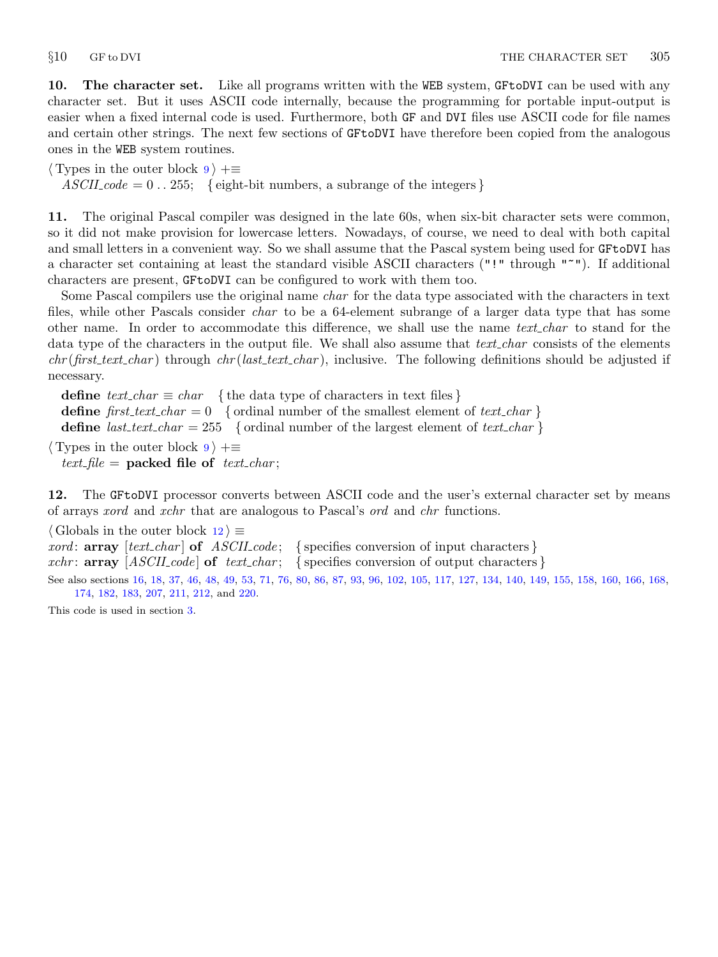<span id="page-4-0"></span>10. The character set. Like all programs written with the WEB system, GFtoDVI can be used with any character set. But it uses ASCII code internally, because the programming for portable input-output is easier when a fixed internal code is used. Furthermore, both GF and DVI files use ASCII code for file names and certain other strings. The next few sections of GFtoDVI have therefore been copied from the analogous ones in the WEB system routines.

 $\langle$  Types in the outer block  $9 \rangle$  $9 \rangle$  +≡  $ASCII\_code = 0$ ...255; { eight-bit numbers, a subrange of the integers }

11. The original Pascal compiler was designed in the late 60s, when six-bit character sets were common, so it did not make provision for lowercase letters. Nowadays, of course, we need to deal with both capital and small letters in a convenient way. So we shall assume that the Pascal system being used for GFtoDVI has a character set containing at least the standard visible ASCII characters ("!" through "~"). If additional characters are present, GFtoDVI can be configured to work with them too.

Some Pascal compilers use the original name char for the data type associated with the characters in text files, while other Pascals consider *char* to be a 64-element subrange of a larger data type that has some other name. In order to accommodate this difference, we shall use the name *text\_char* to stand for the data type of the characters in the output file. We shall also assume that text char consists of the elements  $chr(first.text\_char)$  through  $chr(last.text\_char)$ , inclusive. The following definitions should be adjusted if necessary.

define  $text_{cchar} \equiv char$  {the data type of characters in text files } define first text char = 0 { ordinal number of the smallest element of text char } define *last\_text\_char* = 255 { ordinal number of the largest element of *text\_char* }  $\langle$  Types in the outer block  $9 \rangle$  $9 \rangle$  +≡ text\_file = packed file of text\_char;

12. The GFtoDVI processor converts between ASCII code and the user's external character set by means of arrays xord and xchr that are analogous to Pascal's ord and chr functions.

 $\langle$  Globals in the outer block 12  $\rangle \equiv$ xord:  $array [text{\thinspace} c]$  for  $ASCIIcode;$  { specifies conversion of input characters } xchr:  $array [ASCI]{c}$  of text char; { specifies conversion of output characters } See also sections [16](#page-6-0), [18,](#page-6-0) [37](#page-20-0), [46](#page-24-0), [48,](#page-25-0) [49](#page-25-0), [53](#page-27-0), [71,](#page-34-0) [76](#page-35-0), [80](#page-38-0), [86,](#page-41-0) [87](#page-41-0), [93](#page-42-0), [96,](#page-43-0) [102,](#page-46-0) [105,](#page-46-0) [117](#page-50-0), [127](#page-54-0), [134](#page-57-0), [140](#page-58-0), [149](#page-60-0), [155,](#page-62-0) [158,](#page-63-0) [160,](#page-63-0) [166,](#page-65-0) [168,](#page-65-0) [174,](#page-67-0) [182,](#page-69-0) [183](#page-69-0), [207](#page-75-0), [211](#page-76-0), [212](#page-76-0), and [220](#page-79-0).

This code is used in section [3](#page-1-0).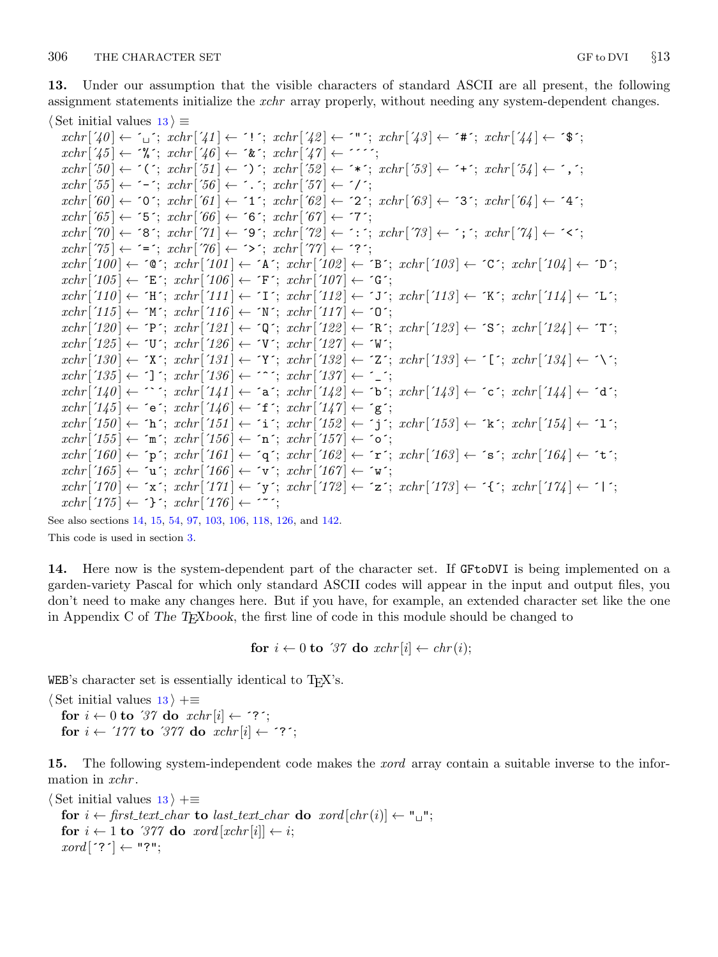<span id="page-5-0"></span>13. Under our assumption that the visible characters of standard ASCII are all present, the following assignment statements initialize the xchr array properly, without needing any system-dependent changes.

```
\langle Set initial values 13 \rangle \equiv
```
 $xchr[740] \leftarrow \ulcorner_1$ ;  $xchr[74] \leftarrow \ulcorner!$ ;  $xchr[74] \leftarrow \ulcorner!$ ;  $xchr[74] \leftarrow \ulcorner*$ ;  $xchr[74] \leftarrow \ulcorner*$ ;  $xchr['45] \leftarrow \text{``\&$~; xchr['46] \leftarrow \text{``\&$~; xchr['47] \leftarrow \text{''''};}$  $xchr['50] \leftarrow '('; xchr['51] \leftarrow '')'; xchr['52] \leftarrow '*\'; xchr['53] \leftarrow '+\'; xchr['54] \leftarrow ',';$  $xchr['55] \leftarrow -$ ;  $xchr['56] \leftarrow$   $\ldots$ ;  $xchr['57] \leftarrow \cdot \cdot \cdot$ ;  $xchr[60] \leftarrow 0$ ;  $xchr[61] \leftarrow 1$ ;  $xchr[62] \leftarrow 2$ ;  $xchr[63] \leftarrow 3$ ;  $xchr[64] \leftarrow 4$ ;  $xchr['65] \leftarrow '5'; xchr['66] \leftarrow '6'; xchr['67] \leftarrow '7';$  $xchr[70] \leftarrow$  '8';  $xchr[71] \leftarrow$  '9';  $xchr[72] \leftarrow$ ':';  $xchr[73] \leftarrow$ ';';  $xchr[74] \leftarrow$ '<';  $xchr['75] \leftarrow \text{'}= \text{'}; xchr['76] \leftarrow \text{'}> \text{'}; xchr['77] \leftarrow \text{'}?$  $xchr['100] \leftarrow$   $\infty$ ;  $xchr['101] \leftarrow \infty$ ;  $xchr['102] \leftarrow \infty$ ;  $xchr['103] \leftarrow \infty$ ;  $xchr['104] \leftarrow \infty$ ;  $xchr['105] \leftarrow \mathbf{E}$ ;  $xchr['106] \leftarrow \mathbf{F}$ ;  $xchr['107] \leftarrow \mathbf{G}$ ;  $xchr['110] \leftarrow \text{`H'}; xchr['111] \leftarrow \text{`I'}; xchr['112] \leftarrow \text{`J'}; xchr['113] \leftarrow \text{`K'}; xchr['114] \leftarrow \text{`L'};$  $xchr['115] \leftarrow \gamma' xchr['116] \leftarrow \gamma' xchr['117] \leftarrow \gamma'$ ;  $xchr['120] \leftarrow \text{`P'}; xchr['121] \leftarrow \text{`Q'}; xchr['122] \leftarrow \text{`R'}; xchr['123] \leftarrow \text{`S'}; xchr['124] \leftarrow \text{`T'};$  $xchr['125] \leftarrow \mathbf{U}$ ;  $xchr['126] \leftarrow \mathbf{V}$ ;  $xchr['127] \leftarrow \mathbf{W}$ ;  $xchr['130] \leftarrow \Upsilon$ ;  $xchr['131] \leftarrow \Upsilon$ ;  $xchr['132] \leftarrow \Upsilon$ ;  $xchr['133] \leftarrow \Upsilon$ ;  $xchr['134] \leftarrow \Upsilon$ ;  $xchr['135] \leftarrow$  '];  $xchr['136] \leftarrow$  '^';  $xchr['137] \leftarrow$  '\_';  $xchr['140] \leftarrow \sim$ ;  $xchr['141] \leftarrow \sim$  a';  $xchr['142] \leftarrow \sim$  'b';  $xchr['143] \leftarrow \sim$  'c';  $xchr['144] \leftarrow \sim$  'd';  $xchr['145] \leftarrow$  ´e´;  $xchr['146] \leftarrow$  ´f´;  $xchr['147] \leftarrow$  ´g´;  $xchr['150] \leftarrow \text{`h`}; xchr['151] \leftarrow \text{`i`}; xchr['152] \leftarrow \text{`j`}; xchr['153] \leftarrow \text{`k`}; xchr['154] \leftarrow \text{`1`};$  $xchr['155] \leftarrow \text{`m'}; xchr['156] \leftarrow \text{`n'}; xchr['157] \leftarrow \text{`o'};$  $xchr \mid 160 \mid \leftarrow \text{`p'}; xchr \mid 161 \mid \leftarrow \text{`q'}; xchr \mid 162 \mid \leftarrow \text{`r'}; xchr \mid 163 \mid \leftarrow \text{`s'}; xchr \mid 164 \mid \leftarrow \text{`t'};$  $xchr['165] \leftarrow \text{`u'}; xchr['166] \leftarrow \text{`v'}; xchr['167] \leftarrow \text{`w'};$  $xchr['170] \leftarrow x$ ;  $xchr['171] \leftarrow y$ ;  $xchr['172] \leftarrow z$ ;  $xchr['173] \leftarrow \{x, xchr['174] \leftarrow 1\}$ ;  $xchr['175] \leftarrow \rightarrow$ ;  $xchr['176] \leftarrow \rightarrow$ ;

See also sections 14, 15, [54](#page-27-0), [97](#page-43-0), [103,](#page-46-0) [106,](#page-46-0) [118,](#page-50-0) [126,](#page-54-0) and [142.](#page-58-0) This code is used in section [3](#page-1-0).

14. Here now is the system-dependent part of the character set. If GFtoDVI is being implemented on a garden-variety Pascal for which only standard ASCII codes will appear in the input and output files, you don't need to make any changes here. But if you have, for example, an extended character set like the one in Appendix C of The  $T_F X$ book, the first line of code in this module should be changed to

for  $i \leftarrow 0$  to '37 do  $xchr[i] \leftarrow chr(i);$ 

WEB's character set is essentially identical to  $T_F X$ 's.

 $\langle$  Set initial values 13  $\rangle$  +≡ for  $i \leftarrow 0$  to '37 do  $xchr[i] \leftarrow$  '?'; for  $i \leftarrow 777$  to  $377$  do  $xchr[i] \leftarrow ?$ ;

15. The following system-independent code makes the *xord* array contain a suitable inverse to the information in *xchr*.

 $\langle$  Set initial values  $13 \rangle$  +≡ for  $i \leftarrow$  first\_text\_char to last\_text\_char do xord  $[chr(i)] \leftarrow$  " $\sqcup$ "; for  $i \leftarrow 1$  to '377 do  $xord[xchr[i]] \leftarrow i;$  $\mathit{zord}[\,^{\prime}\,?\,^{\prime}] \leftarrow$  "?";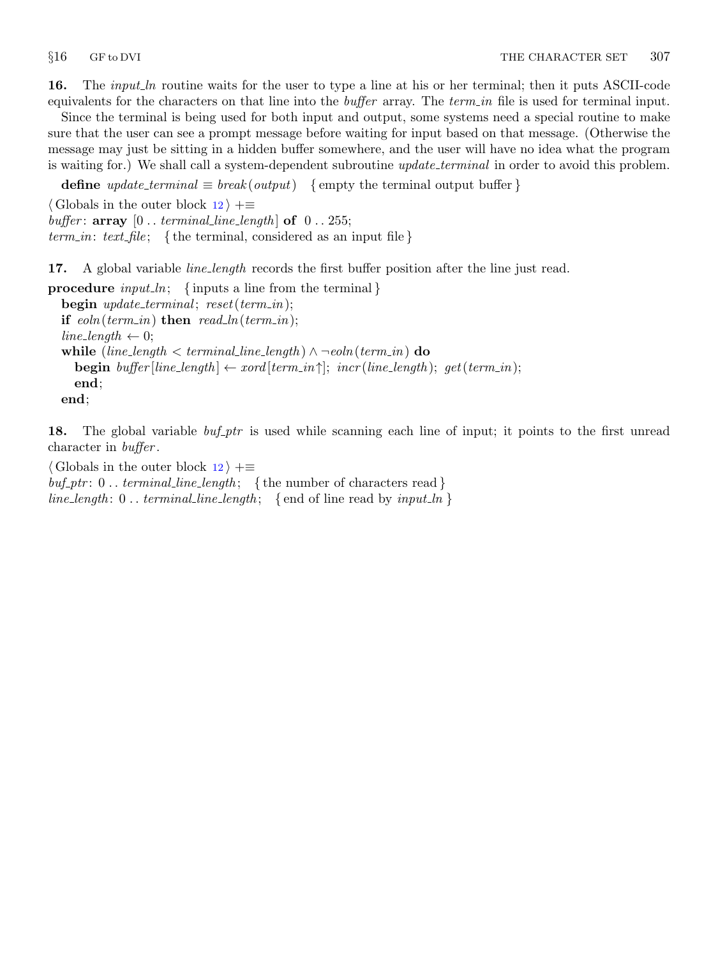<span id="page-6-0"></span>16. The *input ln* routine waits for the user to type a line at his or her terminal; then it puts ASCII-code equivalents for the characters on that line into the *buffer* array. The term in file is used for terminal input.

Since the terminal is being used for both input and output, some systems need a special routine to make sure that the user can see a prompt message before waiting for input based on that message. (Otherwise the message may just be sitting in a hidden buffer somewhere, and the user will have no idea what the program is waiting for.) We shall call a system-dependent subroutine *update\_terminal* in order to avoid this problem.

**define** update\_terminal  $\equiv break(output)$  {empty the terminal output buffer }

 $\langle$  Globals in the outer block  $12$   $\rangle$  +≡

buffer:  $array [0..terminal-line_length]$  of  $0..255;$ 

term in: text file; { the terminal, considered as an input file }

17. A global variable *line\_length* records the first buffer position after the line just read.

**procedure** input ln; {inputs a line from the terminal} begin  $update-terminal; reset(term_in);$ if  $e$ *oln*( $term_in$ ) then  $read\_ln(term_in)$ ;  $line_length \leftarrow 0;$ while  $(line\_length < terminal\_line\_length) \wedge \neg eoln(term\_in)$  do **begin** buffer  $|line.length \} \leftarrow xord[term_in{\uparrow}]$ ; incr(line\_length); get(term\_in); end; end;

18. The global variable *buf-ptr* is used while scanning each line of input; it points to the first unread character in *buffer*.

 $\langle$  Globals in the outer block [12](#page-4-0)  $\rangle$  +≡  $\textit{buf\_ptr}: 0 \ldots \textit{terminal\_line\_length};$  {the number of characters read }  $line_length: 0... terminalLine_length; \{ end of line read by input\_ln \}$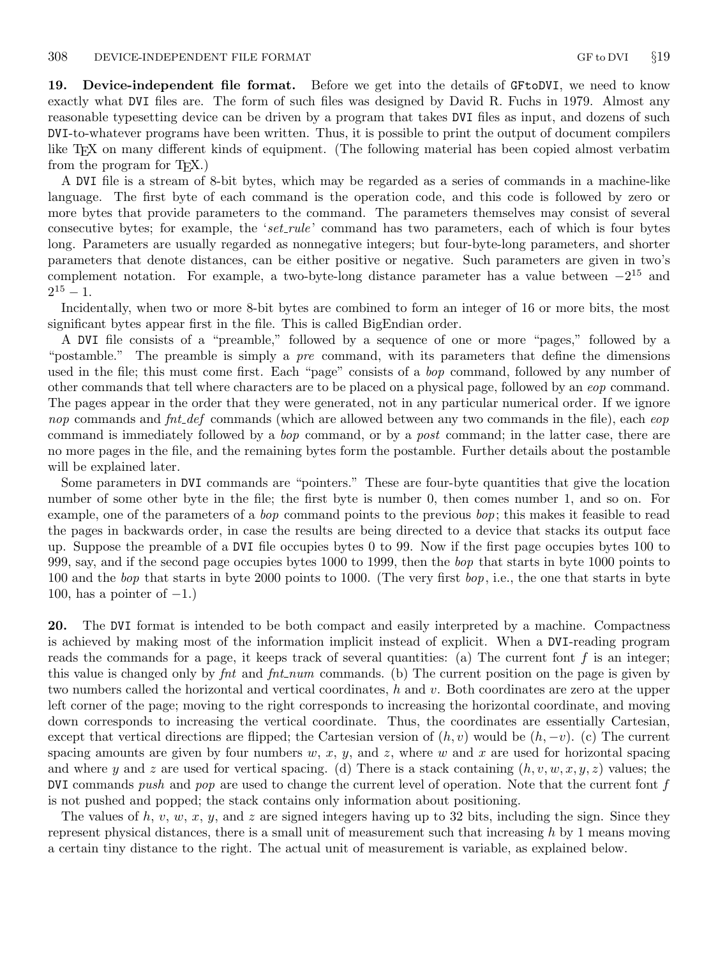<span id="page-7-0"></span>19. Device-independent file format. Before we get into the details of GFtoDVI, we need to know exactly what DVI files are. The form of such files was designed by David R. Fuchs in 1979. Almost any reasonable typesetting device can be driven by a program that takes DVI files as input, and dozens of such DVI-to-whatever programs have been written. Thus, it is possible to print the output of document compilers like TEX on many different kinds of equipment. (The following material has been copied almost verbatim from the program for T<sub>F</sub>X.)

A DVI file is a stream of 8-bit bytes, which may be regarded as a series of commands in a machine-like language. The first byte of each command is the operation code, and this code is followed by zero or more bytes that provide parameters to the command. The parameters themselves may consist of several consecutive bytes; for example, the 'set\_rule' command has two parameters, each of which is four bytes long. Parameters are usually regarded as nonnegative integers; but four-byte-long parameters, and shorter parameters that denote distances, can be either positive or negative. Such parameters are given in two's complement notation. For example, a two-byte-long distance parameter has a value between  $-2^{15}$  and  $2^{15} - 1.$ 

Incidentally, when two or more 8-bit bytes are combined to form an integer of 16 or more bits, the most significant bytes appear first in the file. This is called BigEndian order.

A DVI file consists of a "preamble," followed by a sequence of one or more "pages," followed by a "postamble." The preamble is simply a *pre* command, with its parameters that define the dimensions used in the file; this must come first. Each "page" consists of a *bop* command, followed by any number of other commands that tell where characters are to be placed on a physical page, followed by an eop command. The pages appear in the order that they were generated, not in any particular numerical order. If we ignore nop commands and fnt def commands (which are allowed between any two commands in the file), each eop command is immediately followed by a *bop* command, or by a *post* command; in the latter case, there are no more pages in the file, and the remaining bytes form the postamble. Further details about the postamble will be explained later.

Some parameters in DVI commands are "pointers." These are four-byte quantities that give the location number of some other byte in the file; the first byte is number 0, then comes number 1, and so on. For example, one of the parameters of a *bop* command points to the previous  $bop$ ; this makes it feasible to read the pages in backwards order, in case the results are being directed to a device that stacks its output face up. Suppose the preamble of a DVI file occupies bytes 0 to 99. Now if the first page occupies bytes 100 to 999, say, and if the second page occupies bytes 1000 to 1999, then the bop that starts in byte 1000 points to 100 and the *bop* that starts in byte 2000 points to 1000. (The very first  $bop$ , i.e., the one that starts in byte 100, has a pointer of  $-1$ .)

20. The DVI format is intended to be both compact and easily interpreted by a machine. Compactness is achieved by making most of the information implicit instead of explicit. When a DVI-reading program reads the commands for a page, it keeps track of several quantities: (a) The current font  $f$  is an integer; this value is changed only by fnt and fnt num commands. (b) The current position on the page is given by two numbers called the horizontal and vertical coordinates,  $h$  and  $v$ . Both coordinates are zero at the upper left corner of the page; moving to the right corresponds to increasing the horizontal coordinate, and moving down corresponds to increasing the vertical coordinate. Thus, the coordinates are essentially Cartesian, except that vertical directions are flipped; the Cartesian version of  $(h, v)$  would be  $(h, -v)$ . (c) The current spacing amounts are given by four numbers  $w, x, y$ , and  $z$ , where  $w$  and  $x$  are used for horizontal spacing and where y and z are used for vertical spacing. (d) There is a stack containing  $(h, v, w, x, y, z)$  values; the DVI commands push and pop are used to change the current level of operation. Note that the current font  $f$ is not pushed and popped; the stack contains only information about positioning.

The values of h, v, w, x, y, and z are signed integers having up to 32 bits, including the sign. Since they represent physical distances, there is a small unit of measurement such that increasing  $h$  by 1 means moving a certain tiny distance to the right. The actual unit of measurement is variable, as explained below.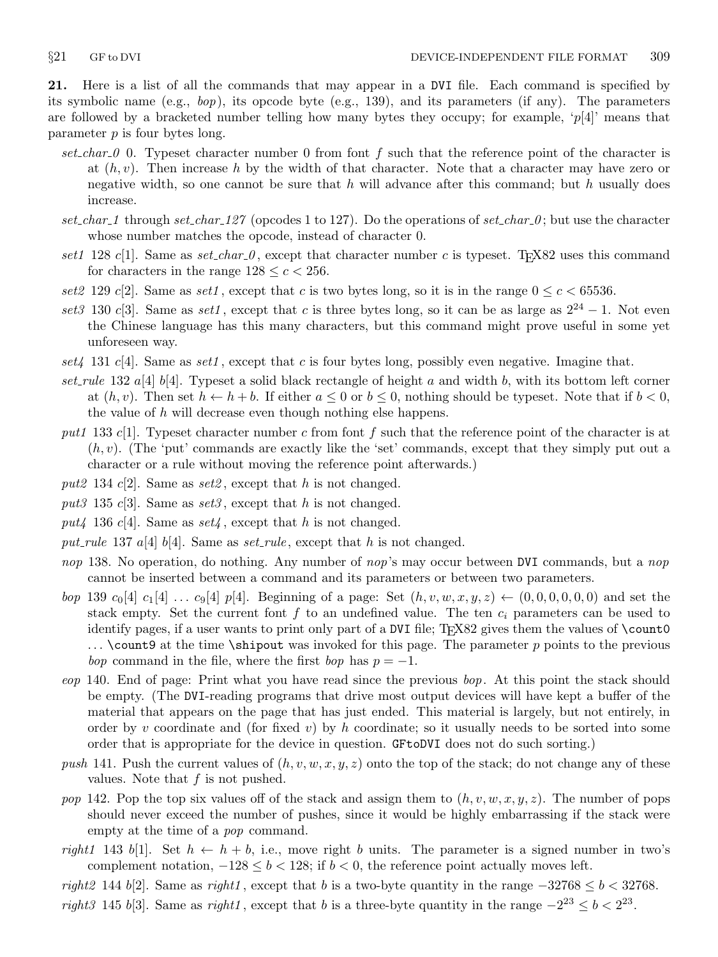21. Here is a list of all the commands that may appear in a DVI file. Each command is specified by its symbolic name (e.g.,  $bop$ ), its opcode byte (e.g., 139), and its parameters (if any). The parameters are followed by a bracketed number telling how many bytes they occupy; for example, ' $p[4]$ ' means that parameter  $p$  is four bytes long.

- set char 0 0. Typeset character number 0 from font f such that the reference point of the character is at  $(h, v)$ . Then increase h by the width of that character. Note that a character may have zero or negative width, so one cannot be sure that  $h$  will advance after this command; but  $h$  usually does increase.
- set char 1 through set char 127 (opcodes 1 to 127). Do the operations of set char  $0$ ; but use the character whose number matches the opcode, instead of character 0.
- set1 128 c[1]. Same as set\_char\_0, except that character number c is typeset. T<sub>E</sub>X82 uses this command for characters in the range  $128 \leq c < 256$ .
- set 2 129 c[2]. Same as set 1, except that c is two bytes long, so it is in the range  $0 \leq c < 65536$ .
- set3 130 c[3]. Same as set1, except that c is three bytes long, so it can be as large as  $2^{24} 1$ . Not even the Chinese language has this many characters, but this command might prove useful in some yet unforeseen way.
- set  $\{4, 131 \text{ } c[4]$ . Same as set *1*, except that c is four bytes long, possibly even negative. Imagine that.
- set rule 132 a[4] b[4]. Typeset a solid black rectangle of height a and width b, with its bottom left corner at  $(h, v)$ . Then set  $h \leftarrow h + b$ . If either  $a \leq 0$  or  $b \leq 0$ , nothing should be typeset. Note that if  $b < 0$ , the value of  $h$  will decrease even though nothing else happens.
- put1 133 c[1]. Typeset character number c from font f such that the reference point of the character is at  $(h, v)$ . (The 'put' commands are exactly like the 'set' commands, except that they simply put out a character or a rule without moving the reference point afterwards.)
- put2 134 c[2]. Same as  $set2$ , except that h is not changed.
- put3 135 c[3]. Same as set3, except that h is not changed.
- put<sub>4</sub> 136 c[4]. Same as set<sub>4</sub>, except that h is not changed.
- put rule 137 a[4] b[4]. Same as set rule, except that h is not changed.
- nop 138. No operation, do nothing. Any number of nop's may occur between DVI commands, but a nop cannot be inserted between a command and its parameters or between two parameters.
- bop 139  $c_0[4]$   $c_1[4]$  ...  $c_9[4]$  p[4]. Beginning of a page: Set  $(h, v, w, x, y, z) \leftarrow (0, 0, 0, 0, 0, 0)$  and set the stack empty. Set the current font f to an undefined value. The ten  $c_i$  parameters can be used to identify pages, if a user wants to print only part of a DVI file; TEX82 gives them the values of \count0 ... \count9 at the time \shipout was invoked for this page. The parameter p points to the previous bop command in the file, where the first bop has  $p = -1$ .
- eop 140. End of page: Print what you have read since the previous bop. At this point the stack should be empty. (The DVI-reading programs that drive most output devices will have kept a buffer of the material that appears on the page that has just ended. This material is largely, but not entirely, in order by v coordinate and (for fixed v) by h coordinate; so it usually needs to be sorted into some order that is appropriate for the device in question. GFtoDVI does not do such sorting.)
- push 141. Push the current values of  $(h, v, w, x, y, z)$  onto the top of the stack; do not change any of these values. Note that  $f$  is not pushed.
- pop 142. Pop the top six values off of the stack and assign them to  $(h, v, w, x, y, z)$ . The number of pops should never exceed the number of pushes, since it would be highly embarrassing if the stack were empty at the time of a pop command.
- right1 143 b[1]. Set  $h \leftarrow h + b$ , i.e., move right b units. The parameter is a signed number in two's complement notation,  $-128 \le b < 128$ ; if  $b < 0$ , the reference point actually moves left.
- right2 144 b[2]. Same as right1, except that b is a two-byte quantity in the range  $-32768 \le b < 32768$ .
- right3 145 b[3]. Same as right1, except that b is a three-byte quantity in the range  $-2^{23} \le b < 2^{23}$ .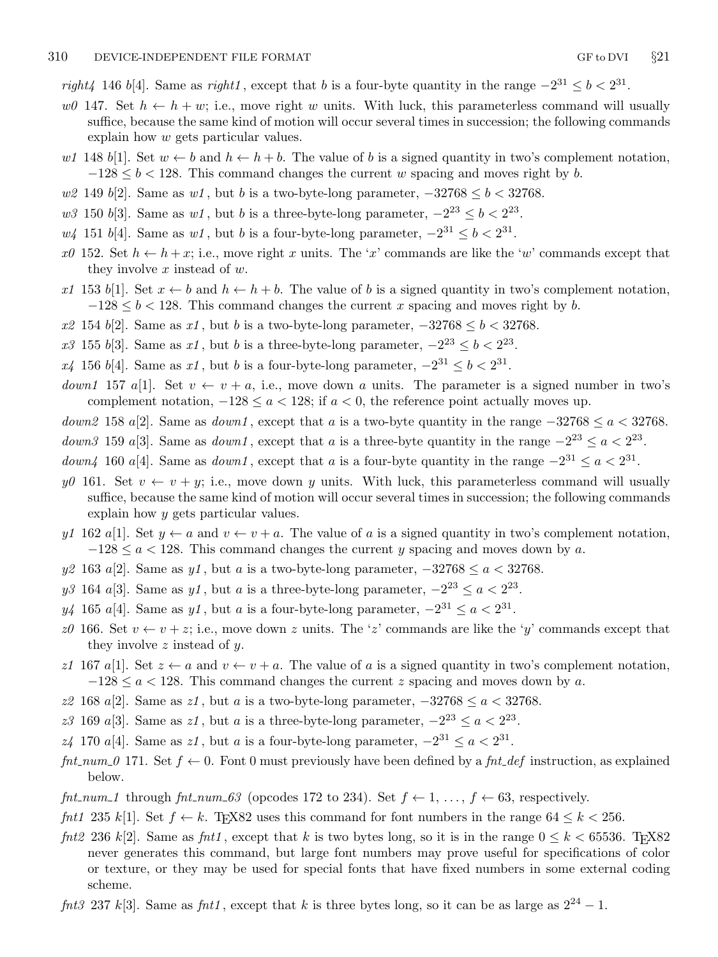right4 146 b[4]. Same as right1, except that b is a four-byte quantity in the range  $-2^{31} \le b < 2^{31}$ .

- w0 147. Set  $h \leftarrow h + w$ ; i.e., move right w units. With luck, this parameterless command will usually suffice, because the same kind of motion will occur several times in succession; the following commands explain how w gets particular values.
- w1 148 b[1]. Set  $w \leftarrow b$  and  $h \leftarrow h + b$ . The value of b is a signed quantity in two's complement notation,  $-128 \le b < 128$ . This command changes the current w spacing and moves right by b.
- w2 149 b[2]. Same as w1, but b is a two-byte-long parameter,  $-32768 \le b < 32768$ .
- w3 150 b[3]. Same as w1, but b is a three-byte-long parameter,  $-2^{23} \le b < 2^{23}$ .
- $w_4$  151 b[4]. Same as  $w_1$ , but b is a four-byte-long parameter,  $-2^{31} \le b < 2^{31}$ .
- x0 152. Set  $h \leftarrow h + x$ ; i.e., move right x units. The 'x' commands are like the 'w' commands except that they involve  $x$  instead of  $w$ .
- x1 153 b[1]. Set  $x \leftarrow b$  and  $h \leftarrow h + b$ . The value of b is a signed quantity in two's complement notation,  $-128 \leq b \leq 128$ . This command changes the current x spacing and moves right by b.
- $x2 \; 154 \; b[2]$ . Same as  $x1$ , but b is a two-byte-long parameter,  $-32768 \le b < 32768$ .
- x3 155 b[3]. Same as x1, but b is a three-byte-long parameter,  $-2^{23} \le b < 2^{23}$ .
- $x_4$  156 b[4]. Same as  $x_1$ , but b is a four-byte-long parameter,  $-2^{31} \le b < 2^{31}$ .
- down1 157 a[1]. Set  $v \leftarrow v + a$ , i.e., move down a units. The parameter is a signed number in two's complement notation,  $-128 \le a < 128$ ; if  $a < 0$ , the reference point actually moves up.
- down2 158 a[2]. Same as down1, except that a is a two-byte quantity in the range  $-32768 \le a < 32768$ .
- *down3* 159 a[3]. Same as *down1*, except that a is a three-byte quantity in the range  $-2^{23} \le a < 2^{23}$ .
- *down4* 160 *a*[4]. Same as *down1*, except that *a* is a four-byte quantity in the range  $-2^{31} \le a < 2^{31}$ .
- yo 161. Set  $v \leftarrow v + y$ ; i.e., move down y units. With luck, this parameterless command will usually suffice, because the same kind of motion will occur several times in succession; the following commands explain how y gets particular values.
- y1 162 a[1]. Set  $y \leftarrow a$  and  $v \leftarrow v + a$ . The value of a is a signed quantity in two's complement notation,  $-128 \le a < 128$ . This command changes the current y spacing and moves down by a.
- y2 163 a[2]. Same as y1, but a is a two-byte-long parameter,  $-32768 \le a < 32768$ .
- y3 164 a[3]. Same as y1, but a is a three-byte-long parameter,  $-2^{23} \le a < 2^{23}$ .
- $y_4$  165 a[4]. Same as y1, but a is a four-byte-long parameter,  $-2^{31} \le a < 2^{31}$ .
- z0 166. Set  $v \leftarrow v + z$ ; i.e., move down z units. The 'z' commands are like the 'y' commands except that they involve  $z$  instead of  $y$ .
- z1 167 a[1]. Set  $z \leftarrow a$  and  $v \leftarrow v + a$ . The value of a is a signed quantity in two's complement notation,  $-128 \le a \le 128$ . This command changes the current z spacing and moves down by a.
- z2 168 a[2]. Same as z1, but a is a two-byte-long parameter,  $-32768 \le a < 32768$ .
- z3 169 a[3]. Same as z1, but a is a three-byte-long parameter,  $-2^{23} \le a < 2^{23}$ .
- $z_4$  170 a[4]. Same as  $z_1$ , but a is a four-byte-long parameter,  $-2^{31} \le a < 2^{31}$ .
- $fnt_number 0$  171. Set  $f \leftarrow 0$ . Font 0 must previously have been defined by a  $fnt\_def$  instruction, as explained below.
- fnt\_num\_1 through fnt\_num\_63 (opcodes 172 to 234). Set  $f \leftarrow 1, \ldots, f \leftarrow 63$ , respectively.
- fnt1 235 k[1]. Set  $f \leftarrow k$ . T<sub>F</sub>X82 uses this command for font numbers in the range  $64 \leq k < 256$ .
- fnt2 236 k[2]. Same as fnt1, except that k is two bytes long, so it is in the range  $0 \le k < 65536$ . TrX82 never generates this command, but large font numbers may prove useful for specifications of color or texture, or they may be used for special fonts that have fixed numbers in some external coding scheme.
- fnt3 237 k[3]. Same as fnt1, except that k is three bytes long, so it can be as large as  $2^{24} 1$ .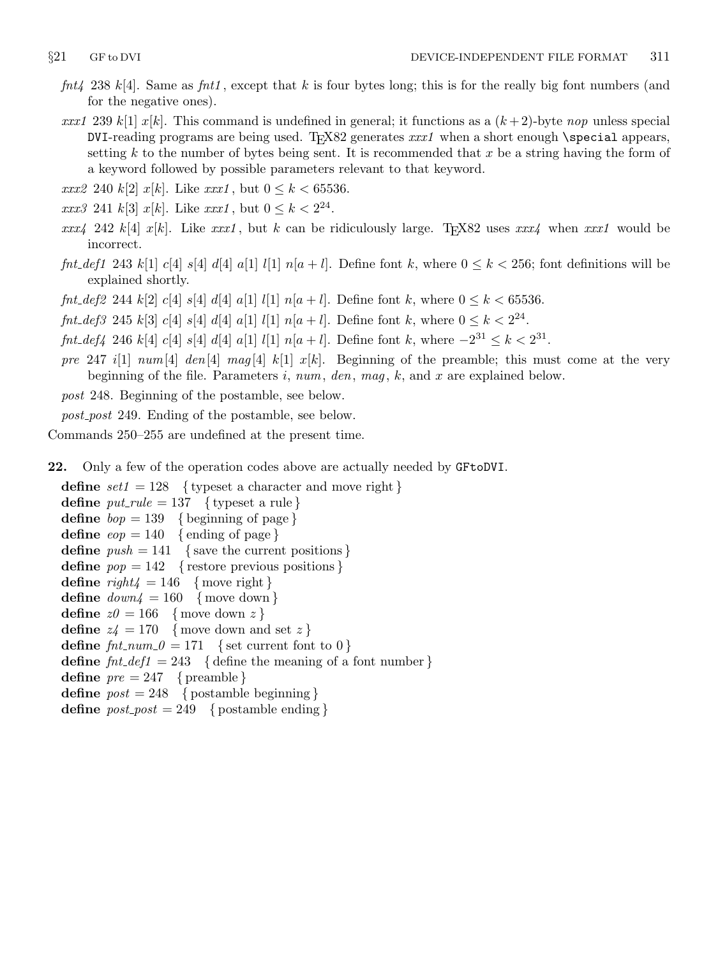- $fnt4$  238 k[4]. Same as  $fnt1$ , except that k is four bytes long; this is for the really big font numbers (and for the negative ones).
- xxx1 239 k[1] x[k]. This command is undefined in general; it functions as a  $(k+2)$ -byte nop unless special DVI-reading programs are being used. TFX82 generates  $xxx1$  when a short enough \special appears, setting k to the number of bytes being sent. It is recommended that x be a string having the form of a keyword followed by possible parameters relevant to that keyword.
- *xxx*2 240 k[2] *x*[k]. Like *xxx1*, but  $0 \le k < 65536$ .
- $\text{array } 241 \text{ k}[3] \text{ } x[k]$ . Like  $\text{xxx1}$ , but  $0 \leq k < 2^{24}$ .
- xxx4 242 k[4] x[k]. Like xxx1, but k can be ridiculously large. TEX82 uses xxx4 when xxx1 would be incorrect.
- fnt def1 243 k[1] c[4] s[4] d[4] a[1] l[1]  $n[a+l]$ . Define font k, where  $0 \le k \le 256$ ; font definitions will be explained shortly.
- *fnt\_def2* 244 k[2] c[4] s[4] d[4] a[1] l[1]  $n[a+l]$ . Define font k, where  $0 \le k < 65536$ .
- fnt\_def3 245 k[3] c[4] s[4] d[4] a[1] l[1] n[a + l]. Define font k, where  $0 \le k < 2^{24}$ .
- $fnt\_def4$  246 k[4] c[4] s[4] d[4] a[1] l[1] n[a + l]. Define font k, where  $-2^{31} \le k < 2^{31}$ .
- pre 247 i[1]  $num[4]$  den[4] mag[4] k[1] x[k]. Beginning of the preamble; this must come at the very beginning of the file. Parameters i,  $num$ ,  $den$ ,  $mag$ ,  $k$ , and  $x$  are explained below.

post 248. Beginning of the postamble, see below.

post post 249. Ending of the postamble, see below.

Commands 250–255 are undefined at the present time.

22. Only a few of the operation codes above are actually needed by GFtoDVI.

```
define set1 = 128 { typeset a character and move right }
define put\_rule = 137 \{ typeset a rule\}define bop = 139 { beginning of page }
define e^{i\phi} = 140 { ending of page}
define push = 141 { save the current positions }
define pop = 142 { restore previous positions }
define right4 = 146 {move right}
define down4 = 160 {move down}
define z\theta = 166 {move down z }
define z_4 = 170 {move down and set z}
define fnt_number_0 = 171 { set current font to 0 }
define fnt\_def1 = 243 { define the meaning of a font number }
define pre = 247 { preamble }
define post = 248 { postamble beginning }
define post\_post = 249 { postamble ending }
```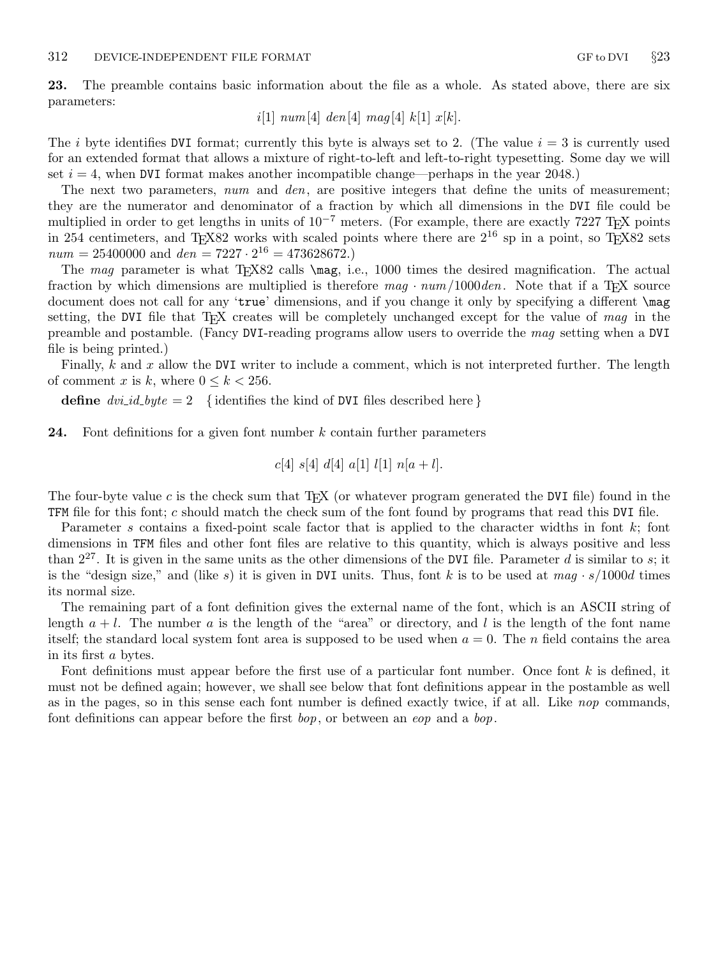23. The preamble contains basic information about the file as a whole. As stated above, there are six parameters:

$$
i[1]
$$
  $num[4]$   $den[4]$   $mag[4]$   $k[1]$   $x[k]$ .

The i byte identifies DVI format; currently this byte is always set to 2. (The value  $i = 3$  is currently used for an extended format that allows a mixture of right-to-left and left-to-right typesetting. Some day we will set  $i = 4$ , when DVI format makes another incompatible change—perhaps in the year 2048.)

The next two parameters,  $num$  and  $den$ , are positive integers that define the units of measurement; they are the numerator and denominator of a fraction by which all dimensions in the DVI file could be multiplied in order to get lengths in units of  $10^{-7}$  meters. (For example, there are exactly 7227 T<sub>E</sub>X points in 254 centimeters, and T<sub>EX82</sub> works with scaled points where there are  $2^{16}$  sp in a point, so T<sub>EX82</sub> sets  $num = 25400000$  and  $den = 7227 \cdot 2^{16} = 473628672$ .

The mag parameter is what  $T_F X82$  calls  $\text{mag}, i.e., 1000$  times the desired magnification. The actual fraction by which dimensions are multiplied is therefore  $mag \cdot num/1000den$ . Note that if a T<sub>E</sub>X source document does not call for any 'true' dimensions, and if you change it only by specifying a different \mag setting, the DVI file that T<sub>E</sub>X creates will be completely unchanged except for the value of mag in the preamble and postamble. (Fancy DVI-reading programs allow users to override the mag setting when a DVI file is being printed.)

Finally,  $k$  and  $x$  allow the DVI writer to include a comment, which is not interpreted further. The length of comment x is k, where  $0 \leq k < 256$ .

define  $dvi_id\_byte = 2$  { identifies the kind of DVI files described here }

## **24.** Font definitions for a given font number  $k$  contain further parameters

$$
c[4] \ s[4] \ d[4] \ a[1] \ l[1] \ n[a+l].
$$

The four-byte value  $c$  is the check sum that TEX (or whatever program generated the DVI file) found in the TFM file for this font; c should match the check sum of the font found by programs that read this DVI file.

Parameter s contains a fixed-point scale factor that is applied to the character widths in font  $k$ ; font dimensions in TFM files and other font files are relative to this quantity, which is always positive and less than  $2^{27}$ . It is given in the same units as the other dimensions of the DVI file. Parameter d is similar to s; it is the "design size," and (like s) it is given in DVI units. Thus, font k is to be used at  $mag \cdot s/1000d$  times its normal size.

The remaining part of a font definition gives the external name of the font, which is an ASCII string of length  $a + l$ . The number a is the length of the "area" or directory, and l is the length of the font name itself; the standard local system font area is supposed to be used when  $a = 0$ . The n field contains the area in its first a bytes.

Font definitions must appear before the first use of a particular font number. Once font  $k$  is defined, it must not be defined again; however, we shall see below that font definitions appear in the postamble as well as in the pages, so in this sense each font number is defined exactly twice, if at all. Like nop commands, font definitions can appear before the first  $\mathit{bop}$ , or between an  $\mathit{eop}$  and a  $\mathit{bop}$ .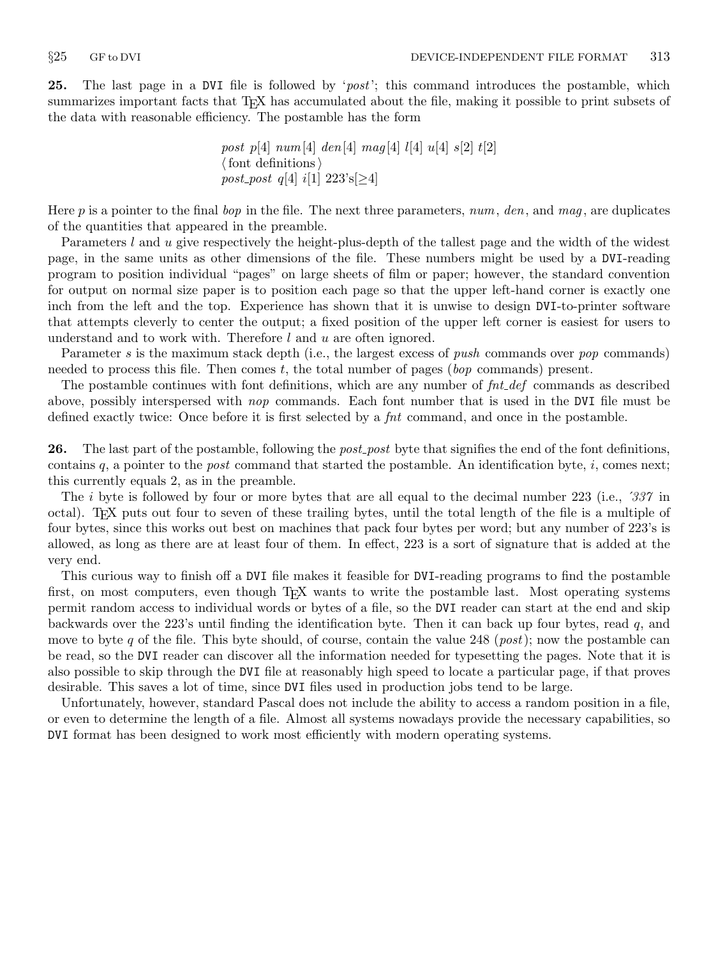25. The last page in a DVI file is followed by '*post*'; this command introduces the postamble, which summarizes important facts that T<sub>EX</sub> has accumulated about the file, making it possible to print subsets of the data with reasonable efficiency. The postamble has the form

> post p[4]  $num[4]$  den[4] mag[4] l[4] u[4] s[2] t[2]  $\langle$  font definitions  $\rangle$ post\_post q[4] i[1]  $223$ 's[ $\geq 4$ ]

Here p is a pointer to the final bop in the file. The next three parameters,  $num$ ,  $den$ , and  $mag$ , are duplicates of the quantities that appeared in the preamble.

Parameters l and u give respectively the height-plus-depth of the tallest page and the width of the widest page, in the same units as other dimensions of the file. These numbers might be used by a DVI-reading program to position individual "pages" on large sheets of film or paper; however, the standard convention for output on normal size paper is to position each page so that the upper left-hand corner is exactly one inch from the left and the top. Experience has shown that it is unwise to design DVI-to-printer software that attempts cleverly to center the output; a fixed position of the upper left corner is easiest for users to understand and to work with. Therefore  $l$  and  $u$  are often ignored.

Parameter s is the maximum stack depth (i.e., the largest excess of *push* commands over *pop* commands) needed to process this file. Then comes  $t$ , the total number of pages (*bop* commands) present.

The postamble continues with font definitions, which are any number of  $\int f \cdot d\theta f$  commands as described above, possibly interspersed with nop commands. Each font number that is used in the DVI file must be defined exactly twice: Once before it is first selected by a  $fnt$  command, and once in the postamble.

26. The last part of the postamble, following the *post\_post* byte that signifies the end of the font definitions, contains q, a pointer to the *post* command that started the postamble. An identification byte, i, comes next; this currently equals 2, as in the preamble.

The *i* byte is followed by four or more bytes that are all equal to the decimal number 223 (i.e., *337* in octal). TEX puts out four to seven of these trailing bytes, until the total length of the file is a multiple of four bytes, since this works out best on machines that pack four bytes per word; but any number of 223's is allowed, as long as there are at least four of them. In effect, 223 is a sort of signature that is added at the very end.

This curious way to finish off a DVI file makes it feasible for DVI-reading programs to find the postamble first, on most computers, even though T<sub>EX</sub> wants to write the postamble last. Most operating systems permit random access to individual words or bytes of a file, so the DVI reader can start at the end and skip backwards over the 223's until finding the identification byte. Then it can back up four bytes, read q, and move to byte q of the file. This byte should, of course, contain the value 248 (*post*); now the postamble can be read, so the DVI reader can discover all the information needed for typesetting the pages. Note that it is also possible to skip through the DVI file at reasonably high speed to locate a particular page, if that proves desirable. This saves a lot of time, since DVI files used in production jobs tend to be large.

Unfortunately, however, standard Pascal does not include the ability to access a random position in a file, or even to determine the length of a file. Almost all systems nowadays provide the necessary capabilities, so DVI format has been designed to work most efficiently with modern operating systems.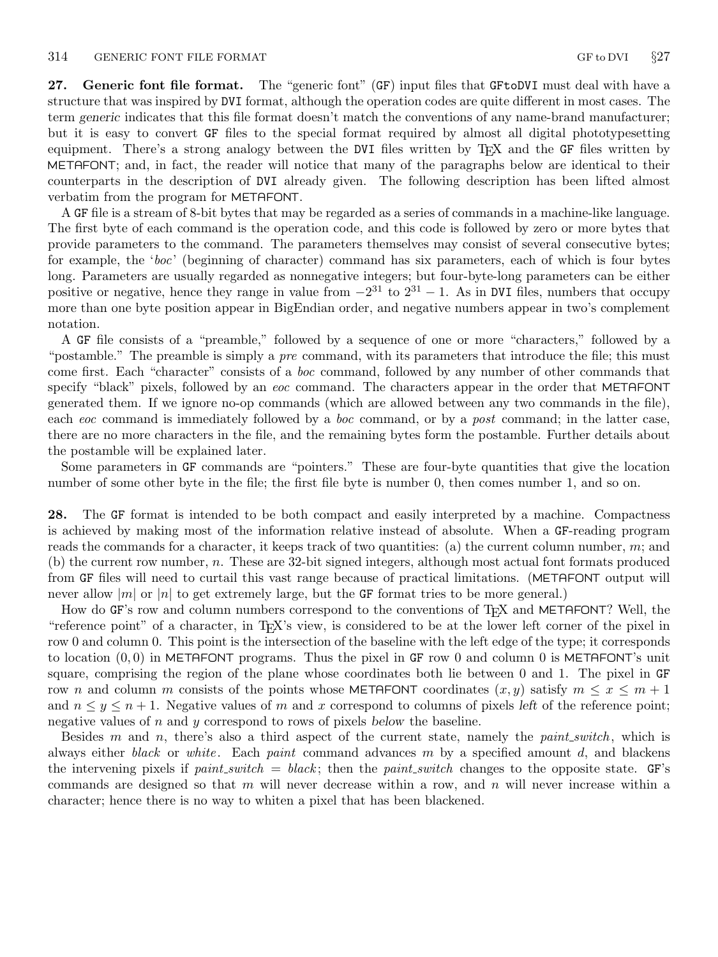<span id="page-13-0"></span>27. Generic font file format. The "generic font" (GF) input files that GFtoDVI must deal with have a structure that was inspired by DVI format, although the operation codes are quite different in most cases. The term generic indicates that this file format doesn't match the conventions of any name-brand manufacturer; but it is easy to convert GF files to the special format required by almost all digital phototypesetting equipment. There's a strong analogy between the DVI files written by T<sub>E</sub>X and the GF files written by METAFONT; and, in fact, the reader will notice that many of the paragraphs below are identical to their counterparts in the description of DVI already given. The following description has been lifted almost verbatim from the program for METAFONT.

A GF file is a stream of 8-bit bytes that may be regarded as a series of commands in a machine-like language. The first byte of each command is the operation code, and this code is followed by zero or more bytes that provide parameters to the command. The parameters themselves may consist of several consecutive bytes; for example, the 'boc' (beginning of character) command has six parameters, each of which is four bytes long. Parameters are usually regarded as nonnegative integers; but four-byte-long parameters can be either positive or negative, hence they range in value from  $-2^{31}$  to  $2^{31} - 1$ . As in DVI files, numbers that occupy more than one byte position appear in BigEndian order, and negative numbers appear in two's complement notation.

A GF file consists of a "preamble," followed by a sequence of one or more "characters," followed by a "postamble." The preamble is simply a *pre* command, with its parameters that introduce the file; this must come first. Each "character" consists of a boc command, followed by any number of other commands that specify "black" pixels, followed by an eoc command. The characters appear in the order that METAFONT generated them. If we ignore no-op commands (which are allowed between any two commands in the file), each eoc command is immediately followed by a boc command, or by a post command; in the latter case, there are no more characters in the file, and the remaining bytes form the postamble. Further details about the postamble will be explained later.

Some parameters in GF commands are "pointers." These are four-byte quantities that give the location number of some other byte in the file; the first file byte is number 0, then comes number 1, and so on.

28. The GF format is intended to be both compact and easily interpreted by a machine. Compactness is achieved by making most of the information relative instead of absolute. When a GF-reading program reads the commands for a character, it keeps track of two quantities: (a) the current column number,  $m$ ; and (b) the current row number, n. These are 32-bit signed integers, although most actual font formats produced from GF files will need to curtail this vast range because of practical limitations. (METAFONT output will never allow  $|m|$  or  $|n|$  to get extremely large, but the GF format tries to be more general.)

How do GF's row and column numbers correspond to the conventions of T<sub>E</sub>X and METAFONT? Well, the "reference point" of a character, in TEX's view, is considered to be at the lower left corner of the pixel in row 0 and column 0. This point is the intersection of the baseline with the left edge of the type; it corresponds to location  $(0, 0)$  in METAFONT programs. Thus the pixel in GF row 0 and column 0 is METAFONT's unit square, comprising the region of the plane whose coordinates both lie between 0 and 1. The pixel in GF row n and column m consists of the points whose METAFONT coordinates  $(x, y)$  satisfy  $m \leq x \leq m + 1$ and  $n \leq y \leq n+1$ . Negative values of m and x correspond to columns of pixels left of the reference point; negative values of  $n$  and  $y$  correspond to rows of pixels below the baseline.

Besides m and n, there's also a third aspect of the current state, namely the *paint\_switch*, which is always either *black* or *white*. Each *paint* command advances  $m$  by a specified amount  $d$ , and blackens the intervening pixels if paint switch = black; then the paint switch changes to the opposite state.  $GF$ 's commands are designed so that  $m$  will never decrease within a row, and  $n$  will never increase within a character; hence there is no way to whiten a pixel that has been blackened.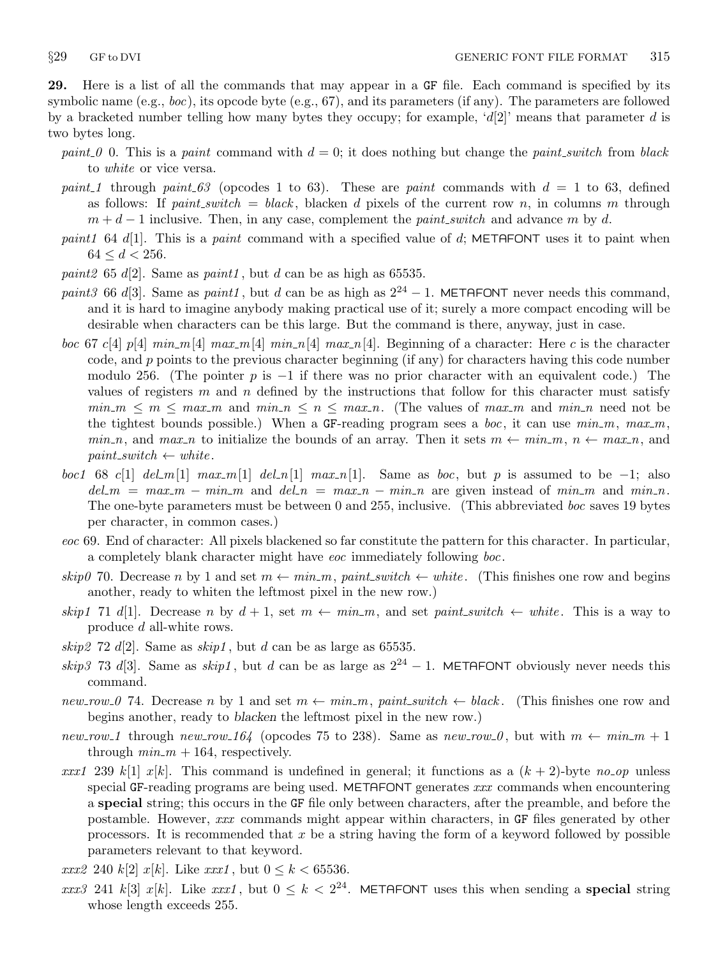29. Here is a list of all the commands that may appear in a GF file. Each command is specified by its symbolic name  $(e.g., boc)$ , its opcode byte  $(e.g., 67)$ , and its parameters (if any). The parameters are followed by a bracketed number telling how many bytes they occupy; for example, ' $d[2]$ ' means that parameter d is two bytes long.

- paint 0 0. This is a paint command with  $d = 0$ ; it does nothing but change the paint switch from black to white or vice versa.
- paint 1 through paint 63 (opcodes 1 to 63). These are paint commands with  $d = 1$  to 63, defined as follows: If paint switch = black, blacken d pixels of the current row n, in columns m through  $m + d - 1$  inclusive. Then, in any case, complement the *paint\_switch* and advance m by d.
- paint1 64 d[1]. This is a paint command with a specified value of d; METAFONT uses it to paint when  $64 \leq d < 256$ .
- paint 2 65 d[2]. Same as paint 1, but d can be as high as 65535.
- paint3 66 d[3]. Same as paint1, but d can be as high as  $2^{24} 1$ . METAFONT never needs this command, and it is hard to imagine anybody making practical use of it; surely a more compact encoding will be desirable when characters can be this large. But the command is there, anyway, just in case.
- boc 67 c[4] p[4]  $min_m[4]$   $max_m[4]$   $min_n[4]$   $max_n[4]$ . Beginning of a character: Here c is the character code, and p points to the previous character beginning (if any) for characters having this code number modulo 256. (The pointer p is  $-1$  if there was no prior character with an equivalent code.) The values of registers m and n defined by the instructions that follow for this character must satisfy  $min_m \le m \le max_m$  and  $min_n \le n \le max_n$ . (The values of  $max_m$  and  $min_n$  need not be the tightest bounds possible.) When a GF-reading program sees a *boc*, it can use  $min_m$ ,  $max_m$ ,  $min_n$ , and  $max_n$  to initialize the bounds of an array. Then it sets  $m \leftarrow min_m$ ,  $n \leftarrow max_n$ , and  $paint\_switch \leftarrow white$ .
- boc1 68 c[1] del\_m[1] max\_m[1] del\_n[1] max\_n[1]. Same as boc, but p is assumed to be −1; also  $del_m = max_m - min_m$  and  $del_n = max_n - min_n$  are given instead of  $min_m$  and  $min_n$ . The one-byte parameters must be between 0 and 255, inclusive. (This abbreviated *boc* saves 19 bytes per character, in common cases.)
- eoc 69. End of character: All pixels blackened so far constitute the pattern for this character. In particular, a completely blank character might have eoc immediately following boc.
- skip0 70. Decrease n by 1 and set  $m \leftarrow min_{m}$ , paint switch  $\leftarrow$  white. (This finishes one row and begins another, ready to whiten the leftmost pixel in the new row.)
- skip1 71 d[1]. Decrease n by  $d+1$ , set  $m \leftarrow min_{m}$ , and set paint switch  $\leftarrow$  white. This is a way to produce d all-white rows.
- skip2 72 d[2]. Same as skip1, but d can be as large as 65535.
- skip3 73 d[3]. Same as skip1, but d can be as large as  $2^{24} 1$ . METAFONT obviously never needs this command.
- new row 0 74. Decrease n by 1 and set  $m \leftarrow min_{m}$ , paint switch  $\leftarrow black$ . (This finishes one row and begins another, ready to blacken the leftmost pixel in the new row.)
- new row 1 through new row 164 (opcodes 75 to 238). Same as new row 0, but with  $m \leftarrow min_{m} + 1$ through  $min_m + 164$ , respectively.
- xxx1 239 k[1] x[k]. This command is undefined in general; it functions as a  $(k + 2)$ -byte no op unless special GF-reading programs are being used. METAFONT generates xxx commands when encountering a special string; this occurs in the GF file only between characters, after the preamble, and before the postamble. However, xxx commands might appear within characters, in GF files generated by other processors. It is recommended that  $x$  be a string having the form of a keyword followed by possible parameters relevant to that keyword.
- *xxx2* 240 k[2] *x*[k]. Like *xxx1*, but  $0 \le k < 65536$ .
- xxx3 241 k[3] x[k]. Like xxx1, but  $0 \leq k < 2^{24}$ . METAFONT uses this when sending a special string whose length exceeds 255.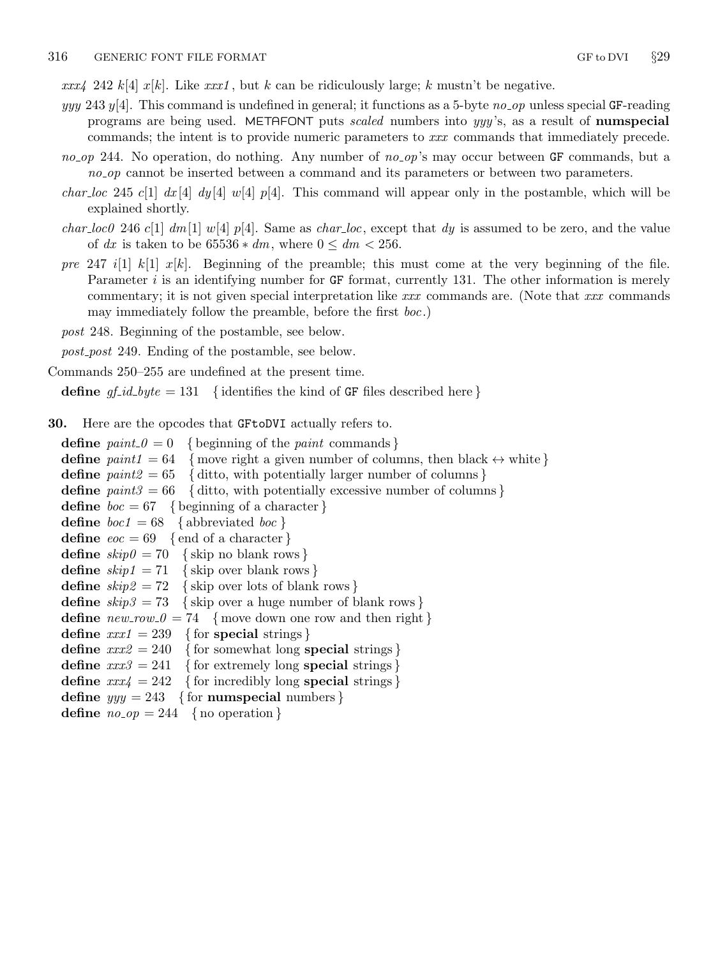$xxx4$  242 k[4] x[k]. Like  $xxx1$ , but k can be ridiculously large; k mustn't be negative.

- yyy 243 y[4]. This command is undefined in general; it functions as a 5-byte no op unless special GF-reading programs are being used. METAFONT puts *scaled* numbers into yyy's, as a result of **numspecial** commands; the intent is to provide numeric parameters to xxx commands that immediately precede.
- no op 244. No operation, do nothing. Any number of no op's may occur between GF commands, but a no op cannot be inserted between a command and its parameters or between two parameters.
- *char loc* 245 c[1]  $dx$  [4]  $dy$  [4]  $w$  [4]  $p$  [4]. This command will appear only in the postamble, which will be explained shortly.
- *char loc0* 246 c[1]  $dm[1]$  w[4] p[4]. Same as *char-loc*, except that dy is assumed to be zero, and the value of dx is taken to be  $65536 * dm$ , where  $0 \leq dm < 256$ .
- pre 247 i[1] k[1]  $x[k]$ . Beginning of the preamble; this must come at the very beginning of the file. Parameter *i* is an identifying number for GF format, currently 131. The other information is merely commentary; it is not given special interpretation like xxx commands are. (Note that xxx commands may immediately follow the preamble, before the first boc.)
- post 248. Beginning of the postamble, see below.

post post 249. Ending of the postamble, see below.

Commands 250–255 are undefined at the present time.

define  $gf_id\_byte = 131$  { identifies the kind of GF files described here }

30. Here are the opcodes that GFtoDVI actually refers to.

define  $paint_0 = 0$  { beginning of the *paint* commands } define  $paint1 = 64$  {move right a given number of columns, then black  $\leftrightarrow$  white } **define**  $paint2 = 65$  { ditto, with potentially larger number of columns } **define**  $paint3 = 66$  { ditto, with potentially excessive number of columns} define  $boc = 67$  { beginning of a character } define  $boc1 = 68$  { abbreviated  $boc$  } define  $\epsilon \circ c = 69$  {end of a character} define  $skip0 = 70$  { skip no blank rows } define  $skip_1 = 71$  { skip over blank rows } define  $skip2 \equiv 72$  { skip over lots of blank rows } define  $skip3 = 73$  { skip over a huge number of blank rows } **define**  $new_{1}ow_{0} = 74$  {move down one row and then right} define  $xxx1 = 239$  { for special strings } define  $xxx^2 = 240$  { for somewhat long special strings } define  $xxx3 = 241$  { for extremely long special strings } define  $xxx_4 = 242$  { for incredibly long special strings } define  $yyy = 243$  { for numspecial numbers } define  $no\_op = 244$  { no operation }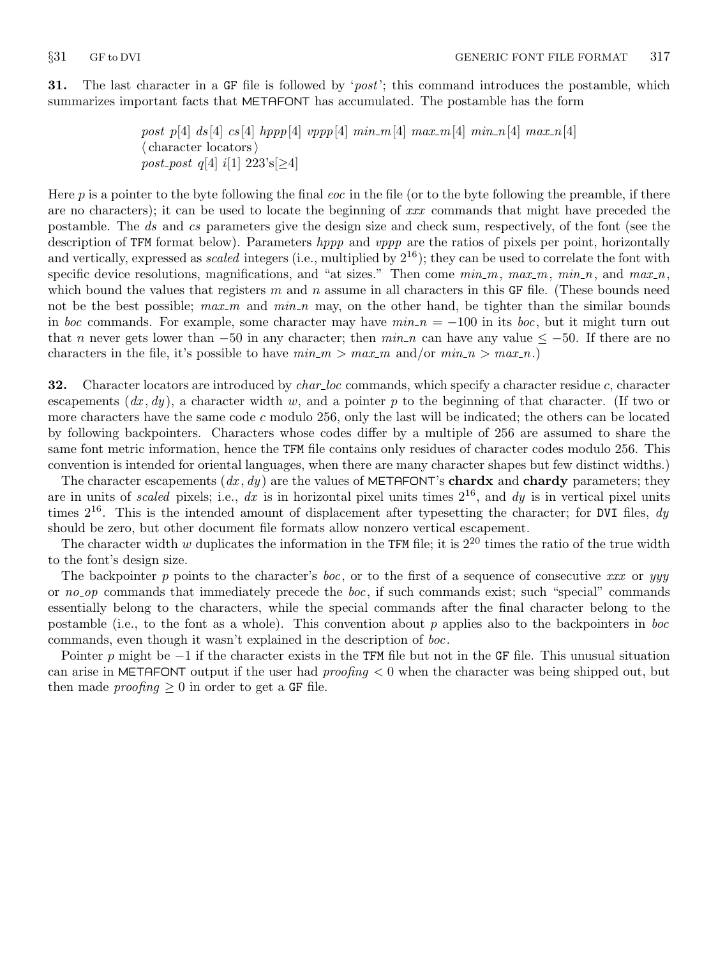**31.** The last character in a GF file is followed by '*post*'; this command introduces the postamble, which summarizes important facts that METAFONT has accumulated. The postamble has the form

> post p[4] ds[4] cs[4] hppp[4] vppp[4] min\_m[4] max\_m[4] min\_n[4] max\_n[4]  $\langle$  character locators $\rangle$ post\_post q[4] i[1]  $223$ 's[ $\geq 4$ ]

Here  $p$  is a pointer to the byte following the final *eoc* in the file (or to the byte following the preamble, if there are no characters); it can be used to locate the beginning of xxx commands that might have preceded the postamble. The ds and cs parameters give the design size and check sum, respectively, of the font (see the description of TFM format below). Parameters hppp and uppp are the ratios of pixels per point, horizontally and vertically, expressed as *scaled* integers (i.e., multiplied by  $2^{16}$ ); they can be used to correlate the font with specific device resolutions, magnifications, and "at sizes." Then come  $min_m$ ,  $max_m$ ,  $min_n$ , and  $max_n$ , which bound the values that registers m and n assume in all characters in this GF file. (These bounds need not be the best possible;  $max_m$  and  $min_n$  may, on the other hand, be tighter than the similar bounds in boc commands. For example, some character may have  $min_n = -100$  in its boc, but it might turn out that n never gets lower than  $-50$  in any character; then  $min_n$  can have any value  $\leq -50$ . If there are no characters in the file, it's possible to have  $min_m > max_m$  and/or  $min_n > max_n$ .

**32.** Character locators are introduced by *char-loc* commands, which specify a character residue c, character escapements  $(dx, dy)$ , a character width w, and a pointer p to the beginning of that character. (If two or more characters have the same code c modulo 256, only the last will be indicated; the others can be located by following backpointers. Characters whose codes differ by a multiple of 256 are assumed to share the same font metric information, hence the TFM file contains only residues of character codes modulo 256. This convention is intended for oriental languages, when there are many character shapes but few distinct widths.)

The character escapements  $(dx, dy)$  are the values of METAFONT's chardx and chardy parameters; they are in units of scaled pixels; i.e., dx is in horizontal pixel units times  $2^{16}$ , and dy is in vertical pixel units times  $2^{16}$ . This is the intended amount of displacement after typesetting the character; for DVI files,  $dy$ should be zero, but other document file formats allow nonzero vertical escapement.

The character width w duplicates the information in the TFM file; it is  $2^{20}$  times the ratio of the true width to the font's design size.

The backpointer p points to the character's boc, or to the first of a sequence of consecutive xxx or yyy or no op commands that immediately precede the boc, if such commands exist; such "special" commands essentially belong to the characters, while the special commands after the final character belong to the postamble (i.e., to the font as a whole). This convention about p applies also to the backpointers in boc commands, even though it wasn't explained in the description of boc.

Pointer p might be  $-1$  if the character exists in the TFM file but not in the GF file. This unusual situation can arise in METAFONT output if the user had *proofing*  $\lt 0$  when the character was being shipped out, but then made *proofing*  $\geq 0$  in order to get a GF file.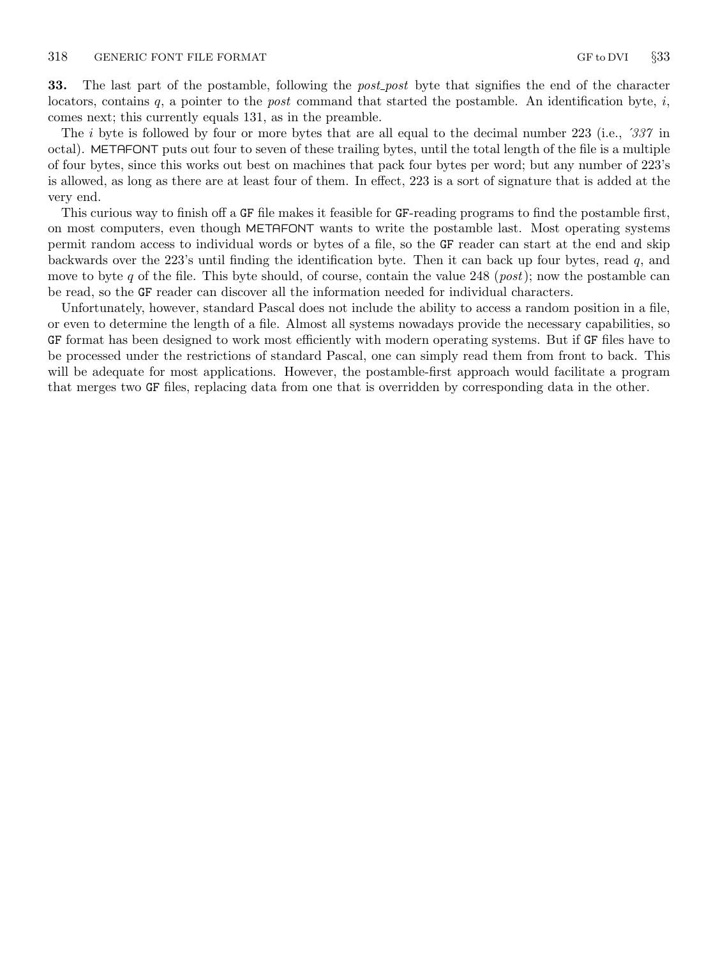33. The last part of the postamble, following the *post-post* byte that signifies the end of the character locators, contains  $q$ , a pointer to the *post* command that started the postamble. An identification byte,  $i$ , comes next; this currently equals 131, as in the preamble.

The *i* byte is followed by four or more bytes that are all equal to the decimal number 223 (i.e., *337* in octal). METAFONT puts out four to seven of these trailing bytes, until the total length of the file is a multiple of four bytes, since this works out best on machines that pack four bytes per word; but any number of 223's is allowed, as long as there are at least four of them. In effect, 223 is a sort of signature that is added at the very end.

This curious way to finish off a GF file makes it feasible for GF-reading programs to find the postamble first, on most computers, even though METAFONT wants to write the postamble last. Most operating systems permit random access to individual words or bytes of a file, so the GF reader can start at the end and skip backwards over the 223's until finding the identification byte. Then it can back up four bytes, read q, and move to byte q of the file. This byte should, of course, contain the value 248 (*post*); now the postamble can be read, so the GF reader can discover all the information needed for individual characters.

Unfortunately, however, standard Pascal does not include the ability to access a random position in a file, or even to determine the length of a file. Almost all systems nowadays provide the necessary capabilities, so GF format has been designed to work most efficiently with modern operating systems. But if GF files have to be processed under the restrictions of standard Pascal, one can simply read them from front to back. This will be adequate for most applications. However, the postamble-first approach would facilitate a program that merges two GF files, replacing data from one that is overridden by corresponding data in the other.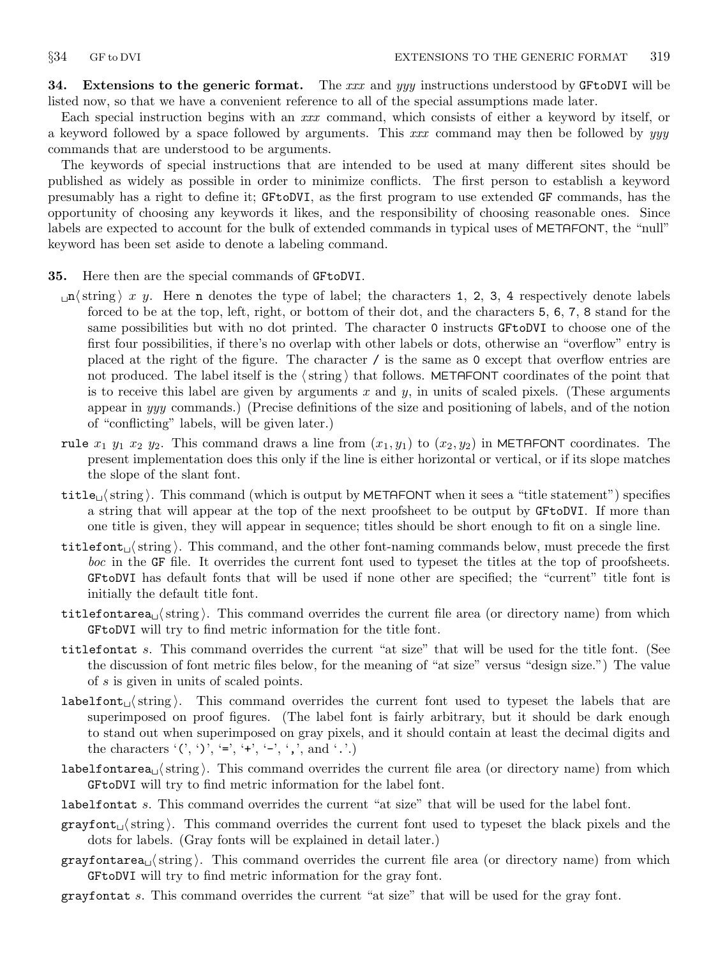<span id="page-18-0"></span>**34.** Extensions to the generic format. The xxx and yyy instructions understood by GFtoDVI will be listed now, so that we have a convenient reference to all of the special assumptions made later.

Each special instruction begins with an xxx command, which consists of either a keyword by itself, or a keyword followed by a space followed by arguments. This  $xxx$  command may then be followed by  $yyy$ commands that are understood to be arguments.

The keywords of special instructions that are intended to be used at many different sites should be published as widely as possible in order to minimize conflicts. The first person to establish a keyword presumably has a right to define it; GFtoDVI, as the first program to use extended GF commands, has the opportunity of choosing any keywords it likes, and the responsibility of choosing reasonable ones. Since labels are expected to account for the bulk of extended commands in typical uses of METAFONT, the "null" keyword has been set aside to denote a labeling command.

- 35. Here then are the special commands of GFtoDVI.
	- $\mu$ n (string) x y. Here n denotes the type of label; the characters 1, 2, 3, 4 respectively denote labels forced to be at the top, left, right, or bottom of their dot, and the characters 5, 6, 7, 8 stand for the same possibilities but with no dot printed. The character 0 instructs GFtoDVI to choose one of the first four possibilities, if there's no overlap with other labels or dots, otherwise an "overflow" entry is placed at the right of the figure. The character  $\ell$  is the same as 0 except that overflow entries are not produced. The label itself is the  $\langle \text{string} \rangle$  that follows. METAFONT coordinates of the point that is to receive this label are given by arguments x and y, in units of scaled pixels. (These arguments appear in yyy commands.) (Precise definitions of the size and positioning of labels, and of the notion of "conflicting" labels, will be given later.)
	- rule  $x_1$   $y_1$   $x_2$   $y_2$ . This command draws a line from  $(x_1, y_1)$  to  $(x_2, y_2)$  in METAFONT coordinates. The present implementation does this only if the line is either horizontal or vertical, or if its slope matches the slope of the slant font.
	- $\text{title}_{\text{u}}(\text{string})$ . This command (which is output by METAFONT when it sees a "title statement") specifies a string that will appear at the top of the next proofsheet to be output by GFtoDVI. If more than one title is given, they will appear in sequence; titles should be short enough to fit on a single line.
	- titlefont  $\mu$  string). This command, and the other font-naming commands below, must precede the first boc in the GF file. It overrides the current font used to typeset the titles at the top of proofsheets. GFtoDVI has default fonts that will be used if none other are specified; the "current" title font is initially the default title font.
	- titlefontarea  $\frac{1}{\sin \theta}$ . This command overrides the current file area (or directory name) from which GFtoDVI will try to find metric information for the title font.
	- titlefontat s. This command overrides the current "at size" that will be used for the title font. (See the discussion of font metric files below, for the meaning of "at size" versus "design size.") The value of s is given in units of scaled points.
	- labelfont  $\mu$  string). This command overrides the current font used to typeset the labels that are superimposed on proof figures. (The label font is fairly arbitrary, but it should be dark enough to stand out when superimposed on gray pixels, and it should contain at least the decimal digits and the characters  $'(\cdot, \cdot)$ ', '=', '+', '-', ',', and '.'.)
	- labelfontarea<sub> $\cup$ </sub> (string ). This command overrides the current file area (or directory name) from which GFtoDVI will try to find metric information for the label font.
	- labelfontat s. This command overrides the current "at size" that will be used for the label font.
	- $gravfont_{\text{H}}$  (string). This command overrides the current font used to typeset the black pixels and the dots for labels. (Gray fonts will be explained in detail later.)
	- $gravfontarea<sub>u</sub>$  (string ). This command overrides the current file area (or directory name) from which GFtoDVI will try to find metric information for the gray font.
	- grayfontat s. This command overrides the current "at size" that will be used for the gray font.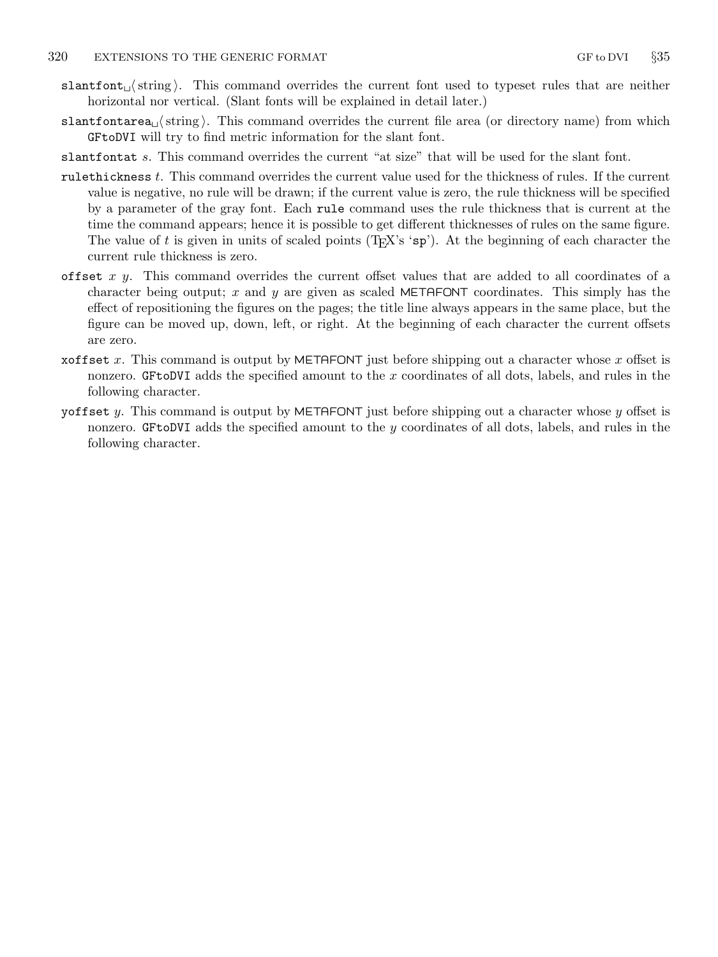- slantfont  $\mu$  string). This command overrides the current font used to typeset rules that are neither horizontal nor vertical. (Slant fonts will be explained in detail later.)
- slantfontarea  $\frac{1}{s}$  is command overrides the current file area (or directory name) from which GFtoDVI will try to find metric information for the slant font.
- slantfontat s. This command overrides the current "at size" that will be used for the slant font.
- rulethickness t. This command overrides the current value used for the thickness of rules. If the current value is negative, no rule will be drawn; if the current value is zero, the rule thickness will be specified by a parameter of the gray font. Each rule command uses the rule thickness that is current at the time the command appears; hence it is possible to get different thicknesses of rules on the same figure. The value of t is given in units of scaled points ( $T_{F}X$ 's 'sp'). At the beginning of each character the current rule thickness is zero.
- offset  $x, y$ . This command overrides the current offset values that are added to all coordinates of a character being output; x and y are given as scaled METAFONT coordinates. This simply has the effect of repositioning the figures on the pages; the title line always appears in the same place, but the figure can be moved up, down, left, or right. At the beginning of each character the current offsets are zero.
- xoffset x. This command is output by METAFONT just before shipping out a character whose x offset is nonzero. GFtoDVI adds the specified amount to the x coordinates of all dots, labels, and rules in the following character.
- yoffset y. This command is output by METAFONT just before shipping out a character whose y offset is nonzero. GFtoDVI adds the specified amount to the y coordinates of all dots, labels, and rules in the following character.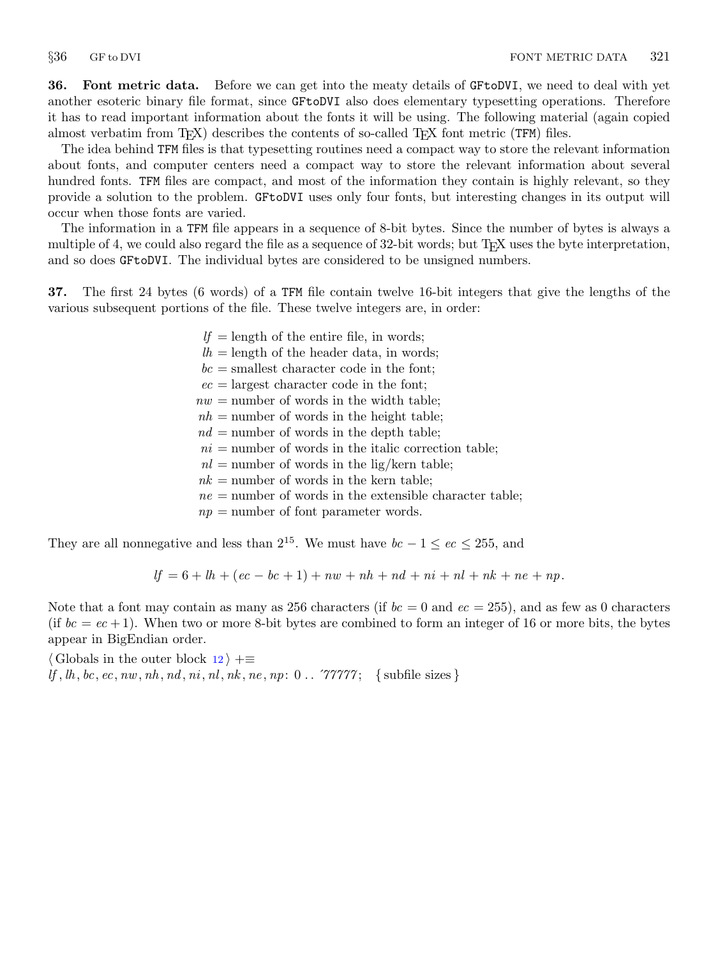<span id="page-20-0"></span>36. Font metric data. Before we can get into the meaty details of GFtoDVI, we need to deal with yet another esoteric binary file format, since GFtoDVI also does elementary typesetting operations. Therefore it has to read important information about the fonts it will be using. The following material (again copied almost verbatim from T<sub>E</sub>X) describes the contents of so-called T<sub>E</sub>X font metric (TFM) files.

The idea behind TFM files is that typesetting routines need a compact way to store the relevant information about fonts, and computer centers need a compact way to store the relevant information about several hundred fonts. TFM files are compact, and most of the information they contain is highly relevant, so they provide a solution to the problem. GFtoDVI uses only four fonts, but interesting changes in its output will occur when those fonts are varied.

The information in a TFM file appears in a sequence of 8-bit bytes. Since the number of bytes is always a multiple of 4, we could also regard the file as a sequence of 32-bit words; but  $T_F X$  uses the byte interpretation, and so does GFtoDVI. The individual bytes are considered to be unsigned numbers.

37. The first 24 bytes (6 words) of a TFM file contain twelve 16-bit integers that give the lengths of the various subsequent portions of the file. These twelve integers are, in order:

> $lf =$  length of the entire file, in words;  $lh = \text{length}$  of the header data, in words;  $bc =$  smallest character code in the font;  $ec =$  largest character code in the font;  $nw =$  number of words in the width table;  $nh =$  number of words in the height table;  $nd =$  number of words in the depth table;  $ni =$  number of words in the italic correction table;  $nl$  = number of words in the lig/kern table;  $nk =$  number of words in the kern table;  $ne =$  number of words in the extensible character table;  $np =$  number of font parameter words.

They are all nonnegative and less than  $2^{15}$ . We must have  $bc - 1 \leq ec \leq 255$ , and

$$
lf = 6 + lh + (ec - bc + 1) + nw + nh + nd + ni + nl + nk + ne + np.
$$

Note that a font may contain as many as 256 characters (if  $bc = 0$  and  $ec = 255$ ), and as few as 0 characters (if  $bc = ec + 1$ ). When two or more 8-bit bytes are combined to form an integer of 16 or more bits, the bytes appear in BigEndian order.

 $\langle$  Globals in the outer block [12](#page-4-0)  $\rangle$  +≡ If,  $\{lh, bc, ec, nw, nh, nd, ni, nl, nk, ne, np: 0$ .  $\forall$ 7777; { subfile sizes }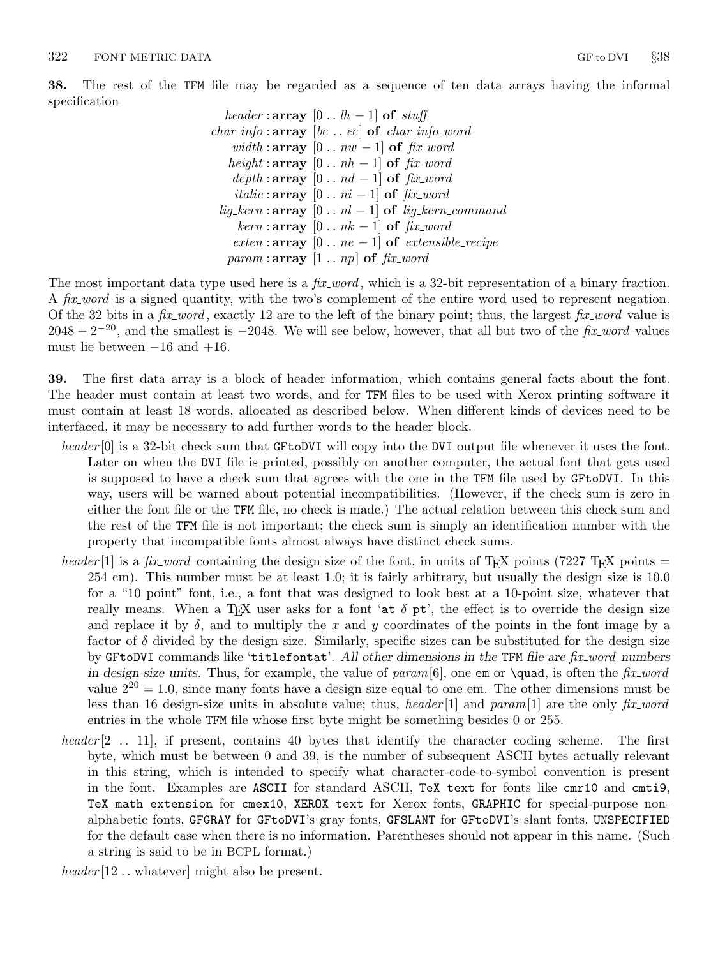38. The rest of the TFM file may be regarded as a sequence of ten data arrays having the informal specification

> header :  $array [0..th-1]$  of  $stuff$  $char_info:$ **array**  $[bc \dots ec]$  of  $char_info\_word$ width :  $array [0..nw-1]$  of  $fix\_word$ height :  $array \; [0.. nh - 1]$  of  $fix\_word$  $depth:$ array  $[0..nd-1]$  of  $fix\_word$ *italic* :  $array [0.. ni - 1]$  of  $fix\_word$ lig\_kern :  $array [0.. nl - 1]$  of lig\_kern\_command  $kern : array [0..nk-1]$  of  $fix\_word$ exten :  $array [0..ne-1]$  of extensible\_recipe param :  $array [1.. np]$  of  $fix\_word$

The most important data type used here is a  $fix\_word$ , which is a 32-bit representation of a binary fraction. A *fix word* is a signed quantity, with the two's complement of the entire word used to represent negation. Of the 32 bits in a fix-word, exactly 12 are to the left of the binary point; thus, the largest fix-word value is  $2048 - 2^{-20}$ , and the smallest is  $-2048$ . We will see below, however, that all but two of the fix-word values must lie between  $-16$  and  $+16$ .

39. The first data array is a block of header information, which contains general facts about the font. The header must contain at least two words, and for TFM files to be used with Xerox printing software it must contain at least 18 words, allocated as described below. When different kinds of devices need to be interfaced, it may be necessary to add further words to the header block.

- header  $[0]$  is a 32-bit check sum that GFtoDVI will copy into the DVI output file whenever it uses the font. Later on when the DVI file is printed, possibly on another computer, the actual font that gets used is supposed to have a check sum that agrees with the one in the TFM file used by GFtoDVI. In this way, users will be warned about potential incompatibilities. (However, if the check sum is zero in either the font file or the TFM file, no check is made.) The actual relation between this check sum and the rest of the TFM file is not important; the check sum is simply an identification number with the property that incompatible fonts almost always have distinct check sums.
- header [1] is a fix-word containing the design size of the font, in units of T<sub>E</sub>X points (7227 T<sub>E</sub>X points = 254 cm). This number must be at least 1.0; it is fairly arbitrary, but usually the design size is 10.0 for a "10 point" font, i.e., a font that was designed to look best at a 10-point size, whatever that really means. When a T<sub>F</sub>X user asks for a font 'at  $\delta$  pt', the effect is to override the design size and replace it by  $\delta$ , and to multiply the x and y coordinates of the points in the font image by a factor of  $\delta$  divided by the design size. Similarly, specific sizes can be substituted for the design size by GFtoDVI commands like 'titlefontat'. All other dimensions in the TFM file are fix word numbers in design-size units. Thus, for example, the value of  $param[6]$ , one em or **\quad**, is often the  $fix\_word$ value  $2^{20} = 1.0$ , since many fonts have a design size equal to one em. The other dimensions must be less than 16 design-size units in absolute value; thus, header [1] and param [1] are the only fix word entries in the whole TFM file whose first byte might be something besides 0 or 255.
- header  $[2 \dots 11]$ , if present, contains 40 bytes that identify the character coding scheme. The first byte, which must be between 0 and 39, is the number of subsequent ASCII bytes actually relevant in this string, which is intended to specify what character-code-to-symbol convention is present in the font. Examples are ASCII for standard ASCII, TeX text for fonts like cmr10 and cmti9, TeX math extension for cmex10, XEROX text for Xerox fonts, GRAPHIC for special-purpose nonalphabetic fonts, GFGRAY for GFtoDVI's gray fonts, GFSLANT for GFtoDVI's slant fonts, UNSPECIFIED for the default case when there is no information. Parentheses should not appear in this name. (Such a string is said to be in BCPL format.)
- header [12... whatever] might also be present.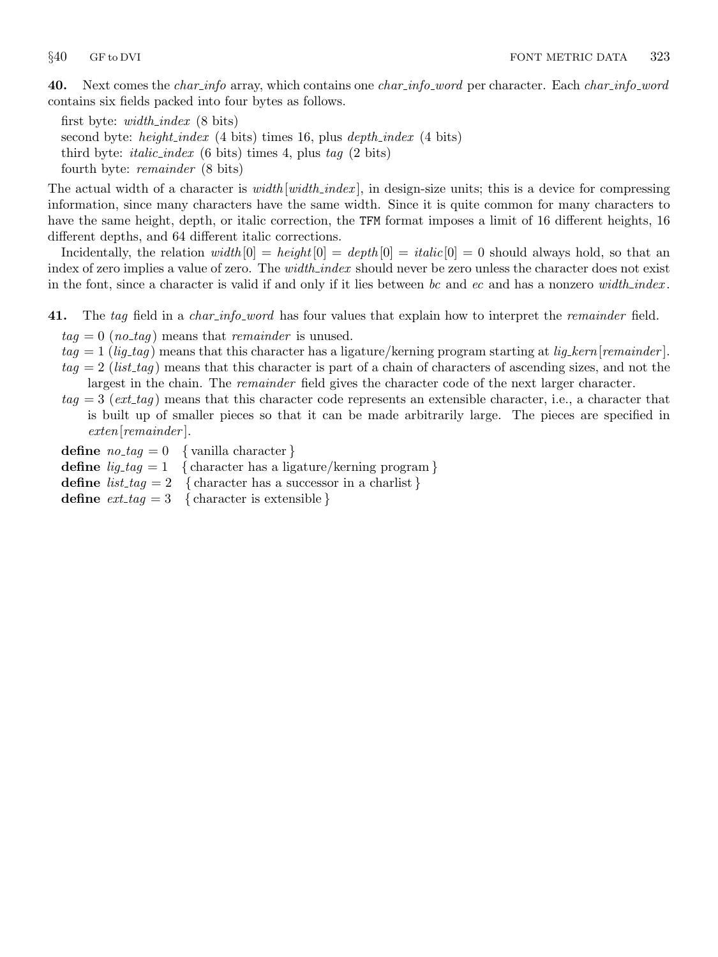**40.** Next comes the *char-info* array, which contains one *char-info-word* per character. Each *char-info-word* contains six fields packed into four bytes as follows.

first byte: *width\_index*  $(8 \text{ bits})$ second byte: *height\_index* (4 bits) times 16, plus *depth\_index* (4 bits) third byte: *italic\_index* (6 bits) times 4, plus tag  $(2 \text{ bits})$ fourth byte: remainder (8 bits)

The actual width of a character is *width*  $[width\_index]$ , in design-size units; this is a device for compressing information, since many characters have the same width. Since it is quite common for many characters to have the same height, depth, or italic correction, the TFM format imposes a limit of 16 different heights, 16 different depths, and 64 different italic corrections.

Incidentally, the relation width  $[0] = height[0] = depth[0] = italic[0] = 0$  should always hold, so that an index of zero implies a value of zero. The *width index* should never be zero unless the character does not exist in the font, since a character is valid if and only if it lies between bc and ec and has a nonzero width-index.

41. The tag field in a *char-info-word* has four values that explain how to interpret the *remainder* field.

 $tag = 0$  (no\_tag) means that remainder is unused.

- $tag = 1$  (lig-tag) means that this character has a ligature/kerning program starting at lig-kern [remainder].
- $tag = 2$  (list\_tag) means that this character is part of a chain of characters of ascending sizes, and not the largest in the chain. The *remainder* field gives the character code of the next larger character.
- $tag = 3$  (ext\_tag) means that this character code represents an extensible character, i.e., a character that is built up of smaller pieces so that it can be made arbitrarily large. The pieces are specified in exten[remainder ].

**define**  $no\_tag = 0$  { vanilla character } define  $lig\_tag = 1$  { character has a ligature/kerning program } define  $list\_tag = 2$  { character has a successor in a charlist } define  $ext\_tag = 3$  { character is extensible }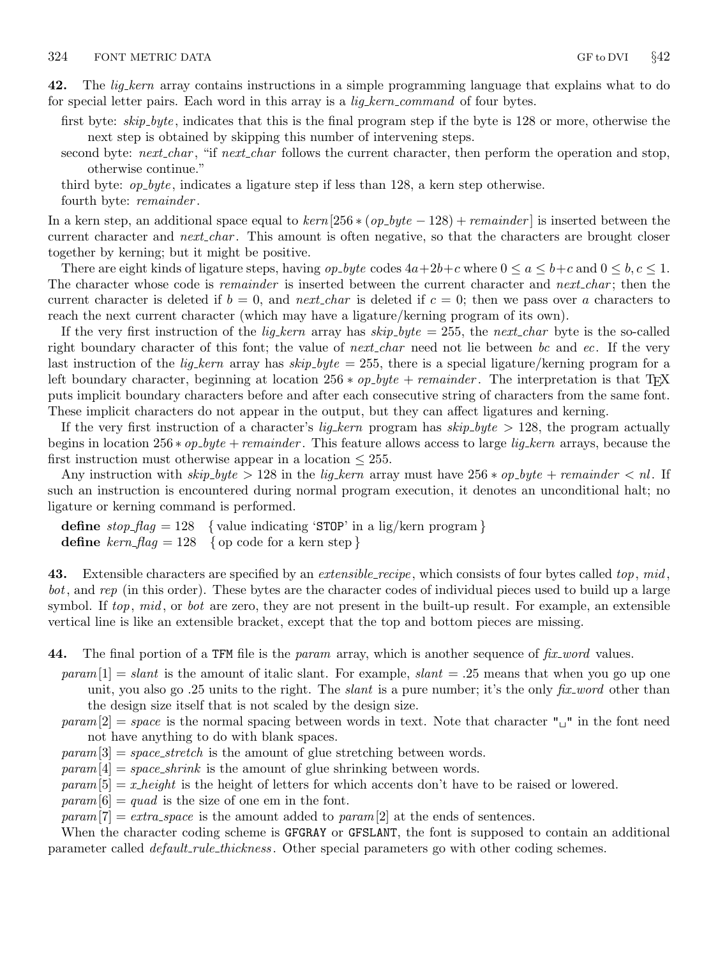42. The *lig<sub>kern</sub>* array contains instructions in a simple programming language that explains what to do for special letter pairs. Each word in this array is a *lig<sub>-kern-command* of four bytes.</sub>

first byte: *skip\_byte*, indicates that this is the final program step if the byte is 128 or more, otherwise the next step is obtained by skipping this number of intervening steps.

second byte: next char, "if next char follows the current character, then perform the operation and stop, otherwise continue."

third byte:  $op_bpt_e$ , indicates a ligature step if less than 128, a kern step otherwise.

fourth byte: *remainder*.

In a kern step, an additional space equal to  $\text{ker} \left[ 256 * (op\_byte - 128) + \text{remainder} \right]$  is inserted between the current character and *next char*. This amount is often negative, so that the characters are brought closer together by kerning; but it might be positive.

There are eight kinds of ligature steps, having  $op_b yte$  codes  $4a+2b+c$  where  $0 \le a \le b+c$  and  $0 \le b, c \le 1$ . The character whose code is *remainder* is inserted between the current character and *next* char; then the current character is deleted if  $b = 0$ , and *next char* is deleted if  $c = 0$ ; then we pass over a characters to reach the next current character (which may have a ligature/kerning program of its own).

If the very first instruction of the *lig<sub>kern</sub>* array has  $skip_b$  byte = 255, the next char byte is the so-called right boundary character of this font; the value of *next char* need not lie between bc and ec. If the very last instruction of the *lig<sub>kern</sub>* array has  $skip_b$  byte = 255, there is a special ligature/kerning program for a left boundary character, beginning at location 256 \* *op\_byte* + remainder. The interpretation is that T<sub>E</sub>X puts implicit boundary characters before and after each consecutive string of characters from the same font. These implicit characters do not appear in the output, but they can affect ligatures and kerning.

If the very first instruction of a character's *lig<sub>h</sub>* kern program has  $skip_b$  byte  $> 128$ , the program actually begins in location  $256 * op_{byte} + remainder$ . This feature allows access to large lig<sub>-kern</sub> arrays, because the first instruction must otherwise appear in a location  $\leq$  255.

Any instruction with  $skip_bye > 128$  in the lig kern array must have  $256 * op_byte + remainder < nl$ . If such an instruction is encountered during normal program execution, it denotes an unconditional halt; no ligature or kerning command is performed.

define  $stop\_flag = 128$  { value indicating 'STOP' in a lig/kern program } define  $\text{kern}\text{-}\text{flag} = 128$  { op code for a kern step }

43. Extensible characters are specified by an *extensible\_recipe*, which consists of four bytes called top,  $mid$ bot, and rep (in this order). These bytes are the character codes of individual pieces used to build up a large symbol. If top, mid, or bot are zero, they are not present in the built-up result. For example, an extensible vertical line is like an extensible bracket, except that the top and bottom pieces are missing.

**44.** The final portion of a TFM file is the *param* array, which is another sequence of  $fix\_word$  values.

- $param[1] = slant$  is the amount of italic slant. For example, slant = .25 means that when you go up one unit, you also go .25 units to the right. The *slant* is a pure number; it's the only  $fix\_word$  other than the design size itself that is not scaled by the design size.
- $param[2] = space$  is the normal spacing between words in text. Note that character " $\Box$ " in the font need not have anything to do with blank spaces.
- $param[3] = space\_stretch$  is the amount of glue stretching between words.
- $param[4] = space\_shrink$  is the amount of glue shrinking between words.
- $param[5] = x \nheight$  is the height of letters for which accents don't have to be raised or lowered.
- $param[6] = quad$  is the size of one em in the font.

param<sup>[7]</sup> = extra space is the amount added to param<sup>[2]</sup> at the ends of sentences.

When the character coding scheme is **GFGRAY** or **GFSLANT**, the font is supposed to contain an additional parameter called *default\_rule\_thickness*. Other special parameters go with other coding schemes.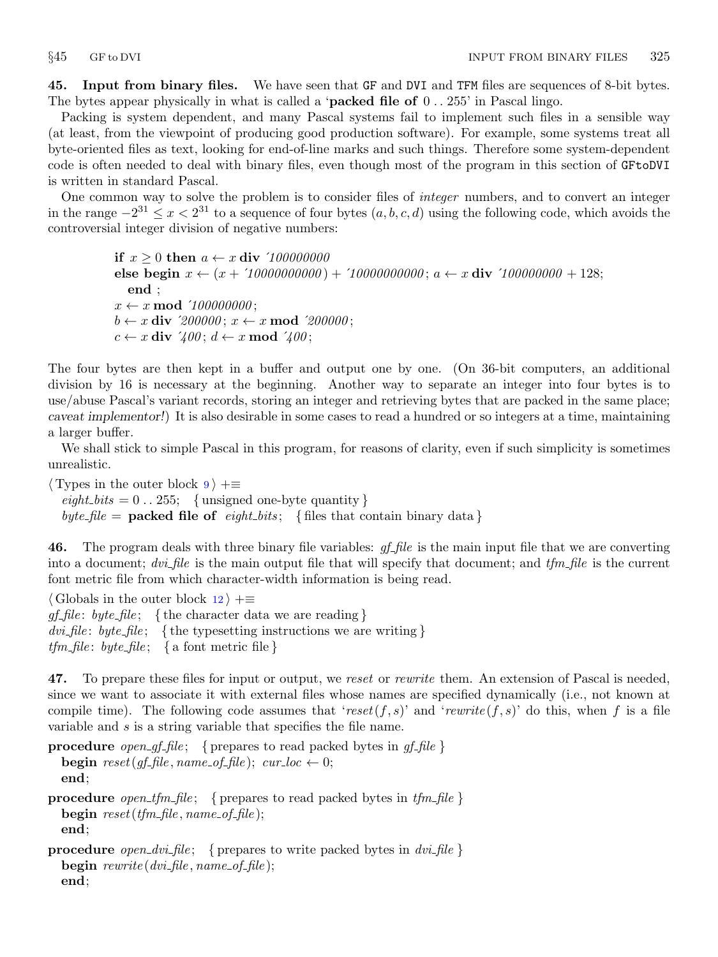<span id="page-24-0"></span>45. Input from binary files. We have seen that GF and DVI and TFM files are sequences of 8-bit bytes. The bytes appear physically in what is called a '**packed file of**  $0 \dots 255$ ' in Pascal lingo.

Packing is system dependent, and many Pascal systems fail to implement such files in a sensible way (at least, from the viewpoint of producing good production software). For example, some systems treat all byte-oriented files as text, looking for end-of-line marks and such things. Therefore some system-dependent code is often needed to deal with binary files, even though most of the program in this section of GFtoDVI is written in standard Pascal.

One common way to solve the problem is to consider files of integer numbers, and to convert an integer in the range  $-2^{31}$  ≤  $x < 2^{31}$  to a sequence of four bytes  $(a, b, c, d)$  using the following code, which avoids the controversial integer division of negative numbers:

> if  $x \geq 0$  then  $a \leftarrow x$  div '100000000 else begin  $x \leftarrow (x + 10000000000) + 10000000000$ ;  $a \leftarrow x$  div  $100000000 + 128$ ; end ;  $x \leftarrow x \mod$  '100000000;  $b \leftarrow x$  div '200000;  $x \leftarrow x \mod '200000$ ;  $c \leftarrow x$  div  $\angle 400$ ;  $d \leftarrow x \mod \angle 400$ ;

The four bytes are then kept in a buffer and output one by one. (On 36-bit computers, an additional division by 16 is necessary at the beginning. Another way to separate an integer into four bytes is to use/abuse Pascal's variant records, storing an integer and retrieving bytes that are packed in the same place; caveat implementor!) It is also desirable in some cases to read a hundred or so integers at a time, maintaining a larger buffer.

We shall stick to simple Pascal in this program, for reasons of clarity, even if such simplicity is sometimes unrealistic.

 $\langle$  Types in the outer block  $9 \rangle + \equiv$  $9 \rangle + \equiv$  $\text{eight\_bits} = 0.255; \{ \text{ unsigned one-byte quantity} \}$ byte file = **packed file of** eight bits; { files that contain binary data }

**46.** The program deals with three binary file variables:  $q_f$  file is the main input file that we are converting into a document; dvi file is the main output file that will specify that document; and  $tfm$ -file is the current font metric file from which character-width information is being read.

 $\langle$  Globals in the outer block [12](#page-4-0)  $\rangle$  +≡ *gf-file: byte-file*; {the character data we are reading}  $dv$ *i*-file: byte-file; {the typesetting instructions we are writing}  $tfm_{\textit{m}}$  file: byte\_file; { a font metric file }

47. To prepare these files for input or output, we reset or rewrite them. An extension of Pascal is needed, since we want to associate it with external files whose names are specified dynamically (i.e., not known at compile time). The following code assumes that 'reset(f, s)' and 'rewrite  $(f, s)$ ' do this, when f is a file variable and s is a string variable that specifies the file name.

**procedure** open gf-file; { prepares to read packed bytes in  $gf$ -file } **begin**  $reset(gf_{\mathcal{I}} file, name_{\mathcal{I}}.file); cur_{\mathcal{I}} loc \leftarrow 0;$ end;

**procedure** open tfm file; { prepares to read packed bytes in  $tfm$  file } **begin**  $reset(tfm_{\textit{file}}, name_{\textit{off}_{\textit{file}}});$ end;

```
procedure open_dvi_file; { prepares to write packed bytes in dvi_file }
  begin \textit{rewrite}(dvi\_file, name\_of\_file);end;
```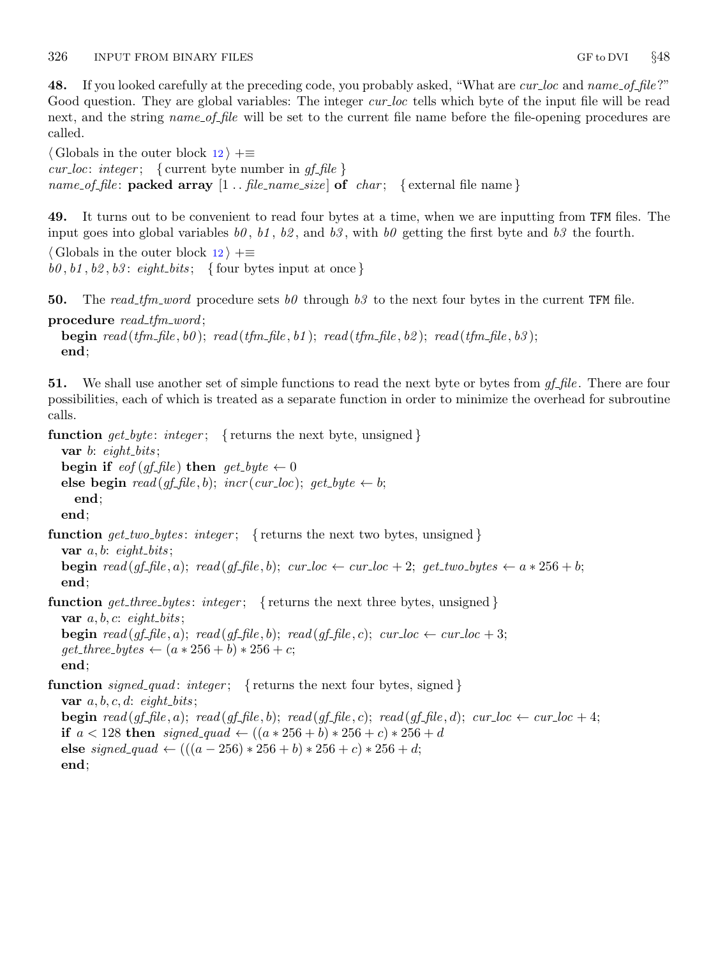<span id="page-25-0"></span>48. If you looked carefully at the preceding code, you probably asked, "What are cur-loc and name-of-file?" Good question. They are global variables: The integer cur loc tells which byte of the input file will be read next, and the string name of file will be set to the current file name before the file-opening procedures are called.

 $\langle$  Globals in the outer block [12](#page-4-0)  $\rangle$  +≡ cur-loc: integer; { current byte number in  $gf$ -file } name\_of\_file: **packed array**  $[1 \tldots \text{file_name_size}]$  of char; { external file name}

49. It turns out to be convenient to read four bytes at a time, when we are inputting from TFM files. The input goes into global variables  $b\theta$ ,  $b\theta$ ,  $b\theta$ , and  $b\theta$ , with  $b\theta$  getting the first byte and  $b\theta$  the fourth.  $\langle$  Globals in the outer block [12](#page-4-0)  $\rangle$  +≡  $b0, b1, b2, b3$ : eight\_bits; { four bytes input at once }

50. The read tfm word procedure sets b0 through b3 to the next four bytes in the current TFM file.

 $procedure \ read\_tfm\_word;$ **begin** read (tfm\_file, b0); read (tfm\_file, b1); read (tfm\_file, b2); read (tfm\_file, b3); end;

**51.** We shall use another set of simple functions to read the next byte or bytes from  $gf$ -file. There are four possibilities, each of which is treated as a separate function in order to minimize the overhead for subroutine calls.

**function**  $get\_byte: integer;$  { returns the next byte, unsigned } var  $b$ :  $\epsilon$ ight\_bits; begin if  $\text{eof}(gf_{\mathcal{A}}\hat{f}_i)\$  then  $\text{get\_byte} \leftarrow 0$ else begin  $read(gf_{\mathcal{I}}f_{\mathcal{I}}f_{\mathcal{I}}g_{\mathcal{I}}),$   $incr(cur_{\mathcal{I}}f_{\mathcal{I}}g_{\mathcal{I}}g_{\mathcal{I}})$ ;  $get_{\mathcal{I}}f_{\mathcal{I}}g_{\mathcal{I}} \leftarrow b;$ end; end; function get\_two\_bytes: integer; { returns the next two bytes, unsigned } var  $a, b$ : eight\_bits; **begin** read (gf file, a); read (gf file, b); cur loc  $\leftarrow$  cur loc + 2; get two bytes  $\leftarrow a * 256 + b$ ; end; **function** get\_three\_bytes: integer; { returns the next three bytes, unsigned } var  $a, b, c$ : eight\_bits; **begin** read  $(gf_{\text{-}}\mathit{file}, a)$ ; read  $(gf_{\text{-}}\mathit{file}, b)$ ; read  $(gf_{\text{-}}\mathit{file}, c)$ ; cur loc  $\leftarrow$  cur loc + 3;  $get\_three\_bytes \leftarrow (a * 256 + b) * 256 + c;$ end; **function** signed quad: integer; { returns the next four bytes, signed } var  $a, b, c, d$ : eight\_bits; **begin** read (gf\_file, a); read (gf\_file, b); read (gf\_file, c); read (gf\_file, d); cur\_loc  $\leftarrow$  cur\_loc + 4;

if  $a < 128$  then signed\_quad ←  $((a * 256 + b) * 256 + c) * 256 + d$ else signed\_quad  $\leftarrow (((a - 256) * 256 + b) * 256 + c) * 256 + d;$ end;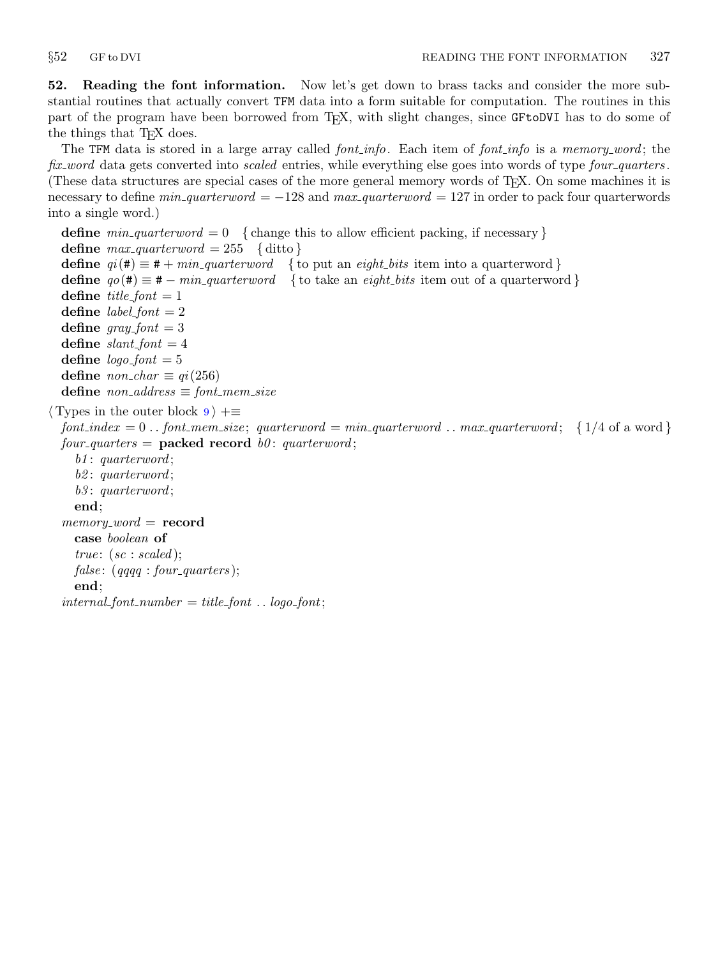<span id="page-26-0"></span>52. Reading the font information. Now let's get down to brass tacks and consider the more substantial routines that actually convert TFM data into a form suitable for computation. The routines in this part of the program have been borrowed from TEX, with slight changes, since GFtoDVI has to do some of the things that T<sub>E</sub>X does.

The TFM data is stored in a large array called *font info.* Each item of *font info* is a *memory word*; the fix word data gets converted into *scaled* entries, while everything else goes into words of type *four quarters*. (These data structures are special cases of the more general memory words of TEX. On some machines it is necessary to define  $min\_quarterword = -128$  and  $max\_quarterword = 127$  in order to pack four quarterwords into a single word.)

```
define min\_quarterword = 0 { change this to allow efficient packing, if necessary }
  define max\_quarterword = 255 { ditto }
  define qi(\textbf{\#}) \equiv \textbf{\#} + min\_quarterword { to put an eight_bits item into a quarterword }
  define q\varphi(\textbf{m}) \equiv \textbf{m} - q\varphi {to take an eight_bits item out of a quarterword {temple}
  define title\_font = 1define label_font = 2define gray\_font = 3define slant\_font = 4define logofont = 5define non_{char} \equiv qi(256)define non\_address \equiv font\_mem\_size\langle Types in the outer block 9 \rangle + \equivfont\_index = 0 \dots font\_mem\_size; quarterword = min_quarterword . . max_quarterword; \{1/4 \text{ of a word }\}four\text{-}quarters = \text{packet} \text{ record } b0: quarterword;
    b1: quarterword;
    b2: quarterword;
    b3: quarterword;
    end;
  memory\_word = recordcase boolean of
    true: (se : scaled);
    false: (qqqq:four-quarters);end;
  internal\_font_number = title\_font \dots logo\_font;
```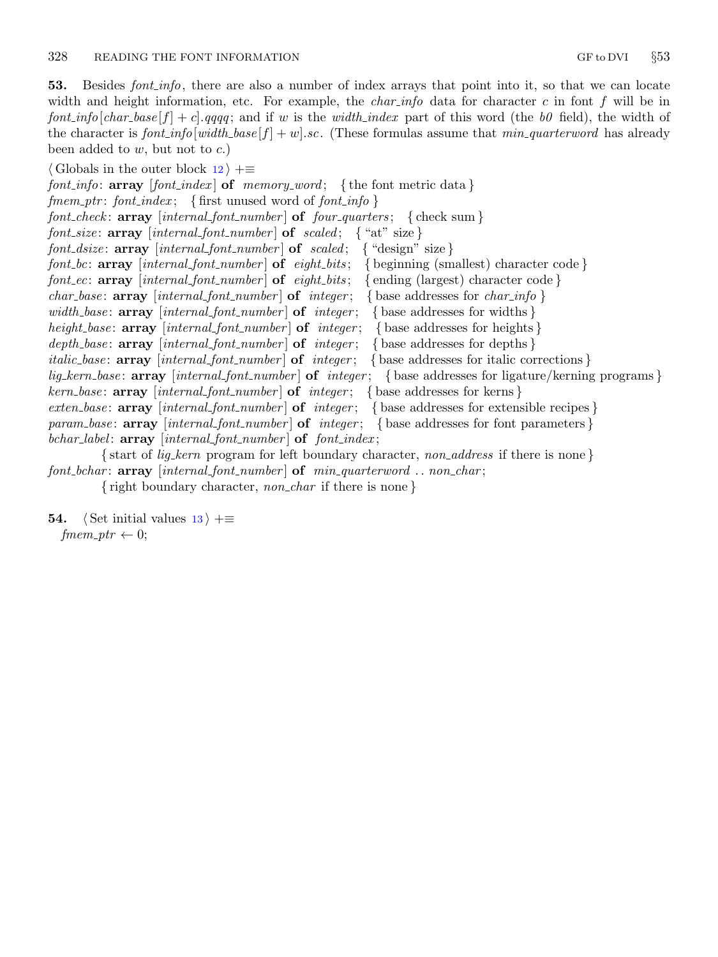<span id="page-27-0"></span>53. Besides *font info*, there are also a number of index arrays that point into it, so that we can locate width and height information, etc. For example, the *char-info* data for character c in font f will be in font info  $(char\text{-}base[f] + c]$ . qqqq; and if w is the width index part of this word (the b0 field), the width of the character is  $font\_info[width\_base[f] + w].sc$ . (These formulas assume that  $min\_quarterword$  has already been added to  $w$ , but not to  $c$ .)

 $\langle$  Globals in the outer block [12](#page-4-0)  $\rangle$  +≡

font info: array [font index] of memory word; {the font metric data}  $fmem\_ptr: font\_index; \{ first unused word of font\_info\}$  $font\_check: array [internal\_font_number]$  of  $four\_quarters$ ; {check sum} font\_size:  $array$  [internal\_font\_number] of scaled; { "at" size } font\_dsize:  $array$  [internal\_font\_number] of scaled; { "design" size } font bc:  $array [internal_{font_number}]$  of eight bits; {beginning (smallest) character code}  $font\_ec$ :  $array$  [internal\_font\_number] of eight\_bits; {ending (largest) character code} *char base:* array [internal font number] of integer; { base addresses for *char info* } width base: array [internal font number] of integer; { base addresses for widths } height base:  $array$  [internal font number] of integer; { base addresses for heights } depth base:  $array$  [internal font number] of integer; { base addresses for depths } *italic base:*  $array [internalfont_number]$  of  $integer;$  {base addresses for italic corrections }  $lig\text{-}kern\text{-}base:$  array  $[internal\text{-}font\text{-}number]$  of  $integer;$  {base addresses for ligature/kerning programs} kern base:  $array$  [internal font number] of integer; { base addresses for kerns }  $ext{en}$ -base: **array** [internal\_font\_number] **of** integer; { base addresses for extensible recipes } param base:  $array$  [internal font number] of integer; { base addresses for font parameters } bchar\_label:  $array$  [internal\_font\_number] of font\_index; {start of *lig\_kern* program for left boundary character, *non\_address* if there is none }

 $font\_behavior: array [internal\_font_number]$  of  $min\_quarterword$ ... non\_char;

{ right boundary character, *non\_char* if there is none }

**54.**  $\langle$  Set initial values  $13 \rangle + \equiv$  $13 \rangle + \equiv$  $fmem\_ptr \leftarrow 0$ ;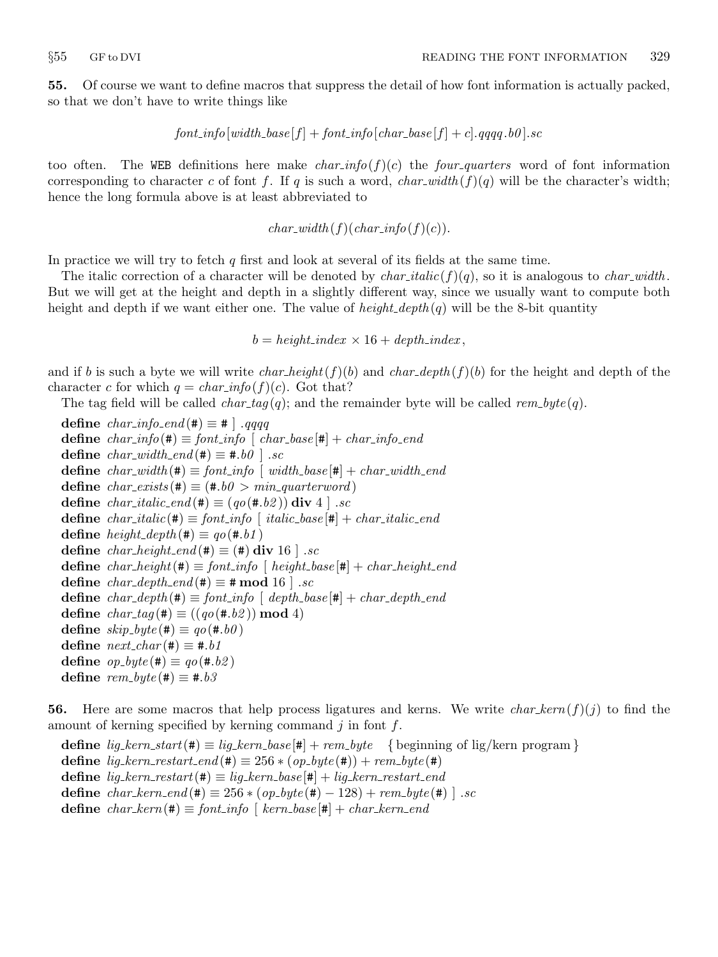55. Of course we want to define macros that suppress the detail of how font information is actually packed, so that we don't have to write things like

 $font\_info[width\_base[f] + font\_info[char\_base[f] + c].qqqq.b0].sc$ 

too often. The WEB definitions here make *char-info(f)(c)* the *four-quarters* word of font information corresponding to character c of font f. If q is such a word, char width  $(f)(q)$  will be the character's width; hence the long formula above is at least abbreviated to

 $char\_width(f)(char\_info(f)(c)).$ 

In practice we will try to fetch  $q$  first and look at several of its fields at the same time.

The italic correction of a character will be denoted by  $char.title(f)(q)$ , so it is analogous to *char-width*. But we will get at the height and depth in a slightly different way, since we usually want to compute both height and depth if we want either one. The value of  $height\_depth(q)$  will be the 8-bit quantity

 $b = height\_index \times 16 + depth\_index$ ,

and if b is such a byte we will write  $char\_height(f)(b)$  and  $char\_depth(f)(b)$  for the height and depth of the character c for which  $q = char_info(f)(c)$ . Got that?

The tag field will be called *char\_tag(q)*; and the remainder byte will be called  $rem\_byte(q)$ .

define  $char\_info\_end$  (#)  $\equiv$  #  $\,$  .qqqq define  $char_info(\#) \equiv font_info [\char; char\text{-}base[\#] + char_info\text{-}end$ define  $char\_width\_end(\#) \equiv #.b0$  .sc **define**  $char\_width(\textbf{#}) \equiv font\_info \mid width\_base[\textbf{#}] + char\_width\_end$ define  $char\_exists(\#) \equiv (\# . b0 > min\_quarterword)$ define  $char\_ italic\_end(\#) \equiv (qo(\#.b2))$  div 4 | .sc define  $char\_ italic$  (#)  $\equiv$  font\_info  $\lceil$  italic\_base  $\lceil$ # $\rceil$  + char\_italic\_end define  $height\_depth$  (#)  $\equiv qo$  (#.b1) define  $char\_height\_end$  (#)  $\equiv$  (#) div 16 ] .sc **define**  $char\_height$  (#)  $\equiv$  font\_info  $\lceil$  height\_base [#] + char\_height\_end define  $char\_depth\_end$  (#)  $\equiv$  # mod 16  $\vert$  .sc **define**  $char\_depth$  (#)  $\equiv$  font\_info  $\lceil$  depth\_base [#] + char\_depth\_end define  $char\_tag$  (#)  $\equiv ((qo$  (#.b2)) mod 4) define  $skip\_byte(\#) \equiv qo(\# .b0)$ define  $next\_char(\#) \equiv #.b1$ define  $op\_byte(\#) \equiv qo(\#.b2)$ define  $rem\_byte$  (#)  $\equiv$  #.b3

**56.** Here are some macros that help process ligatures and kerns. We write  $char\text{-}kern(f)(j)$  to find the amount of kerning specified by kerning command  $j$  in font  $f$ .

define  $lig\_kern\_start$ (#)  $\equiv lig\_kern\_base$ |#| + rem\_byte { beginning of lig/kern program } define  $lig\_kern\_restart\_end(\#) \equiv 256 * (op\_byte(\#)) + rem\_byte(\#)$ define  $lig\_kern\_restart(\#) \equiv lig\_kern\_base[\#] + lig\_kern\_restart\_end$ define  $char_{\text{.}}\text{.}ern_{\text{.}}end(\#) \equiv 256 * (op_{\text{.}}\text{.}byte(\#) - 128) + rem_{\text{.}}\text{.}btte(\#)$ .sc define  $char_kern(\#) \equiv font\_info \restriction kern\_base[\#] + char_kern\_end$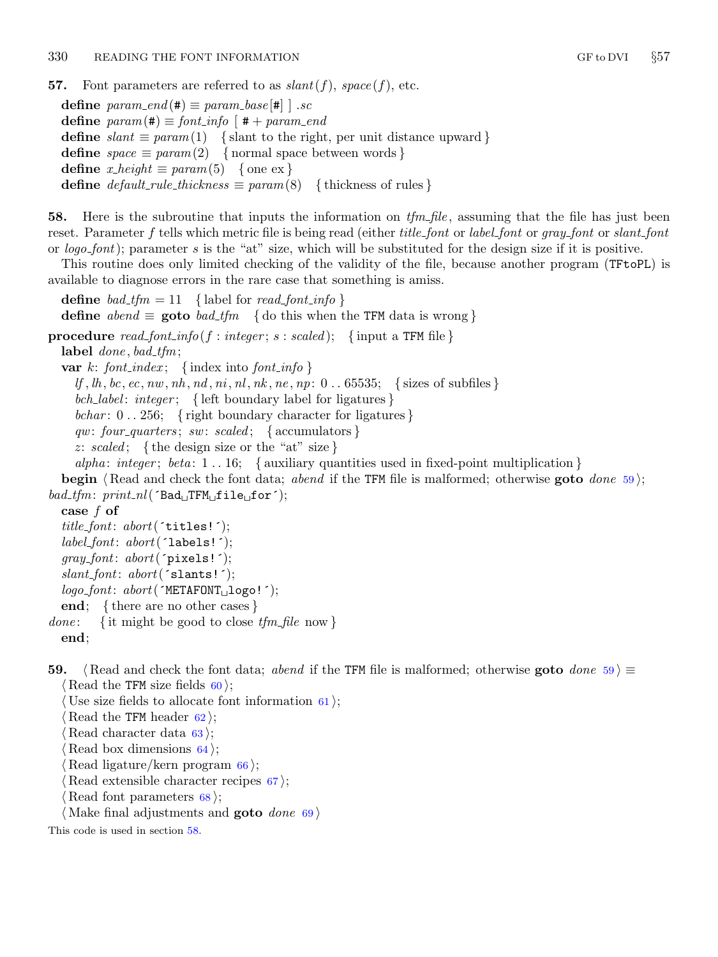<span id="page-29-0"></span>**57.** Font parameters are referred to as  $slant(f)$ ,  $space(f)$ , etc.

define  $param\_end$  (#)  $\equiv param\_base$  [#]  $\cdot sc$ define  $param(\#) \equiv font\_info \{ \# + param\_end$ define  $slant \equiv param(1)$  { slant to the right, per unit distance upward } define  $space \equiv param(2)$  { normal space between words } define  $x \text{.} height \equiv param(5)$  { one ex } define  $default\_rule\_thickness \equiv param(8)$  {thickness of rules}

58. Here is the subroutine that inputs the information on  $tfm_{\perp}file$ , assuming that the file has just been reset. Parameter f tells which metric file is being read (either *title-font* or label-font or gray-font or slant-font or logo font); parameter s is the "at" size, which will be substituted for the design size if it is positive.

This routine does only limited checking of the validity of the file, because another program (TFtoPL) is available to diagnose errors in the rare case that something is amiss.

define  $bad\_tfm = 11$  { label for read\_font\_info } define  $abend \equiv \text{goto } bad\_tfm$  { do this when the TFM data is wrong } **procedure** read\_font\_info(f: integer; s: scaled); {input a TFM file} label  $done, bad\_tfm;$ var k: font\_index; {index into font\_info } If, lh, bc, ec, nw, nh, nd, ni, nl, nk, ne, np:  $0 \ldots 65535$ ; { sizes of subfiles } bch label: integer; { left boundary label for ligatures }

bchar:  $0 \ldots 256$ ; { right boundary character for ligatures }

qw: four-quarters; sw: scaled; { $\{$  accumulators }

z: scaled; {the design size or the "at" size}

alpha: integer; beta: 1... 16; { auxiliary quantities used in fixed-point multiplication }

begin (Read and check the font data; abend if the TFM file is malformed; otherwise goto done 59);  $bad\_tfm\colon\ print\_nl($  ^Bad $_\sqcup$ TFM $_\sqcup$ file $_\sqcup$ for ^);

## case f of

```
title font: abort(´titles!´);
  label\_font: 'about 'labels!');gray_{\text{-}}font: abort('pixels!');slant\_font: abort('slants!');logo_{\text{f}}ont: abort('METAFONT_{\text{u}}logo! );
  end; { there are no other cases }
done: {it might be good to close tfm-file now }
```
end;

59. (Read and check the font data; abend if the TFM file is malformed; otherwise goto done  $59 \ge$  $\langle$  Read the TFM size fields [60](#page-30-0) $\rangle$ ;

(Use size fields to allocate font information  $61$ );

Read the TFM header  $62$ ;

Read character data  $63$ ;

Read box dimensions  $64$ ;

Read ligature/kern program  $66$ ;

Read extensible character recipes  $67$ ;

Read font parameters  $68$ ;

 $\langle$  Make final adjustments and **goto** done [69](#page-33-0) $\rangle$ 

This code is used in section 58.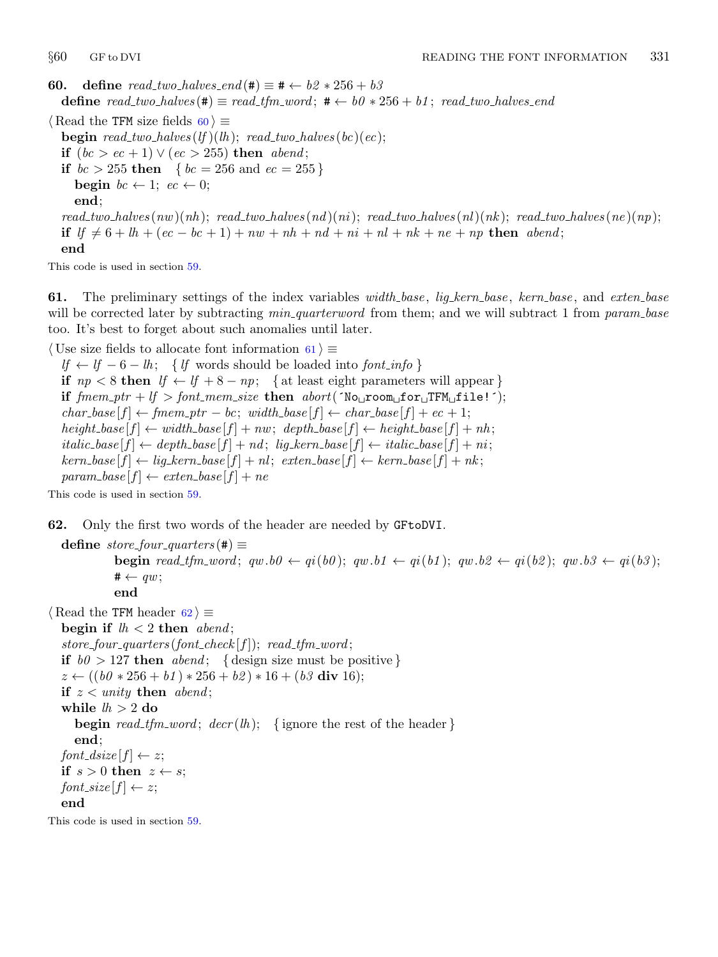<span id="page-30-0"></span>60. define read\_two\_halves\_end(#)  $\equiv$  #  $\leftarrow b2 * 256 + b3$ define read\_two\_halves(#)  $\equiv$  read\_tfm\_word;  $\sharp \leftarrow b0 * 256 + b1$ ; read\_two\_halves\_end

 $\langle$  Read the TFM size fields 60  $\rangle \equiv$ 

**begin** read\_two\_halves(lf)(lh); read\_two\_halves(bc)(ec); if  $(bc > ec + 1) \vee (ec > 255)$  then abend;

if  $bc > 255$  then {  $bc = 256$  and  $ec = 255$ }

begin  $bc \leftarrow 1$ ;  $ec \leftarrow 0$ ;

end;

 $read\_two\_halves(nw)(nh); read\_two\_halves(nd)(ni); read\_two\_halves(nl)(nk); read\_two\_halves(ne)(np);$ if  $lf \neq 6 + lh + (ec - bc + 1) + nw + nh + nd + ni + nl + nk + ne + np$  then abend; end

This code is used in section [59](#page-29-0).

61. The preliminary settings of the index variables *width\_base*, *lig\_kern\_base*, *kern\_base*, and *exten\_base* will be corrected later by subtracting *min<sub>-quarterword* from them; and we will subtract 1 from *param-base*</sub> too. It's best to forget about such anomalies until later.

 $\langle$  Use size fields to allocate font information 61  $\rangle \equiv$ 

*lf* ← *lf* – 6 – *lh*; { *lf* words should be loaded into font\_info } if  $np < 8$  then  $lf \leftarrow lf + 8 - np$ ; { at least eight parameters will appear } if  $fmem\_ptr + lf > font\_mem\_size$  then  $abort('No\_room\_for\_TFM\_file!');$  $char\_base[f] \leftarrow fmem\_ptr - bc; width\_base[f] \leftarrow char\_base[f] + ec + 1;$  $height\_base[f] \leftarrow width\_base[f] + nw; depth\_base[f] \leftarrow height\_base[f] + nh;$  $\text{static\_base}[f] \leftarrow \text{depth\_base}[f] + nd; \text{lig\_kern\_base}[f] \leftarrow \text{italic\_base}[f] + ni;$  $kern\_base[f] \leftarrow lig\_kern\_base[f] + nl; \text{ }exten\_base[f] \leftarrow ker\_base[f] + nk;$  $param\_base[f] \leftarrow exten\_base[f] + ne$ 

This code is used in section [59](#page-29-0).

62. Only the first two words of the header are needed by GFtoDVI.

define store\_four\_quarters (#)  $\equiv$ **begin** read tfm word;  $qw.b0 \leftarrow qi(b0)$ ;  $qw.b1 \leftarrow qi(b1)$ ;  $qw.b2 \leftarrow qi(b2)$ ;  $qw.b3 \leftarrow qi(b3)$ ;  $\# \leftarrow qw;$ end

 $\langle$  Read the TFM header 62  $\rangle \equiv$ begin if  $lh < 2$  then abend;  $store\_four\_quarters (font\_check [f]); read\_tfm\_word;$ if  $b0 > 127$  then abend; { design size must be positive }  $z \leftarrow ((b0 * 256 + b1) * 256 + b2) * 16 + (b3 \text{ div } 16);$ if  $z <$  unity then abend; while  $lh > 2$  do **begin** read tfm word;  $decr(h)$ ; {ignore the rest of the header } end;  $font\_disize[f] \leftarrow z;$ if  $s > 0$  then  $z \leftarrow s$ ;  $font\_size[f] \leftarrow z;$ end

This code is used in section [59](#page-29-0).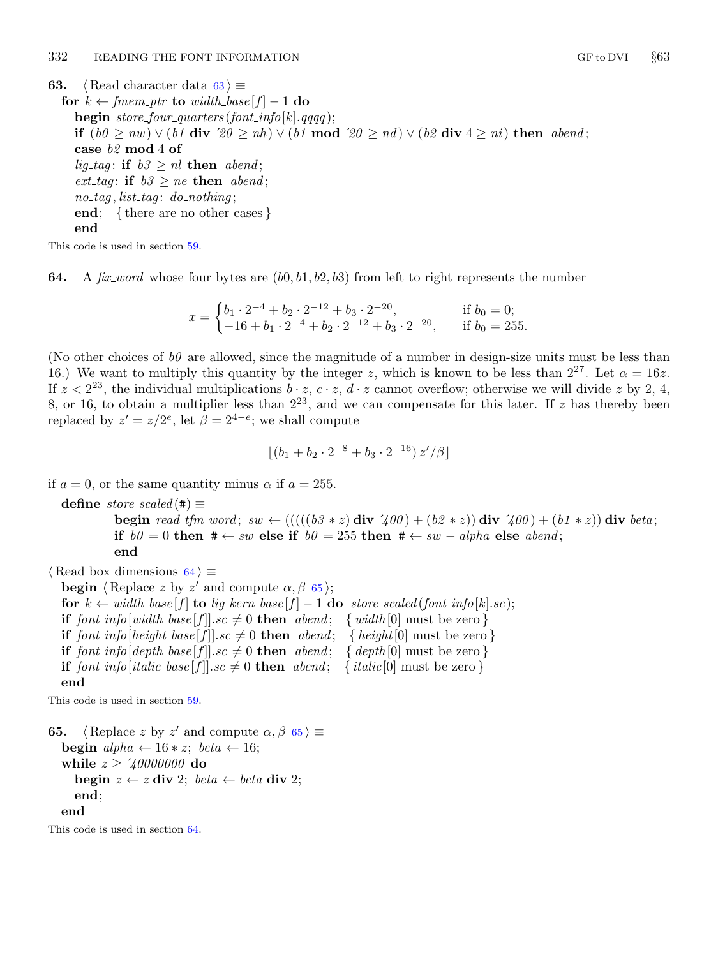<span id="page-31-0"></span>**63.**  $\langle$  Read character data 63  $\rangle \equiv$ for  $k \leftarrow \text{fmem\_ptr}$  to width\_base  $[f] - 1$  do **begin** store\_four\_quarters (font\_info[k].qqqq); if  $(b0 \geq nw) \vee (b1 \text{ div } 20 \geq nh) \vee (b1 \text{ mod } 20 \geq nd) \vee (b2 \text{ div } 4 \geq ni)$  then abend; case b2 mod 4 of lig\_tag: if  $b3 \geq nl$  then abend; ext\_tag: if  $b3 \geq ne$  then abend;  $no\_tag$ , list\_tag: do\_nothing; end; { there are no other cases } end

This code is used in section [59](#page-29-0).

**64.** A fix-word whose four bytes are  $(b0, b1, b2, b3)$  from left to right represents the number

$$
x = \begin{cases} b_1 \cdot 2^{-4} + b_2 \cdot 2^{-12} + b_3 \cdot 2^{-20}, & \text{if } b_0 = 0; \\ -16 + b_1 \cdot 2^{-4} + b_2 \cdot 2^{-12} + b_3 \cdot 2^{-20}, & \text{if } b_0 = 255. \end{cases}
$$

(No other choices of  $b\theta$  are allowed, since the magnitude of a number in design-size units must be less than 16.) We want to multiply this quantity by the integer z, which is known to be less than  $2^{27}$ . Let  $\alpha = 16z$ . If  $z < 2^{23}$ , the individual multiplications  $b \cdot z$ ,  $c \cdot z$ ,  $d \cdot z$  cannot overflow; otherwise we will divide z by 2, 4, 8, or 16, to obtain a multiplier less than  $2^{23}$ , and we can compensate for this later. If z has thereby been replaced by  $z' = z/2^e$ , let  $\beta = 2^{4-e}$ ; we shall compute

$$
\left[ (b_1 + b_2 \cdot 2^{-8} + b_3 \cdot 2^{-16}) z'/\beta \right]
$$

if  $a = 0$ , or the same quantity minus  $\alpha$  if  $a = 255$ .

define store\_scaled (#)  $\equiv$ begin read\_tfm\_word; sw  $\leftarrow ((( (63 * z) \text{ div } 400) + (b2 * z)) \text{ div } 400) + (b1 * z)) \text{ div } beta;$ if  $b0 = 0$  then # ← sw else if  $b0 = 255$  then # ← sw – alpha else abend; end

 $\langle$  Read box dimensions 64 $\rangle \equiv$ **begin**  $\langle$  Replace z by z' and compute  $\alpha$ ,  $\beta$  65); for  $k \leftarrow width\_base[f]$  to  $lig\_kern\_base[f] - 1$  do store\_scaled (font\_info[k].sc); if font info[width\_base[f]].sc  $\neq 0$  then abend; { width [0] must be zero } if font info [height base [f]].sc  $\neq 0$  then abend; { height [0] must be zero } if  $font\_info[depth\_base[f]].sc \neq 0$  then abend;  ${ \; \text{depth}[0] \; \text{must be zero} } }$ if font info [italic\_base [f]].sc  $\neq 0$  then abend; { italic [0] must be zero } end

This code is used in section [59](#page-29-0).

**65.**  $\langle \text{Replace } z \text{ by } z' \text{ and compute } \alpha, \beta \text{ 65} \rangle \equiv$ begin  $alpha \leftarrow 16 * z$ ; beta  $\leftarrow 16$ ; while  $z \ge 2/40000000$  do begin  $z \leftarrow z$  div 2; beta  $\leftarrow$  beta div 2; end; end

This code is used in section 64.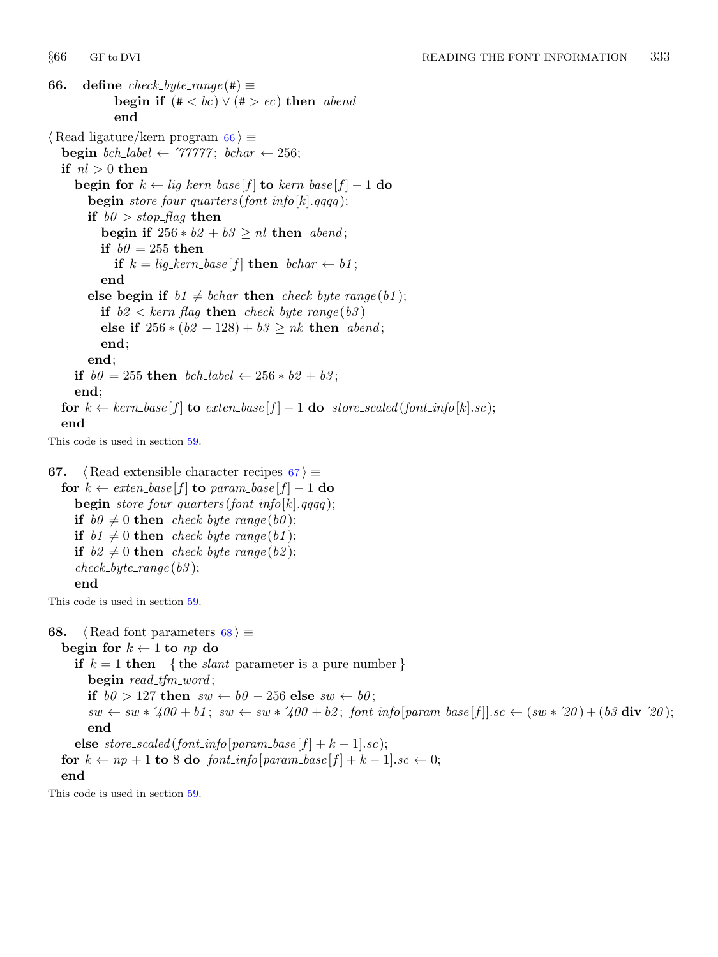```
66. define check_byte_range(#) \equivbegin if (\# < bc) \vee (\# > ec) then abend
           end
```

```
\langle Read ligature/kern program 66\rangle \equivbegin bch_label \leftarrow '77777; bchar \leftarrow 256;
  if nl > 0 then
     begin for k \leftarrow lig_kern_base[f] to kern_base[f] – 1 do
        begin store_four_quarters (font_info[k].qqqq);
       if b0 > stop\ flag then
          begin if 256 * b2 + b3 \geq nl then abend;
          if b0 = 255 then
             if k = lig_{\text{term} \text{-}base}[f] then \text{!} bchar \leftarrow b1;end
        else begin if b1 \neq \text{bchar} then check byte range (b1);
          if b2 < kern-flag then check-byte-range (b3)
          else if 256 * (b2 - 128) + b3 \geq nk then abend;
          end;
        end;
     if b0 = 255 then bch\_label \leftarrow 256 * b2 + b3;
     end;
  for k \leftarrow \text{kern\_base}[f] to \text{exten\_base}[f] - 1 do \text{store\_scaled}(\text{font\_info}[k].sc);end
```
This code is used in section [59](#page-29-0).

```
67. \langle Read extensible character recipes 67\rangle \equivfor k \leftarrow \text{exten}-base [f] to param base [f] – 1 do
     begin store_four_quarters (font_info[k].qqqq);
     if b\theta \neq 0 then check byte range (b0);
     if b1 \neq 0 then check_byte_range(b1);
     if b2 \neq 0 then check_byte_range(b2);
     check\_byte\_range(b3);end
```
This code is used in section [59](#page-29-0).

```
68. \langle Read font parameters 68 \rangle \equivbegin for k \leftarrow 1 to np do
     if k = 1 then { the slant parameter is a pure number}
        begin read\_tfm\_word;if b\theta > 127 then sw \leftarrow b\theta - 256 else sw \leftarrow b\theta;
        sw \leftarrow sw * 400 + b1; sw \leftarrow sw * 400 + b2; font_info[param_base[f]].sc \leftarrow (sw * 20) + (b3 \text{ div } 20);
        end
     else store\_scaled (font\_info[param\_base [f] + k - 1].sc);for k \leftarrow np + 1 to 8 do font info [param_base [f] + k - 1].sc \leftarrow 0;
  end
```
This code is used in section [59](#page-29-0).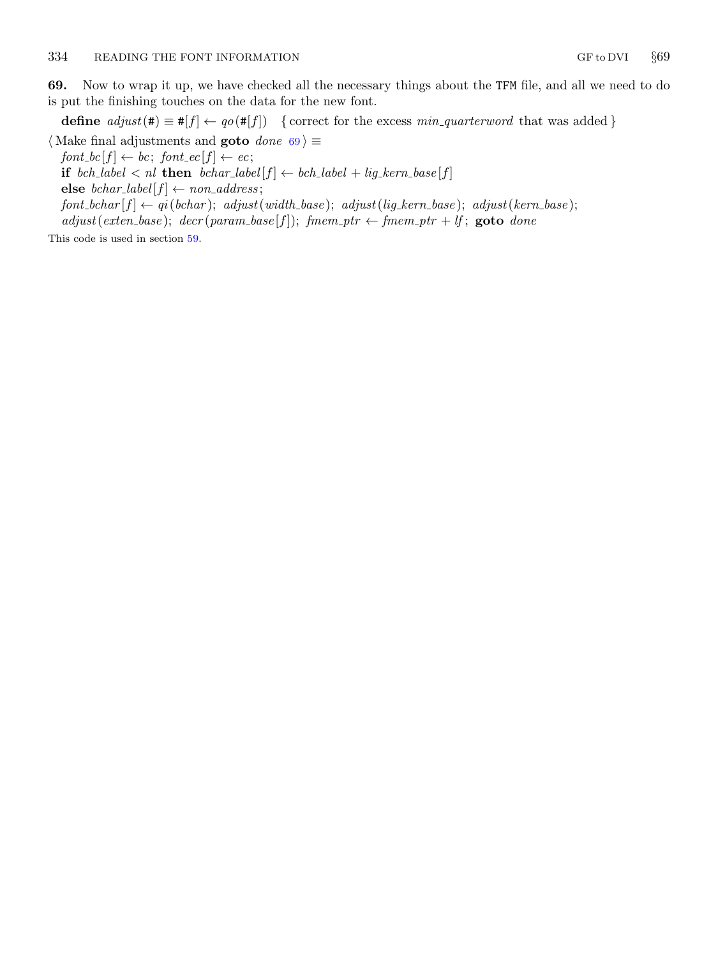<span id="page-33-0"></span>69. Now to wrap it up, we have checked all the necessary things about the TFM file, and all we need to do is put the finishing touches on the data for the new font.

define  $adjust(\textbf{#}) \equiv \textbf{#}[f] \leftarrow qo(\textbf{#}[f])$  {correct for the excess min<sub>-quarterword</sub> that was added }

 $\langle$  Make final adjustments and **goto** done 69 $\rangle \equiv$ 

 $font\_bc[f] \leftarrow bc; font\_ec[f] \leftarrow ec;$ 

if bch label  $\langle n \rangle$  then bchar label  $|f| \leftarrow$  bch label  $+$  lig kern base  $|f|$ 

else bchar\_label  $[f] \leftarrow non\_address;$ 

 $font\_bchar[f] \leftarrow qi(bchar); adjust(width\_base); adjust(lig\_kern\_base); adjust(kern\_base);$  $adjust(exten\_base); decr(param\_base[f]); from from  $ptr \leftarrow fmem\_ptr + lf$ ; **goto** done$ 

This code is used in section [59](#page-29-0).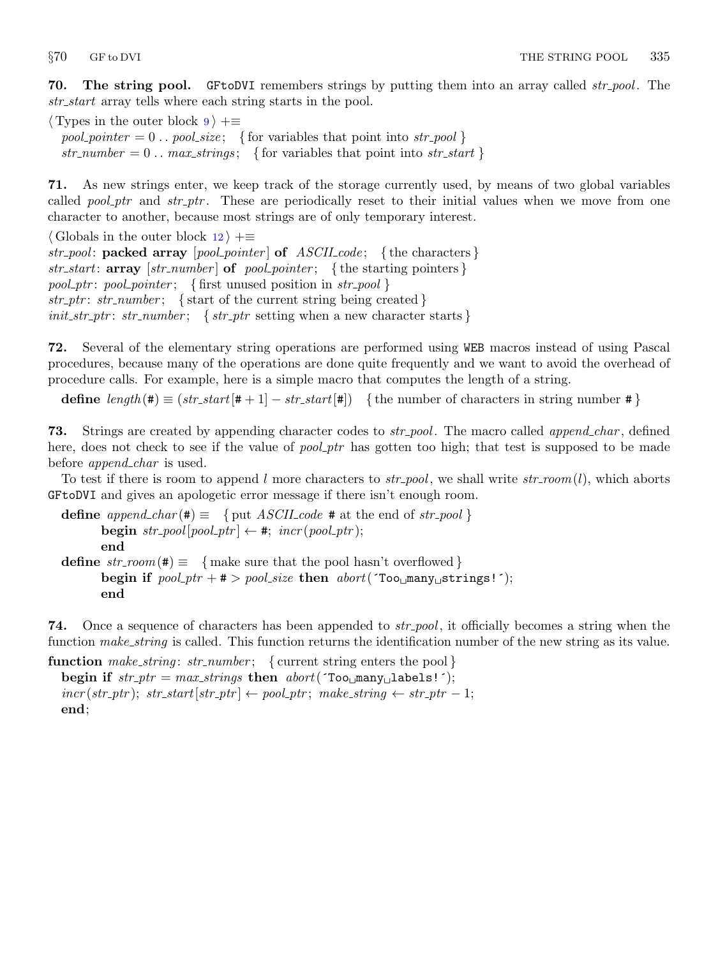<span id="page-34-0"></span>70. The string pool. GFtoDVI remembers strings by putting them into an array called *str\_pool*. The str\_start array tells where each string starts in the pool.

 $\langle$  Types in the outer block [9](#page-3-0)  $\rangle$  +≡ pool pointer  $= 0$ ... pool size; { for variables that point into str pool }  $str_number = 0$ ..  $max\_strings$ ; { for variables that point into  $str.start$ }

71. As new strings enter, we keep track of the storage currently used, by means of two global variables called *pool\_ptr* and  $str\_ptr$ . These are periodically reset to their initial values when we move from one character to another, because most strings are of only temporary interest.

 $\langle$  Globals in the outer block [12](#page-4-0)  $\rangle$  +≡ str pool: packed array  $[pool\text{-}pointer]$  of  $ASCII\text{-}code$ ; {the characters} str\_start:  $array [str_number]$  of pool\_pointer; {the starting pointers} pool ptr: pool pointer; { first unused position in  $str_{p}$  pool }  $str\_ptr: str\_number$ ; { start of the current string being created }  $init\_str\_ptr: str\_number; \{ str\_ptr \text{ setting when a new character starts }\}$ 

72. Several of the elementary string operations are performed using WEB macros instead of using Pascal procedures, because many of the operations are done quite frequently and we want to avoid the overhead of procedure calls. For example, here is a simple macro that computes the length of a string.

define  $length(\#) \equiv (str.start[\# + 1] - str.start[\#])$  {the number of characters in string number #}

73. Strings are created by appending character codes to *str-pool*. The macro called *append\_char*, defined here, does not check to see if the value of *pool ptr* has gotten too high; that test is supposed to be made before *append\_char* is used.

To test if there is room to append l more characters to  $str\_pool$ , we shall write  $str\_room(l)$ , which aborts GFtoDVI and gives an apologetic error message if there isn't enough room.

define append\_char(#)  $\equiv \{ \text{put } ASCII\_code \neq \text{at the end of } str\_pool \}$ begin  $str\_pool[pool\_ptr] \leftarrow #; incr(pool\_ptr);$ end **define**  $str\_room(\#) \equiv \{ \text{make sure that the pool hasn't overflowed} \}$ begin if pool ptr + # > pool size then abort(´Too many strings!´); end

74. Once a sequence of characters has been appended to *str\_pool*, it officially becomes a string when the function *make\_string* is called. This function returns the identification number of the new string as its value.

function make\_string:  $str_number$ ; { current string enters the pool } begin if  $str\_ptr = max\_strings$  then  $abort('Too \text{limany} \text{labels} !');$  $incr(str\_ptr);$  str\_start $[str\_ptr] \leftarrow pool\_ptr;$  make\_string  $\leftarrow str\_ptr-1;$ end;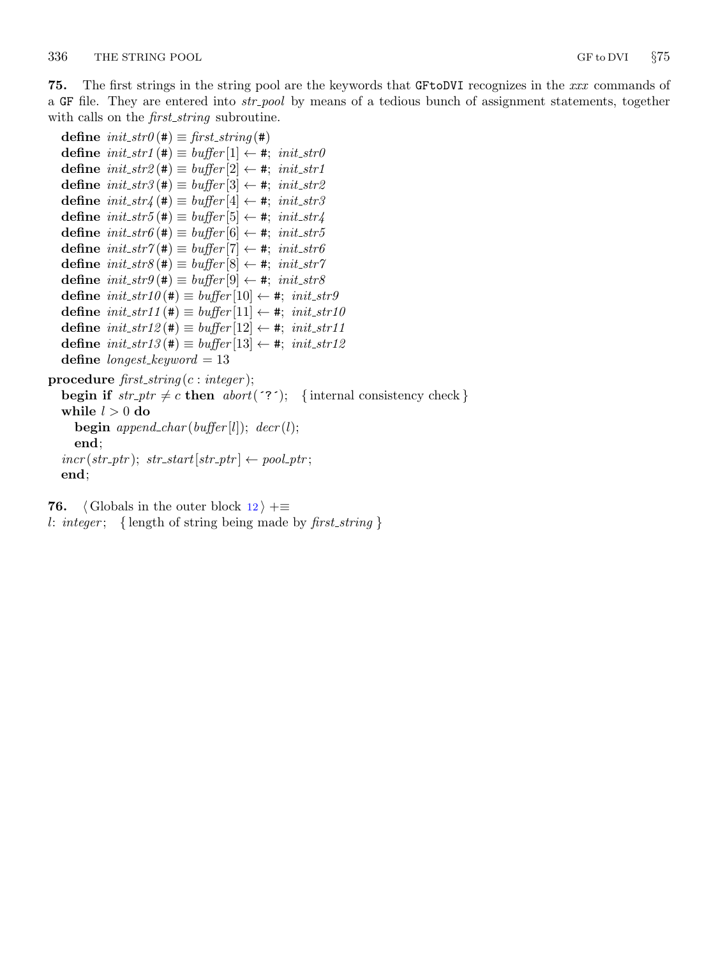<span id="page-35-0"></span>75. The first strings in the string pool are the keywords that GFtoDVI recognizes in the xxx commands of a GF file. They are entered into *str\_pool* by means of a tedious bunch of assignment statements, together with calls on the *first\_string* subroutine.

```
define init\_str0 (\#) \equiv first\_string (\#)define init\_str1 (\#) \equiv buffer[1] \leftarrow \#; init\_str0define init\_str2 (\#) \equiv buffer[2] \leftarrow \#; init\_str1define init\_str3(\texttt{#}) \equiv buffer[3] \leftarrow \texttt{#}; init\_str2define init\_str4 (#) \equiv buffer[4] \leftarrow #; init\_str3define init\_str5(\texttt{#}) \equiv buffer[5] \leftarrow \texttt{#}; init\_str4define init\_str6(\texttt{#}) \equiv buffer[6] \leftarrow \texttt{#}; init\_str5define init\_str7(\textbf{#}) \equiv buffer[7] \leftarrow \textbf{#}; init\_str6define init\_str8(\texttt{#}) \equiv buffer[8] \leftarrow \texttt{#}; init\_str7define init\_str9(\texttt{#}) \equiv buffer[9] \leftarrow \texttt{#}; init\_str8define init\_str10 (\#) \equiv buffer[10] \leftarrow \#; init\_str9define init\_str11 (\#) \equiv buffer[11] \leftarrow \#; init\_str10define init\_str12(\texttt{\#}) \equiv buffer[12] \leftarrow \texttt{\#}; init\_str11define init\_str13(\texttt{#}) \equiv buffer[13] \leftarrow \texttt{#}; init\_str12define longest\_keyword = 13procedure first\_string(c:integer);begin if str\_ptr \neq c then abort(\hat{ }?); { internal consistency check }
  while l > 0 do
      begin append_char(buffer[l]); decr(l);
      end;
   incr(str\_ptr); str\_start[str\_ptr] \leftarrow pool\_ptr;
  end;
```
76.  $\langle$  Globals in the outer block [12](#page-4-0)  $\rangle$  +≡ l: integer; { length of string being made by first\_string }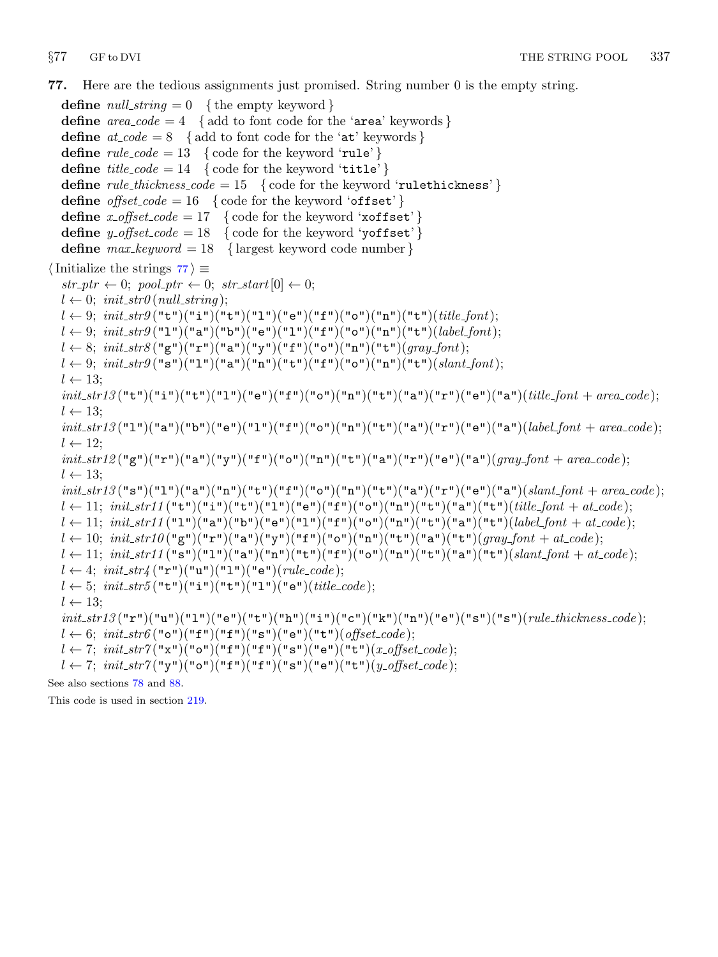```
77. Here are the tedious assignments just promised. String number 0 is the empty string.
```
define  $null\_string = 0$  {the empty keyword } define  $area\_code = 4$  { add to font code for the 'area' keywords } define  $at\_code = 8$  { add to font code for the 'at' keywords } define  $rule\_code = 13$  {code for the keyword 'rule' } define  $title\_code = 14$  {code for the keyword 'title'} define  $rule\_thickness\_code = 15$  {code for the keyword 'rulethickness'} define *offset\_code* = 16 { code for the keyword 'offset' } define  $x\_offset\_code = 17$  { code for the keyword 'xoffset' } define  $y\text{-}offset\text{-}code = 18$  {code for the keyword 'yoffset' } define  $max\_keyword = 18$  { largest keyword code number }  $\langle$  Initialize the strings 77  $\rangle \equiv$  $str\_ptr \leftarrow 0; \; pool\_ptr \leftarrow 0; \; str\_start[0] \leftarrow 0;$  $l \leftarrow 0$ ; init\_str0 (null\_string);  $l \leftarrow 9$ ;  $init\_str9("t")("i")("t")("l")("e")("f")("o")("n")("t")(*title\_font*)$ ;  $l \leftarrow 9$ ;  $init\_str9("1")("a")("b")("e")("1")("f")("o")("n")("t")(*label\_font*)$ ;  $l \leftarrow 8; \; init\_str8("g")("r")("a")("y")("f")("o")("n")("t")(*gray\_font*);$  $l \leftarrow 9$ ;  $init\_str9("s")("l")("a")("n")("t")("t")("o")("n")("t")(*slant\_font*)$ ;  $l \leftarrow 13$ :  $init\_str13("t")("i")("t")("l")("e")("e")("f")("o")("n")("t")("a")("r")("e")("a") (title\_font + area\_code);$  $l \leftarrow 13$ ;  $init\_str13("1")("a")("a")("e")("1")("f")("o")("n")("t")("a")("a")("e")("a")("a")([label\_font + area-code);$  $l \leftarrow 12$ :  $init\_str12("g")("r")("a")("g")("f")("f")("o")("n")("t")("a")("a")("e")("a")(*gray\_font + area\_code*);$  $l \leftarrow 13$ ;  $init\_str13("s")("l")("a")("n")("t")("t")("o")("n")("t")("t")("a")("r")("e")("a")("a") (slant\_font + area\_code);$  $l \leftarrow 11; \; init\_str11("t")("i")("t")("t")("e")("f")("o")("n")("t")("a")("t")(*title\_font + at\_code*$ <sub>)</sub>;  $l \leftarrow 11; \; init\_str11("1")("a")("b")("b")("e")("1")("f")("b")("b")("b")("a")("b"")("b"")$  $l \leftarrow 10; \; init\_str10("g")("r")("a")("g")("f")("o")("n")("t")("a")("t")("g"')("t"')("t"')("t"']$  $l \leftarrow 11; \; init\_str11("s")("1")("a")("n")("t")("f")("o")("n")("a")("t")("a")("t")(*slant\_font + at\_code*);$  $l \leftarrow 4$ ;  $init\_str\mathcal{L}$  ("r")("u")("1")("e")( $rule\_code$ );  $l \leftarrow 5; \; init\_str5("t")("i")("t")("l")("e")(title\_code);$  $l \leftarrow 13$ :  $init\_str13("r")("u")("u")("e")("e")("t")("h")("c")("k")("n")("e")("s")("s")(*rule\_thickness\_code*);$  $l \leftarrow 6$ ;  $init\_str6("o")("f")("f")("s")("e")("t")(*offset\_code*);$  $l \leftarrow 7; \; init\_str7("x")("o")("f")("f")("s")("e")("t")("x_offset_code);$  $l \leftarrow 7; init\_str7("y")("o")("f")("f")("g")("e")("e")("t")(*y\_offset\_code*);$ See also sections [78](#page-37-0) and [88.](#page-41-0)

This code is used in section [219.](#page-79-0)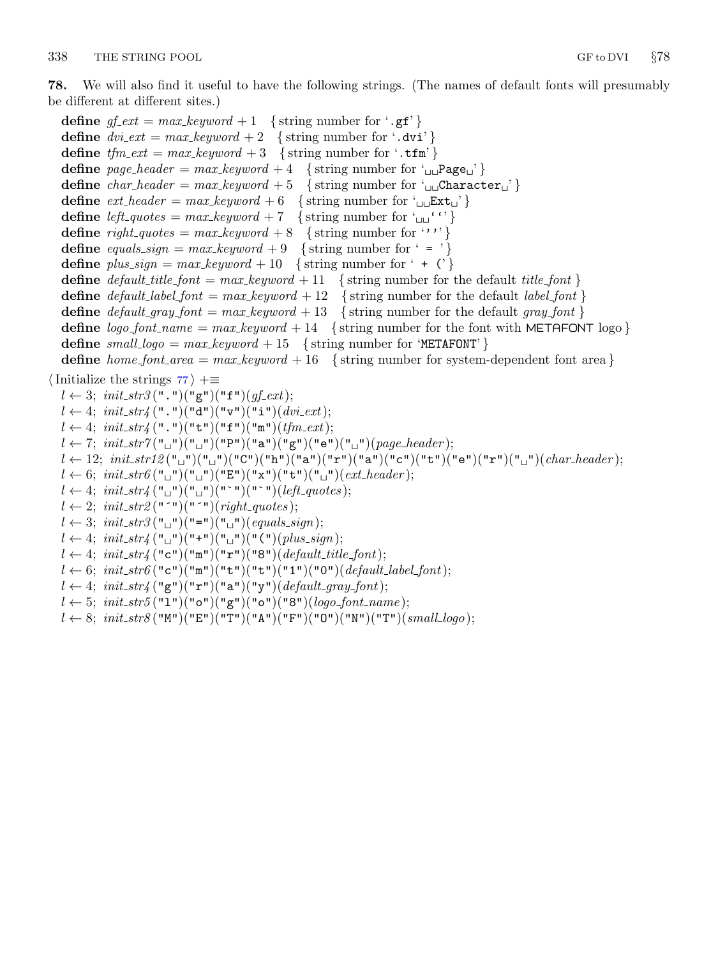<span id="page-37-0"></span>78. We will also find it useful to have the following strings. (The names of default fonts will presumably be different at different sites.)

```
define gf\_ext = max\_keyword + 1 {string number for '.gf'}
  define \text{div}\_\text{ext} = \text{max}\_\text{keyword} + 2 {string number for '.dvi'}
  define tfm\_ext = max\_keyword + 3 {string number for '.tfm'}
  define page_header = max_keyword + 4 { string number for \cup_{\sqcup}Page<sub>\sqcup</sub>' }
  define char_header = max\_keyword + 5 {string number for '<sub>\sqcup \sqcup</sub>Character<sub>\sqcup</sub>'}
  define ext_{\text{header}} = max_{\text{keyword}} + 6 {string number for '<sub>\cup \exists</sub> Ext<sub>\cup</sub>'}
  define left-quotes = max keyword + 7 { string number for \cup \cup ''}
  define right-quotes = max\_keyword + 8 {string number for '''}
  define equals_sign = max_keyword + 9 { string number for ' = ' }
  define plus\_sign = max\_keyword + 10 \{ \text{string number for } ' + (') \}define default\_title\_font = max\_keyword + 11 {string number for the default title_font }
  define default_label_font = max\_keyword + 12 { string number for the default label_font }
  define default_gray_font = max\_keyword + 13 {string number for the default gray_font }
  define logofont_name = max-keyword + 14 { string number for the font with METAFONT logo}
  define small_logo = max\_keyword + 15 { string number for 'METAFONT' }
  define home font area = max keyword + 16 { string number for system-dependent font area }
\langle77 \rangle +≡
  l \leftarrow 3; \; init\_str3(" \cdot")("g")("f")(gf\_ext);l \leftarrow 4; \; init\_str4 (".")("d")("v")("i")(div\_ext);
  l \leftarrow 4; init\_str4 (".")("t")("f")("m")(tfm\_ext);
  l \leftarrow 7; \; init\_str7("□")("□")("P")("a")("g")("e")("□")(<i>page\_header</i>);l \leftarrow 12; \; init\_str12(" \text{m}")(" \text{m}")("C")("h")("a")("r")("a")("c")("c")("e")("r")("c"") (char\_header);l \leftarrow 6; \; init\_str6("□")("□")("E")("x")("t")("□") (ext\_header);l \leftarrow 4; \; init\_str4 \, ("\_") ("\_")("``")("''") (left\_quotes);l \leftarrow 2; \; init\_str2("T")("T")(right\_quotes);l \leftarrow 3; \; init\_str3("□")("=")("□") (equals\_sign);l \leftarrow 4; init_str4 ("<sub>\m</sub>")("+")("\metally")("(")(plus_sign);
  l \leftarrow 4; init\_str4 ("c")("m")("r")("8")(default_title_font);
  l \leftarrow 6; init\_str6 ("c")("m")("t")("t")("1")("0")(default\_label\_font);
  l \leftarrow 4; init\_str/("g")("r")("a")("y")(<i>default_gray\_font</i>);
  l \leftarrow 5; init\_str5("1")("o")("g")("o")("8")(<i>loop\_font_name</i>);
  l \leftarrow 8; \; init\_str8("M")("E")("T")("A")("F")("O")("N")("T")(<math>small\_logo</math>);
```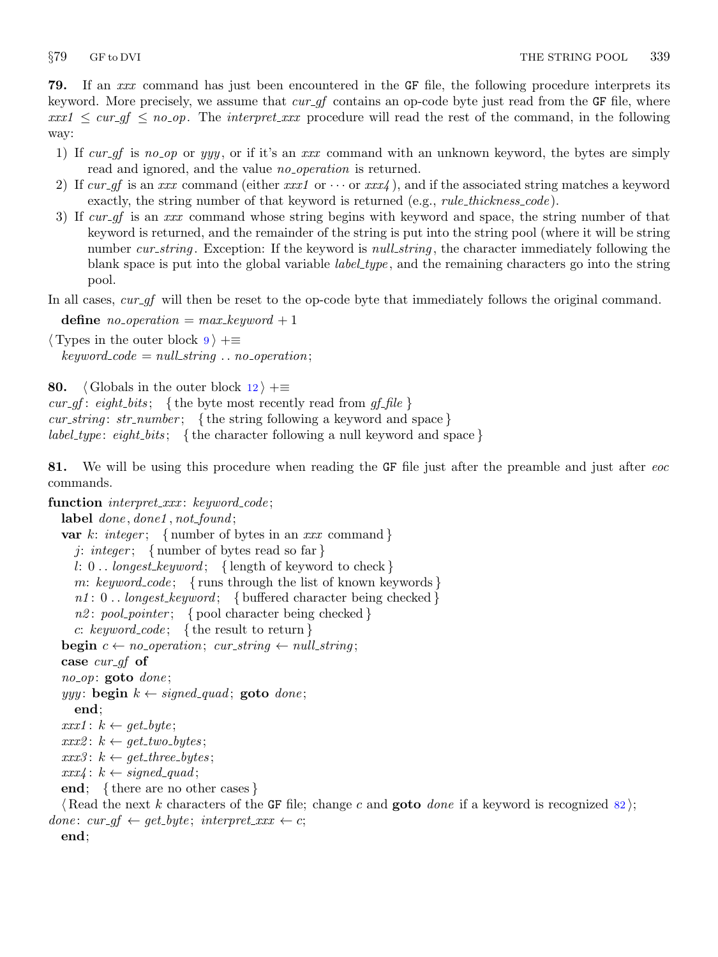<span id="page-38-0"></span>79. If an xxx command has just been encountered in the GF file, the following procedure interprets its keyword. More precisely, we assume that  $cur\_gf$  contains an op-code byte just read from the GF file, where  $xxx1 \leq cur_g f \leq no_o \rho$ . The interpret  $xxx$  procedure will read the rest of the command, in the following way:

- 1) If cur gf is no op or yyy, or if it's an xxx command with an unknown keyword, the bytes are simply read and ignored, and the value *no operation* is returned.
- 2) If cur gf is an xxx command (either xxx1 or  $\cdots$  or xxx4), and if the associated string matches a keyword exactly, the string number of that keyword is returned (e.g., *rule\_thickness\_code*).
- 3) If cur gf is an xxx command whose string begins with keyword and space, the string number of that keyword is returned, and the remainder of the string is put into the string pool (where it will be string number cur string. Exception: If the keyword is null string, the character immediately following the blank space is put into the global variable *label\_type*, and the remaining characters go into the string pool.

In all cases, cur gf will then be reset to the op-code byte that immediately follows the original command.

define *no\_operation* =  $max\_keyword + 1$ 

 $\langle$  Types in the outer block [9](#page-3-0)  $\rangle$  +≡  $keyword\_code = null\_string \dots no\_operation;$ 

80.  $\langle$  Globals in the outer block [12](#page-4-0)  $\rangle$  +≡

cur gf: eight bits; { the byte most recently read from gf-file }  $cur\_string: str_number; \{ the string following a keyword and space \}$ label\_type: eight\_bits; { the character following a null keyword and space }

81. We will be using this procedure when reading the GF file just after the preamble and just after *eoc* commands.

function  $\text{interpret\_xxx}: \text{ keyword\_code};$ label done, done1, not\_found; var k: integer; { number of bytes in an xxx command} j: integer; { number of bytes read so far } l: 0... longest\_keyword; { length of keyword to check } m: keyword\_code; { runs through the list of known keywords }  $n1: 0...$  longest\_keyword; { buffered character being checked }  $n2$ : pool pointer; { pool character being checked } c:  $keyword\_code; \{ the result to return \}$ **begin**  $c \leftarrow no\_operation$ ; cur\_string  $\leftarrow null\_string$ ; case  $cur\_gf$  of  $no\_op$ : goto done; yyy: begin  $k \leftarrow signed\text{-}quad$ ; goto done; end;  $xxx1: k \leftarrow get\_byte;$  $xxx2: k \leftarrow get\_two\_bytes;$  $xxx3: k \leftarrow get\_three\_bytes;$  $xxx4: k \leftarrow signed\_quad;$ end; { there are no other cases } (Read the next k characters of the GF file; change c and **goto** done if a keyword is recognized [82](#page-39-0)); done:  $cur\_gf \leftarrow get\_byte$ ; interpret\_xxx  $\leftarrow c$ ;

end;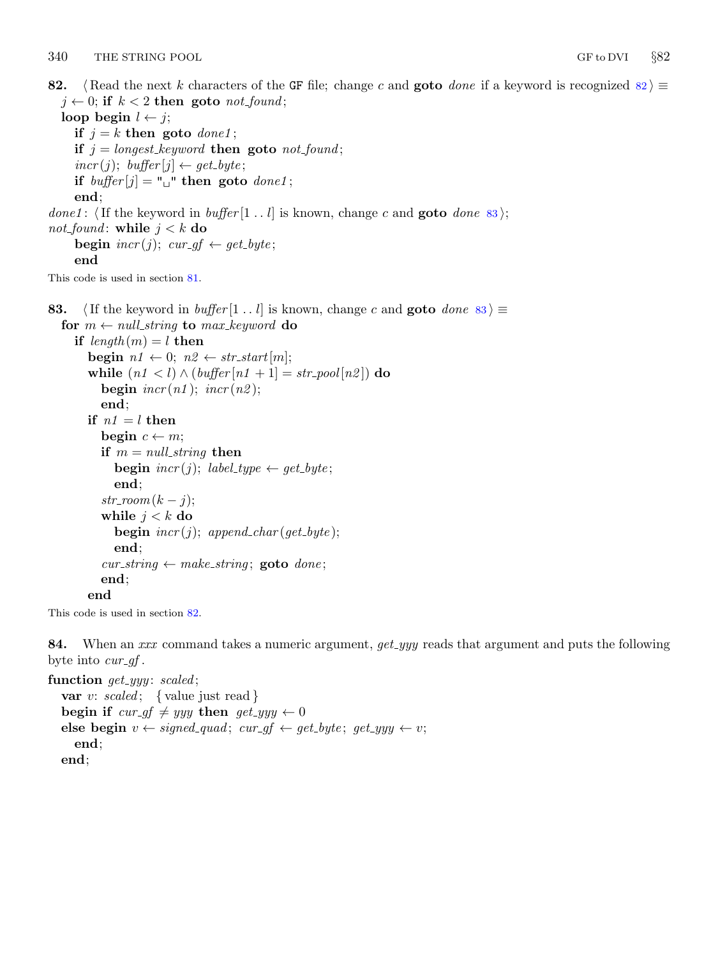<span id="page-39-0"></span>82. (Read the next k characters of the GF file; change c and goto done if a keyword is recognized 82)  $\equiv$  $j \leftarrow 0$ ; if  $k < 2$  then goto not found;

loop begin  $l \leftarrow j$ ; if  $j = k$  then goto *done1*; if  $j = longest\_keyword$  then goto not found;  $incr(j);$  buffer  $[j] \leftarrow get\_byte;$ if  $buffer[j] = "$ " then goto  $done1$ ; end; done1: (If the keyword in buffer  $[1 \dots l]$  is known, change c and **goto** done 83); not\_found: while  $j < k$  do begin  $\text{incr}(j)$ ;  $\text{cur\_gf} \leftarrow \text{get\_byte}$ ; end

This code is used in section [81](#page-38-0).

```
83. (If the keyword in buffer [1 . . l] is known, change c and goto done \langle 83 \rangle \equivfor m \leftarrow null\_string to max keyword do
     if length(m) = l then
       begin n1 \leftarrow 0; n2 \leftarrow str\_start[m];
       while (n1 < l) \wedge (buffer[n1 + 1] = str\_pool[n2]) do
          begin \text{incr}(n1); \text{incr}(n2);
          end;
       if n_l = l then
          begin c \leftarrow m;
          if m = null\_string then
            begin incr(j); label_type \leftarrow get\_byte;
             end;
          str\_room(k-j);while j < k do
            begin incr(j); append_char(get_byte);
            end;
          cur\_string \leftarrow make\_string; goto done;
          end;
       end
```
This code is used in section 82.

84. When an xxx command takes a numeric argument, get-yyy reads that argument and puts the following byte into  $cur\_gf$ .

```
function get\_yyy: scaled;
  var v: scaled; { value just read }
  begin if cur\_gf \neq yyy then get\_yyy \leftarrow 0else begin v \leftarrow signed\text{-}quad; cur_gf \leftarrow get\_byte; get_yyy \leftarrow v;
     end;
  end;
```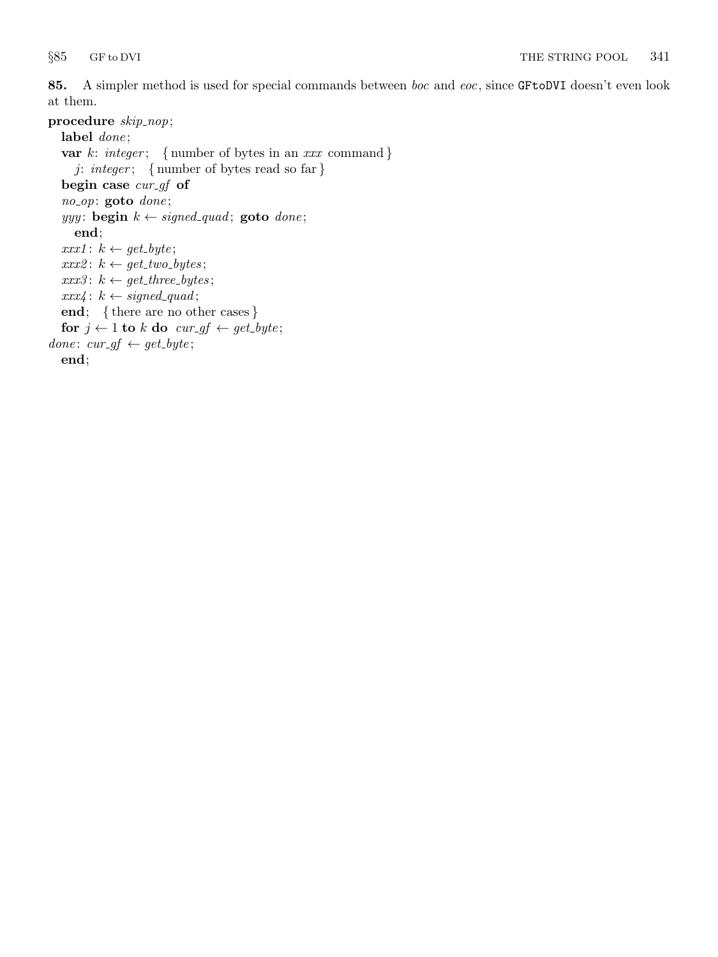85. A simpler method is used for special commands between boc and eoc, since GFtoDVI doesn't even look at them.

```
procedure skip\_nop;
```

```
label done;
  var k: integer; { number of bytes in an xxx command }
    j: integer; { number of bytes read so far }
  begin case cur\_gf of
  no_op: goto done;
  yyy: begin k \leftarrow signed\_quad; goto done;
    end;
  xxx1: k \leftarrow get\_byte;xxx2: k \leftarrow get\_two\_bytes;xxx3: k \leftarrow get\_three\_bytes;xxx4: k \leftarrow signed\_{quad};end; { there are no other cases }
  for j \leftarrow 1 to k do cur_gf \leftarrow get_byte;
done: cur\_gf \leftarrow get\_byte;end;
```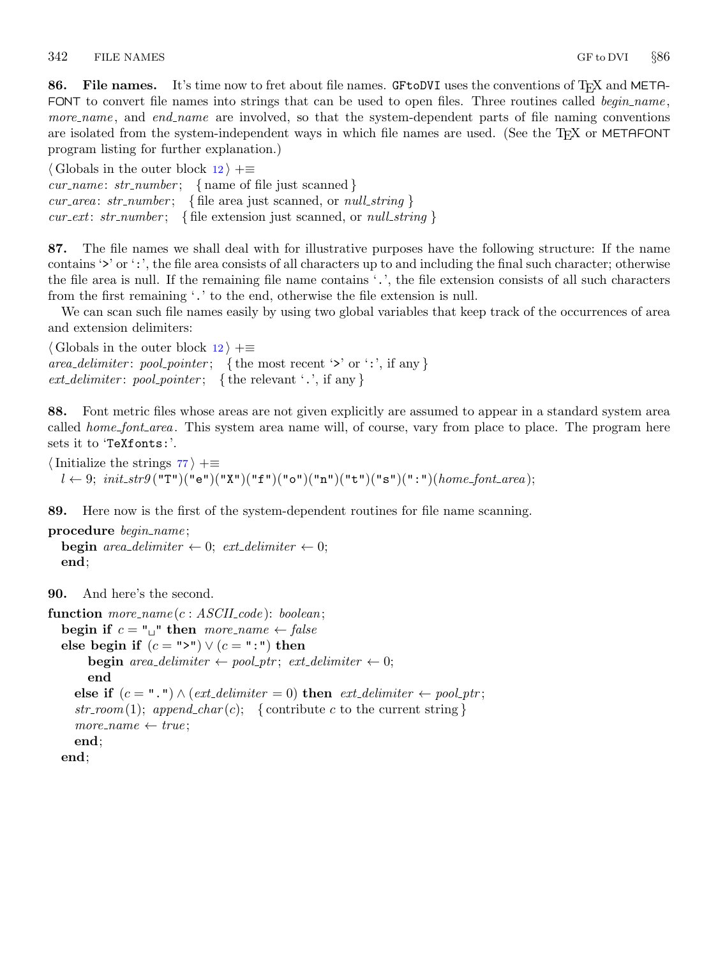<span id="page-41-0"></span>86. File names. It's time now to fret about file names. GFtoDVI uses the conventions of T<sub>F</sub>X and META-FONT to convert file names into strings that can be used to open files. Three routines called begin name, more name, and end name are involved, so that the system-dependent parts of file naming conventions are isolated from the system-independent ways in which file names are used. (See the T<sub>E</sub>X or METAFONT program listing for further explanation.)

 $\langle$  Globals in the outer block  $12$   $\rangle$  +=  $cur_name: str_number; \{ name of file just scanned \}$  $cur_area: str_number; \{ file area just scanned, or null-string \}$  $cur\_ext: str\_number; \{ file extension just scanned, or null\_string \}$ 

87. The file names we shall deal with for illustrative purposes have the following structure: If the name contains ' $>$ ' or ':', the file area consists of all characters up to and including the final such character; otherwise the file area is null. If the remaining file name contains '.', the file extension consists of all such characters from the first remaining '.' to the end, otherwise the file extension is null.

We can scan such file names easily by using two global variables that keep track of the occurrences of area and extension delimiters:

 $\langle$  Globals in the outer block [12](#page-4-0)  $\rangle$  +≡ area delimiter: pool pointer; { the most recent  $\mathcal{P}$  or  $\mathcal{P}'$ ; if any } ext\_delimiter: pool\_pointer; { the relevant '.', if any }

88. Font metric files whose areas are not given explicitly are assumed to appear in a standard system area called *home\_font\_area*. This system area name will, of course, vary from place to place. The program here sets it to 'TeXfonts:'.

 $\langle$  Initialize the strings [77](#page-36-0)  $\rangle$  +≡  $l \leftarrow 9; \; init\_str9("T")("e")("X")("f")("o")("n")("t")("s")("s")("l'...")(home\_font\_area);$ 

89. Here now is the first of the system-dependent routines for file name scanning.

```
procedure begin_name;
  begin area_delimiter \leftarrow 0; ext_delimiter \leftarrow 0;
  end;
```
90. And here's the second.

```
function more_name(c: ASCII_code): boolean;begin if c = "\sqcup" then more name \leftarrow false
  else begin if (c = "\) \vee (c = "\) then
       begin area_delimiter \leftarrow pool\_ptr; ext_delimiter \leftarrow 0;
       end
     else if (c = " " ) \wedge (ext\_delimeter = 0) then ext\_delimeter \leftarrow pool\_ptr;str\_room(1); append_char(c); { contribute c to the current string }
     more_name \leftarrow true;end;
  end;
```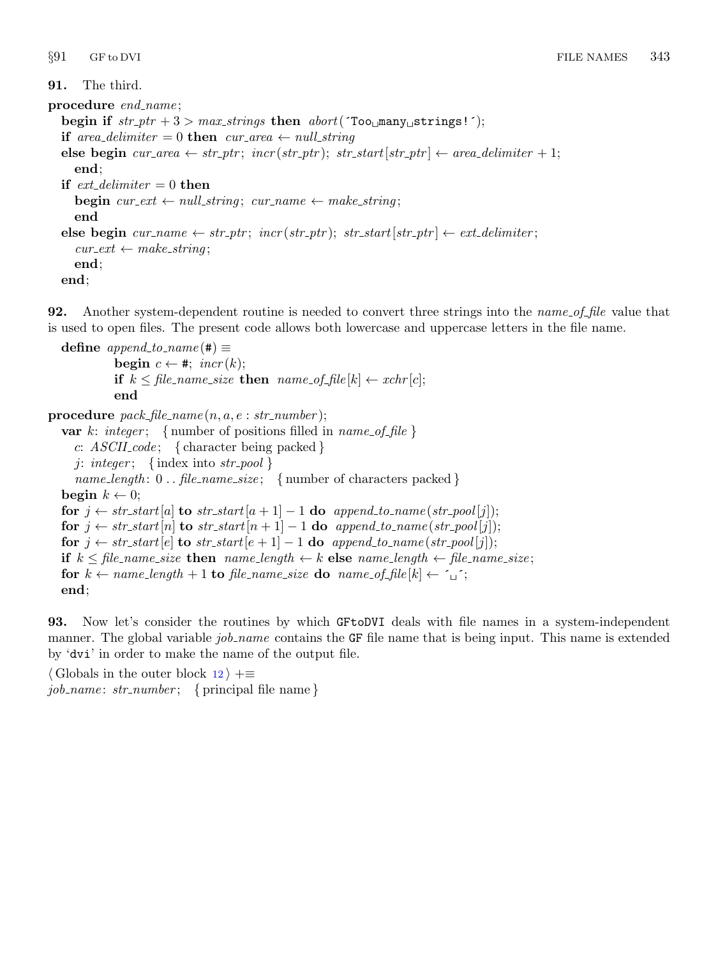## 91. The third.

```
procedure end_name;
  begin if str\_ptr + 3 > max\_strings then abort('Too \text{max\_strings!'});if area_delimiter = 0 then cur_area \leftarrow null_string
  else begin cur_area \leftarrow str_ptr; incr(str_ptr); str_start[str_ptr] \leftarrow area\_{elimiter + 1;}end;
  if ext\_delimiter = 0 then
     begin cur\_ext \leftarrow null\_string; cur\_name \leftarrow make\_string;
     end
  else begin cur_name \leftarrow str\_ptr; incr(str_ptr); str_start[str_ptr] \leftarrow ext\_delimiter;
     cur\_ext \leftarrow make\_string;end;
  end;
```
**92.** Another system-dependent routine is needed to convert three strings into the  $name_of_file$  value that is used to open files. The present code allows both lowercase and uppercase letters in the file name.

```
define append\_to\_name(\#) \equivbegin c \leftarrow \#; \; \mathit{incr}(k);if k \leq file_name_size then name_of_file [k] \leftarrow xchr[c];
            end
```

```
procedure pack-file-name(n, a, e: str_number);
```

```
var k: integer; { number of positions filled in name_of_file}
  c: \text{ASCII\_code}; { character being packed }
  j: integer; { index into str_pool }
  name_length: 0 \dots file_name_size; { number of characters packed }
begin k \leftarrow 0;
for j \leftarrow str\_start[a] to str\_start[a+1] - 1 do append to name (str pool [j]);
for j \leftarrow str\_start[n] to str\_start[n+1] - 1 do append_to_name(str_pool[j]);
for j \leftarrow str\_start[e] to str\_start[e + 1] - 1 do append_to_name(str_pool[j]);
if k \leq file_name_size then name_length \leftarrow k else name_length \leftarrow file_name_size;
for k \leftarrow name_length + 1 to file_name_size do name_of_file [k] \leftarrow \sim;
end;
```
93. Now let's consider the routines by which GFtoDVI deals with file names in a system-independent manner. The global variable *job\_name* contains the GF file name that is being input. This name is extended by 'dvi' in order to make the name of the output file.

 $\langle$  Globals in the outer block [12](#page-4-0)  $\rangle$  +≡ job\_name:  $str_number$ ; { principal file name }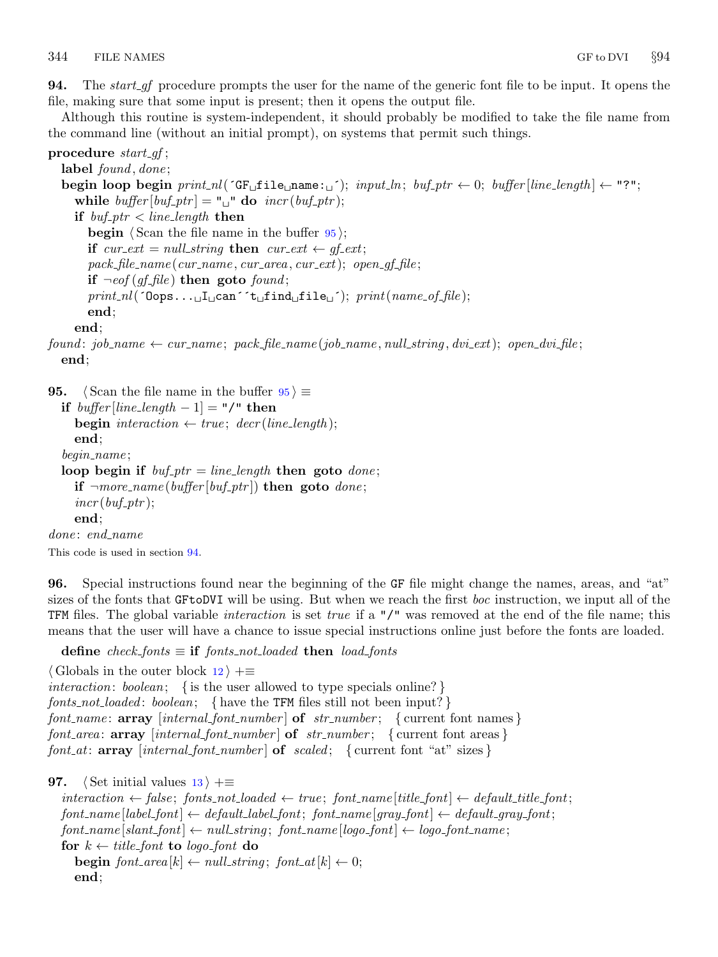**94.** The start gf procedure prompts the user for the name of the generic font file to be input. It opens the file, making sure that some input is present; then it opens the output file.

Although this routine is system-independent, it should probably be modified to take the file name from the command line (without an initial prompt), on systems that permit such things.

## procedure  $start_qf$ ;

label found, done; begin loop begin  $print\_nl$  ( $\text{GF}_{\sqcup}$ file  $\sqcup$ name:  $\sqcup$ );  $input\_ln$ ;  $buf\_ptr \leftarrow 0$ ;  $buffer|line\_length$   $\leftarrow$  "?"; while  $buffer[buf_prr] = "$ <sup>"</sup> do  $incr(buf_prr)$ ; if  $buf\_ptr$  ine\_length then **begin**  $\langle$  Scan the file name in the buffer  $95$ ; if cur\_ext = null\_string then cur\_ext  $\leftarrow$  gf\_ext;  $pack_{\text{file_name}}(cur_{name}, cur_{area}, cur_{ext});$  open  $qf_{\text{file}}$ ; if  $\neg\text{eof}(gf_{\neg}file)$  then goto found;  $print\_nl($   $\text{Gops...}$   $\text{L}_\sqcup$  can $\text{L}_\sqcup$  find  $\text{L}_\sqcup$  file  $\text{L}_\sqcup$   $\text{C}_\sqcup$   $\text{C}_\sqcup$   $\text{C}_\sqcup$  find  $\text{C}_\sqcup$   $\text{C}_\sqcup$   $\text{C}_\sqcup$   $\text{C}_\sqcup$ end; end;

 $found: job_name \leftarrow cur_name; pack_file_name(job_name, null-string, dvi\_ext); open\_div_file;$ end;

95. (Scan the file name in the buffer  $95 \ge$ if  $buffer[line_length -1] = "/* then$ **begin** interaction  $\leftarrow true$ ; decr(line\_length); end;  $begin = new$ ; loop begin if  $buf_ptr = line_length$  then goto  $done$ ; if  $\neg more_name(buffer[buf_prr])$  then goto done;  $incr (buf\_ptr);$ 

```
end;
```
 $done: end_name$ 

This code is used in section 94.

96. Special instructions found near the beginning of the GF file might change the names, areas, and "at" sizes of the fonts that GFtoDVI will be using. But when we reach the first *boc* instruction, we input all of the TFM files. The global variable *interaction* is set true if a "/" was removed at the end of the file name; this means that the user will have a chance to issue special instructions online just before the fonts are loaded.

define check fonts  $\equiv$  if fonts not loaded then load fonts

 $\langle$  Globals in the outer block [12](#page-4-0)  $\rangle$  +≡ interaction: boolean; { is the user allowed to type specials online? }  $fonts\_not\_loaded: boolean; \{ have the TFM files still not been input? \}$ font\_name:  $array$  [internal\_font\_number] of str\_number; { current font names} font area:  $array$  [internal font number] of str\_number; { current font areas }  $font\_at: array [internal\_font_number]$  of scaled; { current font "at" sizes }

**97.**  $\langle$  Set initial values [13](#page-5-0)  $\rangle$  +≡

 $interaction \leftarrow false; fonts\_not\_loaded \leftarrow true; font\_name|title\_font] \leftarrow default\_title\_font;$  $font_name | label\_font| \leftarrow default\_label\_font; font; \; font\_name | gray\_font| \leftarrow default\_gray\_font;$  $font_name|slant\_font| \leftarrow null\_string; \; font_name|logo\_font| \leftarrow logo\_font_name;$ for  $k \leftarrow title{\text{-}}font \text{ to } logo{\text{-}}font \text{ do}$ **begin** font\_area  $[k] \leftarrow null\_string$ ; font\_at  $[k] \leftarrow 0$ ; end;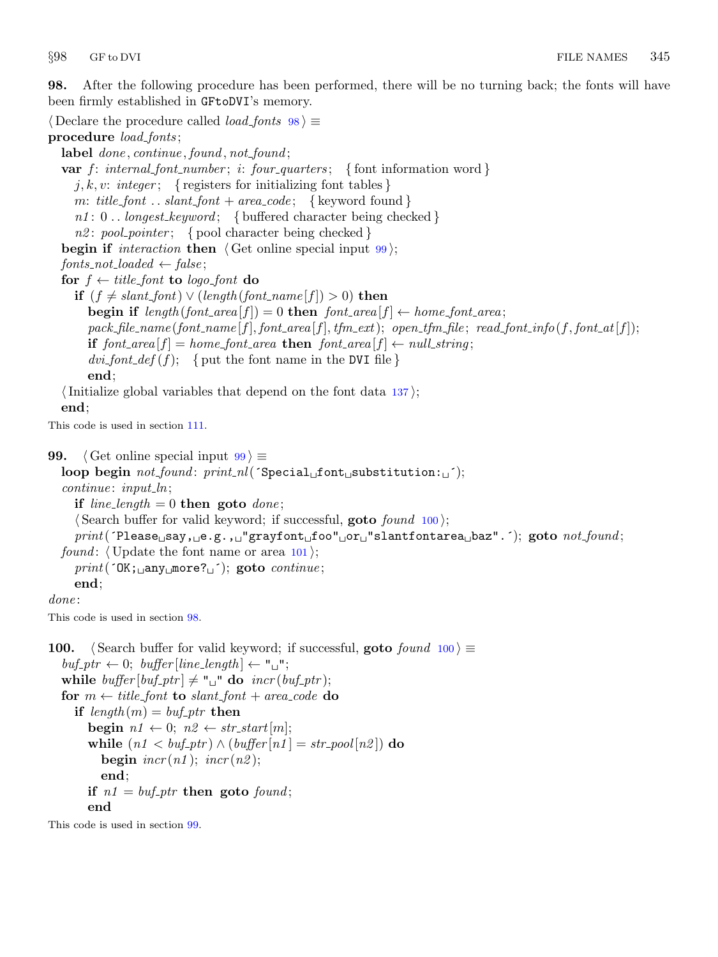<span id="page-44-0"></span>98. After the following procedure has been performed, there will be no turning back; the fonts will have been firmly established in GFtoDVI's memory.

```
\langle Declare the procedure called load_fonts 98 \rangle \equivprocedure load_fonts;
  label done, continue, found, not_found;
  var f: internal font number; i: four quarters; { font information word }
     j, k, v: integer; { registers for initializing font tables }
     m: title_font . . slant_font + area_code; { keyword found }
     n1: 0... longest_keyword; { buffered character being checked }
     n2: pool\_pointer; \{ pool character being checked\}begin if interaction then \langle Get online special input 99\rangle;
  fonts_not\_loaded \leftarrow false;for f \leftarrow title{\text -}font \text{ to } loop{\text -}font \text{ do}if (f \neq slant\_font) \vee (length (font\_name [f]) > 0) then
       begin if length (font_area [f]) = 0 then font_area [f] \leftarrow home_font_area;
       pack\_file_name(font_name[f], font\_area[f], tfm\_ext); open\_tfm\_file; read\_font\_info(f, font\_at[f]);if font\_\nref{int\_area}[f] = home\_\nfont\_\nget{form} then font\_\nget{form}[\n    f] \leftarrow null\_\n    string;dv_i font def (f); { put the font name in the DVI file }
       end;
  (Initialize global variables that depend on the font data 137);
  end;
This code is used in section 111.
99. \langle Get online special input 99 \rangle \equivloop begin not\_found: print\_nl('Special\_font\_substitution:_j');continue: input\_ln;if line_length = 0 then goto done;
     \langle Search buffer for valid keyword; if successful, goto found 100\rangle;
     print('Please\_\s\nus y, \_\succeq.g.,\_\succeq"grayfont\_\rhooksim" column" standard to a "starfont\_\succeq" column"; go to not found;found: (Update the font name or area 101);
     print('OK; \text{gato}^{\prime}); goto continue;end;
done:
This code is used in section 98.
100. \langle Search buffer for valid keyword; if successful, goto found 100 \rangle \equivbuf\_ptr \leftarrow 0; \text{ buffer}[line\_length] \leftarrow "\sqcup"while buffer[buf_prr] \neq " " do incr(buf_prr);
  for m \leftarrow title_{font} to slant_font + area_code do
     if length(m) = buffer then
       begin n1 \leftarrow 0; n2 \leftarrow str\_start[m];
       while (n1 < but\_ptr) \wedge (buffer[n1] = str\_pool[n2]) do
          begin \text{incr}(n1); \text{incr}(n2);
          end;
       if n_1 = \text{buf}\_ptr then goto found;
       end
This code is used in section 99.
```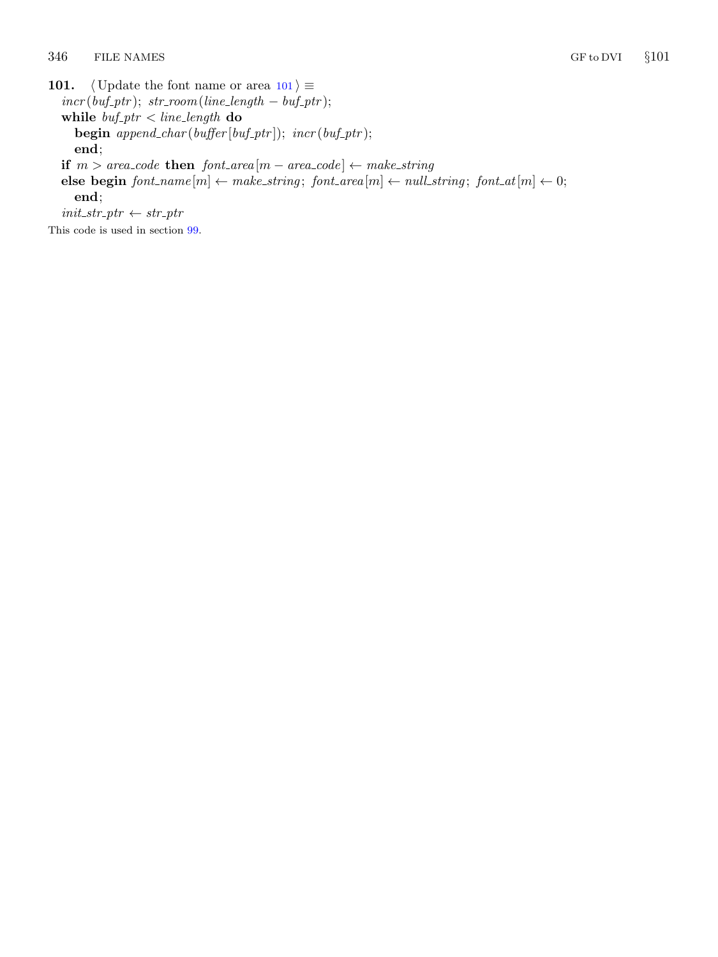<span id="page-45-0"></span>101.  $\langle$  Update the font name or area 101 $\rangle \equiv$  $incr(buf\_ptr); str\_room(line\_length - buffer);$ while  $buf\_ptr$   $\langle$  line\_length do begin  $append\_char(buffer[buf\_ptr])$ ;  $incr(buf\_ptr)$ ; end; if  $m > area\_code$  then  $font\_area[m - area\_code] \leftarrow make\_string$ else begin  $font_name[m] \leftarrow make\_string; font\_area[m] \leftarrow null\_string; font\_at[m] \leftarrow 0;$ end;  $init\_str\_ptr \leftarrow str\_ptr$ This code is used in section [99](#page-44-0).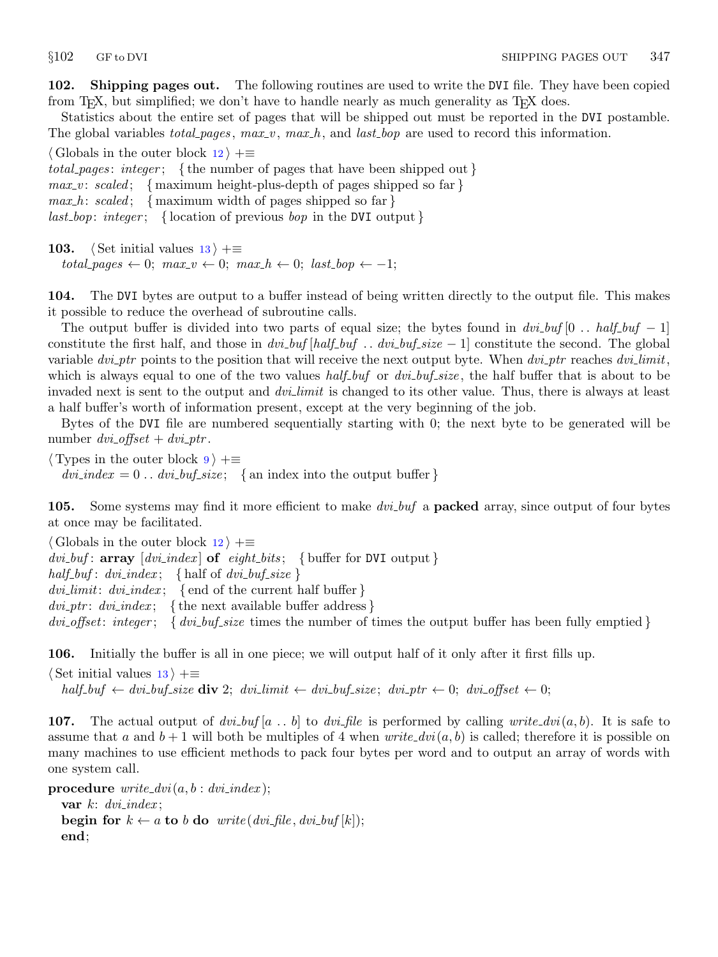102. Shipping pages out. The following routines are used to write the DVI file. They have been copied from T<sub>E</sub>X, but simplified; we don't have to handle nearly as much generality as T<sub>E</sub>X does.

Statistics about the entire set of pages that will be shipped out must be reported in the DVI postamble. The global variables total pages,  $max_v$ ,  $max_h$ , and last bop are used to record this information.

 $\langle$  Globals in the outer block [12](#page-4-0)  $\rangle$  +≡

total pages: integer; { the number of pages that have been shipped out }  $max_v : scaled; \{ maximum height-plus-depth of pages shipped so far\}$  $max_h$ : scaled; { maximum width of pages shipped so far } *last\_bop: integer*; { location of previous *bop* in the DVI output }

103. (Set initial values  $13$ ) +≡  $total\_{pages} \leftarrow 0; max\_{v} \leftarrow 0; max\_{h} \leftarrow 0; last\_{top} \leftarrow -1;$ 

104. The DVI bytes are output to a buffer instead of being written directly to the output file. This makes it possible to reduce the overhead of subroutine calls.

The output buffer is divided into two parts of equal size; the bytes found in  $\frac{div \cdot buf}{0}$ .  $\frac{hd \cdot buf}{-1}$ constitute the first half, and those in  $dvi_buf[half_buf]$ .  $dvi_buf_size-1]$  constitute the second. The global variable  $div\_ptr$  points to the position that will receive the next output byte. When  $div\_ptr$  reaches  $div\_limit$ , which is always equal to one of the two values half buf or dvi buf size, the half buffer that is about to be invaded next is sent to the output and *dvi-limit* is changed to its other value. Thus, there is always at least a half buffer's worth of information present, except at the very beginning of the job.

Bytes of the DVI file are numbered sequentially starting with 0; the next byte to be generated will be number  $dv$ *i*-offset +  $dv$ *i*-ptr.

 $\langle$  Types in the outer block [9](#page-3-0)  $\rangle$  +≡  $dvi\_index = 0$ ..  $dvi\_buf\_size$ ; { an index into the output buffer }

105. Some systems may find it more efficient to make *dvi* buf a **packed** array, since output of four bytes at once may be facilitated.

 $\langle$  Globals in the outer block  $12$   $\rangle$  + $\equiv$  $dvi_b$  =  $dr$  is array  $\left[dv\right]$  index  $\left[$  of eight bits;  $\left\{$  buffer for DVI output  $\right\}$ half\_buf:  $dvi\_index$ ; { half of  $dvi\_buf\_size$  }  $dvi\_limit: dvi\_index; \{ end of the current half buffer \}$  $div\_ptr: dv\_index; \{ the next available buffer address \}$  $div_{\text{in}} f$  integer;  $\{ \text{div}_{\text{in}} f \text{ is the number of times the output buffer has been fully emptied} \}$ 

106. Initially the buffer is all in one piece; we will output half of it only after it first fills up.

 $\langle$  Set initial values [13](#page-5-0)  $\rangle$  +≡ half-buf  $\leftarrow$  dvi-buf-size div 2; dvi-limit  $\leftarrow$  dvi-buf-size; dvi-ptr  $\leftarrow$  0; dvi-offset  $\leftarrow$  0;

**107.** The actual output of  $dvi_buf|a$ . b) to  $dvi_file$  is performed by calling write  $dvi(a, b)$ . It is safe to assume that a and  $b+1$  will both be multiples of 4 when write  $div(a, b)$  is called; therefore it is possible on many machines to use efficient methods to pack four bytes per word and to output an array of words with one system call.

```
procedure write\_dvi(a, b: dvi\_index);var k: dvi_index;
  begin for k \leftarrow a to b do write (dvi-file, dvi-buf [k]);
  end;
```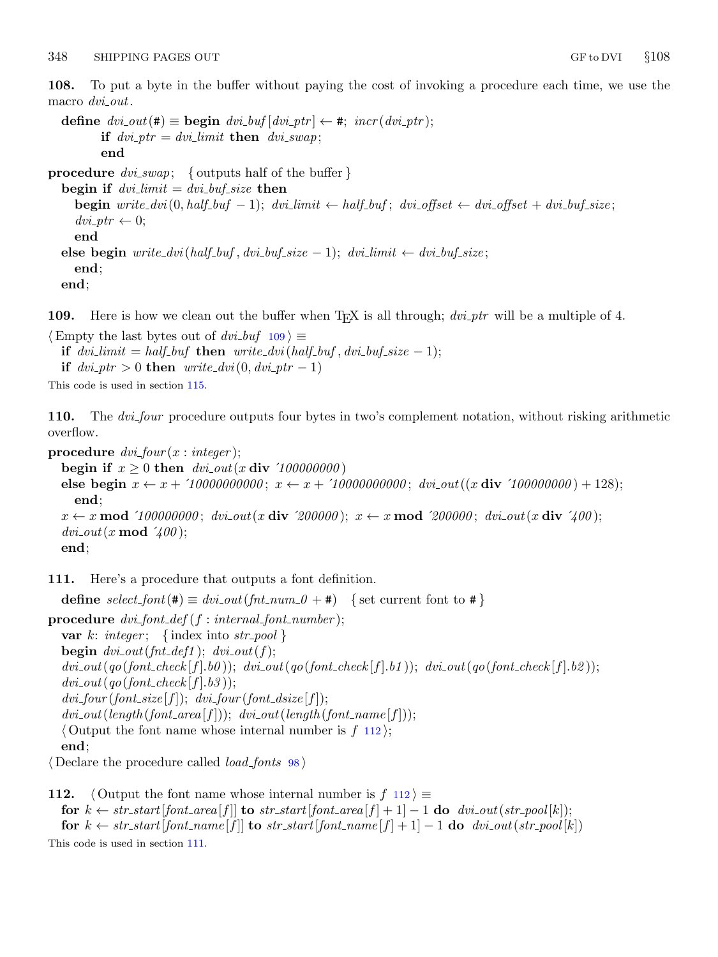<span id="page-47-0"></span>108. To put a byte in the buffer without paying the cost of invoking a procedure each time, we use the macro dvi\_out.

define  $dvi_$ ut(#)  $\equiv$  begin  $dvi_$ -buf  $\left[dv_i$ -ptr $\right] \leftarrow$  #;  $incr(dvi_$ -ptr $);$ if  $dvi_ptr = dvi_lint$  then  $dvi_swap$ ; end **procedure**  $div \, swap$ ; { outputs half of the buffer } begin if  $dv_i$  limit =  $dv_i$  buf size then **begin** write\_dvi(0, half\_buf - 1); dvi\_limit  $\leftarrow$  half\_buf; dvi\_offset  $\leftarrow$  dvi\_offset + dvi\_buf\_size;  $div_{\mathcal{I}}$   $\rightarrow$  0; end else begin write\_dvi(half\_buf, dvi\_buf\_size - 1); dvi\_limit  $\leftarrow$  dvi\_buf\_size; end; end;

109. Here is how we clean out the buffer when T<sub>E</sub>X is all through;  $div\_ptr$  will be a multiple of 4.

 $\langle$  Empty the last bytes out of *dvi\_buf* 109  $\rangle$  ≡ if  $dvi_l = half_buf$  then write\_dvi(half\_buf, dvi\_buf\_size - 1); if  $dvi_ptr > 0$  then write\_ $dvi(0, dvi_ptr - 1)$ 

This code is used in section [115.](#page-48-0)

110. The *dvi-four* procedure outputs four bytes in two's complement notation, without risking arithmetic overflow.

procedure  $\text{div}_\text{-} \text{four}(x: \text{integer});$ begin if  $x \geq 0$  then  $\text{div}\text{-} \text{out}(x \text{ div } \text{'} 100000000)$ else begin  $x \leftarrow x + '10000000000$ ;  $x \leftarrow x + '10000000000$ ; dvi.out((x div '100000000) + 128); end;  $x \leftarrow x \mod '100000000$ ; dvi\_out(x div '200000);  $x \leftarrow x \mod '200000$ ; dvi\_out(x div '400);  $dvi_{\text{out}}(x \mod 400);$ end;

111. Here's a procedure that outputs a font definition.

define  $select\_font(\#) \equiv div\_out(int\_num_0 + \#)$  {set current font to #}

procedure  $\text{div}_\text{-} \text{font}_\text{-} \text{def}(f : \text{internal}\text{-} \text{font}_\text{-} \text{number});$ var k: integer; {index into  $str\_pool$ } **begin**  $dvi$ -out(fnt-def1);  $dvi$ -out(f);  $div_{.}out(qo(font_{.}check[f].b0)); \,div_{.}out(qo(font_{.}check[f].b1)); \,div_{.}out(qo(font_{.}check[f].b2));$  $div_{\text{1}}\text{out}(q\text{o}(\text{font\_check}[f].b3));$  $dvi\_four(font\_size[f]); dvi\_four(font\_disize[f]);$  $dvi\_out(length(font_area[f]))$ ;  $dvi\_out(length(font_name[f]))$ ;  $\langle$  Output the font name whose internal number is f 112 $\rangle$ ; end;

 $\langle$  Declare the procedure called *load\_fonts*  $98$ 

112.  $\langle$  Output the font name whose internal number is  $f \cdot 112 \rangle \equiv$ for  $k \leftarrow str\_start[font\_area[f]]$  to  $str\_start[font\_area[f] + 1] - 1$  do  $div\_out(str\_pool[k])$ ; for  $k \leftarrow str\_start[font\_name[f]]$  to  $str\_start[font\_name[f] + 1] - 1$  do  $div\_out(str\_pool[k])$ This code is used in section 111.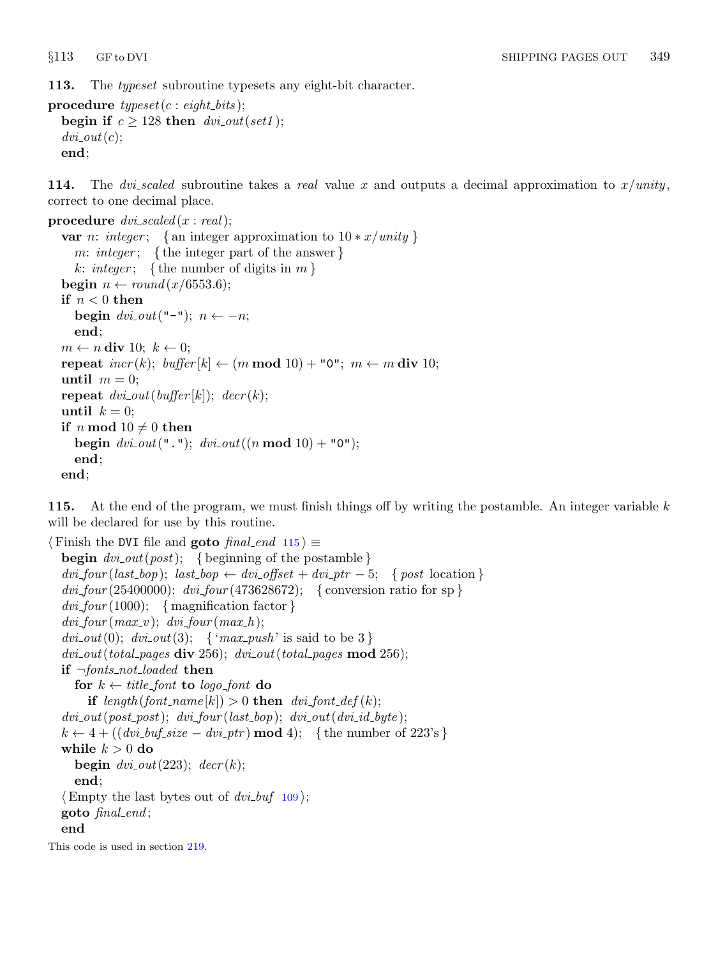<span id="page-48-0"></span>113. The *typeset* subroutine typesets any eight-bit character.

```
procedure typeset(c: eight\_bits);begin if c \ge 128 then dvi\_out(set1);
  div\_out(c);end;
```
**114.** The *dvi\_scaled* subroutine takes a *real* value x and outputs a decimal approximation to  $x/unity$ , correct to one decimal place.

```
procedure dvi\_scaled(x:real);var n: integer; { an integer approximation to 10 * x/unity }
      m: integer; {the integer part of the answer}
      k: integer; {the number of digits in m}
   begin n \leftarrow round(x/6553.6);if n < 0 then
      begin dvi_-out("−"); n \leftarrow -n;
      end;
   m \leftarrow n div 10; k \leftarrow 0;
   repeat \text{incr}(k); \text{buffer}[k] \leftarrow (m \mod 10) + \text{"O"}; m \leftarrow m \text{div } 10;
   until m = 0;
   repeat \text{div}\text{-}\text{out}(\text{buffer}[k]); \text{dec}(k);
   until k = 0;
   if n mod 10 \neq 0 then
      begin \text{div}\_{\text{out}}(\mathbf{u}.\mathbf{v}); \text{div}\_{\text{out}}((n \mod 10) + \mathbf{v}\mathbf{0}.\mathbf{v});end;
   end;
```
115. At the end of the program, we must finish things off by writing the postamble. An integer variable  $k$ will be declared for use by this routine.

```
\langle Finish the DVI file and goto final end 115 \rangle ≡
  begin div\_out(post); { beginning of the postamble }
  dvi_four (last_bop); last_bop \leftarrow dvi_offset + dvi_ptr - 5; { post location }
  dvi_{\text{r}}(25400000); dvi_{\text{r}}(473628672); {conversion ratio for sp}
  dvi_{\text{r}}(1000); { magnification factor }
  dvi_four(max_v); dvi_four(max_h);div_{\text{out}}(0); \text{ } \text{div}_{\text{out}}(3); \text{ } \{ \text{'} \text{max}_{\text{}} \text{push'} \text{ is said to be 3} \}dvi-out(total-pages div 256); dvi-out(total-pages mod 256);
  if \negfonts_not_loaded then
     for k \leftarrow title{\text{-}}font \text{ to } logo{\text{-}}font \text{ do}if length(font_name[k]) > 0 then dvifont-def(k);div\_out(post\_post); dvizfour(last\_bop); dvizout(dvi\_id\_byte);k \leftarrow 4 + ((div\_buf\_size - div\_ptr) \textbf{mod } 4); {the number of 223's}
  while k > 0 do
     begin dvi-out(223); decr(k);
     end;
  \langle Empty the last bytes out of dvi109\rangle;
  goto final.
  end
This code is used in section 219.
```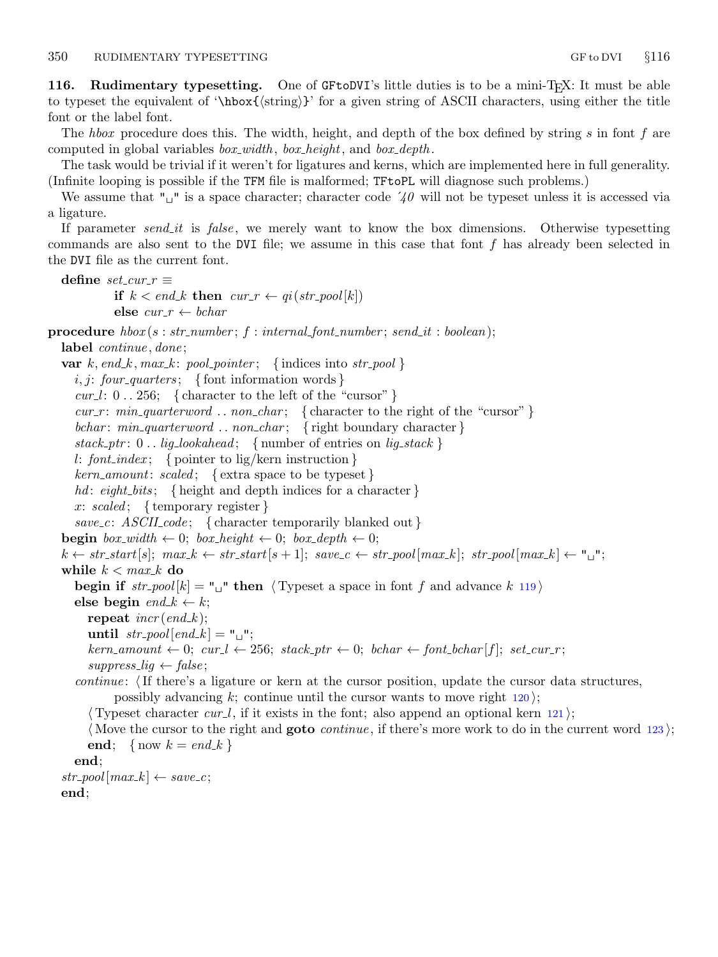<span id="page-49-0"></span>116. Rudimentary typesetting. One of GFtoDVI's little duties is to be a mini-T<sub>F</sub>X: It must be able to typeset the equivalent of '\hbox{ $\scriptstyle\langle\{\text{string}\rangle\}$ ' for a given string of ASCII characters, using either the title font or the label font.

The hbox procedure does this. The width, height, and depth of the box defined by string s in font f are computed in global variables  $box\_width$ ,  $box\_height$ , and  $box\_depth$ .

The task would be trivial if it weren't for ligatures and kerns, which are implemented here in full generality. (Infinite looping is possible if the TFM file is malformed; TFtoPL will diagnose such problems.)

We assume that " $\mu$ " is a space character; character code '40 will not be typeset unless it is accessed via a ligature.

If parameter  $send\_it$  is  $false$ , we merely want to know the box dimensions. Otherwise typesetting commands are also sent to the DVI file; we assume in this case that font  $f$  has already been selected in the DVI file as the current font.

```
define set\_cur_r \equivif k < end_k then cur_r \leftarrow qi(str\_pool[k])else cur_r \leftarrow \text{bchar}procedure hbox(s: str_number; f: internalfont_number; send-it: boolean);label continue, done;
  var k, end k, max k: pool pointer; {indices into str pool}
    i, j: four_quarters; { font information words }
    cur l: 0... 256; { character to the left of the "cursor" }
    cur r: min quarterword ... non char; { character to the right of the "cursor" }
    bchar: min\_quarterword... non\_char; { right boundary character }
    stack\_ptr: 0...lig\_look ahead; \{ number of entries on lig\_stack\}l: font_index; { pointer to lig/kern instruction }
    \textit{kern\_amount}: \textit{scaled}; \ \{ \text{extra space to be typeset} \}hd: eight_bits; { height and depth indices for a character }
    x: scaled; { temporary register }
     save_c: ASCII\_code; \{ character temporarily blanket out\}begin box-width \leftarrow 0; box-height \leftarrow 0; box-depth \leftarrow 0;
  k \leftarrow str\_start[s]; max_k \leftarrow str\_start[s + 1]; save_c \leftarrow str\_pool[max_k]; str\_pool[max_k] \leftarrow "_1";
  while k < max_k do
    begin if str_{\perp} pot[k] = "_{\perp}" then \langle119\rangleelse begin end_k \leftarrow k;
       repeat \textit{incr}(\textit{end\_k});
       until str\_pool[end_k] = "\cdot";
       kern\_amount \leftarrow 0; cur_l \leftarrow 256; stack\_ptr \leftarrow 0; bchar \leftarrow font\_bchar[f]; set\_cur_r;
       suppress\_lig \leftarrow false;
     continue: \langle If there's a ligature or kern at the cursor position, update the cursor data structures,
            possibly advancing k; continue until the cursor wants to move right 120;
       (Typeset character cur l, if it exists in the font; also append an optional kern 121);
       (Move the cursor to the right and goto continue123);
       end; { now k = end_k }
    end;
  str\_pool [max_k] \leftarrow save_c;
  end;
```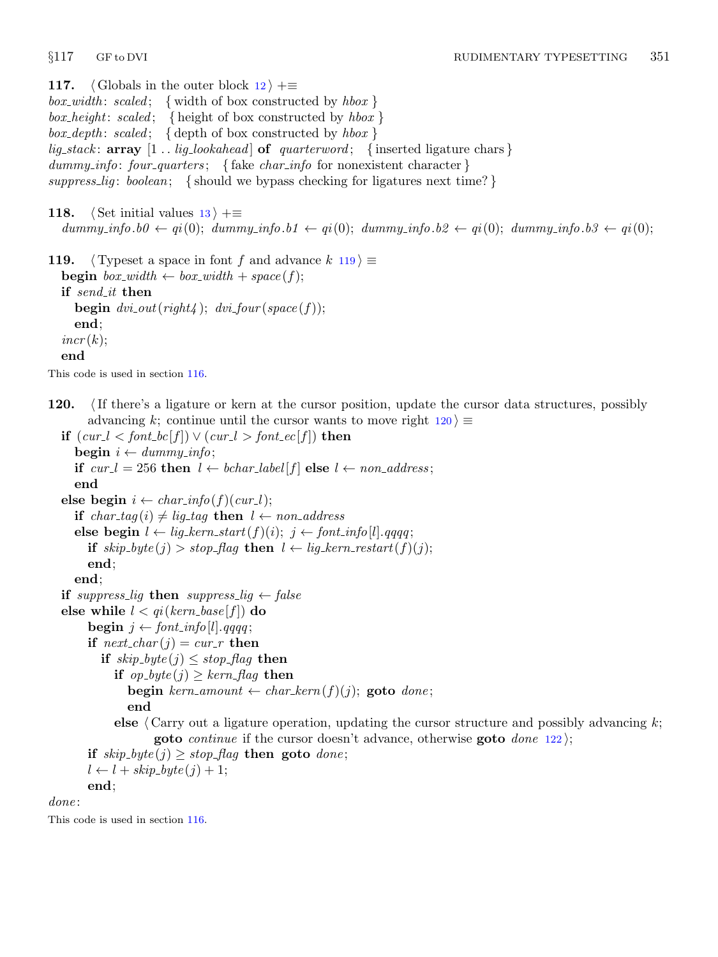<span id="page-50-0"></span>117.  $\langle$  Globals in the outer block [12](#page-4-0)  $\rangle$  +≡  $box\_width: scaled;$  {width of box constructed by  $hbox{}$ }  $box\_height: scaled; \{ height of box constructed by *hbox* \}$  $box\_depth: scaled; \{ depth of box constructed by *hbox* \}$ lig\_stack:  $array [1..~lig\_look ahead]$  of quarterword; {inserted ligature chars}  $dummy_info: four-quarters; \{ fake char_info for nonexistent character\}$ suppress\_lig: boolean; { should we bypass checking for ligatures next time? }

118. (Set initial values  $13$ ) +≡  $dummy\_info.b0 \leftarrow qi(0); \; dummy\_info.b1 \leftarrow qi(0); \; dummy\_info.b2 \leftarrow qi(0); \; dummy\_info.b3 \leftarrow qi(0);$ 

```
119. (Typeset a space in font f and advance k 119) \equivbegin box_width \leftarrow box_width + space(f);
  if send it then
    begin div\_out(right4); dvi\_four(space(f));end;
  incr(k);end
```
This code is used in section [116.](#page-49-0)

120. If there's a ligature or kern at the cursor position, update the cursor data structures, possibly advancing k; continue until the cursor wants to move right  $120$   $\equiv$ 

```
if (cur_l < font\_bc[f]) \vee (cur_l > font\_ec[f]) then
  begin i \leftarrow dummy_info;if cur_l = 256 then l \leftarrow bchar label [f] else l \leftarrow non address;
  end
else begin i \leftarrow char_info(f)(cur_l);if char\_tag(i) \neq lig\_tag then l \leftarrow non\_addresselse begin l \leftarrow lig_kern_start(f)(i); j \leftarrow font\_info[l].qqqq;if skip\_byte(j) > stop\_flag then l \leftarrow lig\_kern\_restart(f)(j);end;
  end;
if suppress_lig then suppress_lig \leftarrow false
else while l < qi(kern\_base[f]) do
     begin j \leftarrow font\_info[l].qqqq;if next\_char(j) = cur_r then
       if skip\_byte(j) \leq stop\_flag then
          if op\_byte(j) \geq kern\_flag then
             begin kern_amount \leftarrow char\_kern(f)(j); goto done;
             end
          else \langle Carry out a ligature operation, updating the cursor structure and possibly advancing k;
                  goto continue if the cursor doesn't advance, otherwise goto done 122;
     if skip\_byte(j) \geq stop\_flag then goto done;
     l \leftarrow l + skip\_byte(j) + 1;end;
```
done:

This code is used in section [116.](#page-49-0)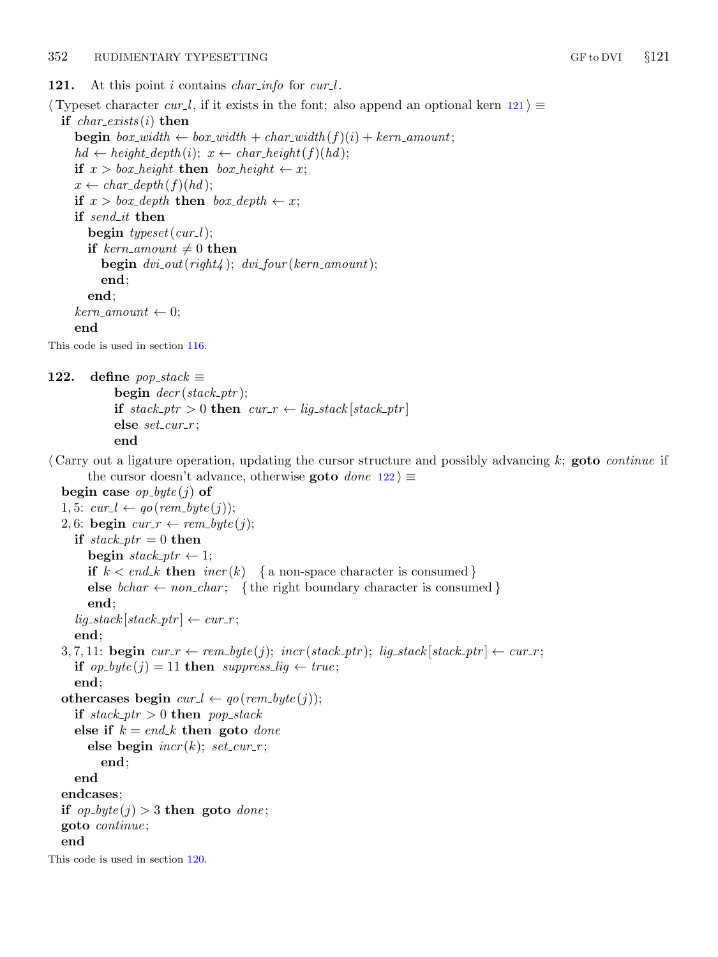<span id="page-51-0"></span>121. At this point i contains *char-info* for  $\text{curl}$ .

 $\langle$  Typeset character *cur l*, if it exists in the font; also append an optional kern 121 $\rangle \equiv$ 

```
if char\_exists(i) then
  begin box-width \leftarrow box-width + char-width (f)(i) + kern-amount;
  hd \leftarrow height\_depth(i); x \leftarrow char\_height(f)(hd);if x > box \text{.} height then box \text{.} height \leftarrow x;
  x \leftarrow char\_depth(f)(hd);if x > box\_\_\theta then box\_\phi\_\theta \leftarrow x;if send_it then
     begin typeset(cur_l);if kern_amount \neq 0 then
        begin div\_out(right4); div\_four(kern\_amount);
        end;
     end;
  kern\_amount \leftarrow 0;end
```
This code is used in section [116.](#page-49-0)

122. define  $pop\_stack \equiv$ 

begin  $decr (stack\_ptr);$ if  $stack\_ptr > 0$  then  $cur_r \leftarrow lig\_stack[stack\_ptr]$ else  $set\_curr_r$ ; end

 $\Gamma$  Carry out a ligature operation, updating the cursor structure and possibly advancing k; goto *continue* if the cursor doesn't advance, otherwise **goto** done  $122$  i

```
begin case op\_byte(j) of
  1,5: cur_l \leftarrow qo (rem_b yte (j));2,6: begin cur_r \leftarrow rem_byte(j);if stack\_ptr = 0 then
       begin stack\_ptr \leftarrow 1;if k < end_k then incr(k) { a non-space character is consumed }
       else \text{bchar} \leftarrow \text{non}\text{-}\text{char}; {the right boundary character is consumed}
       end;
     lig\_stack[stack\_ptr] \leftarrow cur_r;end;
  3, 7, 11: begin cur_r \leftarrow rem\_byte(j); incr(stack_ptr); lig_stack [stack_ptr] \leftarrow cur_r;if op\_byte(j) = 11 then suppress_lig \leftarrow true;end;
  othercases begin cur_l \leftarrow qo(rem_b yte(j));if stack\_ptr > 0 then pop_stack
     else if k = end_k then goto done
       else begin \text{incr}(k); set_cur_r;
          end;
     end
  endcases;
  if op\_byte(j) > 3 then goto done;
  goto continue ;
  end
This code is used in section 120.
```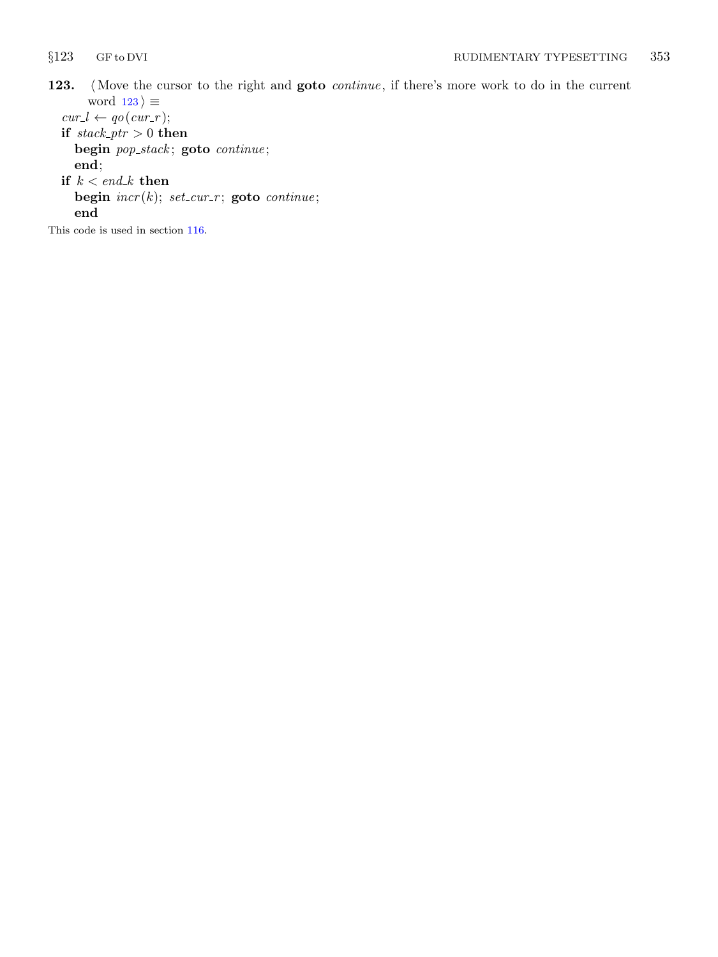<span id="page-52-0"></span>123. (Move the cursor to the right and goto *continue*, if there's more work to do in the current word  $123$   $\equiv$ 

 $cur_l \leftarrow qo(cur_r);$ if  $stack\_ptr > 0$  then begin pop\_stack; goto continue; end; if  $k < end_k$  then

begin  $\text{incr}(k)$ ; set\_cur\_r; goto continue; end

This code is used in section [116.](#page-49-0)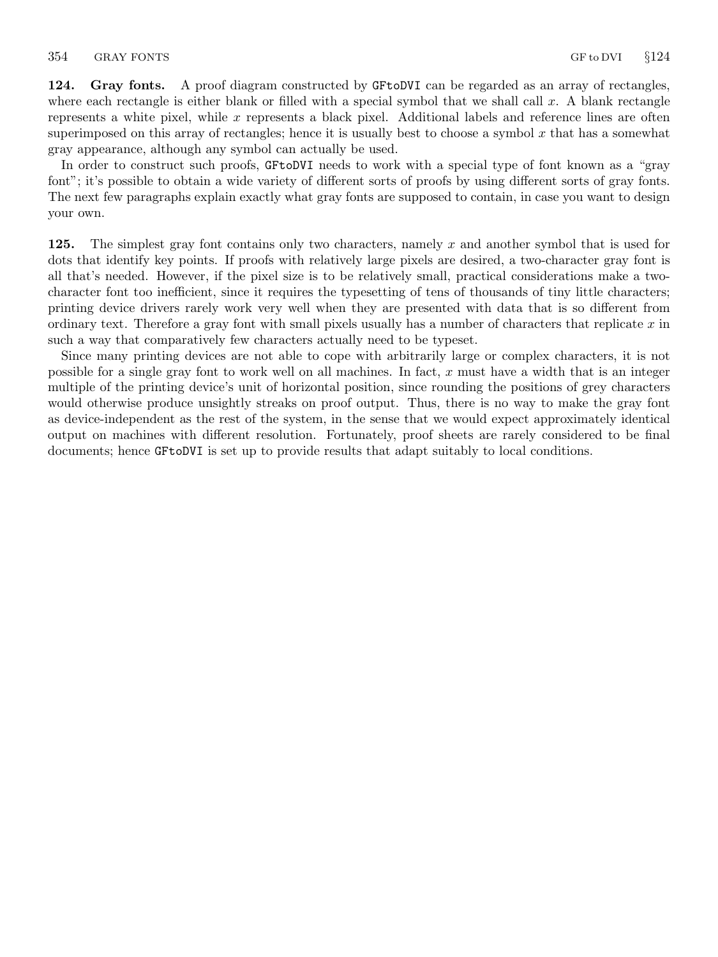124. Gray fonts. A proof diagram constructed by GFtoDVI can be regarded as an array of rectangles, where each rectangle is either blank or filled with a special symbol that we shall call  $x$ . A blank rectangle represents a white pixel, while x represents a black pixel. Additional labels and reference lines are often superimposed on this array of rectangles; hence it is usually best to choose a symbol  $x$  that has a somewhat gray appearance, although any symbol can actually be used.

In order to construct such proofs, GFtoDVI needs to work with a special type of font known as a "gray font"; it's possible to obtain a wide variety of different sorts of proofs by using different sorts of gray fonts. The next few paragraphs explain exactly what gray fonts are supposed to contain, in case you want to design your own.

125. The simplest gray font contains only two characters, namely  $x$  and another symbol that is used for dots that identify key points. If proofs with relatively large pixels are desired, a two-character gray font is all that's needed. However, if the pixel size is to be relatively small, practical considerations make a twocharacter font too inefficient, since it requires the typesetting of tens of thousands of tiny little characters; printing device drivers rarely work very well when they are presented with data that is so different from ordinary text. Therefore a gray font with small pixels usually has a number of characters that replicate  $x$  in such a way that comparatively few characters actually need to be typeset.

Since many printing devices are not able to cope with arbitrarily large or complex characters, it is not possible for a single gray font to work well on all machines. In fact,  $x$  must have a width that is an integer multiple of the printing device's unit of horizontal position, since rounding the positions of grey characters would otherwise produce unsightly streaks on proof output. Thus, there is no way to make the gray font as device-independent as the rest of the system, in the sense that we would expect approximately identical output on machines with different resolution. Fortunately, proof sheets are rarely considered to be final documents; hence GFtoDVI is set up to provide results that adapt suitably to local conditions.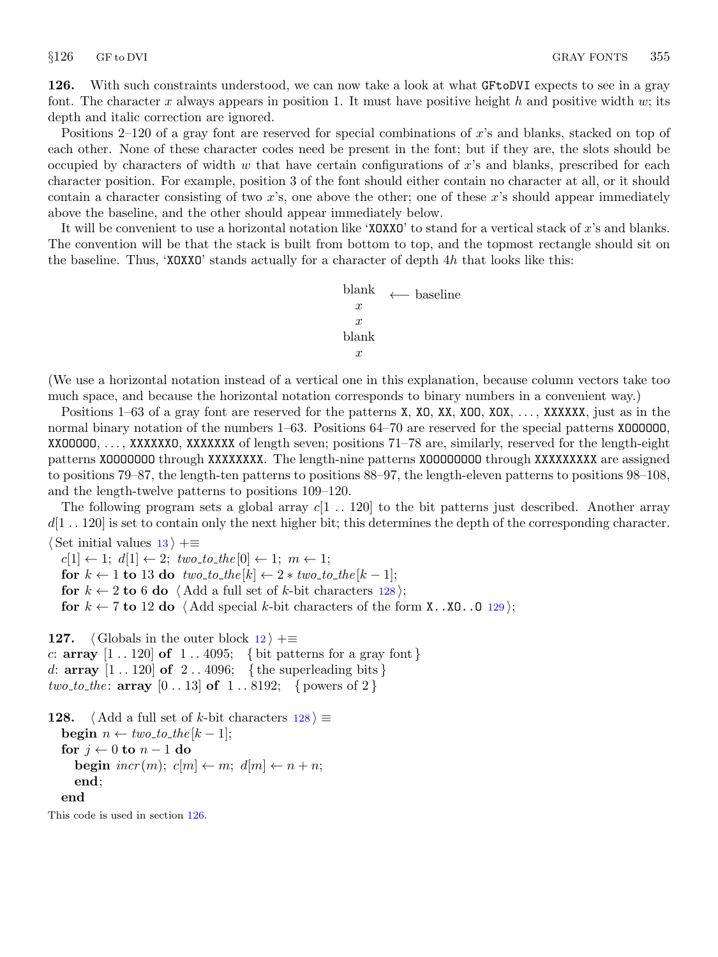<span id="page-54-0"></span>126. With such constraints understood, we can now take a look at what GFtoDVI expects to see in a gray font. The character x always appears in position 1. It must have positive height h and positive width w; its depth and italic correction are ignored.

Positions 2–120 of a gray font are reserved for special combinations of x's and blanks, stacked on top of each other. None of these character codes need be present in the font; but if they are, the slots should be occupied by characters of width w that have certain configurations of x's and blanks, prescribed for each character position. For example, position 3 of the font should either contain no character at all, or it should contain a character consisting of two  $x$ 's, one above the other; one of these  $x$ 's should appear immediately above the baseline, and the other should appear immediately below.

It will be convenient to use a horizontal notation like 'XOXXO' to stand for a vertical stack of x's and blanks. The convention will be that the stack is built from bottom to top, and the topmost rectangle should sit on the baseline. Thus, ' $XOXXO'$ ' stands actually for a character of depth 4h that looks like this:



(We use a horizontal notation instead of a vertical one in this explanation, because column vectors take too much space, and because the horizontal notation corresponds to binary numbers in a convenient way.)

Positions 1–63 of a gray font are reserved for the patterns X, XO, XX, XOO, XOX, . . . , XXXXXX, just as in the normal binary notation of the numbers 1–63. Positions 64–70 are reserved for the special patterns X000000, XXOOOOO, . . . , XXXXXXO, XXXXXXX of length seven; positions 71–78 are, similarly, reserved for the length-eight patterns XOOOOOOO through XXXXXXXX. The length-nine patterns XOOOOOOOO through XXXXXXXXX are assigned to positions 79–87, the length-ten patterns to positions 88–97, the length-eleven patterns to positions 98–108, and the length-twelve patterns to positions 109–120.

The following program sets a global array  $c[1 \tcdot 120]$  to the bit patterns just described. Another array  $d[1 \tcdot 120]$  is set to contain only the next higher bit; this determines the depth of the corresponding character.  $\langle$  Set initial values [13](#page-5-0)  $\rangle$  +≡

 $c[1] \leftarrow 1; d[1] \leftarrow 2; two\_to\_the[0] \leftarrow 1; m \leftarrow 1;$ for  $k \leftarrow 1$  to 13 do two-to-the  $[k] \leftarrow 2 * two\_to\_the[k-1]$ ; for  $k \leftarrow 2$  to 6 do  $\langle$  Add a full set of k-bit characters 128 $\rangle$ ; for  $k \leftarrow 7$  to 12 do  $\langle$  Add special k-bit characters of the form X..XO..O [129](#page-55-0) $\rangle$ ;

[12](#page-4-0)7. (Globals in the outer block  $12$ ) +≡ c:  $\arctan x$   $[1 \dots 120]$  of  $1 \dots 4095$ ; { bit patterns for a gray font } d:  $\arctan x$  [1...120] of 2...4096; {the superleading bits} two\_to\_the:  $array [0.. 13]$  of  $1.. 8192;$  {powers of  $2$ }

```
128. \langle Add a full set of k-bit characters 128 \rangle \equivbegin n \leftarrow two\_to\_the[k-1];for j \leftarrow 0 to n - 1 do
      begin \textit{incr}(m); c[m] \leftarrow m; d[m] \leftarrow n + n;end;
```
end

This code is used in section 126.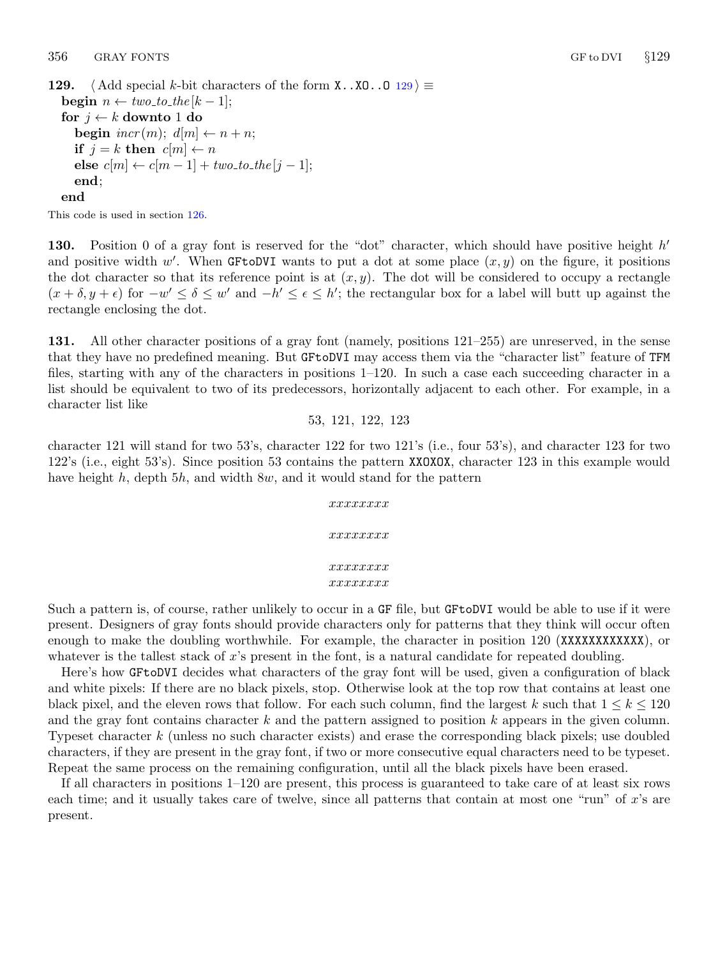<span id="page-55-0"></span>**129.**  $\langle$  Add special k-bit characters of the form X..XO..O 129  $\rangle \equiv$ begin  $n \leftarrow two\_to\_the[k-1];$ for  $j \leftarrow k$  downto 1 do begin  $\text{incr}(m)$ ;  $d[m] \leftarrow n + n$ ; if  $j = k$  then  $c[m] \leftarrow n$ else  $c[m] \leftarrow c[m-1] + two\_to\_the[j-1];$ end; end

This code is used in section [126.](#page-54-0)

130. Position 0 of a gray font is reserved for the "dot" character, which should have positive height  $h'$ and positive width  $w'$ . When GFtoDVI wants to put a dot at some place  $(x, y)$  on the figure, it positions the dot character so that its reference point is at  $(x, y)$ . The dot will be considered to occupy a rectangle  $(x + \delta, y + \epsilon)$  for  $-w' \leq \delta \leq w'$  and  $-h' \leq \epsilon \leq h'$ ; the rectangular box for a label will butt up against the rectangle enclosing the dot.

131. All other character positions of a gray font (namely, positions 121–255) are unreserved, in the sense that they have no predefined meaning. But GFtoDVI may access them via the "character list" feature of TFM files, starting with any of the characters in positions 1–120. In such a case each succeeding character in a list should be equivalent to two of its predecessors, horizontally adjacent to each other. For example, in a character list like

## 53, 121, 122, 123

character 121 will stand for two 53's, character 122 for two 121's (i.e., four 53's), and character 123 for two 122's (i.e., eight 53's). Since position 53 contains the pattern XXOXOX, character 123 in this example would have height h, depth 5h, and width  $8w$ , and it would stand for the pattern

> $xxxxxxx$  $xxxxxxx$  $xxxxxxx$  $xxxxxxx$

Such a pattern is, of course, rather unlikely to occur in a GF file, but GFtoDVI would be able to use if it were present. Designers of gray fonts should provide characters only for patterns that they think will occur often enough to make the doubling worthwhile. For example, the character in position 120 (XXXXXXXXXXXX), or whatever is the tallest stack of x's present in the font, is a natural candidate for repeated doubling.

Here's how GFtoDVI decides what characters of the gray font will be used, given a configuration of black and white pixels: If there are no black pixels, stop. Otherwise look at the top row that contains at least one black pixel, and the eleven rows that follow. For each such column, find the largest k such that  $1 \leq k \leq 120$ and the gray font contains character k and the pattern assigned to position k appears in the given column. Typeset character k (unless no such character exists) and erase the corresponding black pixels; use doubled characters, if they are present in the gray font, if two or more consecutive equal characters need to be typeset. Repeat the same process on the remaining configuration, until all the black pixels have been erased.

If all characters in positions 1–120 are present, this process is guaranteed to take care of at least six rows each time; and it usually takes care of twelve, since all patterns that contain at most one "run" of  $x$ 's are present.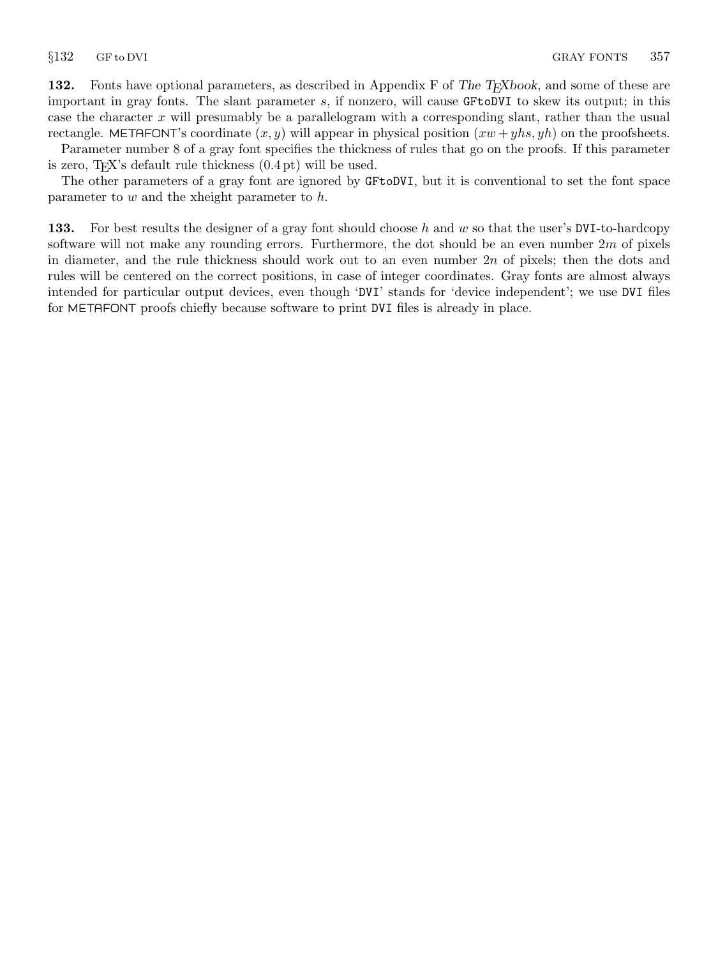132. Fonts have optional parameters, as described in Appendix F of The T<sub>E</sub>Xbook, and some of these are important in gray fonts. The slant parameter s, if nonzero, will cause GFtoDVI to skew its output; in this case the character x will presumably be a parallelogram with a corresponding slant, rather than the usual rectangle. METAFONT's coordinate  $(x, y)$  will appear in physical position  $(xw + yhs, yh)$  on the proofsheets.

Parameter number 8 of a gray font specifies the thickness of rules that go on the proofs. If this parameter is zero,  $T_F X$ 's default rule thickness  $(0.4 \text{ pt})$  will be used.

The other parameters of a gray font are ignored by GFtoDVI, but it is conventional to set the font space parameter to w and the xheight parameter to h.

133. For best results the designer of a gray font should choose h and w so that the user's DVI-to-hardcopy software will not make any rounding errors. Furthermore, the dot should be an even number  $2m$  of pixels in diameter, and the rule thickness should work out to an even number  $2n$  of pixels; then the dots and rules will be centered on the correct positions, in case of integer coordinates. Gray fonts are almost always intended for particular output devices, even though 'DVI' stands for 'device independent'; we use DVI files for METAFONT proofs chiefly because software to print DVI files is already in place.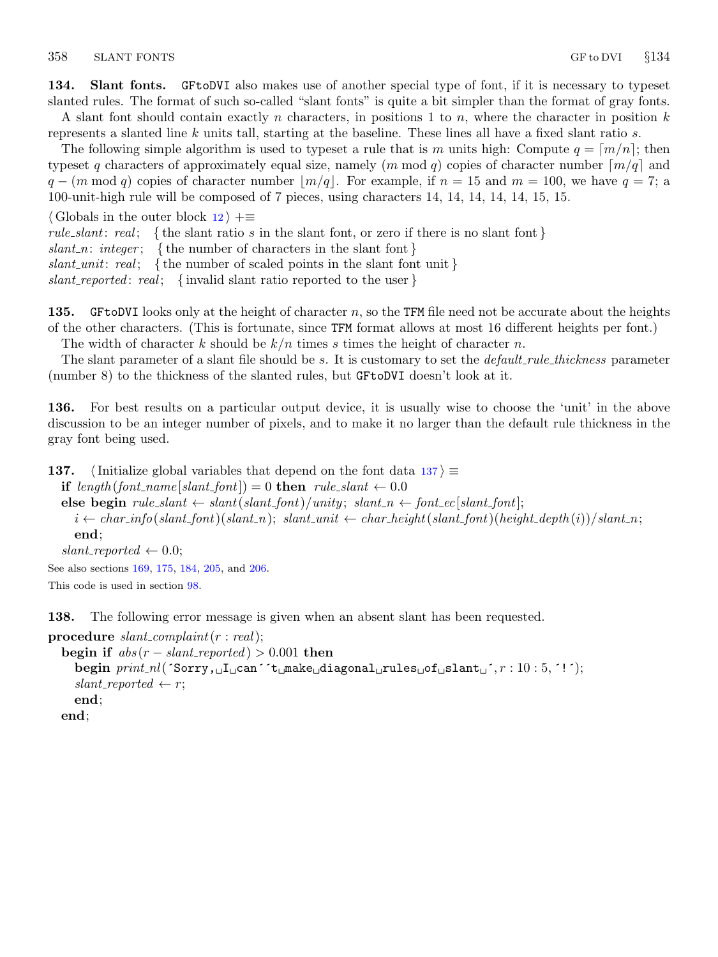<span id="page-57-0"></span>134. Slant fonts. GFtoDVI also makes use of another special type of font, if it is necessary to typeset slanted rules. The format of such so-called "slant fonts" is quite a bit simpler than the format of gray fonts. A slant font should contain exactly n characters, in positions 1 to n, where the character in position  $k$ 

represents a slanted line k units tall, starting at the baseline. These lines all have a fixed slant ratio s. The following simple algorithm is used to typeset a rule that is m units high: Compute  $q = \lfloor m/n \rfloor$ ; then typeset q characters of approximately equal size, namely  $(m \mod q)$  copies of character number  $\lceil m/q \rceil$  and  $q - (m \mod q)$  copies of character number  $\lfloor m/q \rfloor$ . For example, if  $n = 15$  and  $m = 100$ , we have  $q = 7$ ; a 100-unit-high rule will be composed of 7 pieces, using characters 14, 14, 14, 14, 14, 15, 15.

 $\langle$  Globals in the outer block [12](#page-4-0)  $\rangle$  +≡

rule slant: real; {the slant ratio s in the slant font, or zero if there is no slant font }

slant n: integer; { the number of characters in the slant font }

 $slant\_unit:$  real; {the number of scaled points in the slant font unit}

 $slant\_reported: real; \{ invalid slant ratio reported to the user\}$ 

135. GFtoDVI looks only at the height of character  $n$ , so the TFM file need not be accurate about the heights of the other characters. (This is fortunate, since TFM format allows at most 16 different heights per font.)

The width of character k should be  $k/n$  times s times the height of character n.

The slant parameter of a slant file should be s. It is customary to set the *default rule thickness* parameter (number 8) to the thickness of the slanted rules, but GFtoDVI doesn't look at it.

136. For best results on a particular output device, it is usually wise to choose the 'unit' in the above discussion to be an integer number of pixels, and to make it no larger than the default rule thickness in the gray font being used.

**137.**  $\langle$  Initialize global variables that depend on the font data 137 i ≡

if length (font\_name [slant\_font]) = 0 then rule\_slant  $\leftarrow 0.0$ 

else begin  $rule\_slant \leftarrow slant(slant\_font)/unity; slant.n \leftarrow font\_ec|slant\_font|;$  $i \leftarrow char.info(slant font)(slant.n); slant-unit \leftarrow char height(slant font)(height_dept(i))/slant.n;$ end;  $slant$ -reported  $\leftarrow$  0.0; See also sections [169](#page-65-0), [175](#page-67-0), [184](#page-69-0), [205,](#page-75-0) and [206](#page-75-0).

This code is used in section [98](#page-44-0).

138. The following error message is given when an absent slant has been requested.

```
procedure slant\_complaint(r:real);begin if abs(r - slant\_reported) > 0.001 then
     begin print_n l('Sorry, \text{L}_l can 't_make \text{diagonal}_rules \text{of}_slant \text{of}_r; r : 10 : 5, 'l');slant\_reported \leftarrow r;end;
  end;
```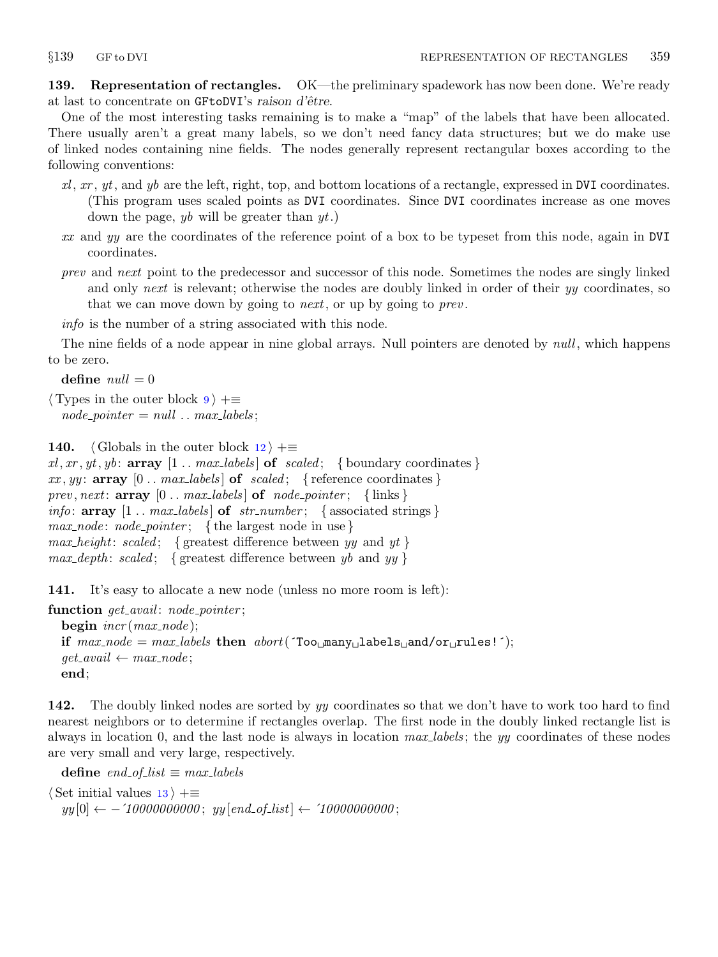139. Representation of rectangles. OK—the preliminary spadework has now been done. We're ready at last to concentrate on GFtoDVI's raison d'être.

One of the most interesting tasks remaining is to make a "map" of the labels that have been allocated. There usually aren't a great many labels, so we don't need fancy data structures; but we do make use of linked nodes containing nine fields. The nodes generally represent rectangular boxes according to the following conventions:

- $x, x, y$ , and  $y$  are the left, right, top, and bottom locations of a rectangle, expressed in DVI coordinates. (This program uses scaled points as DVI coordinates. Since DVI coordinates increase as one moves down the page,  $yb$  will be greater than  $yt$ .)
- xx and yy are the coordinates of the reference point of a box to be typeset from this node, again in DVI coordinates.
- prev and next point to the predecessor and successor of this node. Sometimes the nodes are singly linked and only next is relevant; otherwise the nodes are doubly linked in order of their yy coordinates, so that we can move down by going to *next*, or up by going to *prev*.

info is the number of a string associated with this node.

The nine fields of a node appear in nine global arrays. Null pointers are denoted by *null*, which happens to be zero.

define  $null = 0$ 

 $\langle$  Types in the outer block [9](#page-3-0)  $\rangle$  +≡  $node\_pointer = null \dots max_labels;$ 

140. (Globals in the outer block  $12$ ) +≡  $x, x, y, y$ : array  $[1 \tcdot \tmax_labels]$  of scaled; {boundary coordinates} xx, yy: array  $[0 \t{.} \t{max\_labels} ]$  of scaled; {reference coordinates} prev, next:  $array \t[0.. max_labels]$  of node-pointer; {links} info:  $array [1.. max_labels]$  of  $str_number$ ; {associated strings}  $max-node: node\_pointer; \{ the largest node in use \}$  $max\_height: scaled;$  { greatest difference between yy and yt }  $max\_{depth: scaled;$  {greatest difference between yb and yy}

141. It's easy to allocate a new node (unless no more room is left):

```
function get_avail: node_pointer;
  begin \text{incr}(\text{max}\text{-}\text{node});if max-node = max_labels then abort('Too_{\text{max}}labels_{\text{and}}/or_{\text{u}}rules!');get\_avail \leftarrow max-node;end;
```
142. The doubly linked nodes are sorted by yy coordinates so that we don't have to work too hard to find nearest neighbors or to determine if rectangles overlap. The first node in the doubly linked rectangle list is always in location 0, and the last node is always in location max labels; the yy coordinates of these nodes are very small and very large, respectively.

define end\_of\_list  $\equiv$  max\_labels

 $\langle$  Set initial values [13](#page-5-0)  $\rangle$  +≡  $yy[0] \leftarrow -10000000000; yy[end_of_list] \leftarrow 10000000000;$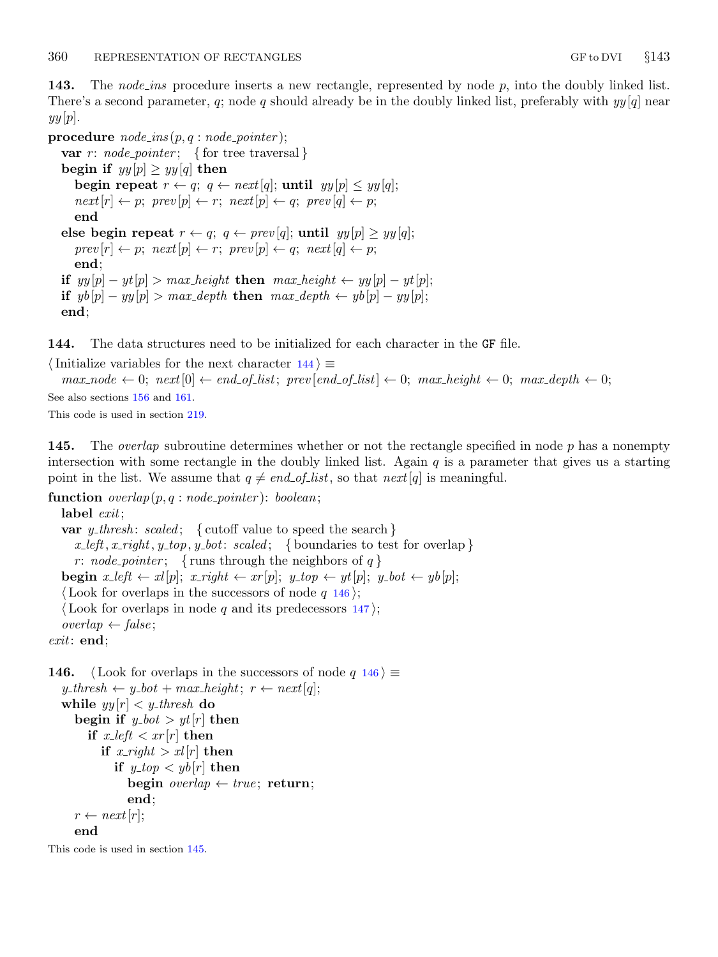<span id="page-59-0"></span>143. The node inserts a new rectangle, represented by node p, into the doubly linked list. There's a second parameter, q; node q should already be in the doubly linked list, preferably with  $yy[q]$  near  $yy[p].$ 

procedure  $node-ins(p, q: node\_pointer);$ var  $r: node\_pointer; \{ for tree traversal \}$ begin if  $yy[p] \geq yy[q]$  then begin repeat  $r \leftarrow q$ ;  $q \leftarrow next[q]$ ; until  $yy[p] \leq yy[q]$ ;  $next[r] \leftarrow p; \ prev[p] \leftarrow r; \ next[p] \leftarrow q; \ prev[q] \leftarrow p;$ end else begin repeat  $r \leftarrow q$ ;  $q \leftarrow prev[q]$ ; until  $yy[p] \geq yy[q]$ ;  $prev[r] \leftarrow p; next[p] \leftarrow r; prev[p] \leftarrow q; next[q] \leftarrow p;$ end; if  $yy[p] - yt[p] > max \text{.} height$  then  $max \text{.} height \leftarrow yy[p] - yt[p]$ ; if  $yb[p] - yy[p] > max-depth$  then  $max-depth \leftarrow yb[p] - yy[p]$ ; end;

144. The data structures need to be initialized for each character in the GF file.

 $\langle$  Initialize variables for the next character 144 $\rangle \equiv$ 

 $max-node \leftarrow 0; next[0] \leftarrow end_of_list; prev[end_of_list] \leftarrow 0; max.length \leftarrow 0; max.depth \leftarrow 0;$ See also sections [156](#page-62-0) and [161](#page-63-0).

This code is used in section [219.](#page-79-0)

145. The *overlap* subroutine determines whether or not the rectangle specified in node p has a nonempty intersection with some rectangle in the doubly linked list. Again q is a parameter that gives us a starting point in the list. We assume that  $q \neq end\_of\_list$ , so that  $next[q]$  is meaningful.

```
function overlap(p, q : node\_pointer): boolean;
  label exit;
  var y_thresh: scaled; { cutoff value to speed the search }
     x_{\textit{left}, x_{\textit{right}, y_{\textit{top}, y_{\textit{bot}}}} scaled; { boundaries to test for overlap }
     r: node_pointer; { runs through the neighbors of q}
  begin x-left \leftarrow x[p]; x-right \leftarrow xr[p]; y-top \leftarrow yt[p]; y-bot \leftarrow yb[p];
  \langle Look for overlaps in the successors of node q 146\rangle;
  \langle147\rangle;
  overlap \leftarrow false;exit: end;
```

```
146. \langle Look for overlaps in the successors of node q \, 146 \rangle \equivy_{\text{-}}thresh \leftarrow y_{\text{-}}bot + max_{\text{-}}height; r \leftarrow next[q];while yy[r] < y_{\text{thresh}} do
     begin if y\_bot > yt[r] then
        if x-left \langle xr[r] then
           if x-right > x[r] then
              if y\_{top} < yb[r] then
                  begin overlap \leftarrow true; return;
                  end;
     r \leftarrow next[r];end
```
This code is used in section 145.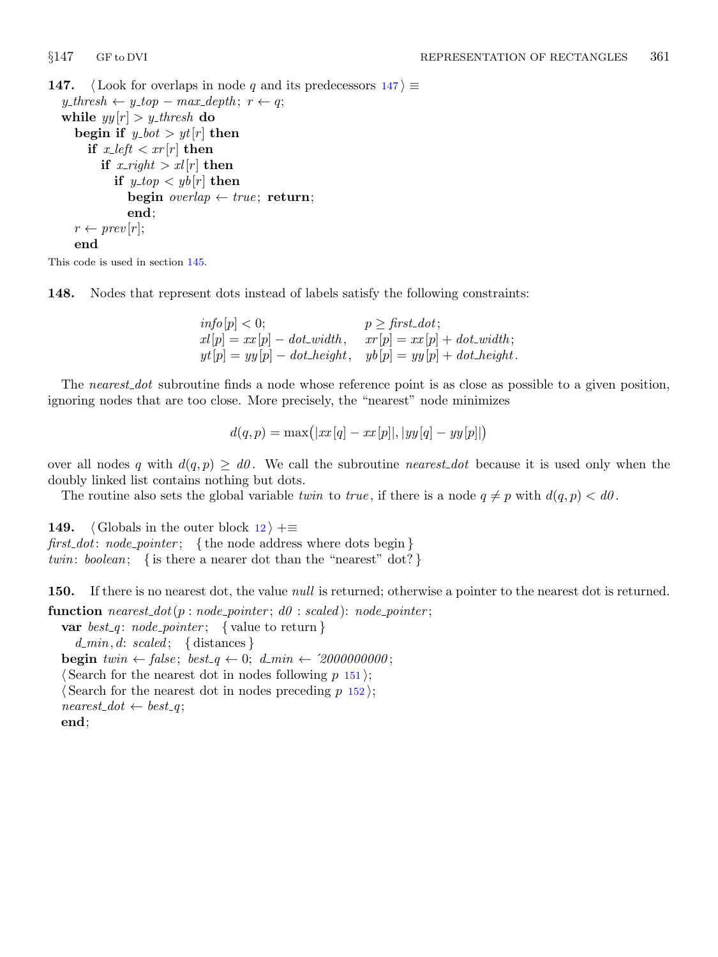<span id="page-60-0"></span>**147.**  $\langle$  Look for overlaps in node q and its predecessors 147 $\rangle \equiv$  $y_{\text{-}}$ thresh  $\leftarrow$  y\_top – max\_depth;  $r \leftarrow q$ ; while  $yy[r] > y_{\text{thresh}}$  do begin if  $y_{-}bot > yt[r]$  then if  $x$ -left  $\langle xr[r]$  then if  $x$ -right  $>$   $xl[r]$  then if  $y\_{top} < yb|r|$  then begin overlap  $\leftarrow true$ ; return; end;  $r \leftarrow prev[r];$ end

This code is used in section [145.](#page-59-0)

148. Nodes that represent dots instead of labels satisfy the following constraints:

| info[p] < 0;                                                | $p \geq first\_dot;$      |
|-------------------------------------------------------------|---------------------------|
| $xl[p] = xx[p] - dot_width,$                                | $xr p =xx p +dot\_width;$ |
| $yt[p] = yy[p] - dot\_height, yb[p] = yy[p] + dot\_height.$ |                           |

The nearest dot subroutine finds a node whose reference point is as close as possible to a given position, ignoring nodes that are too close. More precisely, the "nearest" node minimizes

$$
d(q, p) = \max(|xx[q] - xx[p]|, |yy[q] - yy[p]|)
$$

over all nodes q with  $d(q, p) \geq d\theta$ . We call the subroutine *nearest dot* because it is used only when the doubly linked list contains nothing but dots.

The routine also sets the global variable twin to true, if there is a node  $q \neq p$  with  $d(q, p) < d0$ .

149. (Globals in the outer block  $12$ ) +≡ first\_dot: node\_pointer; { the node address where dots begin} twin: boolean; { is there a nearer dot than the "nearest" dot? }

150. If there is no nearest dot, the value *null* is returned; otherwise a pointer to the nearest dot is returned.

**function** nearest\_dot(p: node\_pointer;  $d0$ : scaled): node\_pointer;

var best\_q: node\_pointer; { value to return }  $d_{\text{min}}$ ,  $d: scaled; \{ distances\}$ 

**begin** twin  $\leftarrow$  false; best\_q  $\leftarrow$  0; d\_min  $\leftarrow$  '2000000000;

 $\langle$  Search for the nearest dot in nodes following p [151](#page-61-0) $\rangle$ ;

 $\langle$  Search for the nearest dot in nodes preceding p [152](#page-61-0) $\rangle$ ;

 $nearest\_dot \leftarrow best_q;$ end;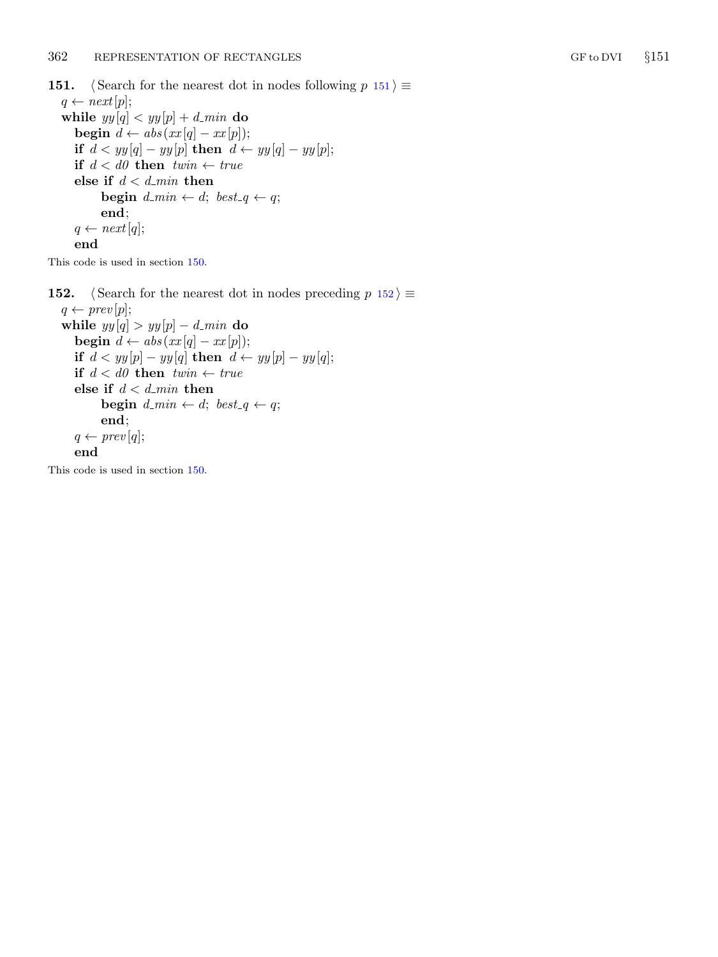<span id="page-61-0"></span>151. Search for the nearest dot in nodes following  $p \neq 151$  i ≡  $q \leftarrow next[p];$ while  $yy[q] < yy[p] + d$ -min do **begin**  $d \leftarrow abs(xx[q] - xx[p])$ ; if  $d < yy[q] - yy[p]$  then  $d \leftarrow yy[q] - yy[p]$ ; if  $d < d0$  then  $twin \leftarrow true$ else if  $d < d$ -min then begin  $d_{\text{min}} \leftarrow d$ ; best<sub>-q</sub>  $\leftarrow q$ ; end;  $q \leftarrow next[q];$ end

This code is used in section [150.](#page-60-0)

152. Search for the nearest dot in nodes preceding  $p \neq 152$  i  $q \leftarrow prev[p];$ while  $yy[q] > yy[p] - d$ <sub>-min</sub> do begin  $d \leftarrow abs(xx[q] - xx[p])$ ; if  $d < yy[p] - yy[q]$  then  $d \leftarrow yy[p] - yy[q]$ ; if  $d < d\theta$  then  $twin \leftarrow true$ else if  $d < d$ -min then begin  $d_{\text{min}} \leftarrow d$ ; best\_q  $\leftarrow q$ ; end;  $q \leftarrow prev[q];$ end

This code is used in section [150.](#page-60-0)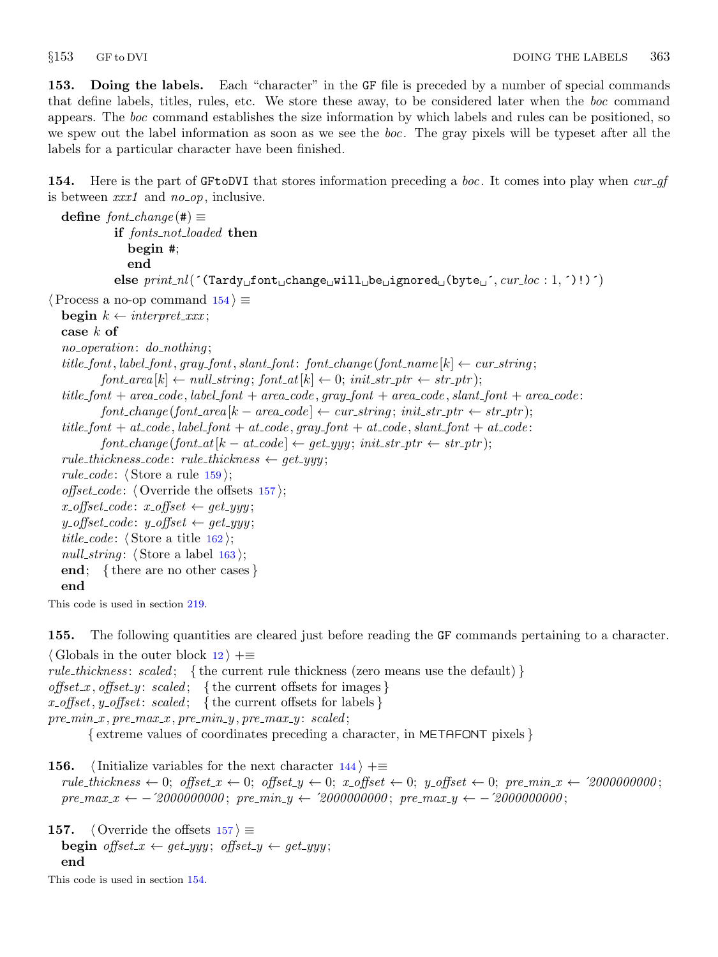<span id="page-62-0"></span>153. Doing the labels. Each "character" in the GF file is preceded by a number of special commands that define labels, titles, rules, etc. We store these away, to be considered later when the boc command appears. The boc command establishes the size information by which labels and rules can be positioned, so we spew out the label information as soon as we see the *boc*. The gray pixels will be typeset after all the labels for a particular character have been finished.

**154.** Here is the part of GFtoDVI that stores information preceding a boc. It comes into play when cur gf is between  $xxx1$  and  $no\_op$ , inclusive.

```
define font\_change (\#) \equivif fonts not loaded then
                 begin #;
                 end
              else print_n l' (Tardy<sub>u</sub>font change will be ignored (byte _i, cur loc : 1, ´)!) ^)
\langle Process a no-op command 154\rangle \equivbegin k \leftarrow interpret\_xxx;case k of
  no\_operation: do\_nothing;title font, label font, gray font, slant font: font change (font name [k] \leftarrow cur\_string;font\_\nleftarrow [k] \leftarrow null\_\nleftarrow; font\_\nleftarrow [k] \leftarrow 0; init\_\nleftarrow, str\_ptr);title\_font + area\_code, label\_font + area\_code, gray\_font + area\_code, slant\_font + area\_code:
           font\_change (font\_area [k - area\_code] \leftarrow cur\_string; \, init\_str\_ptr \leftarrow str\_ptr);title_font + at_code, label_font + at_code, gray_font + at_code, slant_font + at_code:
           font\_change (font\_at|k - at\_code] \leftarrow get\_yyy; \; init\_str\_ptr \leftarrow str\_ptr);rule\_thickness\_code: rule\_thickness \leftarrow get\_yyy;rule_code: \langle159\rangle;
  offset_code: \langle Override the offsets 157\rangle;
  x \text{-} \text{offset}\text{-} \text{code}: x \text{-} \text{offset} \leftarrow \text{get}\text{-} \text{yyy};y\text{-}offset\text{-}code: y\text{-}offset \leftarrow get\text{-}yyy;title_code: \langle162\rangle;
  null_string: \langle163\rangle;
  end; { there are no other cases }
  end
```
This code is used in section [219.](#page-79-0)

155. The following quantities are cleared just before reading the GF commands pertaining to a character.

 $\langle$  Globals in the outer block [12](#page-4-0)  $\rangle$  +≡ rule thickness: scaled; {the current rule thickness (zero means use the default) }  $offset_x, offset_y: scaled; \{ the current offsets for images \}$  $x \text{-} \text{offset}, y \text{-} \text{offset}: \text{scaled};$  {the current offsets for labels}  $pre\_min_x$ ,  $pre\_max_x$ ,  $pre\_min_y$ ,  $pre\_max_y$ : scaled; { extreme values of coordinates preceding a character, in METAFONT pixels }

156. (Initialize variables for the next character  $144$ ) +≡  $rule\_thickness \leftarrow 0; offset\_x \leftarrow 0; offset\_y \leftarrow 0; x\_offset \leftarrow 0; y\_offset \leftarrow 0; pre\_min\_x \leftarrow '2000000000;$  $pre\_max_x \leftarrow -2000000000$ ;  $pre\_min_y \leftarrow 2000000000$ ;  $pre\_max_y \leftarrow -20000000000$ ;

157. (Override the offsets  $157 \geq$ **begin** offset  $x \leftarrow get\_yyy$ ; offset  $y \leftarrow get\_yyy$ ; end

This code is used in section 154.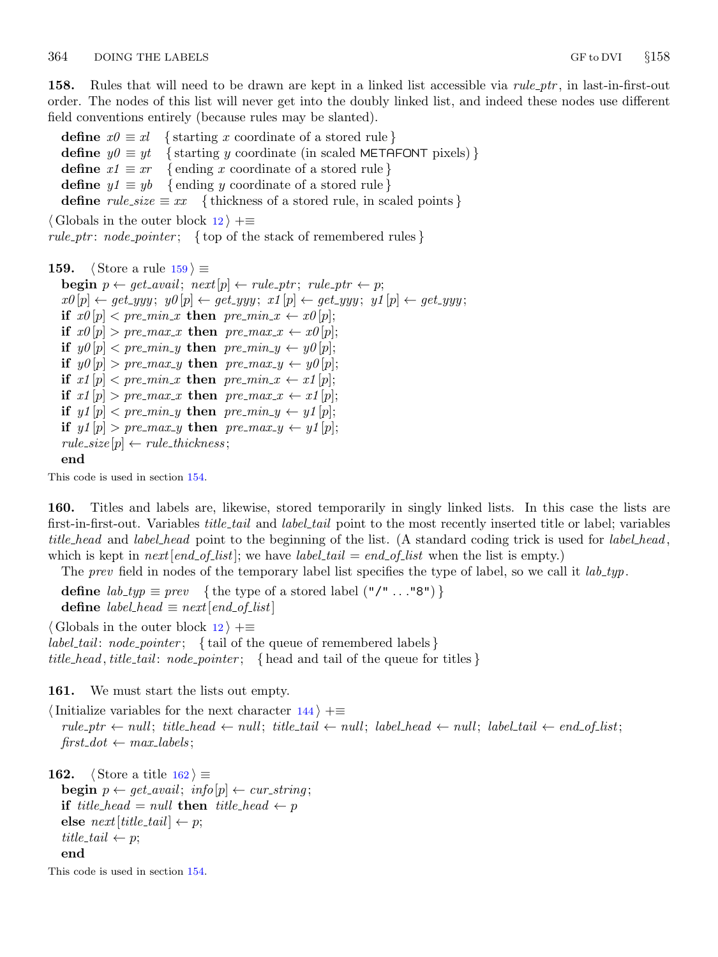<span id="page-63-0"></span>158. Rules that will need to be drawn are kept in a linked list accessible via rule ptr, in last-in-first-out order. The nodes of this list will never get into the doubly linked list, and indeed these nodes use different field conventions entirely (because rules may be slanted).

define  $x0 \equiv x l$  { starting x coordinate of a stored rule } define  $y0 \equiv yt$  { starting y coordinate (in scaled METAFONT pixels) } define  $x1 \equiv xr$  { ending x coordinate of a stored rule } **define**  $y1 \equiv yb$  {ending y coordinate of a stored rule} define  $rule\_size \equiv xx$  { thickness of a stored rule, in scaled points }

 $\langle$  Globals in the outer block  $12$   $\rangle$  +=

rule\_ptr: node\_pointer; { top of the stack of remembered rules }

## 159. (Store a rule  $159$ )  $\equiv$

**begin**  $p \leftarrow get\_avail; next[p] \leftarrow rule\_ptr; rule\_ptr \leftarrow p;$  $x0[p] \leftarrow get\_yyy; y0[p] \leftarrow get\_yyy; x1[p] \leftarrow get\_yyy; y1[p] \leftarrow get\_yyy;$ if  $x0[p] < pre\_min_x$  then  $pre\_min_x \leftarrow x0[p]$ ; if  $x0[p] > pre\_max_x$  then  $pre\_max_x \leftarrow x0[p]$ ; if  $y0[p] < pre\_min_y$  then  $pre\_min_y \leftarrow y0[p];$ if  $y0[p] > pre\_max_y$  then  $pre\_max_y \leftarrow y0[p];$ if  $x1[p] < pre\_min_x$  then  $pre\_min_x \leftarrow x1[p]$ ; if  $x1[p] > pre\_max_x$  then  $pre\_max_x \leftarrow x1[p]$ ; if  $y1[p] < pre\_min_y$  then  $pre\_min_y \leftarrow y1[p]$ ; if  $y1[p] > pre_max_y$  then  $pre_max_y \leftarrow y1[p]$ ;  $rule\_size[p] \leftarrow rule\_thickness;$ end

This code is used in section [154.](#page-62-0)

160. Titles and labels are, likewise, stored temporarily in singly linked lists. In this case the lists are first-in-first-out. Variables *title\_tail* and *label\_tail* point to the most recently inserted title or label; variables title head and label head point to the beginning of the list. (A standard coding trick is used for label head, which is kept in next [end\_of\_list]; we have label\_tail = end\_of\_list when the list is empty.)

The prev field in nodes of the temporary label list specifies the type of label, so we call it  $lab\_typ$ .

define  $lab\_typ \equiv prev \{$  the type of a stored label  $("/ " ... "8")\}$ define label\_head  $\equiv next[end_of_list]$ 

 $\langle$  Globals in the outer block  $12$   $\rangle$  +=

label tail: node pointer; { tail of the queue of remembered labels } title\_head, title\_tail: node\_pointer; { head and tail of the queue for titles }

161. We must start the lists out empty.

 $\langle$  Initialize variables for the next character [144](#page-59-0) $\rangle$  +≡  $rule\_ptr \leftarrow null; title\_head \leftarrow null; title\_tail \leftarrow null; label\_head \leftarrow null; label\_tail \leftarrow end\_of\_list;$  $first\_dot \leftarrow max\_labels;$ 

```
162. (Store a title 162) \equivbegin p \leftarrow get\_avail; info[p] \leftarrow cur\_string;
  if title_head = null then title_head \leftarrow pelse next[title\_tail] \leftarrow p;title_tail \leftarrow p;
  end
```
This code is used in section [154.](#page-62-0)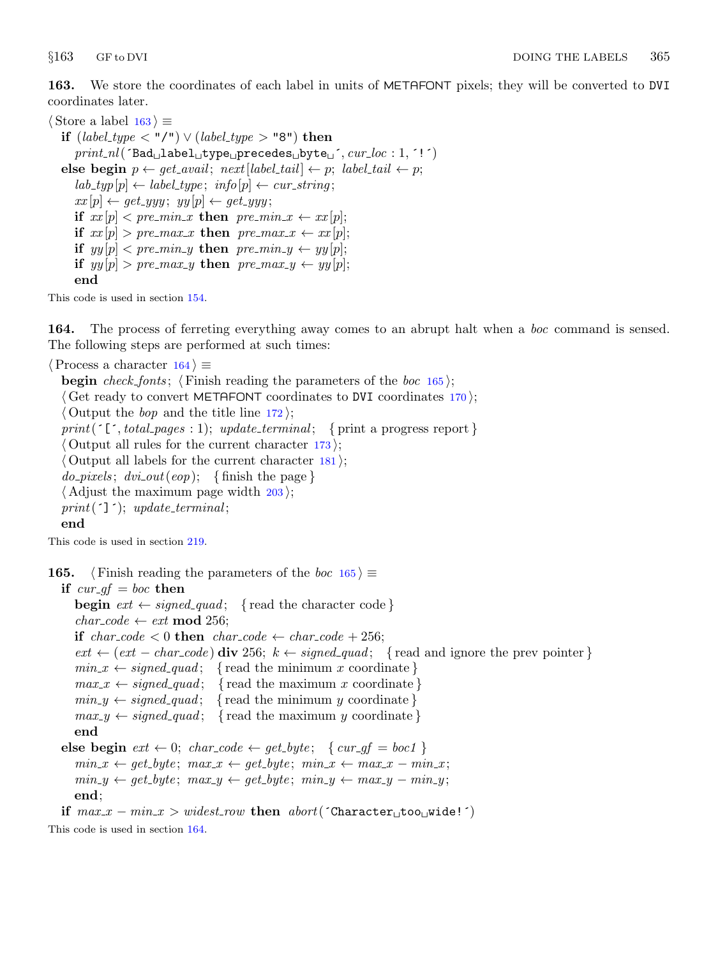<span id="page-64-0"></span>163. We store the coordinates of each label in units of METAFONT pixels; they will be converted to DVI coordinates later.

```
\langle Store a label 163 \rangle \equivif (label_type < "\prime") \vee (label_type > "\prime") then
     print\_nl (Bad\Boxabel\Boxtype\Boxprecedes\Boxbyte\Box; cur\_loc : 1, '!\')
  else begin p \leftarrow get\_avail; next[label\_tail] \leftarrow p; label\_tail \leftarrow p;lab\_typ[p] \leftarrow label\_type; info[p] \leftarrow cur\_string;xx[p] \leftarrow get\_yyy; yy[p] \leftarrow get\_yyy;if xx[p] < pre\_min\_x then pre\_min\_x \leftarrow xx[p];
     if xx[p] > pre\_max_x then pre\_max_x \leftarrow xx[p];
     if yy[p] < pre\_min_y then pre\_min_y \leftarrow yy[p];
     if yy[p] > pre.max_y then pre_max_y \leftarrow yy[p];
     end
```
This code is used in section [154.](#page-62-0)

164. The process of ferreting everything away comes to an abrupt halt when a boc command is sensed. The following steps are performed at such times:

 $\langle$  Process a character 164 $\rangle \equiv$ **begin** check fonts; (Finish reading the parameters of the boc 165);  $\langle$  Get ready to convert METAFONT coordinates to DVI coordinates [170](#page-65-0) $\rangle$ ;  $\langle$  Output the *bop* and the title line [172](#page-66-0) $\rangle$ ;  $print('[]', total\_pages : 1); update\_terminal; \{ print a progress report\}$  $\langle$  Output all rules for the current character [173](#page-67-0) $\rangle$ ;  $\langle$  Output all labels for the current character [181](#page-68-0) $\rangle$ ;  $do\_pixels$ ;  $dvi\_out(eop)$ ; {finish the page}  $\langle$  Adjust the maximum page width  $203$ ;  $print(']'); update-terminal;$ end

This code is used in section [219.](#page-79-0)

165. (Finish reading the parameters of the boc  $165$ )  $\equiv$ 

if  $cur\_qf = boc$  then **begin**  $ext \leftarrow signed\_quad; \{ read the character code \}$  $char\_code \leftarrow ext \mod 256;$ if char\_code  $\lt 0$  then char\_code  $\leftarrow$  char\_code + 256;  $ext \leftarrow (ext - char\_code)$  div 256;  $k \leftarrow signed\_quad$ ; {read and ignore the prev pointer}  $min_x \leftarrow signed\_quad;$  {read the minimum x coordinate }  $max_x \leftarrow signed\_quad;$  {read the maximum x coordinate}  $min_y \leftarrow signed\_quad;$  { read the minimum y coordinate }  $max_y \leftarrow signed\_quad;$  {read the maximum y coordinate} end else begin  $ext \leftarrow 0$ ; char\_code  $\leftarrow get\_byte$ ; { cur\_qf = boc1 }  $min_x \leftarrow get\_byte; max_x \leftarrow get\_byte; min_x \leftarrow max_x - min_x;$  $min_y \leftarrow get\_byte; max_y \leftarrow get\_byte; min_y \leftarrow max_y - min_y;$ end;

if  $max_x - min_x > wdest-row$  then  $abort('Character_1 too_1wide')$ This code is used in section 164.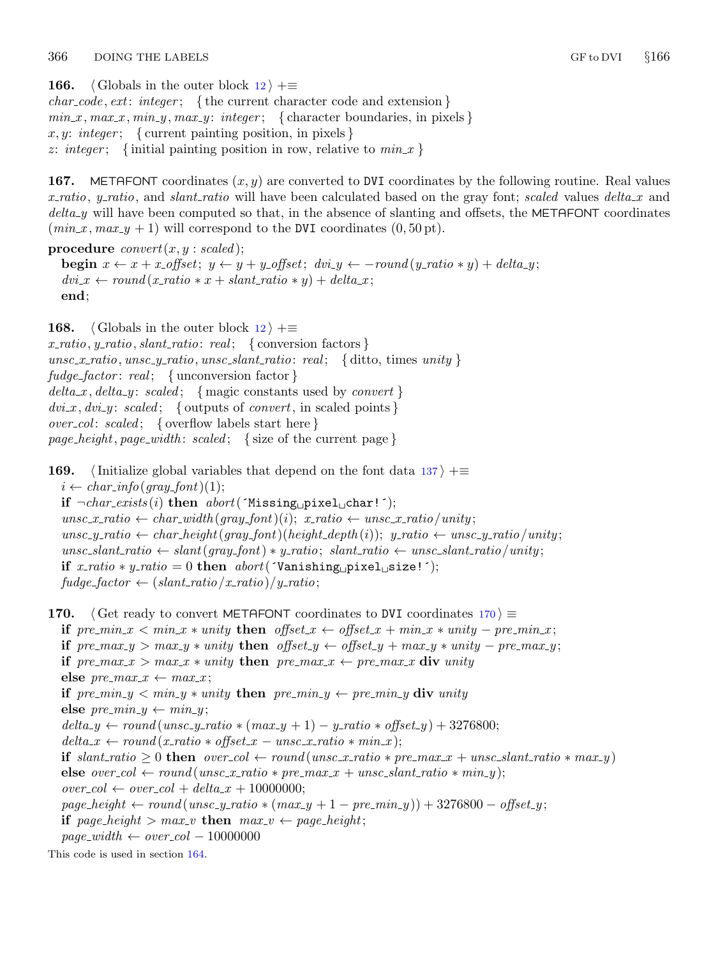<span id="page-65-0"></span>166.  $\langle$  Globals in the outer block [12](#page-4-0)  $\rangle$  +≡  $char\_code, ext: integer; \{ the current character code and extension \}$  $min_x, max_x, min_y, max_y$ : integer; { character boundaries, in pixels } x, y: integer; { current painting position, in pixels } z: integer; {initial painting position in row, relative to  $min_x$ }

167. METAFONT coordinates  $(x, y)$  are converted to DVI coordinates by the following routine. Real values x-ratio, y-ratio, and slant-ratio will have been calculated based on the gray font; scaled values delta  $x$  and  $delta_y$  will have been computed so that, in the absence of slanting and offsets, the METAFONT coordinates  $(min_x, max_y + 1)$  will correspond to the DVI coordinates  $(0, 50 \text{ pt})$ .

```
procedure convert(x, y : scaled);
  begin x \leftarrow x + x \text{-offset}; y \leftarrow y + y \text{-offset}; div \text{-} y \leftarrow -round(y \text{-} ratio * y) + delta \text{-} y;dvix \leftarrow round(x\_ratio * x + slant\_ratio * y) + delta\_x;end;
```

```
168. \langle12 \rangle +≡
x_ratio, y_ratio, slant_ratio: real; { conversion factors }
unsc_x_ratio, unsc_y_ratio, unsc_slant_ratio: real; { ditto, times unity }
fudge\_factor: real; \{unconversion factor\}delta.x, delta.y: scaled; \{magic constants used by convert\}dv_i x, dv_i y: scaled; { outputs of convert, in scaled points }
over-col: scaled; { overflow labels start here }
page_height, page_width: scaled; { size of the current page }
```

```
169. \langle137 \rangle +=
  i \leftarrow char\_info(gray\_font)(1);if \neg char\_exists(i) then abort('Missing_\text{up}ized_\text{u}char!');unsc_x-ratio \leftarrow char\_width(gray\_font)(i); x-ratio \leftarrow unsc_x-ratio/unity;
  unsc_y\_ratio \leftarrow char\_height(gray\_font)(height\_depth(i)); y\_ratio \leftarrow unsc_y\_ratio/unity;unsc\_slant\_ratio \leftarrow slant(gray\_font) * y\_ratio; slant\_ratio \leftarrow unsc\_slant\_ratio/unity;if x-ratio * y-ratio = 0 then abort('Vanishing pixel size!');
  fudge\_factor \leftarrow (slant\_ratio/x\_ratio)/y\_ratio;
```
170.  $\langle$  Get ready to convert METAFONT coordinates to DVI coordinates 170  $\rangle \equiv$ if  $pre\_min_x < min_x * unity$  then  $offset_x \leftarrow offset_x + min_x * unity - pre\_min_x;$ if pre\_max\_y > max\_y ∗ unity then offset\_y  $\leftarrow$  offset\_y + max\_y ∗ unity – pre\_max\_y; if pre\_max\_x > max\_x \* unity then pre\_max\_x  $\leftrightarrow$  pre\_max\_x div unity else  $pre\_max_x \leftarrow max_x;$ if  $pre\_min_y < min_y * unity$  then  $pre\_min_y \leftarrow pre\_min_y$  div unity else  $pre\_min_y \leftarrow min_y$ ;  $delta_y \leftarrow round(unsc_y\_ratio * (max_y + 1) - y\_ratio * offset\_y) + 3276800;$  $delta x \leftarrow round(x\_ratio * offset\_x - unsc\_x\_ratio * min\_x);$ if slant\_ratio  $\geq 0$  then over\_col  $\leftarrow$  round (unsc\_x\_ratio \* pre\_max\_x + unsc\_slant\_ratio \* max\_y) else over\_col ← round (unsc\_x\_ratio \* pre\_max\_x + unsc\_slant\_ratio \* min\_y);  $over_col \leftarrow over_col + delta_c x + 10000000;$  $page\_height \leftarrow round({unsc.y\_ratio * (max_y + 1 - pre\_min_y)}) + 3276800 - offset.y;$ if page\_height > max\_v then max\_v  $\leftarrow$  page\_height;  $page\_width \leftarrow over\_col - 10000000$ This code is used in section [164.](#page-64-0)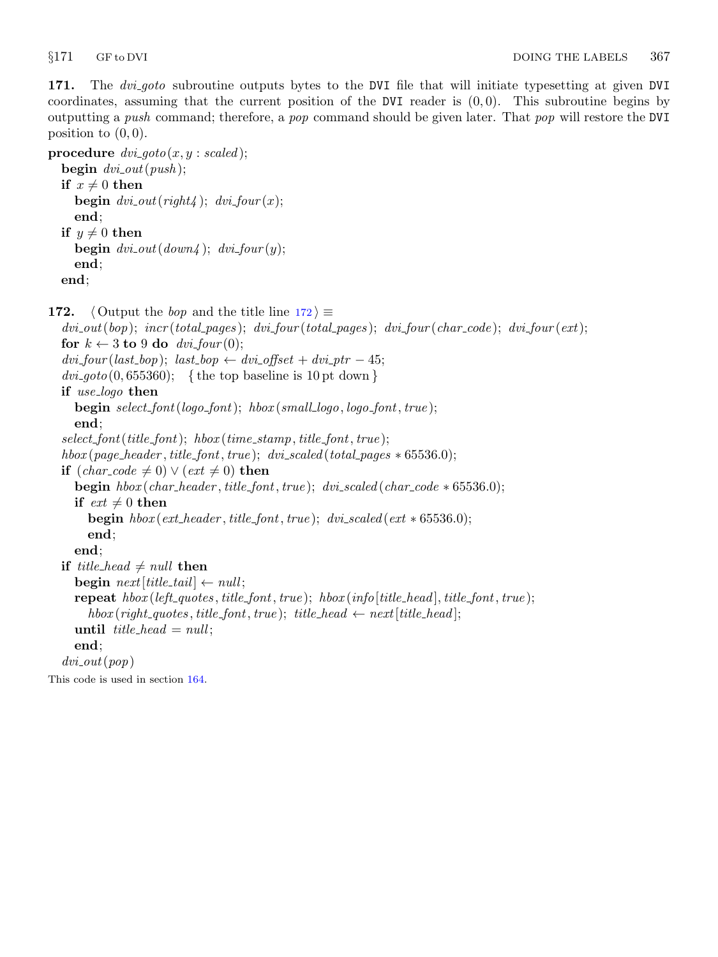<span id="page-66-0"></span>171. The dvi goto subroutine outputs bytes to the DVI file that will initiate typesetting at given DVI coordinates, assuming that the current position of the DVI reader is  $(0, 0)$ . This subroutine begins by outputting a push command; therefore, a pop command should be given later. That pop will restore the DVI position to  $(0, 0)$ .

```
procedure dv i_q o to (x, y : scaled);begin dvi-out(push);
  if x \neq 0 then
     begin dvi-out(right4); dvi-four(x);
     end;
  if y \neq 0 then
     begin dvi_ut(down4); dvi_four(y);
     end;
  end;
172. \langle Output the bop and the title line 172\rangle \equivdiv_{.}out(bop); incr (total_pages); div_{.}four (total_pages); div_{.}four (char_{.}code); div_{.}four (ext);for k \leftarrow 3 to 9 do dvi_four(0);
  dvi_four(last_bop); last_bop \leftarrow dvi_offset + dvi_ptr - 45;dv i_g o to (0, 655360); {the top baseline is 10 pt down }
  if use logo then
     begin select_font(logo_font); hbox(small_logo, logo_font, true);
     end;
  select\_font (title\_font); \;hbox (time\_stamp, title\_font, true);hbox(page\_header, title\_font, true); \ div1. scaled (total_pages * 65536.0);if (char\_code \neq 0) \vee (ext \neq 0) then
     begin hbox (char_header, title_font, true); dvi_scaled (char_code * 65536.0);
     if ext \neq 0 then
       begin hbox(xt}.header, title\_font, true); \n<i>div</i>.scaled (ext * 65536.0);end;
     end;
  if title_head \neq null then
     begin next[title\_tail] \leftarrow null;repeat hbox(left_quotes, titlefont, true); hbox(info[title-head], titlefont, true);hbox(right\_ quotes, title\_font, true); \ title\_head \leftarrow next[title\_head];until title_head = null;
     end;
  div\_out(pop)This code is used in section 164.
```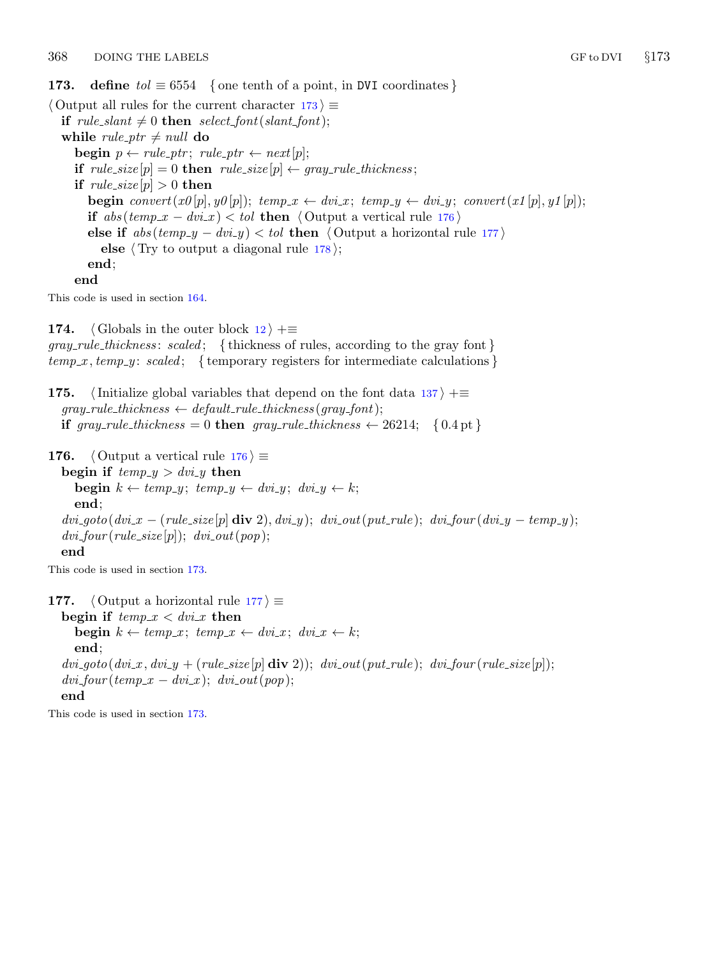<span id="page-67-0"></span>173. define  $tol \equiv 6554$  {one tenth of a point, in DVI coordinates }

 $\langle$  Output all rules for the current character  $173$   $\equiv$ if rule\_slant  $\neq 0$  then select\_font(slant\_font); while  $rule\_ptr \neq null$  do **begin**  $p \leftarrow rule\_ptr$ ; rule\_ptr  $\leftarrow next[p]$ ; if  $rule\_size[p] = 0$  then  $rule\_size[p] \leftarrow gray\_rule\_thickness;$ if  $rule\_size[p] > 0$  then **begin** convert(x0 [p], y0 [p]); temp  $x \leftarrow div \cdot x$ ; temp  $y \leftarrow div \cdot y$ ; convert(x1 [p], y1 [p]); if  $abs(temp_x - div_x) < tol$  then  $\langle$  Output a vertical rule 176 $\rangle$ else if  $abs(temp_y - div_y) < tol$  then  $\langle$  Output a horizontal rule 177 $\rangle$ else  $\langle$  Try to output a diagonal rule [178](#page-68-0) $\rangle$ ; end; end

This code is used in section [164.](#page-64-0)

174.  $\langle$  Globals in the outer block [12](#page-4-0)  $\rangle$  +≡  $gray\_rule\_thickness: scaled; \{ thickness of rules, according to the gray font \}$  $temp_x, temp_y: scaled;$  { temporary registers for intermediate calculations }

175. (Initialize global variables that depend on the font data  $137$ ) +≡  $gray\_rule\_thickness \leftarrow default\_rule\_thickness (gray\_font);$ if gray\_rule\_thickness = 0 then gray\_rule\_thickness  $\leftarrow$  26214; { 0.4 pt }

```
176. \langle Output a vertical rule 176 \rangle \equivbegin if temp_y > \frac{dv_i}{y} then
      begin k \leftarrow temp_y; temp_y \leftarrow div_y; div_y \leftarrow k;
      end;
   dvi\_goto(dvi_x - (rule\_size[p] \, \text{div 2}), dvi_y); \, dvi\_out(put\_rule); \, dvi\_four(dvi_y - temp_y);div_{\mathcal{I}} four (rule_size [p]); dv_{\mathcal{I}} out (pop);end
```
This code is used in section 173.

```
177. (Output a horizontal rule 177) \equivbegin if temp_x < div_x then
     begin k \leftarrow temp_x; temp_x \leftarrow div_x; div_x \leftarrow k;
     end;
  dvi\_goto(dvi.x, dviy + (rule_size[p] div 2)); dvi\_out(put-rule); dvizfour (rule_size[p]);dvi_{\text{r}}(temp_{\text{r}} - dv_{\text{r}}); dvi_{\text{r}}(pop);end
```
This code is used in section 173.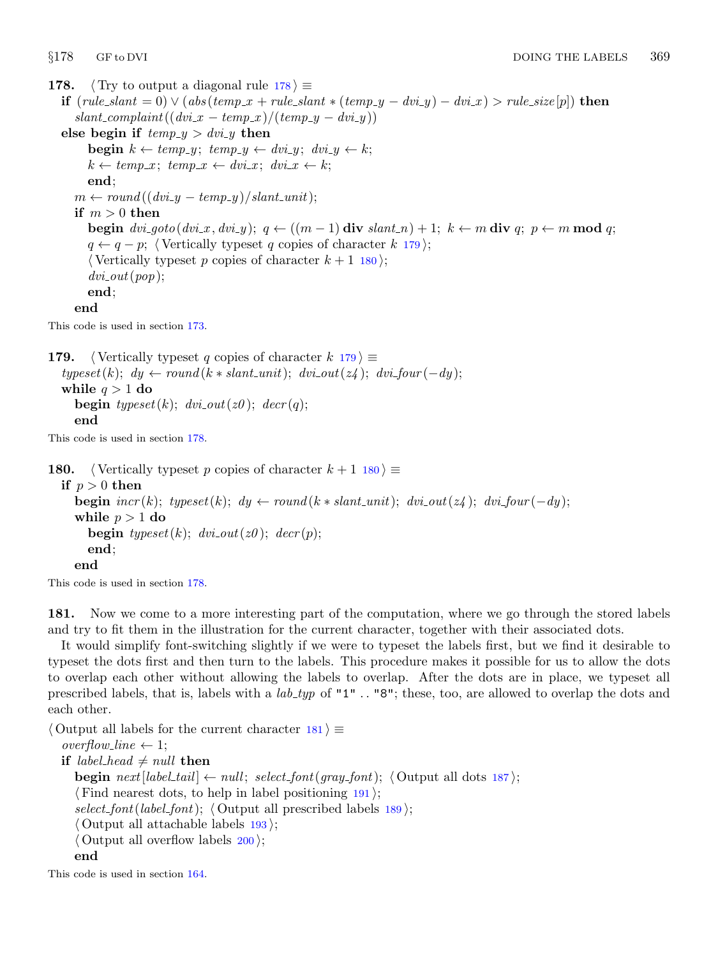<span id="page-68-0"></span>178.  $\langle$  Try to output a diagonal rule 178 $\rangle \equiv$ if  $(\text{rule\_slant} = 0) \vee (\text{abs}(\text{temp\_}x + \text{rule\_slant} * (\text{temp\_}y - \text{div\_}y) - \text{div\_}x) > \text{rule\_size}[p])$  then  $s$ lant\_complaint $((dv_x - temp_x)/(temp_y - dv_y))$ else begin if  $temp_{y} > dv_{y}$  then **begin**  $k \leftarrow temp_y$ ;  $temp_y \leftarrow div_y$ ;  $div_y \leftarrow k$ ;  $k \leftarrow temp_x$ ;  $temp_x \leftarrow div_x$ ;  $dv_i x \leftarrow k$ ; end;  $m \leftarrow round((div<sub>1</sub> y - temp<sub>-</sub> y)/slant\_unit);$ if  $m > 0$  then begin  $\text{div}_q \text{ot}(\text{div}_x, \text{div}_y); q \leftarrow ((m-1) \text{div } \text{slant}_x) + 1; k \leftarrow m \text{div } q; p \leftarrow m \text{ mod } q;$  $q \leftarrow q - p$ ; (Vertically typeset q copies of character k 179);  $\langle$  Vertically typeset p copies of character  $k + 1$  180 $\rangle$ ;  $div\_out(pop);$ end; end This code is used in section [173.](#page-67-0)

179. (Vertically typeset q copies of character k  $179$ )  $\equiv$  $typeset(k); dy \leftarrow round(k * slant\_unit); dvi\_out(z4); dvi\_four(-dy);$ while  $q > 1$  do **begin** typeset(k);  $dvi_$ ut(z0);  $decr(q)$ ; end

This code is used in section 178.

```
180. (Vertically typeset p copies of character k + 1 180) \equivif p > 0 then
     begin \text{incr}(k); \text{typeset}(k); \text{dy} \leftarrow \text{round}(k * \text{slant\_unit}); \text{dvi\_out}(z4); \text{dvi\_four}(-\text{dy});
     while p > 1 do
        begin typeset(k); dvi_ut(z0); decr(p);
        end;
     end
```
This code is used in section 178.

181. Now we come to a more interesting part of the computation, where we go through the stored labels and try to fit them in the illustration for the current character, together with their associated dots.

It would simplify font-switching slightly if we were to typeset the labels first, but we find it desirable to typeset the dots first and then turn to the labels. This procedure makes it possible for us to allow the dots to overlap each other without allowing the labels to overlap. After the dots are in place, we typeset all prescribed labels, that is, labels with a *lab-typ* of "1".. "8"; these, too, are allowed to overlap the dots and each other.

```
\langle Output all labels for the current character 181 \rangle \equivoverflow\_line \leftarrow 1;if label-head \neq null then
    begin next[label\_tail] \leftarrow null; select_font(gray_font); \langle187\rangle;
    \langle191\rangle;
    select_font(label_font); \langle189\rangle;
    \langle193\rangle;
    \langle Output all overflow labels 200;
    end
This code is used in section 164.
```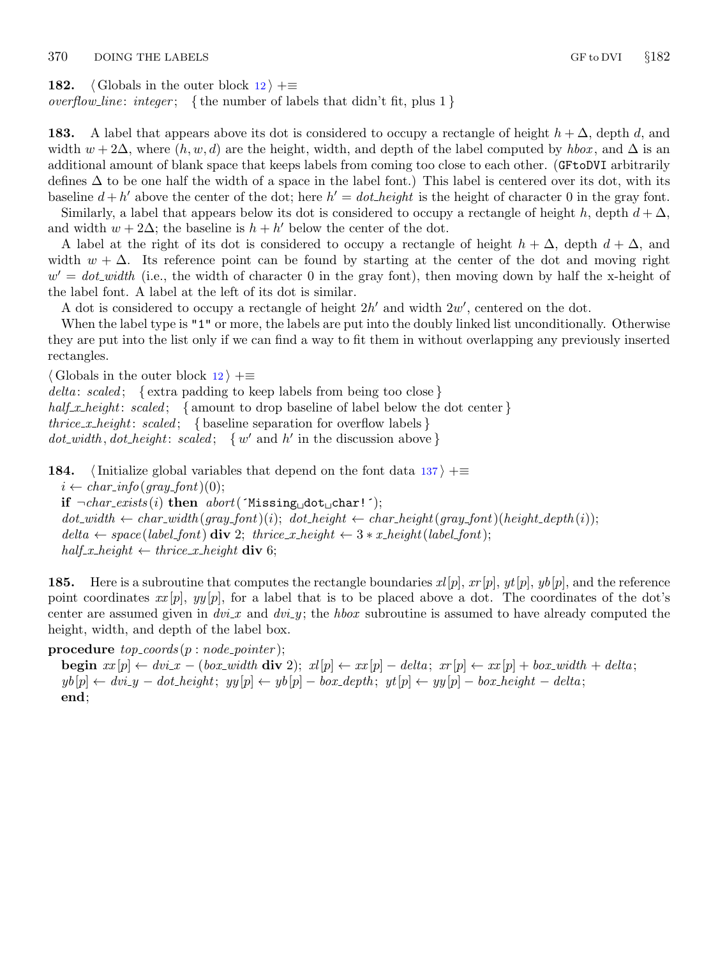<span id="page-69-0"></span>182.  $\langle$  Globals in the outer block [12](#page-4-0)  $\rangle$  +≡

overflow line: integer; {the number of labels that didn't fit, plus 1}

**183.** A label that appears above its dot is considered to occupy a rectangle of height  $h + \Delta$ , depth d, and width  $w + 2\Delta$ , where  $(h, w, d)$  are the height, width, and depth of the label computed by hbox, and  $\Delta$  is an additional amount of blank space that keeps labels from coming too close to each other. (GFtoDVI arbitrarily defines ∆ to be one half the width of a space in the label font.) This label is centered over its dot, with its baseline  $d + h'$  above the center of the dot; here  $h' = dot\_height$  is the height of character 0 in the gray font.

Similarly, a label that appears below its dot is considered to occupy a rectangle of height h, depth  $d + \Delta$ , and width  $w + 2\Delta$ ; the baseline is  $h + h'$  below the center of the dot.

A label at the right of its dot is considered to occupy a rectangle of height  $h + \Delta$ , depth  $d + \Delta$ , and width  $w + \Delta$ . Its reference point can be found by starting at the center of the dot and moving right  $w' = dot\_width$  (i.e., the width of character 0 in the gray font), then moving down by half the x-height of the label font. A label at the left of its dot is similar.

A dot is considered to occupy a rectangle of height  $2h'$  and width  $2w'$ , centered on the dot.

When the label type is "1" or more, the labels are put into the doubly linked list unconditionally. Otherwise they are put into the list only if we can find a way to fit them in without overlapping any previously inserted rectangles.

 $\langle$  Globals in the outer block  $12$   $\rangle$  +=

delta: scaled; { extra padding to keep labels from being too close} half  $x$  height: scaled; { amount to drop baseline of label below the dot center } *thrice\_x\_height: scaled*; { baseline separation for overflow labels }  $dot \text{.}~order$ ,  $dot \text{.}~scaled$ ;  $\{w' \text{ and } h' \text{ in the discussion above}\}$ 

**184.**  $\langle$  Initialize global variables that depend on the font data [137](#page-57-0)  $\rangle$  +=

 $i \leftarrow char\_info(qray\_font)(0);$ 

if  $\neg char\_exists(i)$  then abort( $\text{Missing}_\text{u}$ dot $\text{char}!$ ;  $dot_w/dth \leftarrow char_width(qray\_font)(i); \, dot\_height \leftarrow char\_height(qray\_font)(height\_depth(i));$  $delta \leftarrow space (label_{font})$  div 2; thrice x height  $\leftarrow 3 * x \text{ - height}$  (label font);  $half\_x\_height \leftarrow thrice\_x\_height$  div 6;

**185.** Here is a subroutine that computes the rectangle boundaries  $x[l]p, xr[p], yt[p], yb[p],$  and the reference point coordinates  $xx[p]$ ,  $yy[p]$ , for a label that is to be placed above a dot. The coordinates of the dot's center are assumed given in  $dv_i$  and  $dv_i$ ; the hbox subroutine is assumed to have already computed the height, width, and depth of the label box.

procedure  $top\_{coords}(p : node\_pointer);$ 

**begin**  $xx[p] \leftarrow div \cdot x - (box-width \, \text{div } 2); \, xl[p] \leftarrow xx[p] - delta; \, xr[p] \leftarrow xx[p] + box-width + delta;$  $y b[p] \leftarrow \text{div}_y - \text{dot}_y$   $y[p] \leftarrow y b[p] - \text{box}_y + \text{c}y[p] \leftarrow y y[p] - \text{box}_y + \text{c}y[p]$ end;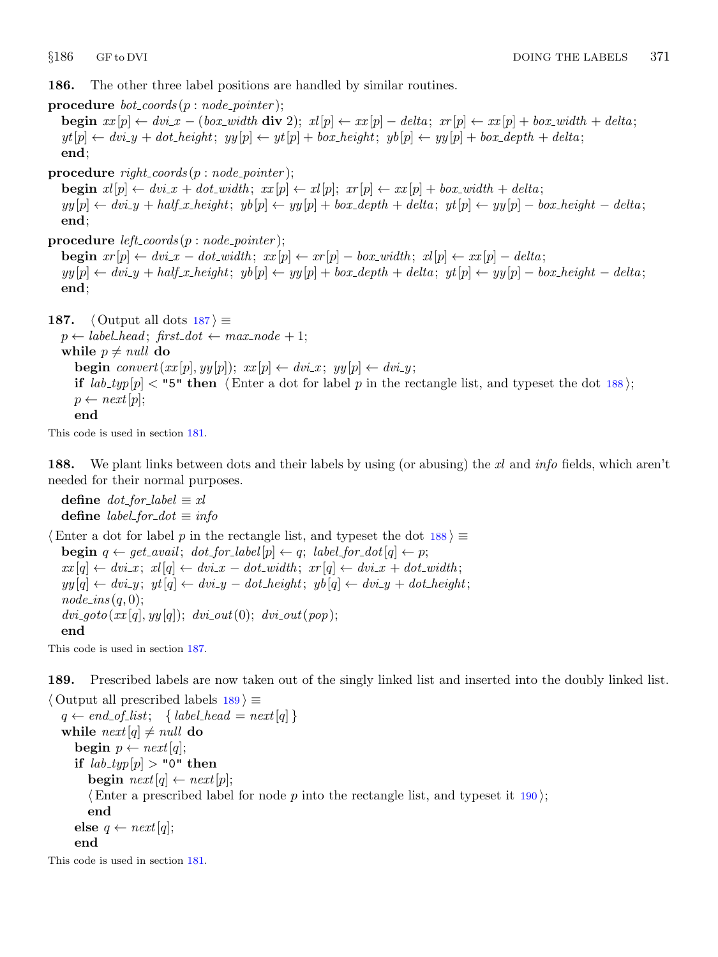<span id="page-70-0"></span>186. The other three label positions are handled by similar routines.

procedure  $bot\_coordinates(p:node\_pointer);$ **begin**  $xx[p] \leftarrow div \cdot x - (box-width \div 2); \quad x[p] \leftarrow xx[p] - delta; \quad xr[p] \leftarrow xx[p] + box-width + delta;$  $y[t[p] \leftarrow div_i y + dot\_height; yy[p] \leftarrow yt[p] + box\_height; yb[p] \leftarrow yy[p] + box\_depth + delta;$ end; procedure  $right\_coordinates(p:node\_pointer);$ **begin**  $x[p] \leftarrow dv \cdot x + dot \cdot width; \ xx[p] \leftarrow x[p]; \ xr[p] \leftarrow xx[p] + box \cdot width + delta;$  $yy[p] \leftarrow \text{div}.y + \text{half\_x} \cdot \text{height}; \ y\text{[y]} \leftarrow \text{yy}[p] + \text{box\_depth} + \text{delta}; \ y\text{[y]} \leftarrow \text{yy}[p] - \text{box\_height} - \text{delta};$ end; procedure  $left\_coordinates(p:node\_pointer);$ begin  $xr[p] \leftarrow div \cdot x - dot \cdot width; \; xx[p] \leftarrow xr[p] - box \cdot width; \; xl[p] \leftarrow xx[p] - delta;$ 

 $yy[p] \leftarrow \text{div}.y + \text{half\_x} \cdot \text{height}; \; yb[p] \leftarrow \text{yy}[p] + \text{box\_depth} + \text{delta}; \; yt[p] \leftarrow \text{yy}[p] - \text{box\_height} - \text{delta};$ end;

```
187. \langle Output all dots 187\rangle \equivp \leftarrow label\_head; first_dot \leftarrow max\_node + 1;while p \neq null do
     begin convert(xx[p], yy[p]); xx[p] \leftarrow dvix; yy[p] \leftarrow dviy;
     if lab\_typ[p] < "5" then \langle Enter a dot for label p in the rectangle list, and typeset the dot 188\rangle;
     p \leftarrow next[p];end
```
This code is used in section [181.](#page-68-0)

188. We plant links between dots and their labels by using (or abusing) the xl and info fields, which aren't needed for their normal purposes.

define  $dot_{\text{for}\_\text{label}} \equiv xl$ define label\_for\_dot  $\equiv$  info  $\langle$  Enter a dot for label p in the rectangle list, and typeset the dot 188 $\rangle ≡$ **begin**  $q \leftarrow get\_avail$ ;  $dot\_for\_label[p] \leftarrow q$ ;  $label\_for\_dot[q] \leftarrow p$ ;  $xx[q] \leftarrow dvix; \; x[q] \leftarrow dvix - dot\_width; \; xr[q] \leftarrow dvix + dot\_width;$  $yy[q] \leftarrow dvi_y; yt[q] \leftarrow dvi_y - dot\_height; yb[q] \leftarrow dvi_y + dot\_height;$  $node_{\text{in}}(q,0);$  $dvi\_goto(xx[q], yy[q]); dvi\_out(0); dvi\_out(pop);$ end

This code is used in section 187.

189. Prescribed labels are now taken out of the singly linked list and inserted into the doubly linked list.

 $\langle$  Output all prescribed labels  $189$   $\equiv$  $q \leftarrow end\_of\_list; \{ label\_head = next[q] \}$ while  $next[q] \neq null$  do begin  $p \leftarrow next[q]$ ; if  $lab\_typ[p] > "0"$  then **begin**  $next[q] \leftarrow next[p];$ (Enter a prescribed label for node p into the rectangle list, and typeset it [190](#page-71-0)); end else  $q \leftarrow next[q]$ ; end

This code is used in section [181.](#page-68-0)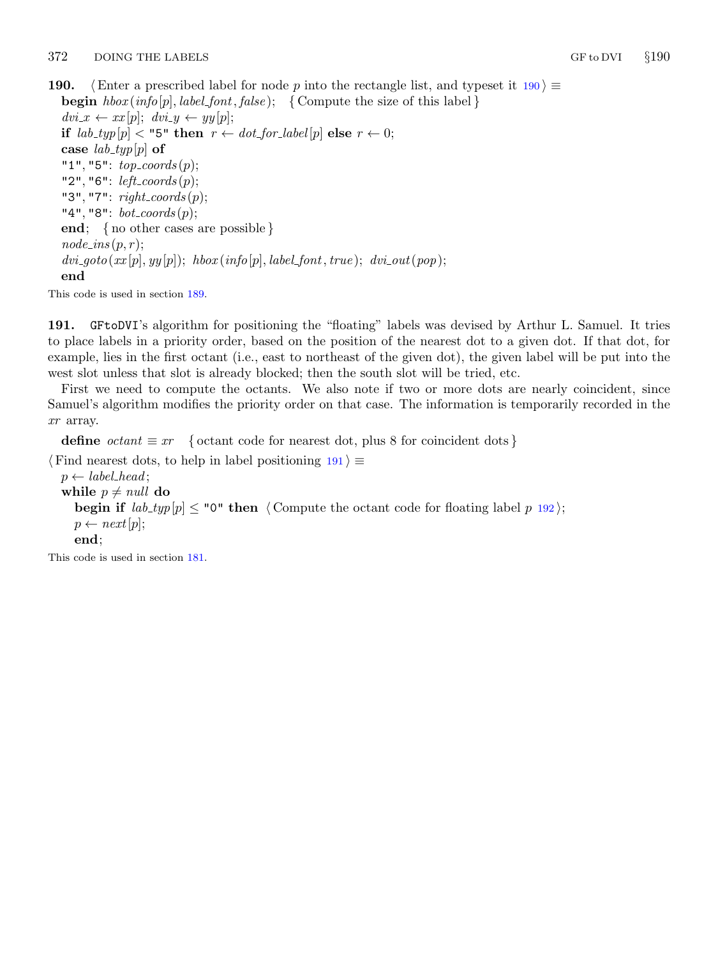<span id="page-71-0"></span>190.  $\langle$  Enter a prescribed label for node p into the rectangle list, and typeset it 190 $\rangle \equiv$ **begin**  $hbox(info[p], labelfont, false);$  { Compute the size of this label }  $dvi_x \leftarrow xx[p]; dv_i_y \leftarrow yy[p];$ if  $lab\_typ[p] < "5"$  then  $r \leftarrow dot\_for\_label[p]$  else  $r \leftarrow 0;$ case  $lab\_typ[p]$  of "1", "5":  $top\_{coords}(p)$ ; "2", "6":  $left\_coordinates(p);$ "3", "7":  $right\_coordinates(p);$ "4", "8":  $bot\_coordinates(p);$ end; { no other cases are possible }  $node_{\text{in}}(p,r);$  $dvi\_goto(xx[p], yy[p]); \;hbox(info[p], label\_font, true); \;dvi\_out(pop);$ 

$$
\hspace{15pt}\textbf{end}
$$

This code is used in section [189.](#page-70-0)

191. GFtoDVI's algorithm for positioning the "floating" labels was devised by Arthur L. Samuel. It tries to place labels in a priority order, based on the position of the nearest dot to a given dot. If that dot, for example, lies in the first octant (i.e., east to northeast of the given dot), the given label will be put into the west slot unless that slot is already blocked; then the south slot will be tried, etc.

First we need to compute the octants. We also note if two or more dots are nearly coincident, since Samuel's algorithm modifies the priority order on that case. The information is temporarily recorded in the xr array.

define  $octant \equiv xr$  { octant code for nearest dot, plus 8 for coincident dots }

 $\langle$  Find nearest dots, to help in label positioning 191 $\rangle \equiv$  $p \leftarrow label\_head$ ; while  $p \neq null$  do begin if  $lab\_typ[p] \leq "0"$  then  $\langle$  Compute the octant code for floating label p [192](#page-72-0) $\rangle$ ;  $p \leftarrow next[p];$ end;

This code is used in section [181.](#page-68-0)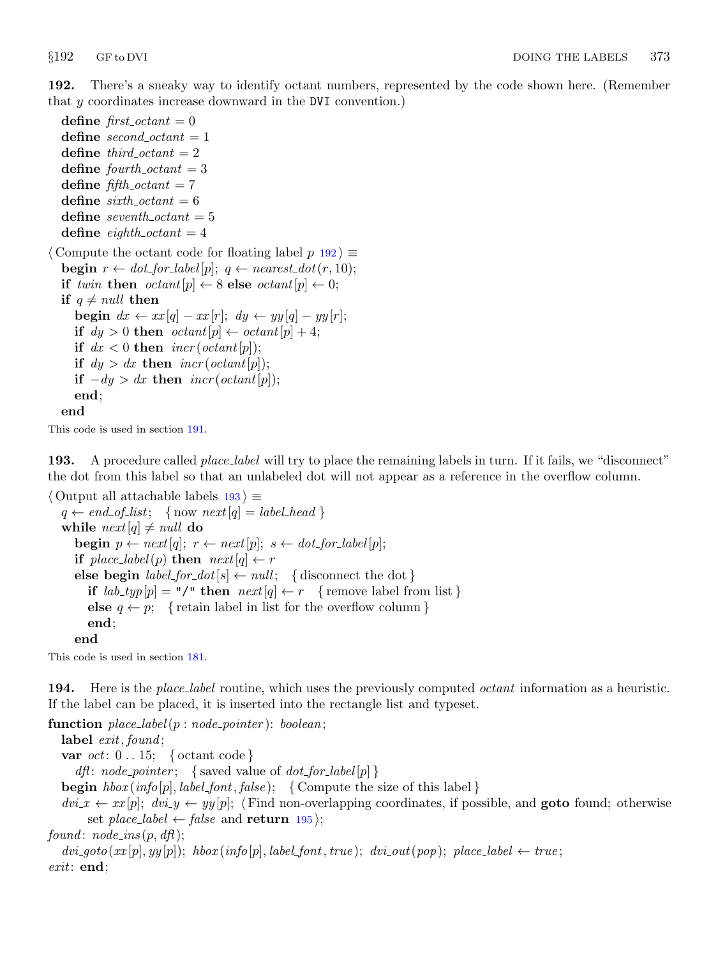<span id="page-72-0"></span>192. There's a sneaky way to identify octant numbers, represented by the code shown here. (Remember that y coordinates increase downward in the DVI convention.)

define  $first\_octant = 0$ define  $second\_octant = 1$ define third octant  $= 2$ define  $fourth\_octant = 3$ define  $fifth\_octant = 7$ define  $sirth\_octant = 6$ define seventh octant  $= 5$ define  $\text{eighth}\_\text{octant} = 4$  $\langle$  Compute the octant code for floating label p 192 $\rangle \equiv$ **begin**  $r \leftarrow dot\_for\_label[p]$ ;  $q \leftarrow nearest\_dot(r, 10)$ ; if twin then  $octant[p] \leftarrow 8$  else  $octant[p] \leftarrow 0$ ; if  $q \neq null$  then begin  $dx \leftarrow xx[q] - xx[r]; dy \leftarrow yy[q] - yy[r];$ if  $dy > 0$  then  $octant[p] \leftarrow octant[p] + 4;$ if  $dx < 0$  then  $\text{incr}(octant[p])$ ; if  $dy > dx$  then  $\text{incr}(\text{octant}[p])$ ;  $if -dy > dx$  then  $incr(octant[p]);$ end;

## end

This code is used in section [191.](#page-71-0)

193. A procedure called *place\_label* will try to place the remaining labels in turn. If it fails, we "disconnect" the dot from this label so that an unlabeled dot will not appear as a reference in the overflow column.

```
\langle Output all attachable labels 193\rangle \equivq \leftarrow end\_of\_list; \{ \text{now } next[q] = label\_head \}while next[q] \neq null do
     begin p \leftarrow next[q]; r \leftarrow next[p]; s \leftarrow dot\_for\_label[p];if place_label(p) then next[q] \leftarrow relse begin label-for-dot[s] \leftarrow null; \{ disconnect the dot\}if lab\_typ[p] = "\prime" then next[q] \leftarrow r {remove label from list}
        else q \leftarrow p; { retain label in list for the overflow column }
        end;
     end
```
This code is used in section [181.](#page-68-0)

194. Here is the *place-label* routine, which uses the previously computed *octant* information as a heuristic. If the label can be placed, it is inserted into the rectangle list and typeset.

function  $place\_label(p : node\_pointer)$ : boolean; label  $exit, found;$ var  $oct: 0...15; \{ octant code \}$ *dfl: node\_pointer*; { saved value of  $dot\_for\_label[p]$ } **begin**  $hbox(info[p], labelfont, false);$  { Compute the size of this label }  $dvi.x \leftarrow xx[p]; dvi.y \leftarrow yy[p];$  (Find non-overlapping coordinates, if possible, and **goto** found; otherwise set place\_label  $\leftarrow$  false and return [195](#page-73-0) $\rangle$ ;  $found: node-ins(p, dft);$  $divigoto(xx[p], yy[p]);$  hbox  $info[p], labelfont, true);$   $div.out(pop);$   $place\_label \leftarrow true;$ 

```
exit: end;
```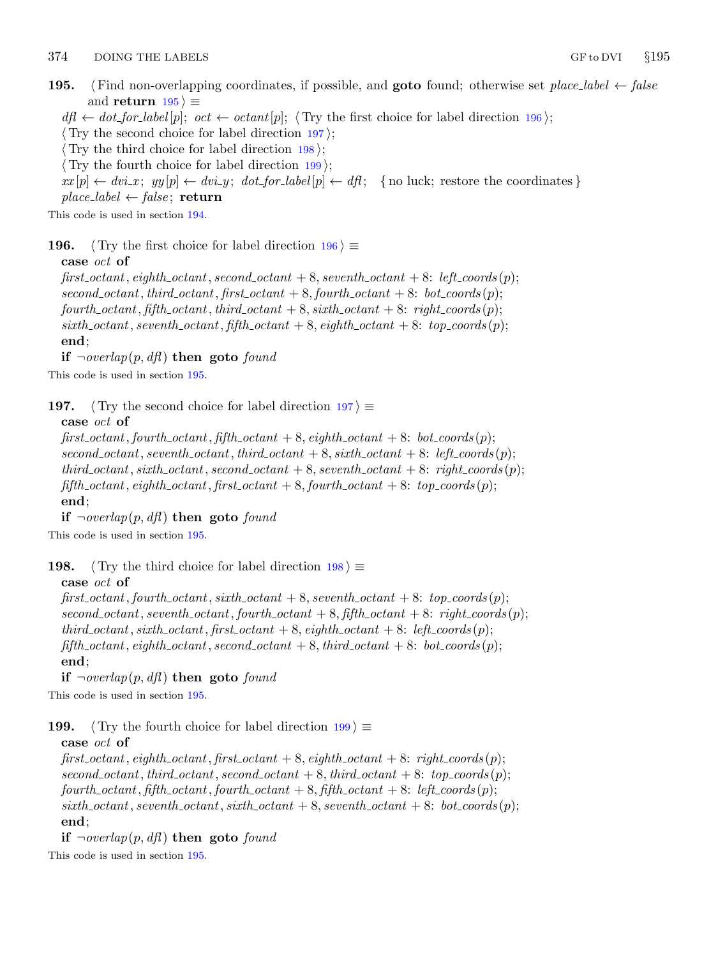<span id="page-73-0"></span>195. (Find non-overlapping coordinates, if possible, and goto found; otherwise set place label  $\leftarrow$  false and return  $195 \geq$ 

 $df \leftarrow dot\_for\_label[p];$  oct  $\leftarrow octant[p];$  (Try the first choice for label direction 196);

 $\langle$  Try the second choice for label direction 197 $\rangle$ ;

 $\langle$  Try the third choice for label direction 198 $\rangle$ ;

 $\langle$  Try the fourth choice for label direction 199 $\rangle$ ;

 $xx[p] \leftarrow \text{div}_x; \; yy[p] \leftarrow \text{div}_y; \; \text{dot\_for\_label}[p] \leftarrow df; \; \{ \text{no luck; restore the coordinates} \}$  $place\_label \leftarrow false; return$ 

This code is used in section [194.](#page-72-0)

196.  $\langle$  Try the first choice for label direction 196 $\rangle \equiv$ 

## case oct of

 $first\_octant$ ,  $eight\_octant$ ,  $second\_octant + 8$ ,  $seventh\_octant + 8$ :  $left\_coordinates(p)$ ;  $second\_octant, third\_octant, first\_octant + 8, fourth\_octant + 8: \,bot\_coordinates(p);$ fourth\_octant, fifth\_octant, third\_octant + 8, sixth\_octant + 8: right\_coords(p);  $sixth\_octant$ , seventh\_octant, fifth\_octant + 8, eighth\_octant + 8: top\_coords(p); end;

if  $\neg overlap(p, df)$  then goto found

This code is used in section 195.

197.  $\langle$  Try the second choice for label direction 197 $\rangle \equiv$ 

case oct of

first\_octant, fourth\_octant, fifth\_octant + 8, eighth\_octant + 8: bot\_coords  $(p)$ ;  $second\_octant$ , seventh octant, third octant + 8, sixth octant + 8: left coords  $(p)$ ; third octant, sixth octant, second octant  $+ 8$ , seventh octant  $+ 8$ : right coords  $(p)$ ; fifth octant, eighth octant, first octant + 8, fourth octant + 8: top coords (p); end;

if  $\neg overlap(p, df)$  then goto found

This code is used in section 195.

198.  $\langle$  Try the third choice for label direction 198 $\rangle \equiv$ 

## case oct of

first\_octant, fourth\_octant, sixth\_octant + 8, seventh\_octant + 8: top\_coords  $(p)$ ;  $second\_octant$ , seventh octant, fourth octant  $+ 8$ , fifth octant  $+ 8$ : right coords (p); third\_octant, sixth\_octant, first\_octant + 8, eighth\_octant + 8: left\_coords(p); fifth octant, eighth octant, second octant  $+ 8$ , third octant  $+ 8$ : bot coords (p); end;

if  $\neg overlap(p, df)$  then goto found

This code is used in section 195.

199.  $\langle$  Try the fourth choice for label direction 199 $\rangle \equiv$ 

## case oct of

first\_octant, eighth\_octant, first\_octant + 8, eighth\_octant + 8: right\_coords(p);  $second\_octant, third\_octant, second\_octant + 8, third\_octant + 8: top\_coordinates(p);$  $fourth\_octant$ , fifth\_octant, fourth\_octant + 8, fifth\_octant + 8: left\_coords(p);  $sixth\_octant$ , seventh  $octant$ ,  $sixth\_octant + 8$ , seventh  $octant + 8$ : bot  $\mathcal{L}oords(p)$ ; end;

if  $\neg overlap(p, df)$  then goto found

This code is used in section 195.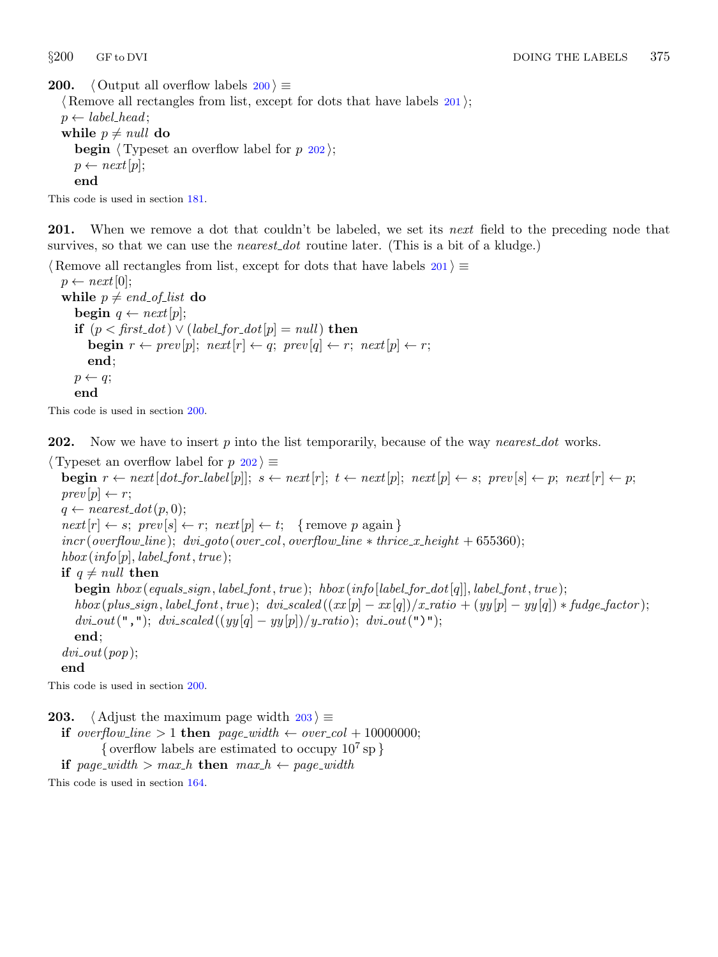```
200. \langle Output all overflow labels 200 \rangle \equiv\langle Remove all rectangles from list, except for dots that have labels 201\rangle;
  p \leftarrow label\_head;
  while p \neq null do
      begin \langle Typeset an overflow label for p 202\rangle;
      p \leftarrow next[p];end
```
This code is used in section [181.](#page-68-0)

201. When we remove a dot that couldn't be labeled, we set its next field to the preceding node that survives, so that we can use the *nearest\_dot* routine later. (This is a bit of a kludge.)

 $\langle$  Remove all rectangles from list, except for dots that have labels 201 $\rangle \equiv$  $p \leftarrow next[0];$ while  $p \neq end\_of\_list$  do begin  $q \leftarrow next[p]$ ; if  $(p < \text{first\_dot}) \vee (\text{label\_for\_dot}[p] = \text{null})$  then **begin**  $r \leftarrow prev[p]$ ;  $next[r] \leftarrow q$ ;  $prev[q] \leftarrow r$ ;  $next[p] \leftarrow r$ ; end;  $p \leftarrow q$ ; end

This code is used in section 200.

**202.** Now we have to insert p into the list temporarily, because of the way nearest dot works.

 $\langle$  Typeset an overflow label for  $p \, 202 \rangle \equiv$ **begin**  $r \leftarrow next[dot[of]$ ;  $s \leftarrow next[r]$ ;  $t \leftarrow next[p]$ ;  $next[p] \leftarrow s$ ;  $prev[s] \leftarrow p$ ;  $next[r] \leftarrow p$ ;  $prev[p] \leftarrow r$ ;  $q \leftarrow nearest\_dot(p, 0);$  $next[r] \leftarrow s; \ prev[s] \leftarrow r; \ next[p] \leftarrow t; \ \{$  remove p again }  $inc(overflow_{\text{}})$ ; dvi\_goto(over\_col, overflow\_line \* thrice\_x\_height + 655360);  $hbox(info[p], label\_font, true);$ if  $q \neq null$  then **begin** hbox (equals sign, label font, true); hbox (info [label for dot [q]], label font, true); hbox (plus\_sign, label\_font, true); dvi\_scaled  $((xx[p] - xx[q])/x$ -ratio +  $(yy[p] - yy[q]) * fudge_factor)$ ;  $div\_out(", "); \, div\_scaled((yy[q] - yy[p])/y\_ratio); \, div\_out(")");$ end;  $div\_out(pop);$ end

This code is used in section 200.

203. (Adjust the maximum page width  $203$ )  $\equiv$ 

if overflow\_line > 1 then page\_width  $\leftarrow$  over\_col + 10000000;

{ overflow labels are estimated to occupy  $10^7$  sp }

if page\_width > max\_h then max\_h  $\leftarrow$  page\_width

This code is used in section [164.](#page-64-0)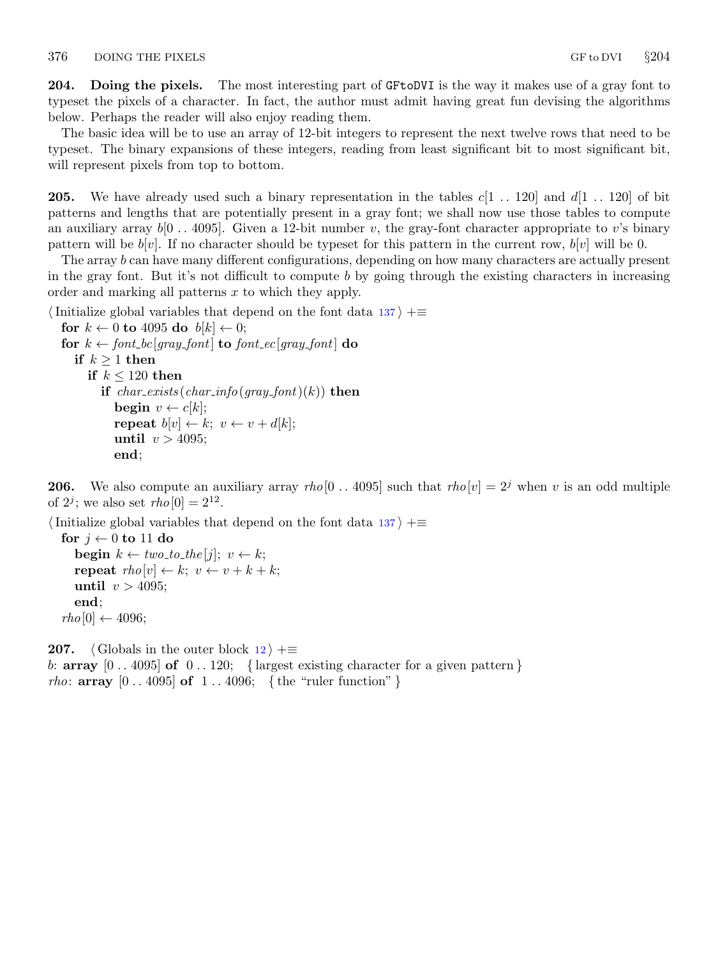<span id="page-75-0"></span>204. Doing the pixels. The most interesting part of GFtoDVI is the way it makes use of a gray font to typeset the pixels of a character. In fact, the author must admit having great fun devising the algorithms below. Perhaps the reader will also enjoy reading them.

The basic idea will be to use an array of 12-bit integers to represent the next twelve rows that need to be typeset. The binary expansions of these integers, reading from least significant bit to most significant bit, will represent pixels from top to bottom.

**205.** We have already used such a binary representation in the tables  $c[1 \tcdot 120]$  and  $d[1 \tcdot 120]$  of bit patterns and lengths that are potentially present in a gray font; we shall now use those tables to compute an auxiliary array  $b[0 \tcdot 0.4095]$ . Given a 12-bit number v, the gray-font character appropriate to v's binary pattern will be  $b[v]$ . If no character should be typeset for this pattern in the current row,  $b[v]$  will be 0.

The array b can have many different configurations, depending on how many characters are actually present in the gray font. But it's not difficult to compute  $b$  by going through the existing characters in increasing order and marking all patterns  $x$  to which they apply.

 $\langle$  Initialize global variables that depend on the font data  $137$   $\rangle$  +=

```
for k \leftarrow 0 to 4095 do b[k] \leftarrow 0;
for k \leftarrow font bc [gray_font] to font ec[gray_font] do
  if k > 1 then
     if k < 120 then
        if char\_exists(char\_info(gray\_font)(k)) then
           begin v \leftarrow c[k];
           repeat b[v] \leftarrow k; v \leftarrow v + d[k];
           until v > 4095;
           end;
```
**206.** We also compute an auxiliary array rho[0...4095] such that rho[v] =  $2^{j}$  when v is an odd multiple of  $2^j$ ; we also set  $rho[0] = 2^{12}$ .

(Initialize global variables that depend on the font data  $137$ ) +≡

for  $i \leftarrow 0$  to 11 do begin  $k \leftarrow two\_to\_the[i]; v \leftarrow k;$ repeat  $rho[v] \leftarrow k$ ;  $v \leftarrow v + k + k$ ; until  $v > 4095$ ; end;  $rho[0] \leftarrow 4096;$ 

207. (Globals in the outer block  $12$ ) +≡ b: array  $[0 \, . \, 4095]$  of  $[0 \, . \, 120; \, 120]$  array [altern ] *rho*: **array**  $[0..4095]$  of  $1..4096$ ; {the "ruler function" }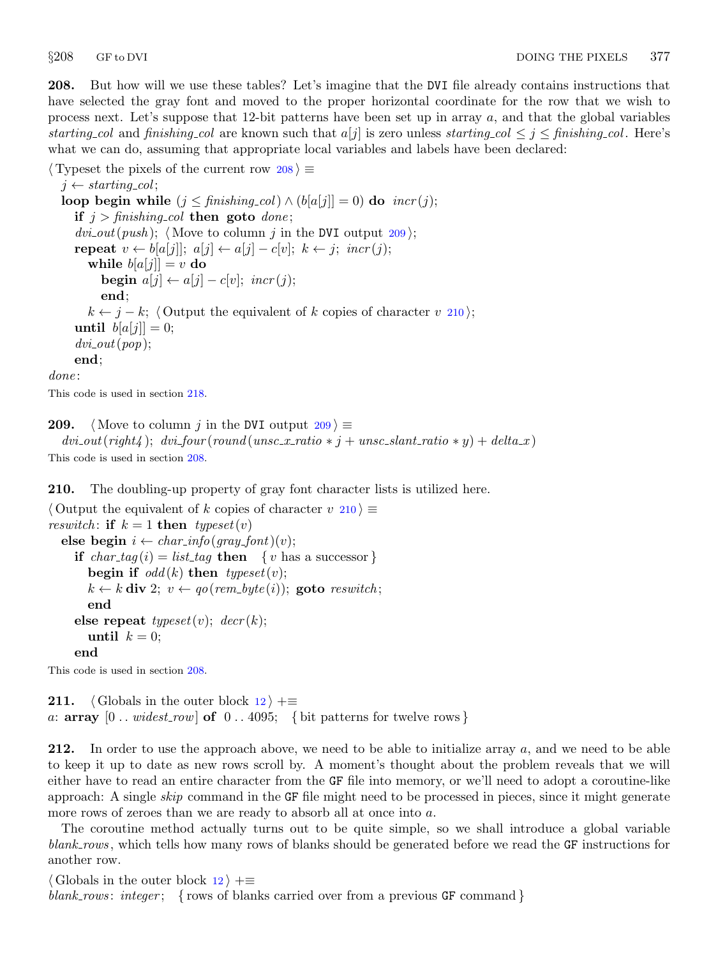<span id="page-76-0"></span>208. But how will we use these tables? Let's imagine that the DVI file already contains instructions that have selected the gray font and moved to the proper horizontal coordinate for the row that we wish to process next. Let's suppose that 12-bit patterns have been set up in array a, and that the global variables starting col and finishing col are known such that  $a[j]$  is zero unless starting col  $\leq j \leq$  finishing col. Here's what we can do, assuming that appropriate local variables and labels have been declared:

```
\langle Typeset the pixels of the current row 208\rangle \equiv
```

```
j \leftarrow starting\_col;loop begin while (j \leq \text{finishing}\text{ }col) \wedge (b[a[j]] = 0) do \text{ }incr(j);if j > finishing col then goto done;
  div\_out(push); (Move to column j in the DVI output 209);
  repeat v \leftarrow b[a[j]]; a[j] \leftarrow a[j] - c[v]; k \leftarrow j; incr(j);while b[a[j]] = v do
        begin a[j] \leftarrow a[j] - c[v]; incr(i);
        end;
     k \leftarrow j - k; \langle Output the equivalent of k copies of character v 210\rangle;
  until b[a[j]] = 0;div\_out(pop);end;
```

```
done:
```

```
This code is used in section 218.
```

```
209. \langle Move to column j in the DVI output 209 \rangle \equivdiv\_out(right4); div\_four(round(unsc.x.ratio * j + unsc\_slant.ratio * y) + delta.x)This code is used in section 208.
```
210. The doubling-up property of gray font character lists is utilized here.

```
\langle Output the equivalent of k copies of character v 210 \rangle \equivreswitch: if k = 1 then typeset (v)
  else begin i \leftarrow char\_info(qray\_font)(v);
     if char\_tag(i) = list\_tag then { v has a successor}
       begin if odd(k) then typeset(v);
       k \leftarrow k div 2; v \leftarrow qo (rem_byte(i)); goto reswitch;
       end
     else repeat typeset(v); decr(k);until k = 0;
     end
```
This code is used in section 208.

211.  $\langle$  Globals in the outer block [12](#page-4-0)  $\rangle$  +≡ a:  $\arctan 0$ ... widest\_row of  $0$ ... 4095; { bit patterns for twelve rows }

212. In order to use the approach above, we need to be able to initialize array a, and we need to be able to keep it up to date as new rows scroll by. A moment's thought about the problem reveals that we will either have to read an entire character from the GF file into memory, or we'll need to adopt a coroutine-like approach: A single *skip* command in the GF file might need to be processed in pieces, since it might generate more rows of zeroes than we are ready to absorb all at once into a.

The coroutine method actually turns out to be quite simple, so we shall introduce a global variable blank rows, which tells how many rows of blanks should be generated before we read the GF instructions for another row.

 $\langle$  Globals in the outer block  $12$   $\rangle$  += blank rows: integer; {rows of blanks carried over from a previous  $GF$  command}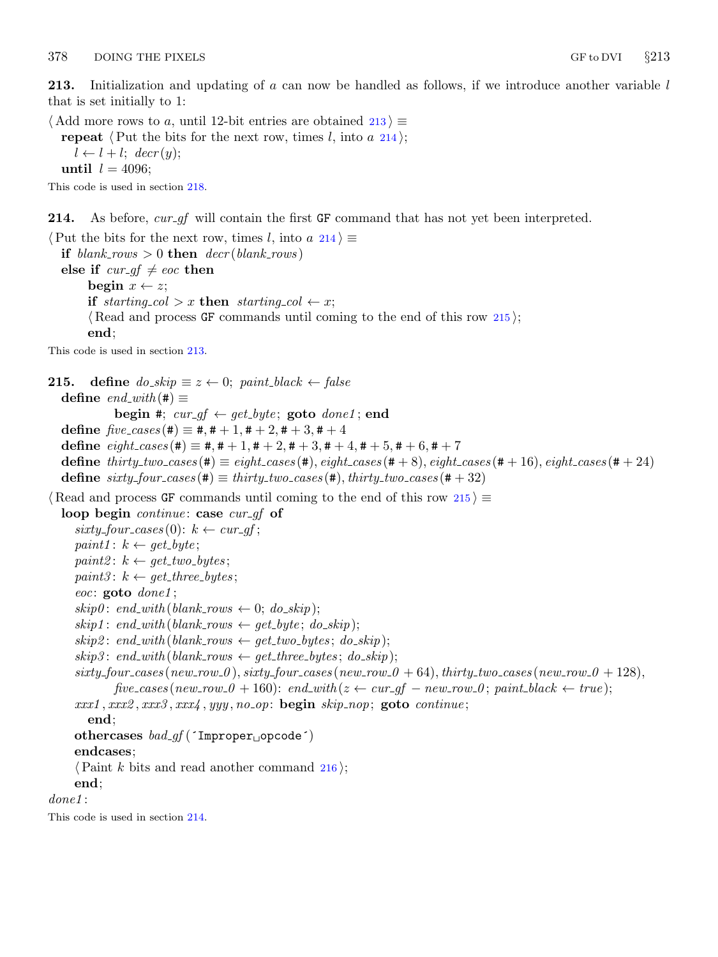<span id="page-77-0"></span>213. Initialization and updating of a can now be handled as follows, if we introduce another variable l that is set initially to 1:

 $\langle$  Add more rows to a, until 12-bit entries are obtained 213  $\rangle \equiv$ repeat  $\langle$  Put the bits for the next row, times l, into a 214 $\rangle$ ;  $l \leftarrow l + l$ ; decr(y); until  $l = 4096$ ; This code is used in section [218.](#page-78-0)

214. As before, cur gf will contain the first GF command that has not yet been interpreted.

 $\langle$  Put the bits for the next row, times l, into a 214 $\rangle \equiv$ if blank\_rows  $> 0$  then decr(blank\_rows) else if  $cur\_gf \neq eoc$  then begin  $x \leftarrow z$ ; if starting  $col > x$  then starting  $col \leftarrow x$ ; (Read and process GF commands until coming to the end of this row  $215$ ); end; This code is used in section 213. **215.** define  $do\_skip \equiv z \leftarrow 0;$  paint\_black  $\leftarrow false$ define  $end\_with$  (#)  $\equiv$ begin #;  $cur\_gf \leftarrow get\_byte$ ; goto  $done1$ ; end define  $five\_cases (\#) \equiv \#, \# + 1, \# + 2, \# + 3, \# + 4$ define  $\text{eight}\text{--}\text{case}\text{s}(\#) \equiv \#$ ,  $\# + 1$ ,  $\# + 2$ ,  $\# + 3$ ,  $\# + 4$ ,  $\# + 5$ ,  $\# + 6$ ,  $\# + 7$ define thirty\_two\_cases(#)  $\equiv$  eight\_cases(#), eight\_cases(#+8), eight\_cases(#+16), eight\_cases(#+24) define  $sixty_four\_cases (\#) \equiv thirty_t two\_cases (\#)$ ,  $thirty_two_cases (\# + 32)$  $\langle$  Read and process GF commands until coming to the end of this row 215  $\rangle \equiv$ loop begin *continue*: case  $cur_qf$  of  $sixty_four\_cases(0): k \leftarrow cur_gf;$  $paint1: k \leftarrow get\_byte;$  $paint2: k \leftarrow get\_two\_bytes;$  $paint3: k \leftarrow get\_three\_bytes;$ eoc: goto done1;  $skip0:$  end\_with (blank\_rows  $\leftarrow 0$ ; do\_skip);  $skip1:$  end\_with (blank\_rows  $\leftarrow get\_byte; do\_skip$ ); skip2: end\_with (blank\_rows  $\leftarrow$  get\_two\_bytes; do\_skip); skip3: end\_with(blank\_rows  $\leftarrow$  get\_three\_bytes; do\_skip);  $sixty\_four\_cases(new\_row_0), sixty\_four\_cases(new\_row_0 + 64), thirty\_two\_cases(new\_row_0 + 128),$  $five\_cases$  (new\_row\_0 + 160): end\_with (z  $\leftarrow cur_gf - new\_row_0$ ; paint\_black  $\leftarrow true$ );  $xxx1,xxx2,xxx3,xxx4,yyy, no-op: **begin** is given by the following equations: The equation is:\n $\begin{bmatrix}\n x & 0 \\
 y & 1\n \end{bmatrix}$ \nwhere  $\begin{bmatrix}\n y & 0 \\
 z & 1\n \end{bmatrix}$  is the following equation.$ end; othercases  $bad_qf('Improper<sub>u</sub>opcode')$ endcases;  $\langle$  Paint k bits and read another command [216](#page-78-0) $\rangle$ ; end; done1: This code is used in section 214.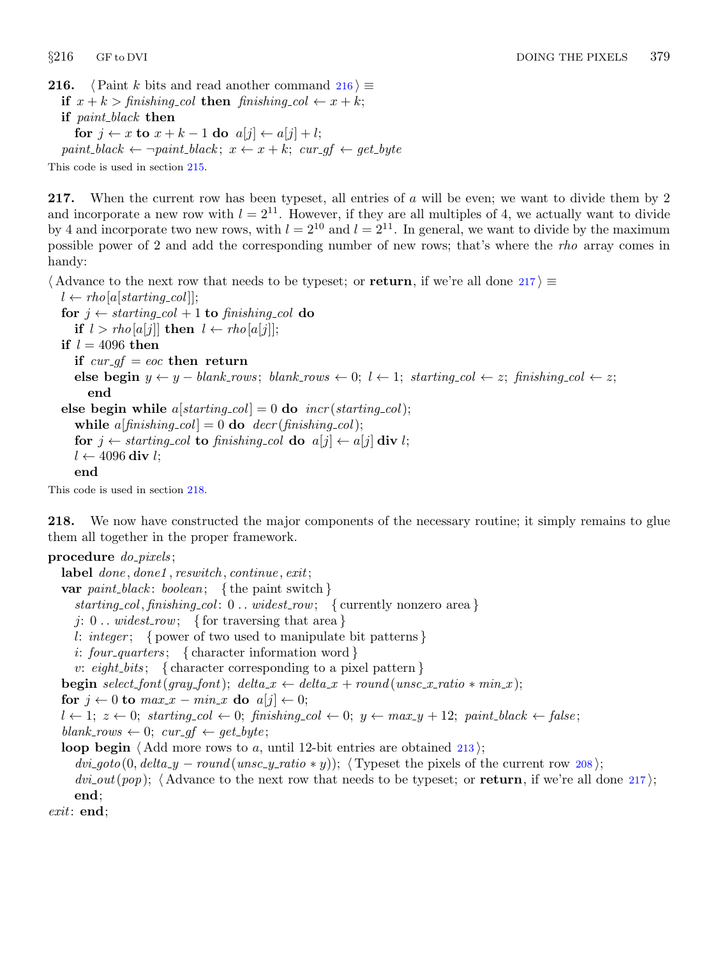<span id="page-78-0"></span>216.  $\langle$  Paint k bits and read another command 216  $\rangle \equiv$ if  $x + k >$  finishing col then finishing col  $\leftarrow x + k$ ; if paint black then for  $j \leftarrow x$  to  $x + k - 1$  do  $a[j] \leftarrow a[j] + l$ ; paint black  $\leftarrow \neg paint\_black$ ;  $x \leftarrow x + k$ ; cur gf  $\leftarrow get\_byte$ This code is used in section [215.](#page-77-0)

217. When the current row has been typeset, all entries of a will be even; we want to divide them by 2 and incorporate a new row with  $l = 2^{11}$ . However, if they are all multiples of 4, we actually want to divide by 4 and incorporate two new rows, with  $l = 2^{10}$  and  $l = 2^{11}$ . In general, we want to divide by the maximum possible power of 2 and add the corresponding number of new rows; that's where the rho array comes in handy:

 $\langle$  Advance to the next row that needs to be typeset; or return, if we're all done 217 $\rangle \equiv$ 

 $l \leftarrow rho[a[starting_col]];$ for  $j \leftarrow$  starting col + 1 to finishing col do if  $l > rho[a[j]]$  then  $l \leftarrow rho[a[j]]$ ; if  $l = 4096$  then if  $cur\_gf = eoc$  then return else begin  $y \leftarrow y - blank_{rows}$ ; blank\_rows  $\leftarrow 0$ ;  $l \leftarrow 1$ ; starting\_col  $\leftarrow z$ ; finishing\_col  $\leftarrow z$ ; end else begin while  $a[starting\_col] = 0$  do  $incr(starting\_col)$ ; while  $a$ [finishing\_col] = 0 do decr(finishing\_col); for  $j \leftarrow$  starting col to finishing col do  $a[j] \leftarrow a[j]$  div l;  $l \leftarrow 4096$  div l; end

This code is used in section 218.

218. We now have constructed the major components of the necessary routine; it simply remains to glue them all together in the proper framework.

procedure do pixels ; label done, done1, reswitch, continue, exit; **var** paint black: boolean; {the paint switch} starting\_col, finishing\_col: 0.. widest\_row; { currently nonzero area} j: 0.. widest\_row; { for traversing that area } l: integer; { power of two used to manipulate bit patterns } i: four\_quarters; { character information word } v: eight\_bits; { character corresponding to a pixel pattern } begin select\_font(gray\_font); delta\_ $x \leftarrow delta_x + round(unsc_x\_ratio * min_x);$ for  $j \leftarrow 0$  to  $max_x - min_x$  do  $a[j] \leftarrow 0$ ;  $l \leftarrow 1; z \leftarrow 0; starting\_col \leftarrow 0; finishing\_col \leftarrow 0; y \leftarrow max_y + 12; paint\_black \leftarrow false;$  $blank_{rows} \leftarrow 0$ ;  $cur_{\mathcal{A}} f \leftarrow get_{\mathcal{A}} byte$ ; **loop begin**  $\langle$  Add more rows to a, until 12-bit entries are obtained [213](#page-77-0) $\rangle$ ;  $div_qoto(0, delta_y - round({unsc_y\_ratio * y})$ ; (Typeset the pixels of the current row [208](#page-76-0));  $div_{out}(pop)$ ;  $\langle$  Advance to the next row that needs to be typeset; or return, if we're all done 217); end; exit: end;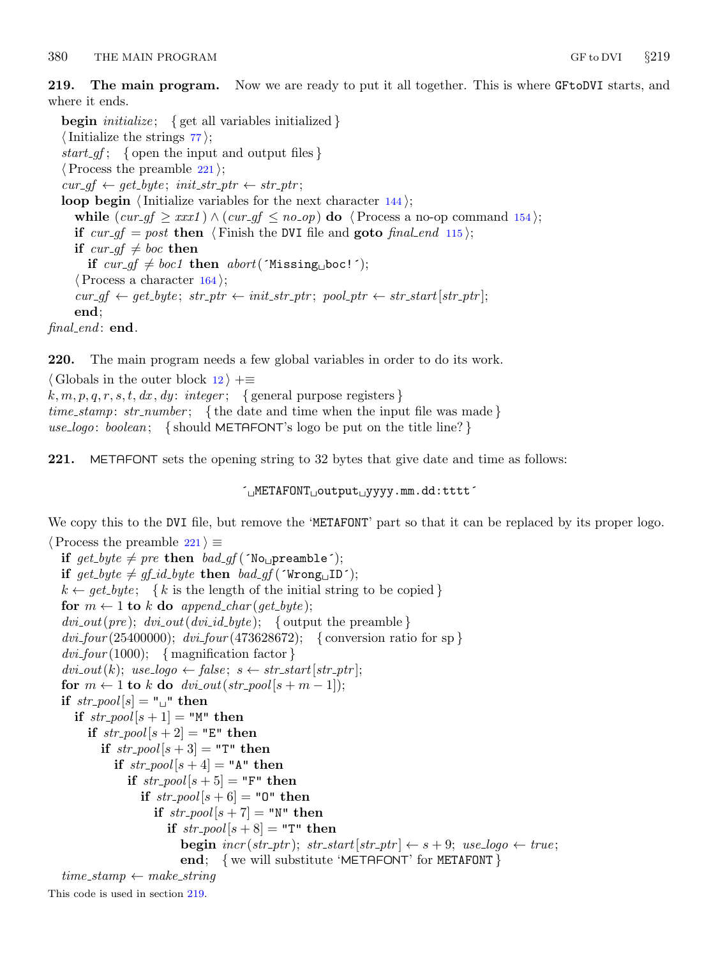<span id="page-79-0"></span>219. The main program. Now we are ready to put it all together. This is where GFtoDVI starts, and where it ends.

**begin** *initialize*; { get all variables initialized }  $\langle$  Initialize the strings  $77$ ;  $start_g f$ ; { open the input and output files }  $\langle$  Process the preamble 221 $\rangle$ ;  $cur\_gf \leftarrow get\_byte; init\_str\_ptr \leftarrow str\_ptr;$ loop begin  $\langle$  Initialize variables for the next character [144](#page-59-0) $\rangle$ ; while  $(cur_g f \geq xxx1) \wedge (cur_g f \leq no_o \rho)$  do  $\langle$  Process a no-op command [154](#page-62-0) $\rangle$ ; if cur gf = post then  $\langle$  Finish the DVI file and goto final end [115](#page-48-0) $\rangle$ ; if  $cur\_gf \neq boc$  then if  $cur\_gf \neq boc1$  then  $abort('Missing\_boc!)$ ;  $\langle$  Process a character [164](#page-64-0) $\rangle$ ;  $cur\_gf \leftarrow get\_byte; str\_ptr \leftarrow init\_str\_ptr; pool\_ptr \leftarrow str\_start[str\_ptr];$ end;  $final$  end: end.

220. The main program needs a few global variables in order to do its work.

```
\langle12 \rangle +≡
k, m, p, q, r, s, t, dx, dy: integer; {general purpose registers }
time_stamp: str_number; { the date and time when the input file was made }
use logo: boolean; { should METAFONT's logo be put on the title line?}
```
221. METAFONT sets the opening string to 32 bytes that give date and time as follows:

```
\lceil \text{METAFONT}\rceiloutput\lceil \text{yyy}\rceil.mm.dd:tttt
```
We copy this to the DVI file, but remove the 'METAFONT' part so that it can be replaced by its proper logo.  $\langle$  Process the preamble 221  $\rangle \equiv$ 

```
if get\_byte \neq pre then bad\_gf ('No preamble');
  if get\_byte \neq gf\_id\_byte then bad\_gf ('Wrong ID');
  k \leftarrow get\_byte; \{k \text{ is the length of the initial string to be copied}\}for m \leftarrow 1 to k do append_char(get_byte);
  div_{\text{out}}(\text{pre}); \text{ } \text{div}_{\text{out}}(\text{div}_{\text{in}}\text{adv}); { output the preamble }
  dvi-four (25400000); dvi-four (473628672); { conversion ratio for sp }
  dvi_four(1000); { magnification factor }
  div\_out(k); use_logo \leftarrow false; s \leftarrow str\_start[str\_ptr];for m \leftarrow 1 to k do \text{div}\text{-}out(\text{str\_pool}[s+m-1]);
  if str\_pool[s] = "u" then
     if str\_pool[s + 1] = "M" then
       if str\_pool[s + 2] = "E" then
          if str\_pool[s + 3] = "T" then
             if str\_pool[s + 4] = "A" thenif str\_pool[s + 5] = "F" thenif str\_pool[s + 6] = "0" then
                     if str\_pool[s + 7] = "N" then
                        if str\_pool[s + 8] = "T" then
                           begin \text{incr}(str\_ptr); str\_start[str\_ptr] \leftarrow s + 9; use\_logo \leftarrow true;
                           end; { we will substitute 'METAFONT' for METAFONT }
  time\_stamp \leftarrow make\_stringThis code is used in section 219.
```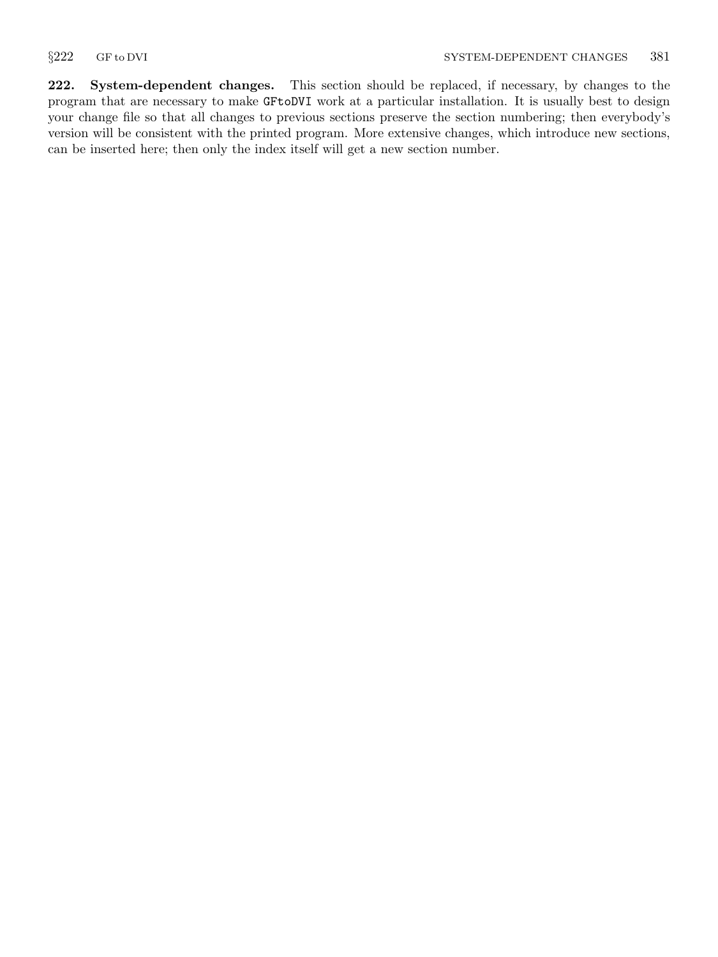<span id="page-80-0"></span>222. System-dependent changes. This section should be replaced, if necessary, by changes to the program that are necessary to make GFtoDVI work at a particular installation. It is usually best to design your change file so that all changes to previous sections preserve the section numbering; then everybody's version will be consistent with the printed program. More extensive changes, which introduce new sections, can be inserted here; then only the index itself will get a new section number.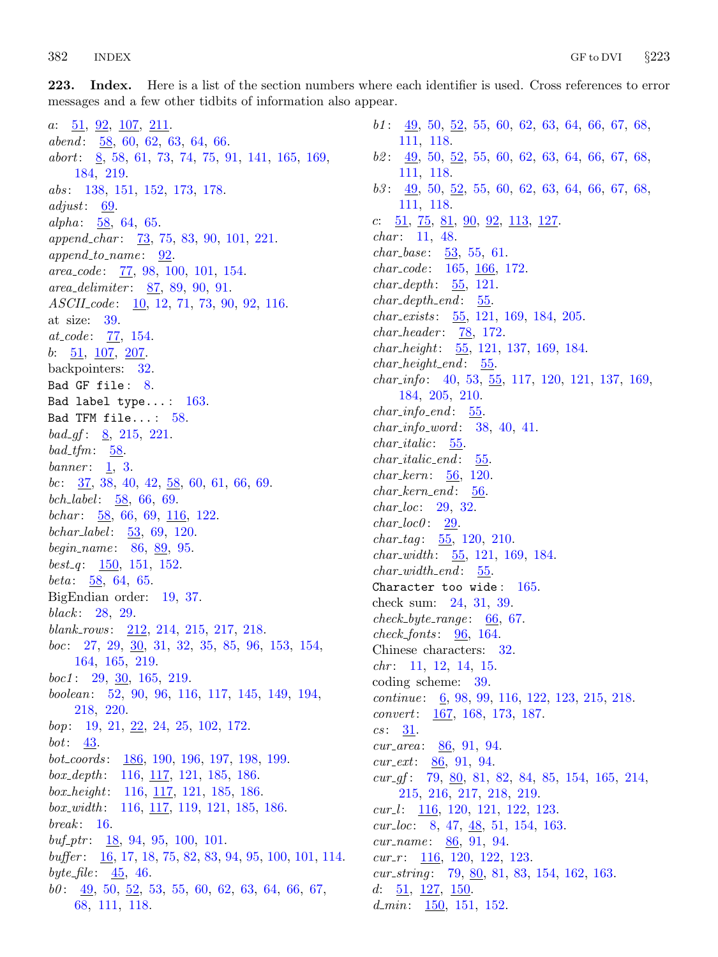223. Index. Here is a list of the section numbers where each identifier is used. Cross references to error messages and a few other tidbits of information also appear.

 $a: \quad 51, \; 92, \; 107, \; 211.$  $a: \quad 51, \; 92, \; 107, \; 211.$  $a: \quad 51, \; 92, \; 107, \; 211.$  $a: \quad 51, \; 92, \; 107, \; 211.$  $a: \quad 51, \; 92, \; 107, \; 211.$  $a: \quad 51, \; 92, \; 107, \; 211.$  $a: \quad 51, \; 92, \; 107, \; 211.$  $a: \quad 51, \; 92, \; 107, \; 211.$  $a: \quad 51, \; 92, \; 107, \; 211.$  $abend: 58, 60, 62, 63, 64, 66.$  $abend: 58, 60, 62, 63, 64, 66.$  $abend: 58, 60, 62, 63, 64, 66.$  $abend: 58, 60, 62, 63, 64, 66.$  $abend: 58, 60, 62, 63, 64, 66.$  $abend: 58, 60, 62, 63, 64, 66.$  $abend: 58, 60, 62, 63, 64, 66.$  $abend: 58, 60, 62, 63, 64, 66.$  $abend: 58, 60, 62, 63, 64, 66.$  $abend: 58, 60, 62, 63, 64, 66.$  $abend: 58, 60, 62, 63, 64, 66.$  $abend: 58, 60, 62, 63, 64, 66.$ abort: [8,](#page-2-0) [58,](#page-29-0) [61](#page-30-0), [73](#page-34-0), [74](#page-34-0), [75](#page-35-0), [91](#page-42-0), [141](#page-58-0), [165](#page-64-0), [169](#page-65-0), [184,](#page-69-0) [219](#page-79-0). abs: [138,](#page-57-0) [151,](#page-61-0) [152](#page-61-0), [173](#page-67-0), [178.](#page-68-0) adjust: [69](#page-33-0).  $alpha: 58, 64, 65.$  $alpha: 58, 64, 65.$  $alpha: 58, 64, 65.$  $alpha: 58, 64, 65.$  $alpha: 58, 64, 65.$  $alpha: 58, 64, 65.$  $append\_char: \quad 73, 75, 83, 90, 101, 221.$  $append\_char: \quad 73, 75, 83, 90, 101, 221.$  $append\_char: \quad 73, 75, 83, 90, 101, 221.$  $append\_char: \quad 73, 75, 83, 90, 101, 221.$  $append\_char: \quad 73, 75, 83, 90, 101, 221.$  $append\_char: \quad 73, 75, 83, 90, 101, 221.$  $append\_char: \quad 73, 75, 83, 90, 101, 221.$  $append\_char: \quad 73, 75, 83, 90, 101, 221.$  $append\_char: \quad 73, 75, 83, 90, 101, 221.$  $append\_char: \quad 73, 75, 83, 90, 101, 221.$  $append\_char: \quad 73, 75, 83, 90, 101, 221.$  $append\_char: \quad 73, 75, 83, 90, 101, 221.$  $append\_char: \quad 73, 75, 83, 90, 101, 221.$  $append\_to_name: 92.$  $append\_to_name: 92.$  $append\_to_name: 92.$ area\_code: [77,](#page-36-0) [98,](#page-44-0) [100,](#page-44-0) [101,](#page-45-0) [154.](#page-62-0) area\_delimiter: [87](#page-41-0), [89,](#page-41-0) [90,](#page-41-0) [91.](#page-42-0)  $ASCII\_code: \underline{10}$ , [12](#page-4-0), [71,](#page-34-0) [73,](#page-34-0) [90](#page-41-0), [92,](#page-42-0) [116](#page-49-0). at size: [39](#page-21-0).  $at\_code: 77, 154.$  $at\_code: 77, 154.$  $at\_code: 77, 154.$  $at\_code: 77, 154.$  $at\_code: 77, 154.$ b:  $51, 107, 207$  $51, 107, 207$  $51, 107, 207$  $51, 107, 207$ . backpointers: [32.](#page-16-0) Bad GF file : [8](#page-2-0). Bad label type...:  $163$ . Bad TFM file... : [58](#page-29-0).  $bad\_gf: \& 215, 221.$  $bad\_gf: \& 215, 221.$  $bad\_gf: \& 215, 221.$  $bad\_gf: \& 215, 221.$  $bad\_gf: \& 215, 221.$ bad\_tfm:  $58$ . banner:  $1, 3$  $1, 3$ . bc:  $\frac{37}{36}$  $\frac{37}{36}$  $\frac{37}{36}$ , [38](#page-21-0), [40,](#page-22-0) [42,](#page-23-0) [58](#page-29-0), [60](#page-30-0), [61](#page-30-0), [66,](#page-32-0) [69.](#page-33-0) bch  $label:18, 66, 69.$  $label:18, 66, 69.$  $label:18, 66, 69.$  $label:18, 66, 69.$ bchar:  $\frac{58}{66}$  $\frac{58}{66}$  $\frac{58}{66}$ , [66,](#page-32-0) [69,](#page-33-0) [116](#page-49-0), [122](#page-51-0). bchar\_label:  $\frac{53}{50}$ , [69](#page-33-0), [120.](#page-50-0) begin name:  $86, 89, 95$  $86, 89, 95$  $86, 89, 95$  $86, 89, 95$  $86, 89, 95$ .  $best_q$ : [150](#page-60-0), [151,](#page-61-0) [152.](#page-61-0) beta:  $\frac{58}{64}$  $\frac{58}{64}$  $\frac{58}{64}$ , [64,](#page-31-0) [65.](#page-31-0) BigEndian order: [19,](#page-7-0) [37](#page-20-0). black: [28,](#page-13-0) [29.](#page-14-0) blank\_rows: [212,](#page-76-0) [214](#page-77-0), [215](#page-77-0), [217,](#page-78-0) [218.](#page-78-0) boc: [27](#page-13-0), [29](#page-14-0), [30,](#page-15-0) [31](#page-16-0), [32,](#page-16-0) [35](#page-18-0), [85,](#page-40-0) [96](#page-43-0), [153,](#page-62-0) [154](#page-62-0), [164,](#page-64-0) [165,](#page-64-0) [219.](#page-79-0)  $boc1: 29, 30, 165, 219.$  $boc1: 29, 30, 165, 219.$  $boc1: 29, 30, 165, 219.$  $boc1: 29, 30, 165, 219.$  $boc1: 29, 30, 165, 219.$  $boc1: 29, 30, 165, 219.$  $boc1: 29, 30, 165, 219.$  $boc1: 29, 30, 165, 219.$ boolean: [52](#page-26-0), [90,](#page-41-0) [96](#page-43-0), [116,](#page-49-0) [117](#page-50-0), [145,](#page-59-0) [149](#page-60-0), [194,](#page-72-0) [218,](#page-78-0) [220](#page-79-0). bop: [19](#page-7-0), [21](#page-8-0), [22](#page-10-0), [24](#page-11-0), [25](#page-12-0), [102,](#page-46-0) [172.](#page-66-0) bot:  $\frac{43}{5}$ . bot coords : [186,](#page-70-0) [190](#page-71-0), [196,](#page-73-0) [197](#page-73-0), [198](#page-73-0), [199.](#page-73-0) box depth : [116,](#page-49-0) [117](#page-50-0), [121](#page-51-0), [185](#page-69-0), [186](#page-70-0). box height: [116](#page-49-0), [117](#page-50-0), [121,](#page-51-0) [185,](#page-69-0) [186.](#page-70-0) box width : [116,](#page-49-0) [117](#page-50-0), [119,](#page-50-0) [121](#page-51-0), [185,](#page-69-0) [186.](#page-70-0)  $break: 16.$  $break: 16.$  $break: 16.$  $buf_ptr: 18, 94, 95, 100, 101.$  $buf_ptr: 18, 94, 95, 100, 101.$  $buf_ptr: 18, 94, 95, 100, 101.$  $buf_ptr: 18, 94, 95, 100, 101.$  $buf_ptr: 18, 94, 95, 100, 101.$  $buf_ptr: 18, 94, 95, 100, 101.$  $buf_ptr: 18, 94, 95, 100, 101.$  $buf_ptr: 18, 94, 95, 100, 101.$  $buf_ptr: 18, 94, 95, 100, 101.$  $buf_ptr: 18, 94, 95, 100, 101.$  $buf_ptr: 18, 94, 95, 100, 101.$ buffer : [16](#page-6-0), [17,](#page-6-0) [18,](#page-6-0) [75](#page-35-0), [82,](#page-39-0) [83,](#page-39-0) [94](#page-43-0), [95](#page-43-0), [100,](#page-44-0) [101,](#page-45-0) [114](#page-48-0). byte\_file:  $45, 46$  $45, 46$ .  $b0: \underline{49}$  $b0: \underline{49}$  $b0: \underline{49}$ , [50](#page-25-0), <u>52</u>, [53,](#page-27-0) [55](#page-28-0), [60,](#page-30-0) [62,](#page-30-0) [63](#page-31-0), [64](#page-31-0), [66,](#page-32-0) [67,](#page-32-0) [68,](#page-32-0) [111,](#page-47-0) [118.](#page-50-0)

 $b1: \underline{49}, 50, \underline{52}, 55, 60, 62, 63, 64, 66, 67, 68,$  $b1: \underline{49}, 50, \underline{52}, 55, 60, 62, 63, 64, 66, 67, 68,$  $b1: \underline{49}, 50, \underline{52}, 55, 60, 62, 63, 64, 66, 67, 68,$  $b1: \underline{49}, 50, \underline{52}, 55, 60, 62, 63, 64, 66, 67, 68,$  $b1: \underline{49}, 50, \underline{52}, 55, 60, 62, 63, 64, 66, 67, 68,$  $b1: \underline{49}, 50, \underline{52}, 55, 60, 62, 63, 64, 66, 67, 68,$  $b1: \underline{49}, 50, \underline{52}, 55, 60, 62, 63, 64, 66, 67, 68,$  $b1: \underline{49}, 50, \underline{52}, 55, 60, 62, 63, 64, 66, 67, 68,$  $b1: \underline{49}, 50, \underline{52}, 55, 60, 62, 63, 64, 66, 67, 68,$  $b1: \underline{49}, 50, \underline{52}, 55, 60, 62, 63, 64, 66, 67, 68,$  $b1: \underline{49}, 50, \underline{52}, 55, 60, 62, 63, 64, 66, 67, 68,$  $b1: \underline{49}, 50, \underline{52}, 55, 60, 62, 63, 64, 66, 67, 68,$  $b1: \underline{49}, 50, \underline{52}, 55, 60, 62, 63, 64, 66, 67, 68,$  $b1: \underline{49}, 50, \underline{52}, 55, 60, 62, 63, 64, 66, 67, 68,$  $b1: \underline{49}, 50, \underline{52}, 55, 60, 62, 63, 64, 66, 67, 68,$  $b1: \underline{49}, 50, \underline{52}, 55, 60, 62, 63, 64, 66, 67, 68,$  $b1: \underline{49}, 50, \underline{52}, 55, 60, 62, 63, 64, 66, 67, 68,$  $b1: \underline{49}, 50, \underline{52}, 55, 60, 62, 63, 64, 66, 67, 68,$  $b1: \underline{49}, 50, \underline{52}, 55, 60, 62, 63, 64, 66, 67, 68,$  $b1: \underline{49}, 50, \underline{52}, 55, 60, 62, 63, 64, 66, 67, 68,$ [111,](#page-47-0) [118.](#page-50-0)  $b2: \underline{49}$  $b2: \underline{49}$  $b2: \underline{49}$ , [50](#page-25-0), [52,](#page-26-0) [55,](#page-28-0) [60](#page-30-0), [62](#page-30-0), [63,](#page-31-0) [64,](#page-31-0) [66](#page-32-0), [67,](#page-32-0) [68,](#page-32-0) [111,](#page-47-0) [118.](#page-50-0)  $b3: \underline{49}$  $b3: \underline{49}$  $b3: \underline{49}$ , [50](#page-25-0),  $\underline{52}$ , [55,](#page-28-0) [60](#page-30-0), [62](#page-30-0), [63,](#page-31-0) [64,](#page-31-0) [66](#page-32-0), [67,](#page-32-0) [68,](#page-32-0) [111,](#page-47-0) [118.](#page-50-0) c:  $\underline{51}$ ,  $\underline{75}$  $\underline{75}$  $\underline{75}$ ,  $\underline{81}$  $\underline{81}$  $\underline{81}$ ,  $\underline{90}$  $\underline{90}$  $\underline{90}$ ,  $\underline{92}$  $\underline{92}$  $\underline{92}$ ,  $\underline{113}$ ,  $\underline{127}$ .  $char: 11, 48.$  $char: 11, 48.$  $char: 11, 48.$  $char: 11, 48.$  $char: 11, 48.$  $char\_base: 53, 55, 61.$  $char\_base: 53, 55, 61.$  $char\_base: 53, 55, 61.$  $char\_base: 53, 55, 61.$  $char\_base: 53, 55, 61.$  $char\_base: 53, 55, 61.$ char code : [165,](#page-64-0) [166](#page-65-0), [172.](#page-66-0)  $char\_depth: 55, 121.$  $char\_depth: 55, 121.$  $char\_depth: 55, 121.$  $char\_depth: 55, 121.$  $char\_depth: 55, 121.$  $char\_depth\_end$ :  $\underline{55}$ .  $char\_exists: 55, 121, 169, 184, 205.$  $char\_exists: 55, 121, 169, 184, 205.$  $char\_exists: 55, 121, 169, 184, 205.$  $char\_exists: 55, 121, 169, 184, 205.$  $char\_exists: 55, 121, 169, 184, 205.$  $char\_exists: 55, 121, 169, 184, 205.$  $char\_exists: 55, 121, 169, 184, 205.$  $char\_exists: 55, 121, 169, 184, 205.$  $char\_exists: 55, 121, 169, 184, 205.$  $char\_exists: 55, 121, 169, 184, 205.$  $char. header: 78, 172.$  $char. header: 78, 172.$  $char. header: 78, 172.$  $char. header: 78, 172.$ char height: [55](#page-28-0), [121](#page-51-0), [137](#page-57-0), [169,](#page-65-0) [184.](#page-69-0)  $char\_height\_end$ :  $\underline{55}$  $\underline{55}$  $\underline{55}$ . char info: [40](#page-22-0), [53](#page-27-0), [55,](#page-28-0) [117,](#page-50-0) [120,](#page-50-0) [121,](#page-51-0) [137](#page-57-0), [169](#page-65-0), [184,](#page-69-0) [205,](#page-75-0) [210.](#page-76-0)  $char\_info\_end$ :  $\underline{55}$ .  $char\_info\_word: 38, 40, 41.$  $char\_info\_word: 38, 40, 41.$  $char\_info\_word: 38, 40, 41.$  $char\_info\_word: 38, 40, 41.$  $char\_info\_word: 38, 40, 41.$  $char\_info\_word: 38, 40, 41.$  $char\_info\_word: 38, 40, 41.$  $char\_italic: 55.$  $char\_italic: 55.$  $char\_italic: 55.$  $char\_italic\_end$ :  $55.$  $55.$  $char_kern: 56, 120.$  $char_kern: 56, 120.$  $char_kern: 56, 120.$  $char_kern: 56, 120.$  $char_kern: 56, 120.$  $char\_tern\_end$ : [56.](#page-28-0) char loc: [29](#page-14-0), [32](#page-16-0).  $char\_loc0: \quad 29.$  $char\_loc0: \quad 29.$  $char\_tag$ :  $\underline{55}$ , [120](#page-50-0), [210.](#page-76-0)  $char\_width$ :  $\underline{55}$ , [121,](#page-51-0) [169](#page-65-0), [184](#page-69-0).  $char\_width\_end:$  [55.](#page-28-0) Character too wide: [165.](#page-64-0) check sum: [24](#page-11-0), [31](#page-16-0), [39.](#page-21-0)  $check\_byte\_range: \underline{66}$  $check\_byte\_range: \underline{66}$  $check\_byte\_range: \underline{66}$ , [67](#page-32-0).  $check\_fonts$ :  $96, 164$  $96, 164$  $96, 164$ . Chinese characters: [32](#page-16-0).  $chr$ : [11](#page-4-0), [12,](#page-4-0) [14,](#page-5-0) [15](#page-5-0). coding scheme: [39.](#page-21-0) continue : [6,](#page-2-0) [98,](#page-44-0) [99](#page-44-0), [116,](#page-49-0) [122](#page-51-0), [123](#page-52-0), [215,](#page-77-0) [218](#page-78-0). convert: [167,](#page-65-0) [168,](#page-65-0) [173](#page-67-0), [187](#page-70-0).  $cs: 31.$  $cs: 31.$ cur area : [86,](#page-41-0) [91](#page-42-0), [94](#page-43-0). cur ext: [86](#page-41-0), [91](#page-42-0), [94.](#page-43-0)  $cur\_gf$ : [79,](#page-38-0) [80](#page-38-0), [81,](#page-38-0) [82,](#page-39-0) [84](#page-39-0), [85,](#page-40-0) [154](#page-62-0), [165,](#page-64-0) [214,](#page-77-0) [215,](#page-77-0) [216](#page-78-0), [217](#page-78-0), [218,](#page-78-0) [219](#page-79-0).  $\textit{cur\_l}:$  [116,](#page-49-0) [120,](#page-50-0) [121,](#page-51-0) [122,](#page-51-0) [123.](#page-52-0) cur  $loc: 8, 47, 48, 51, 154, 163.$  $loc: 8, 47, 48, 51, 154, 163.$  $loc: 8, 47, 48, 51, 154, 163.$  $loc: 8, 47, 48, 51, 154, 163.$  $loc: 8, 47, 48, 51, 154, 163.$  $loc: 8, 47, 48, 51, 154, 163.$  $loc: 8, 47, 48, 51, 154, 163.$  $loc: 8, 47, 48, 51, 154, 163.$  $loc: 8, 47, 48, 51, 154, 163.$  $loc: 8, 47, 48, 51, 154, 163.$  $loc: 8, 47, 48, 51, 154, 163.$  $loc: 8, 47, 48, 51, 154, 163.$  $cur_name: 86, 91, 94.$  $cur_name: 86, 91, 94.$  $cur_name: 86, 91, 94.$  $cur_name: 86, 91, 94.$  $cur_name: 86, 91, 94.$  $cur_name: 86, 91, 94.$  $cur_name: 86, 91, 94.$  $cur_r$ : [116](#page-49-0), [120,](#page-50-0) [122,](#page-51-0) [123](#page-52-0).  $cur\_string: 79, 80, 81, 83, 154, 162, 163.$  $cur\_string: 79, 80, 81, 83, 154, 162, 163.$  $cur\_string: 79, 80, 81, 83, 154, 162, 163.$  $cur\_string: 79, 80, 81, 83, 154, 162, 163.$  $cur\_string: 79, 80, 81, 83, 154, 162, 163.$  $cur\_string: 79, 80, 81, 83, 154, 162, 163.$  $cur\_string: 79, 80, 81, 83, 154, 162, 163.$  $cur\_string: 79, 80, 81, 83, 154, 162, 163.$  $cur\_string: 79, 80, 81, 83, 154, 162, 163.$  $cur\_string: 79, 80, 81, 83, 154, 162, 163.$  $cur\_string: 79, 80, 81, 83, 154, 162, 163.$  $cur\_string: 79, 80, 81, 83, 154, 162, 163.$  $cur\_string: 79, 80, 81, 83, 154, 162, 163.$  $cur\_string: 79, 80, 81, 83, 154, 162, 163.$  $cur\_string: 79, 80, 81, 83, 154, 162, 163.$ d:  $51, 127, 150$  $51, 127, 150$  $51, 127, 150$  $51, 127, 150$ . d min:  $\frac{150}{151}$  $\frac{150}{151}$  $\frac{150}{151}$  $\frac{150}{151}$  $\frac{150}{151}$ , [152.](#page-61-0)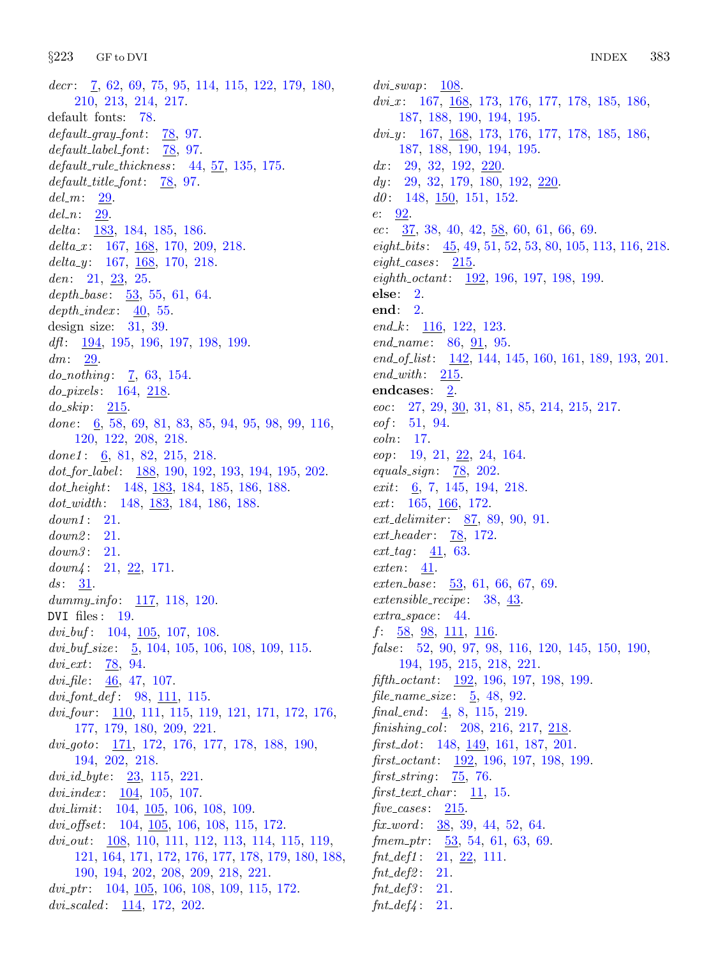$decr: \quad 7, \ 62, \ 69, \ 75, \ 95, \ 114, \ 115, \ 122, \ 179, \ 180,$  $decr: \quad 7, \ 62, \ 69, \ 75, \ 95, \ 114, \ 115, \ 122, \ 179, \ 180,$  $decr: \quad 7, \ 62, \ 69, \ 75, \ 95, \ 114, \ 115, \ 122, \ 179, \ 180,$  $decr: \quad 7, \ 62, \ 69, \ 75, \ 95, \ 114, \ 115, \ 122, \ 179, \ 180,$  $decr: \quad 7, \ 62, \ 69, \ 75, \ 95, \ 114, \ 115, \ 122, \ 179, \ 180,$  $decr: \quad 7, \ 62, \ 69, \ 75, \ 95, \ 114, \ 115, \ 122, \ 179, \ 180,$  $decr: \quad 7, \ 62, \ 69, \ 75, \ 95, \ 114, \ 115, \ 122, \ 179, \ 180,$  $decr: \quad 7, \ 62, \ 69, \ 75, \ 95, \ 114, \ 115, \ 122, \ 179, \ 180,$  $decr: \quad 7, \ 62, \ 69, \ 75, \ 95, \ 114, \ 115, \ 122, \ 179, \ 180,$  $decr: \quad 7, \ 62, \ 69, \ 75, \ 95, \ 114, \ 115, \ 122, \ 179, \ 180,$  $decr: \quad 7, \ 62, \ 69, \ 75, \ 95, \ 114, \ 115, \ 122, \ 179, \ 180,$  $decr: \quad 7, \ 62, \ 69, \ 75, \ 95, \ 114, \ 115, \ 122, \ 179, \ 180,$  $decr: \quad 7, \ 62, \ 69, \ 75, \ 95, \ 114, \ 115, \ 122, \ 179, \ 180,$  $decr: \quad 7, \ 62, \ 69, \ 75, \ 95, \ 114, \ 115, \ 122, \ 179, \ 180,$  $decr: \quad 7, \ 62, \ 69, \ 75, \ 95, \ 114, \ 115, \ 122, \ 179, \ 180,$  $decr: \quad 7, \ 62, \ 69, \ 75, \ 95, \ 114, \ 115, \ 122, \ 179, \ 180,$  $decr: \quad 7, \ 62, \ 69, \ 75, \ 95, \ 114, \ 115, \ 122, \ 179, \ 180,$  $decr: \quad 7, \ 62, \ 69, \ 75, \ 95, \ 114, \ 115, \ 122, \ 179, \ 180,$  $decr: \quad 7, \ 62, \ 69, \ 75, \ 95, \ 114, \ 115, \ 122, \ 179, \ 180,$  $decr: \quad 7, \ 62, \ 69, \ 75, \ 95, \ 114, \ 115, \ 122, \ 179, \ 180,$ [210,](#page-76-0) [213](#page-77-0), [214](#page-77-0), [217.](#page-78-0) default fonts: [78.](#page-37-0)  $default_{.}gray_{.}font: 78, 97.$  $default_{.}gray_{.}font: 78, 97.$  $default_{.}gray_{.}font: 78, 97.$  $default_{.}gray_{.}font: 78, 97.$  $default_{.}gray_{.}font: 78, 97.$ default label font: [78](#page-37-0), [97.](#page-43-0)  $default\_rule\_thickness: 44, 57, 135, 175.$  $default\_rule\_thickness: 44, 57, 135, 175.$  $default\_rule\_thickness: 44, 57, 135, 175.$  $default\_rule\_thickness: 44, 57, 135, 175.$  $default\_rule\_thickness: 44, 57, 135, 175.$  $default\_rule\_thickness: 44, 57, 135, 175.$  $default\_rule\_thickness: 44, 57, 135, 175.$  $default\_rule\_thickness: 44, 57, 135, 175.$  $default\_title\_font: 78, 97.$  $default\_title\_font: 78, 97.$  $default\_title\_font: 78, 97.$  $default\_title\_font: 78, 97.$  $del_m: 29$  $del_m: 29$ .  $del_n$ : [29](#page-14-0). delta: [183,](#page-69-0) [184,](#page-69-0) [185](#page-69-0), [186.](#page-70-0) delta  $x$ : [167](#page-65-0), [168](#page-65-0), [170](#page-65-0), [209](#page-76-0), [218](#page-78-0).  $delta.y: 167, 168, 170, 218.$  $delta.y: 167, 168, 170, 218.$  $delta.y: 167, 168, 170, 218.$  $delta.y: 167, 168, 170, 218.$  $delta.y: 167, 168, 170, 218.$  $delta.y: 167, 168, 170, 218.$  $delta.y: 167, 168, 170, 218.$  $delta.y: 167, 168, 170, 218.$  $delta.y: 167, 168, 170, 218.$ den:  $21, 23, 25$  $21, 23, 25$  $21, 23, 25$  $21, 23, 25$  $21, 23, 25$ . depth base:  $\frac{53}{53}$ , [55,](#page-28-0) [61](#page-30-0), [64.](#page-31-0) depth-index:  $\overline{40}$  $\overline{40}$  $\overline{40}$ , [55.](#page-28-0) design size: [31](#page-16-0), [39.](#page-21-0)  $d\hat{\mu}$ : [194](#page-72-0), [195](#page-73-0), [196](#page-73-0), [197](#page-73-0), [198](#page-73-0), [199.](#page-73-0) dm: [29](#page-14-0).  $do\_nothinging: 7, 63, 154.$  $do\_nothinging: 7, 63, 154.$  $do\_nothinging: 7, 63, 154.$  $do\_nothinging: 7, 63, 154.$  $do\_nothinging: 7, 63, 154.$  $do\_nothinging: 7, 63, 154.$  $do\_nothinging: 7, 63, 154.$ do pixels: [164,](#page-64-0) [218.](#page-78-0)  $do\_skip: 215$  $do\_skip: 215$ . done:  $6, 58, 69, 81, 83, 85, 94, 95, 98, 99, 116,$  $6, 58, 69, 81, 83, 85, 94, 95, 98, 99, 116,$  $6, 58, 69, 81, 83, 85, 94, 95, 98, 99, 116,$  $6, 58, 69, 81, 83, 85, 94, 95, 98, 99, 116,$  $6, 58, 69, 81, 83, 85, 94, 95, 98, 99, 116,$  $6, 58, 69, 81, 83, 85, 94, 95, 98, 99, 116,$  $6, 58, 69, 81, 83, 85, 94, 95, 98, 99, 116,$  $6, 58, 69, 81, 83, 85, 94, 95, 98, 99, 116,$  $6, 58, 69, 81, 83, 85, 94, 95, 98, 99, 116,$  $6, 58, 69, 81, 83, 85, 94, 95, 98, 99, 116,$  $6, 58, 69, 81, 83, 85, 94, 95, 98, 99, 116,$  $6, 58, 69, 81, 83, 85, 94, 95, 98, 99, 116,$  $6, 58, 69, 81, 83, 85, 94, 95, 98, 99, 116,$  $6, 58, 69, 81, 83, 85, 94, 95, 98, 99, 116,$  $6, 58, 69, 81, 83, 85, 94, 95, 98, 99, 116,$  $6, 58, 69, 81, 83, 85, 94, 95, 98, 99, 116,$  $6, 58, 69, 81, 83, 85, 94, 95, 98, 99, 116,$  $6, 58, 69, 81, 83, 85, 94, 95, 98, 99, 116,$  $6, 58, 69, 81, 83, 85, 94, 95, 98, 99, 116,$  $6, 58, 69, 81, 83, 85, 94, 95, 98, 99, 116,$  $6, 58, 69, 81, 83, 85, 94, 95, 98, 99, 116,$  $6, 58, 69, 81, 83, 85, 94, 95, 98, 99, 116,$ [120,](#page-50-0) [122](#page-51-0), [208](#page-76-0), [218.](#page-78-0) done1:  $6, 81, 82, 215, 218.$  $6, 81, 82, 215, 218.$  $6, 81, 82, 215, 218.$  $6, 81, 82, 215, 218.$  $6, 81, 82, 215, 218.$  $6, 81, 82, 215, 218.$  $6, 81, 82, 215, 218.$  $6, 81, 82, 215, 218.$  $6, 81, 82, 215, 218.$  $6, 81, 82, 215, 218.$  $dot-for\_label$ :  $188, 190, 192, 193, 194, 195, 202$  $188, 190, 192, 193, 194, 195, 202$  $188, 190, 192, 193, 194, 195, 202$  $188, 190, 192, 193, 194, 195, 202$  $188, 190, 192, 193, 194, 195, 202$  $188, 190, 192, 193, 194, 195, 202$  $188, 190, 192, 193, 194, 195, 202$  $188, 190, 192, 193, 194, 195, 202$  $188, 190, 192, 193, 194, 195, 202$  $188, 190, 192, 193, 194, 195, 202$  $188, 190, 192, 193, 194, 195, 202$  $188, 190, 192, 193, 194, 195, 202$  $188, 190, 192, 193, 194, 195, 202$ . dot height: [148](#page-60-0), [183,](#page-69-0) [184](#page-69-0), [185,](#page-69-0) [186](#page-70-0), [188.](#page-70-0) dot\_width: [148](#page-60-0), [183](#page-69-0), [184](#page-69-0), [186,](#page-70-0) [188.](#page-70-0)  $down1: 21.$  $down1: 21.$  $down1: 21.$  $down2: 21.$  $down2: 21.$  $down2: 21.$  $down3: 21.$  $down3: 21.$  $down3: 21.$  $down4: 21, 22, 171.$  $down4: 21, 22, 171.$  $down4: 21, 22, 171.$  $down4: 21, 22, 171.$  $down4: 21, 22, 171.$  $down4: 21, 22, 171.$  $down4: 21, 22, 171.$ ds:  $31$ . dummy\_info: [117,](#page-50-0) [118](#page-50-0), [120](#page-50-0). DVI files:  $19$ .  $dvi_buf$ : [104,](#page-46-0) [105,](#page-46-0) [107](#page-46-0), [108](#page-47-0).  $dvi_buf_size: \quad \underline{5}$ , 104, 10[5,](#page-2-0) [106,](#page-46-0) [108](#page-47-0), [109,](#page-47-0) [115.](#page-48-0)  $dvi\_ext: 78, 94.$  $dvi\_ext: 78, 94.$  $dvi\_ext: 78, 94.$  $dvi\_ext: 78, 94.$  $dvi\_ext: 78, 94.$  $dv i$ -file: [46](#page-24-0), [47,](#page-24-0) [107](#page-46-0).  $dvi$  font def: [98](#page-44-0), [111,](#page-47-0) [115.](#page-48-0)  $dvi_four: 110, 111, 115, 119, 121, 171, 172, 176,$  $dvi_four: 110, 111, 115, 119, 121, 171, 172, 176,$  $dvi_four: 110, 111, 115, 119, 121, 171, 172, 176,$  $dvi_four: 110, 111, 115, 119, 121, 171, 172, 176,$  $dvi_four: 110, 111, 115, 119, 121, 171, 172, 176,$  $dvi_four: 110, 111, 115, 119, 121, 171, 172, 176,$  $dvi_four: 110, 111, 115, 119, 121, 171, 172, 176,$  $dvi_four: 110, 111, 115, 119, 121, 171, 172, 176,$  $dvi_four: 110, 111, 115, 119, 121, 171, 172, 176,$  $dvi_four: 110, 111, 115, 119, 121, 171, 172, 176,$  $dvi_four: 110, 111, 115, 119, 121, 171, 172, 176,$  $dvi_four: 110, 111, 115, 119, 121, 171, 172, 176,$  $dvi_four: 110, 111, 115, 119, 121, 171, 172, 176,$  $dvi_four: 110, 111, 115, 119, 121, 171, 172, 176,$  $dvi_four: 110, 111, 115, 119, 121, 171, 172, 176,$  $dvi_four: 110, 111, 115, 119, 121, 171, 172, 176,$ [177,](#page-67-0) [179](#page-68-0), [180](#page-68-0), [209,](#page-76-0) [221](#page-79-0). dvi goto: [171](#page-66-0), [172](#page-66-0), [176,](#page-67-0) [177,](#page-67-0) [178](#page-68-0), [188](#page-70-0), [190](#page-71-0), [194,](#page-72-0) [202,](#page-74-0) [218.](#page-78-0)  $dvi_id_byte: 23, 115, 221.$  $dvi_id_byte: 23, 115, 221.$  $dvi_id_byte: 23, 115, 221.$  $dvi_id_byte: 23, 115, 221.$  $dvi_id_byte: 23, 115, 221.$  $dvi_id_byte: 23, 115, 221.$  $dvi_id_byte: 23, 115, 221.$  $dvi\_index: 104, 105, 107.$  $dvi\_index: 104, 105, 107.$  $dvi\_index: 104, 105, 107.$  $dvi\_index: 104, 105, 107.$  $dvi\_index: 104, 105, 107.$  $dvi\_index: 104, 105, 107.$ dvi<sub>-</sub>limit: [104,](#page-46-0) [105,](#page-46-0) [106](#page-46-0), [108](#page-47-0), [109](#page-47-0).  $div_{\text{-}}\text{offset}:$  [104,](#page-46-0) [105](#page-46-0), [106,](#page-46-0) [108,](#page-47-0) [115](#page-48-0), [172.](#page-66-0)  $divi_{}10x$ :  $\frac{108}{110}$  $\frac{108}{110}$  $\frac{108}{110}$  $\frac{108}{110}$  $\frac{108}{110}$ , [111,](#page-47-0) [112,](#page-47-0) [113,](#page-48-0) [114](#page-48-0), [115](#page-48-0), [119,](#page-50-0) [121,](#page-51-0) [164,](#page-64-0) [171](#page-66-0), [172](#page-66-0), [176,](#page-67-0) [177](#page-67-0), [178](#page-68-0), [179,](#page-68-0) [180,](#page-68-0) [188](#page-70-0), [190,](#page-71-0) [194,](#page-72-0) [202](#page-74-0), [208](#page-76-0), [209,](#page-76-0) [218,](#page-78-0) [221](#page-79-0).  $div\_ptr$ : [104](#page-46-0), [105,](#page-46-0) [106](#page-46-0), [108,](#page-47-0) [109](#page-47-0), [115,](#page-48-0) [172](#page-66-0).  $divi$  scaled:  $114$ , [172,](#page-66-0) [202](#page-74-0).

 $dvi$ -swap:  $\frac{108}{108}$  $\frac{108}{108}$  $\frac{108}{108}$ .  $dv_i$  x: [167](#page-65-0), [168,](#page-65-0) [173,](#page-67-0) [176](#page-67-0), [177](#page-67-0), [178,](#page-68-0) [185](#page-69-0), [186](#page-70-0), [187,](#page-70-0) [188](#page-70-0), [190](#page-71-0), [194,](#page-72-0) [195](#page-73-0).  $dvi_{.}y$ : [167](#page-65-0), [168,](#page-65-0) [173,](#page-67-0) [176](#page-67-0), [177](#page-67-0), [178,](#page-68-0) [185,](#page-69-0) [186](#page-70-0), [187,](#page-70-0) [188](#page-70-0), [190](#page-71-0), [194,](#page-72-0) [195](#page-73-0).  $dx$ : [29](#page-14-0), [32,](#page-16-0) [192](#page-72-0), [220](#page-79-0). dy: [29,](#page-14-0) [32](#page-16-0), [179](#page-68-0), [180](#page-68-0), [192](#page-72-0), [220](#page-79-0).  $d0: 148, 150, 151, 152.$  $d0: 148, 150, 151, 152.$  $d0: 148, 150, 151, 152.$  $d0: 148, 150, 151, 152.$  $d0: 148, 150, 151, 152.$  $d0: 148, 150, 151, 152.$  $d0: 148, 150, 151, 152.$  $d0: 148, 150, 151, 152.$  $d0: 148, 150, 151, 152.$ e: [92](#page-42-0). ec:  $\frac{37}{36}$  $\frac{37}{36}$  $\frac{37}{36}$ , [38](#page-21-0), [40,](#page-22-0) [42,](#page-23-0) [58](#page-29-0), [60](#page-30-0), [61,](#page-30-0) [66,](#page-32-0) [69](#page-33-0).  $eight\_bits: \quad 45, 49, 51, 52, 53, 80, 105, 113, 116, 218.$  $eight\_bits: \quad 45, 49, 51, 52, 53, 80, 105, 113, 116, 218.$  $eight\_bits: \quad 45, 49, 51, 52, 53, 80, 105, 113, 116, 218.$  $eight\_bits: \quad 45, 49, 51, 52, 53, 80, 105, 113, 116, 218.$  $eight\_bits: \quad 45, 49, 51, 52, 53, 80, 105, 113, 116, 218.$  $eight\_bits: \quad 45, 49, 51, 52, 53, 80, 105, 113, 116, 218.$  $eight\_bits: \quad 45, 49, 51, 52, 53, 80, 105, 113, 116, 218.$  $eight\_bits: \quad 45, 49, 51, 52, 53, 80, 105, 113, 116, 218.$  $eight\_bits: \quad 45, 49, 51, 52, 53, 80, 105, 113, 116, 218.$  $eight\_bits: \quad 45, 49, 51, 52, 53, 80, 105, 113, 116, 218.$  $eight\_bits: \quad 45, 49, 51, 52, 53, 80, 105, 113, 116, 218.$  $eight\_bits: \quad 45, 49, 51, 52, 53, 80, 105, 113, 116, 218.$  $eight\_bits: \quad 45, 49, 51, 52, 53, 80, 105, 113, 116, 218.$  $eight\_bits: \quad 45, 49, 51, 52, 53, 80, 105, 113, 116, 218.$  $eight\_bits: \quad 45, 49, 51, 52, 53, 80, 105, 113, 116, 218.$  $eight\_bits: \quad 45, 49, 51, 52, 53, 80, 105, 113, 116, 218.$  $eight\_bits: \quad 45, 49, 51, 52, 53, 80, 105, 113, 116, 218.$  $eight\_bits: \quad 45, 49, 51, 52, 53, 80, 105, 113, 116, 218.$  $eight\_bits: \quad 45, 49, 51, 52, 53, 80, 105, 113, 116, 218.$  $eight\_bits: \quad 45, 49, 51, 52, 53, 80, 105, 113, 116, 218.$  $eight\_bits: \quad 45, 49, 51, 52, 53, 80, 105, 113, 116, 218.$  $eight\_cases: 215.$  $eight\_cases: 215.$  $eight\_cases: 215.$  $eighth-cstant: \quad 192, 196, 197, 198, 199.$  $eighth-cstant: \quad 192, 196, 197, 198, 199.$  $eighth-cstant: \quad 192, 196, 197, 198, 199.$  $eighth-cstant: \quad 192, 196, 197, 198, 199.$  $eighth-cstant: \quad 192, 196, 197, 198, 199.$  $eighth-cstant: \quad 192, 196, 197, 198, 199.$  $eighth-cstant: \quad 192, 196, 197, 198, 199.$  $eighth-cstant: \quad 192, 196, 197, 198, 199.$  $eighth-cstant: \quad 192, 196, 197, 198, 199.$  $eighth-cstant: \quad 192, 196, 197, 198, 199.$ else: [2](#page-1-0). end: [2](#page-1-0). end  $k: \frac{116}{9}$ , [122](#page-51-0), [123](#page-52-0).  $end_name: 86, 91, 95.$  $end_name: 86, 91, 95.$  $end_name: 86, 91, 95.$  $end_name: 86, 91, 95.$  $end_name: 86, 91, 95.$  $end_name: 86, 91, 95.$ end\_of\_list: [142,](#page-58-0) [144,](#page-59-0) [145,](#page-59-0) [160,](#page-63-0) [161](#page-63-0), [189](#page-70-0), [193](#page-72-0), [201](#page-74-0).  $end\_with$ : [215.](#page-77-0) endcases: [2](#page-1-0). eoc: [27,](#page-13-0) [29,](#page-14-0) [30](#page-15-0), [31,](#page-16-0) [81](#page-38-0), [85,](#page-40-0) [214](#page-77-0), [215,](#page-77-0) [217](#page-78-0).  $eof: 51, 94.$  $eof: 51, 94.$  $eof: 51, 94.$  $eof: 51, 94.$ eoln: [17](#page-6-0).  $e^{i\omega p}$ : [19](#page-7-0), [21,](#page-8-0) [22,](#page-10-0) [24](#page-11-0), [164.](#page-64-0) equals\_sign:  $\frac{78}{202}$  $\frac{78}{202}$  $\frac{78}{202}$ .  $exit: 6, 7, 145, 194, 218.$  $exit: 6, 7, 145, 194, 218.$  $exit: 6, 7, 145, 194, 218.$  $exit: 6, 7, 145, 194, 218.$  $exit: 6, 7, 145, 194, 218.$  $exit: 6, 7, 145, 194, 218.$  $exit: 6, 7, 145, 194, 218.$  $exit: 6, 7, 145, 194, 218.$  $exit: 6, 7, 145, 194, 218.$  $exit: 6, 7, 145, 194, 218.$  $exit: 6, 7, 145, 194, 218.$  $ext: 165, 166, 172.$  $ext: 165, 166, 172.$  $ext: 165, 166, 172.$  $ext: 165, 166, 172.$  $ext: 165, 166, 172.$  $ext: 165, 166, 172.$  $ext: 165, 166, 172.$ ext\_delimiter: [87,](#page-41-0) [89](#page-41-0), [90](#page-41-0), [91.](#page-42-0)  $ext\_header: 78, 172.$  $ext\_header: 78, 172.$  $ext\_header: 78, 172.$  $ext\_header: 78, 172.$  $ext\_header: 78, 172.$  $ext\_tag: 41, 63.$  $ext\_tag: 41, 63.$  $ext\_tag: 41, 63.$  $ext\_tag: 41, 63.$  $ext\_tag: 41, 63.$  $exten: \underline{41}.$  $ext{en\_base}$ :  $\underline{53}$  $\underline{53}$  $\underline{53}$ , [61](#page-30-0), [66](#page-32-0), [67,](#page-32-0) [69.](#page-33-0)  $extensible\_recipe: 38, 43.$  $extensible\_recipe: 38, 43.$  $extensible\_recipe: 38, 43.$  $extensible\_recipe: 38, 43.$  $extensible\_recipe: 38, 43.$  $extra\_space: 44.$  $extra\_space: 44.$  $extra\_space: 44.$ f:  $58, 98, 111, 116$  $58, 98, 111, 116$  $58, 98, 111, 116$  $58, 98, 111, 116$  $58, 98, 111, 116$  $58, 98, 111, 116$ . false: [52](#page-26-0), [90,](#page-41-0) [97,](#page-43-0) [98](#page-44-0), [116](#page-49-0), [120,](#page-50-0) [145,](#page-59-0) [150](#page-60-0), [190](#page-71-0), [194,](#page-72-0) [195](#page-73-0), [215](#page-77-0), [218,](#page-78-0) [221](#page-79-0). fifth octant: [192](#page-72-0), [196](#page-73-0), [197,](#page-73-0) [198,](#page-73-0) [199](#page-73-0).  $file_name_size: 5, 48, 92.$  $file_name_size: 5, 48, 92.$  $file_name_size: 5, 48, 92.$  $file_name_size: 5, 48, 92.$  $file_name_size: 5, 48, 92.$  $file_name_size: 5, 48, 92.$  $file_name_size: 5, 48, 92.$  $final\_end:$   $\frac{4}{5}$ , [8](#page-2-0), [115,](#page-48-0) [219](#page-79-0). finishing\_col: [208](#page-76-0), [216](#page-78-0), [217](#page-78-0), [218](#page-78-0).  $first\_dot:$  [148](#page-60-0), <u>[149](#page-60-0)</u>, [161](#page-63-0), [187](#page-70-0), [201](#page-74-0). first octant: [192](#page-72-0), [196](#page-73-0), [197,](#page-73-0) [198,](#page-73-0) [199.](#page-73-0) first\_string:  $\frac{75}{76}$ . first\_text\_char:  $11$ , [15](#page-5-0).  $five\_cases$ :  $215$ . fix word : [38,](#page-21-0) [39,](#page-21-0) [44](#page-23-0), [52](#page-26-0), [64.](#page-31-0)  $fmem\_ptr$ : [53](#page-27-0), [54,](#page-27-0) [61,](#page-30-0) [63](#page-31-0), [69](#page-33-0).  $fnt\_def1$ : [21,](#page-8-0) [22,](#page-10-0) [111](#page-47-0).  $fnt\_def2: 21.$  $fnt\_def2: 21.$  $fnt\_def3: 21.$  $fnt\_def3: 21.$ 

 $fnt\_def4: 21.$  $fnt\_def4: 21.$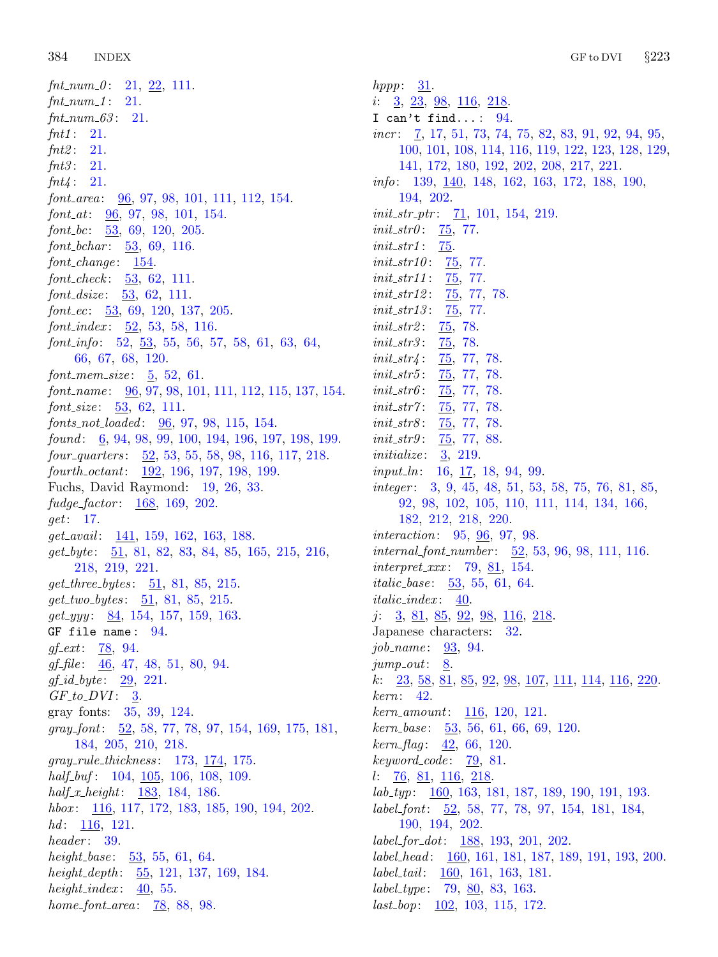$fnt_number.0: 21, 22, 111.$  $fnt_number.0: 21, 22, 111.$  $fnt_number.0: 21, 22, 111.$  $fnt_number.0: 21, 22, 111.$  $fnt_number.0: 21, 22, 111.$  $fnt_number.0: 21, 22, 111.$  $fnt_number.0: 21, 22, 111.$  $fnt\_num\_1: 21.$  $fnt\_num\_1: 21.$  $fnt\_num\_1: 21.$  $fnt_number_63: 21.$  $fnt_number_63: 21.$  $fnt_number_63: 21.$  $fnt1: 21.$  $fnt1: 21.$  $fnt2: 21.$  $fnt2: 21.$  $fnt3: 21.$  $fnt3: 21.$  $fnt4: 21.$  $fnt4: 21.$  $font\_area: 96, 97, 98, 101, 111, 112, 154.$  $font\_area: 96, 97, 98, 101, 111, 112, 154.$  $font\_area: 96, 97, 98, 101, 111, 112, 154.$  $font\_area: 96, 97, 98, 101, 111, 112, 154.$  $font\_area: 96, 97, 98, 101, 111, 112, 154.$  $font\_area: 96, 97, 98, 101, 111, 112, 154.$  $font\_area: 96, 97, 98, 101, 111, 112, 154.$  $font\_area: 96, 97, 98, 101, 111, 112, 154.$  $font\_area: 96, 97, 98, 101, 111, 112, 154.$  $font\_area: 96, 97, 98, 101, 111, 112, 154.$  $font\_area: 96, 97, 98, 101, 111, 112, 154.$  $font\_area: 96, 97, 98, 101, 111, 112, 154.$  $font\_area: 96, 97, 98, 101, 111, 112, 154.$  $font\_area: 96, 97, 98, 101, 111, 112, 154.$  $font\_at: 96, 97, 98, 101, 154.$  $font\_at: 96, 97, 98, 101, 154.$  $font\_at: 96, 97, 98, 101, 154.$  $font\_at: 96, 97, 98, 101, 154.$  $font\_at: 96, 97, 98, 101, 154.$  $font\_at: 96, 97, 98, 101, 154.$  $font\_at: 96, 97, 98, 101, 154.$  $font\_at: 96, 97, 98, 101, 154.$  $font\_at: 96, 97, 98, 101, 154.$  $font\_at: 96, 97, 98, 101, 154.$  $font\_at: 96, 97, 98, 101, 154.$  $font\_bc: 53, 69, 120, 205.$  $font\_bc: 53, 69, 120, 205.$  $font\_bc: 53, 69, 120, 205.$  $font\_bc: 53, 69, 120, 205.$  $font\_bc: 53, 69, 120, 205.$  $font\_bc: 53, 69, 120, 205.$  $font\_bc: 53, 69, 120, 205.$  $font\_bc: 53, 69, 120, 205.$  $font\_bc: 53, 69, 120, 205.$  $font\_bchar: 53, 69, 116.$  $font\_bchar: 53, 69, 116.$  $font\_bchar: 53, 69, 116.$  $font\_bchar: 53, 69, 116.$  $font\_bchar: 53, 69, 116.$  $font\_bchar: 53, 69, 116.$  $font\_bchar: 53, 69, 116.$ font\_change: [154](#page-62-0).  $font\_check: 53, 62, 111.$  $font\_check: 53, 62, 111.$  $font\_check: 53, 62, 111.$  $font\_check: 53, 62, 111.$  $font\_check: 53, 62, 111.$  $font\_check: 53, 62, 111.$  $font\_disize: 53, 62, 111.$  $font\_disize: 53, 62, 111.$  $font\_disize: 53, 62, 111.$  $font\_disize: 53, 62, 111.$  $font\_disize: 53, 62, 111.$  $font\_disize: 53, 62, 111.$  $font\_ec: 53, 69, 120, 137, 205.$  $font\_ec: 53, 69, 120, 137, 205.$  $font\_ec: 53, 69, 120, 137, 205.$  $font\_ec: 53, 69, 120, 137, 205.$  $font\_ec: 53, 69, 120, 137, 205.$  $font\_ec: 53, 69, 120, 137, 205.$  $font\_ec: 53, 69, 120, 137, 205.$  $font\_ec: 53, 69, 120, 137, 205.$  $font\_ec: 53, 69, 120, 137, 205.$  $font\_ec: 53, 69, 120, 137, 205.$ *font index*:  $\frac{52}{53}$  $\frac{52}{53}$  $\frac{52}{53}$  $\frac{52}{53}$  $\frac{52}{53}$ , 53, [58,](#page-29-0) [116.](#page-49-0)  $font\_info: 52, 53, 55, 56, 57, 58, 61, 63, 64,$  $font\_info: 52, 53, 55, 56, 57, 58, 61, 63, 64,$  $font\_info: 52, 53, 55, 56, 57, 58, 61, 63, 64,$  $font\_info: 52, 53, 55, 56, 57, 58, 61, 63, 64,$  $font\_info: 52, 53, 55, 56, 57, 58, 61, 63, 64,$  $font\_info: 52, 53, 55, 56, 57, 58, 61, 63, 64,$  $font\_info: 52, 53, 55, 56, 57, 58, 61, 63, 64,$  $font\_info: 52, 53, 55, 56, 57, 58, 61, 63, 64,$  $font\_info: 52, 53, 55, 56, 57, 58, 61, 63, 64,$  $font\_info: 52, 53, 55, 56, 57, 58, 61, 63, 64,$  $font\_info: 52, 53, 55, 56, 57, 58, 61, 63, 64,$  $font\_info: 52, 53, 55, 56, 57, 58, 61, 63, 64,$  $font\_info: 52, 53, 55, 56, 57, 58, 61, 63, 64,$  $font\_info: 52, 53, 55, 56, 57, 58, 61, 63, 64,$  $font\_info: 52, 53, 55, 56, 57, 58, 61, 63, 64,$  $font\_info: 52, 53, 55, 56, 57, 58, 61, 63, 64,$  $font\_info: 52, 53, 55, 56, 57, 58, 61, 63, 64,$  $font\_info: 52, 53, 55, 56, 57, 58, 61, 63, 64,$  $font\_info: 52, 53, 55, 56, 57, 58, 61, 63, 64,$ [66,](#page-32-0) [67,](#page-32-0) [68](#page-32-0), [120](#page-50-0).  $font\_mem\_size: 5, 52, 61.$  $font\_mem\_size: 5, 52, 61.$  $font\_mem\_size: 5, 52, 61.$  $font\_mem\_size: 5, 52, 61.$  $font\_mem\_size: 5, 52, 61.$  $font\_mem\_size: 5, 52, 61.$ font\_name:  $96, 97, 98, 101, 111, 112, 115, 137, 154.$  $96, 97, 98, 101, 111, 112, 115, 137, 154.$  $96, 97, 98, 101, 111, 112, 115, 137, 154.$  $96, 97, 98, 101, 111, 112, 115, 137, 154.$  $96, 97, 98, 101, 111, 112, 115, 137, 154.$  $96, 97, 98, 101, 111, 112, 115, 137, 154.$  $96, 97, 98, 101, 111, 112, 115, 137, 154.$  $96, 97, 98, 101, 111, 112, 115, 137, 154.$  $96, 97, 98, 101, 111, 112, 115, 137, 154.$  $96, 97, 98, 101, 111, 112, 115, 137, 154.$  $96, 97, 98, 101, 111, 112, 115, 137, 154.$  $96, 97, 98, 101, 111, 112, 115, 137, 154.$  $96, 97, 98, 101, 111, 112, 115, 137, 154.$  $96, 97, 98, 101, 111, 112, 115, 137, 154.$  $96, 97, 98, 101, 111, 112, 115, 137, 154.$  $96, 97, 98, 101, 111, 112, 115, 137, 154.$  $96, 97, 98, 101, 111, 112, 115, 137, 154.$  $96, 97, 98, 101, 111, 112, 115, 137, 154.$ font\_size: [53](#page-27-0), [62](#page-30-0), [111.](#page-47-0)  $fonts\_not\_loaded: \quad 96, 97, 98, 115, 154.$  $fonts\_not\_loaded: \quad 96, 97, 98, 115, 154.$  $fonts\_not\_loaded: \quad 96, 97, 98, 115, 154.$  $fonts\_not\_loaded: \quad 96, 97, 98, 115, 154.$  $fonts\_not\_loaded: \quad 96, 97, 98, 115, 154.$  $fonts\_not\_loaded: \quad 96, 97, 98, 115, 154.$  $fonts\_not\_loaded: \quad 96, 97, 98, 115, 154.$  $fonts\_not\_loaded: \quad 96, 97, 98, 115, 154.$  $fonts\_not\_loaded: \quad 96, 97, 98, 115, 154.$  $fonts\_not\_loaded: \quad 96, 97, 98, 115, 154.$  $fonts\_not\_loaded: \quad 96, 97, 98, 115, 154.$ found:  $6, 94, 98, 99, 100, 194, 196, 197, 198, 199.$  $6, 94, 98, 99, 100, 194, 196, 197, 198, 199.$  $6, 94, 98, 99, 100, 194, 196, 197, 198, 199.$  $6, 94, 98, 99, 100, 194, 196, 197, 198, 199.$  $6, 94, 98, 99, 100, 194, 196, 197, 198, 199.$  $6, 94, 98, 99, 100, 194, 196, 197, 198, 199.$  $6, 94, 98, 99, 100, 194, 196, 197, 198, 199.$  $6, 94, 98, 99, 100, 194, 196, 197, 198, 199.$  $6, 94, 98, 99, 100, 194, 196, 197, 198, 199.$  $6, 94, 98, 99, 100, 194, 196, 197, 198, 199.$  $6, 94, 98, 99, 100, 194, 196, 197, 198, 199.$  $6, 94, 98, 99, 100, 194, 196, 197, 198, 199.$  $6, 94, 98, 99, 100, 194, 196, 197, 198, 199.$  $6, 94, 98, 99, 100, 194, 196, 197, 198, 199.$  $6, 94, 98, 99, 100, 194, 196, 197, 198, 199.$  $6, 94, 98, 99, 100, 194, 196, 197, 198, 199.$  $6, 94, 98, 99, 100, 194, 196, 197, 198, 199.$  $6, 94, 98, 99, 100, 194, 196, 197, 198, 199.$  $6, 94, 98, 99, 100, 194, 196, 197, 198, 199.$  $6, 94, 98, 99, 100, 194, 196, 197, 198, 199.$  $four\_{4}a$   $\underline{52}$ , 53, 55, 58, 98, 116, 117, 218. $four\_{4}a$   $\underline{52}$ , 53, 55, 58, 98, 116, 117, 218. $four\_{4}a$   $\underline{52}$ , 53, 55, 58, 98, 116, 117, 218. $four\_{4}a$   $\underline{52}$ , 53, 55, 58, 98, 116, 117, 218. $four\_{4}a$   $\underline{52}$ , 53, 55, 58, 98, 116, 117, 218. $four\_{4}a$   $\underline{52}$ , 53, 55, 58, 98, 116, 117, 218. $four\_{4}a$   $\underline{52}$ , 53, 55, 58, 98, 116, 117, 218. $four\_{4}a$   $\underline{52}$ , 53, 55, 58, 98, 116, 117, 218. $four\_{4}a$   $\underline{52}$ , 53, 55, 58, 98, 116, 117, 218. $four\_{4}a$   $\underline{52}$ , 53, 55, 58, 98, 116, 117, 218. $four\_{4}a$   $\underline{52}$ , 53, 55, 58, 98, 116, 117, 218. $four\_{4}a$   $\underline{52}$ , 53, 55, 58, 98, 116, 117, 218. $four\_{4}a$   $\underline{52}$ , 53, 55, 58, 98, 116, 117, 218. $four\_{4}a$   $\underline{52}$ , 53, 55, 58, 98, 116, 117, 218. $four\_{4}a$   $\underline{52}$ , 53, 55, 58, 98, 116, 117, 218.fourth\_octant: <u>[192](#page-72-0)</u>, [196](#page-73-0), [197,](#page-73-0) [198](#page-73-0), [199](#page-73-0). Fuchs, David Raymond: [19,](#page-7-0) [26,](#page-12-0) [33.](#page-17-0)  $fudge\_factor: \underline{168}, 169, 202.$  $fudge\_factor: \underline{168}, 169, 202.$  $fudge\_factor: \underline{168}, 169, 202.$  $fudge\_factor: \underline{168}, 169, 202.$  $fudge\_factor: \underline{168}, 169, 202.$ get: [17.](#page-6-0) get\_avail: [141,](#page-58-0) [159,](#page-63-0) [162,](#page-63-0) [163](#page-64-0), [188](#page-70-0).  $get\_byte: \quad 51, 81, 82, 83, 84, 85, 165, 215, 216,$  $get\_byte: \quad 51, 81, 82, 83, 84, 85, 165, 215, 216,$  $get\_byte: \quad 51, 81, 82, 83, 84, 85, 165, 215, 216,$  $get\_byte: \quad 51, 81, 82, 83, 84, 85, 165, 215, 216,$  $get\_byte: \quad 51, 81, 82, 83, 84, 85, 165, 215, 216,$  $get\_byte: \quad 51, 81, 82, 83, 84, 85, 165, 215, 216,$  $get\_byte: \quad 51, 81, 82, 83, 84, 85, 165, 215, 216,$  $get\_byte: \quad 51, 81, 82, 83, 84, 85, 165, 215, 216,$  $get\_byte: \quad 51, 81, 82, 83, 84, 85, 165, 215, 216,$  $get\_byte: \quad 51, 81, 82, 83, 84, 85, 165, 215, 216,$  $get\_byte: \quad 51, 81, 82, 83, 84, 85, 165, 215, 216,$  $get\_byte: \quad 51, 81, 82, 83, 84, 85, 165, 215, 216,$  $get\_byte: \quad 51, 81, 82, 83, 84, 85, 165, 215, 216,$  $get\_byte: \quad 51, 81, 82, 83, 84, 85, 165, 215, 216,$  $get\_byte: \quad 51, 81, 82, 83, 84, 85, 165, 215, 216,$  $get\_byte: \quad 51, 81, 82, 83, 84, 85, 165, 215, 216,$  $get\_byte: \quad 51, 81, 82, 83, 84, 85, 165, 215, 216,$  $get\_byte: \quad 51, 81, 82, 83, 84, 85, 165, 215, 216,$ [218,](#page-78-0) [219,](#page-79-0) [221.](#page-79-0)  $get\_three\_bytes: \quad 51, 81, 85, 215.$  $get\_three\_bytes: \quad 51, 81, 85, 215.$  $get\_three\_bytes: \quad 51, 81, 85, 215.$  $get\_three\_bytes: \quad 51, 81, 85, 215.$  $get\_three\_bytes: \quad 51, 81, 85, 215.$  $get\_three\_bytes: \quad 51, 81, 85, 215.$  $get\_three\_bytes: \quad 51, 81, 85, 215.$  $get\_three\_bytes: \quad 51, 81, 85, 215.$  $get\_three\_bytes: \quad 51, 81, 85, 215.$  $get\_two\_bytes: \quad 51, 81, 85, 215.$  $get\_two\_bytes: \quad 51, 81, 85, 215.$  $get\_two\_bytes: \quad 51, 81, 85, 215.$  $get\_two\_bytes: \quad 51, 81, 85, 215.$  $get\_two\_bytes: \quad 51, 81, 85, 215.$  $get\_two\_bytes: \quad 51, 81, 85, 215.$  $get\_two\_bytes: \quad 51, 81, 85, 215.$  $get\_two\_bytes: \quad 51, 81, 85, 215.$  $get\_yyy$ : [84,](#page-39-0) [154,](#page-62-0) [157,](#page-62-0) [159,](#page-63-0) [163.](#page-64-0) GF file name : [94.](#page-43-0)  $gf_{\text{-}}ext: 78, 94.$  $gf_{\text{-}}ext: 78, 94.$  $gf_{\text{-}}ext: 78, 94.$  $gf_{\text{-}}ext: 78, 94.$  $gf_{\text{-}}ext: 78, 94.$  $gf$ -file: [46,](#page-24-0) [47](#page-24-0), [48](#page-25-0), [51,](#page-25-0) [80,](#page-38-0) [94.](#page-43-0)  $gf_id\_byte: 29, 221.$  $gf_id\_byte: 29, 221.$  $gf_id\_byte: 29, 221.$  $gf_id\_byte: 29, 221.$  $gf_id\_byte: 29, 221.$  $GF_to_DVI$ : [3](#page-1-0). gray fonts: [35](#page-18-0), [39,](#page-21-0) [124](#page-53-0).  $gray_{\text{+}}font: 52, 58, 77, 78, 97, 154, 169, 175, 181,$  $gray_{\text{+}}font: 52, 58, 77, 78, 97, 154, 169, 175, 181,$  $gray_{\text{+}}font: 52, 58, 77, 78, 97, 154, 169, 175, 181,$  $gray_{\text{+}}font: 52, 58, 77, 78, 97, 154, 169, 175, 181,$  $gray_{\text{+}}font: 52, 58, 77, 78, 97, 154, 169, 175, 181,$  $gray_{\text{+}}font: 52, 58, 77, 78, 97, 154, 169, 175, 181,$  $gray_{\text{+}}font: 52, 58, 77, 78, 97, 154, 169, 175, 181,$  $gray_{\text{+}}font: 52, 58, 77, 78, 97, 154, 169, 175, 181,$  $gray_{\text{+}}font: 52, 58, 77, 78, 97, 154, 169, 175, 181,$  $gray_{\text{+}}font: 52, 58, 77, 78, 97, 154, 169, 175, 181,$  $gray_{\text{+}}font: 52, 58, 77, 78, 97, 154, 169, 175, 181,$  $gray_{\text{+}}font: 52, 58, 77, 78, 97, 154, 169, 175, 181,$  $gray_{\text{+}}font: 52, 58, 77, 78, 97, 154, 169, 175, 181,$  $gray_{\text{+}}font: 52, 58, 77, 78, 97, 154, 169, 175, 181,$  $gray_{\text{+}}font: 52, 58, 77, 78, 97, 154, 169, 175, 181,$  $gray_{\text{+}}font: 52, 58, 77, 78, 97, 154, 169, 175, 181,$  $gray_{\text{+}}font: 52, 58, 77, 78, 97, 154, 169, 175, 181,$  $gray_{\text{+}}font: 52, 58, 77, 78, 97, 154, 169, 175, 181,$  $gray_{\text{+}}font: 52, 58, 77, 78, 97, 154, 169, 175, 181,$ [184,](#page-69-0) [205](#page-75-0), [210](#page-76-0), [218.](#page-78-0) gray rule thickness : [173](#page-67-0), [174](#page-67-0), [175.](#page-67-0) half\_buf:  $104, 105, 106, 108, 109$  $104, 105, 106, 108, 109$  $104, 105, 106, 108, 109$  $104, 105, 106, 108, 109$  $104, 105, 106, 108, 109$  $104, 105, 106, 108, 109$  $104, 105, 106, 108, 109$  $104, 105, 106, 108, 109$ . half\_x\_height:  $183, 184, 186$  $183, 184, 186$  $183, 184, 186$  $183, 184, 186$  $183, 184, 186$ . hbox: [116](#page-49-0), [117,](#page-50-0) [172,](#page-66-0) [183](#page-69-0), [185,](#page-69-0) [190,](#page-71-0) [194](#page-72-0), [202.](#page-74-0)  $hd: 116, 121.$  $hd: 116, 121.$  $hd: 116, 121.$  $hd: 116, 121.$  $hd: 116, 121.$ header: [39](#page-21-0). height\_base:  $53, 55, 61, 64$  $53, 55, 61, 64$  $53, 55, 61, 64$  $53, 55, 61, 64$  $53, 55, 61, 64$  $53, 55, 61, 64$  $53, 55, 61, 64$ . height\_depth:  $\underline{55}$ , [121](#page-51-0), [137](#page-57-0), [169,](#page-65-0) [184.](#page-69-0) height index :  $40, 55$  $40, 55$  $40, 55$ . home\_font\_area: [78](#page-37-0), [88,](#page-41-0) [98.](#page-44-0)

hppp:  $31$ . i:  $\frac{3}{23}$  $\frac{3}{23}$  $\frac{3}{23}$ ,  $\frac{98}{23}$  $\frac{98}{23}$  $\frac{98}{23}$ ,  $\frac{116}{218}$ . I can't find...:  $94$ . *incr*:  $\frac{7}{17}$  $\frac{7}{17}$  $\frac{7}{17}$ , 1[7,](#page-2-0) [51](#page-25-0), [73,](#page-34-0) [74](#page-34-0), [75,](#page-35-0) [82](#page-39-0), [83](#page-39-0), [91,](#page-42-0) [92](#page-42-0), [94,](#page-43-0) [95](#page-43-0), [100,](#page-44-0) [101,](#page-45-0) [108](#page-47-0), [114,](#page-48-0) [116,](#page-49-0) [119](#page-50-0), [122](#page-51-0), [123,](#page-52-0) [128,](#page-54-0) [129](#page-55-0), [141,](#page-58-0) [172](#page-66-0), [180,](#page-68-0) [192](#page-72-0), [202,](#page-74-0) [208](#page-76-0), [217,](#page-78-0) [221](#page-79-0). info: [139,](#page-58-0) [140](#page-58-0), [148,](#page-60-0) [162](#page-63-0), [163,](#page-64-0) [172](#page-66-0), [188,](#page-70-0) [190](#page-71-0), [194,](#page-72-0) [202.](#page-74-0)  $init\_str\_ptr$ :  $71, 101, 154, 219$  $71, 101, 154, 219$  $71, 101, 154, 219$  $71, 101, 154, 219$  $71, 101, 154, 219$  $71, 101, 154, 219$  $71, 101, 154, 219$ .  $init\_str0: 75, 77.$  $init\_str0: 75, 77.$  $init\_str0: 75, 77.$  $init\_str0: 75, 77.$  $init\_str1: 75.$  $init\_str1: 75.$ *init\_str10* :  $\frac{75}{77}$ .  $init\_str11: 75, 77.$  $init\_str11: 75, 77.$  $init\_str11: 75, 77.$  $init\_str11: 75, 77.$  $init\_str12: 75, 77, 78.$  $init\_str12: 75, 77, 78.$  $init\_str12: 75, 77, 78.$  $init\_str12: 75, 77, 78.$  $init\_str12: 75, 77, 78.$  $init\_str12: 75, 77, 78.$  $init\_str12: 75, 77, 78.$ init\_str13: [75,](#page-35-0) [77.](#page-36-0) *init\_str2* :  $\frac{75}{6}$ , [78.](#page-37-0) *init\_str3* :  $\frac{75}{78}$ , [78.](#page-37-0)  $init\_str4: 75, 77, 78.$  $init\_str4: 75, 77, 78.$  $init\_str4: 75, 77, 78.$  $init\_str4: 75, 77, 78.$  $init\_str4: 75, 77, 78.$  $init\_str4: 75, 77, 78.$  $init\_str4: 75, 77, 78.$  $init\_str5: 75, 77, 78.$  $init\_str5: 75, 77, 78.$  $init\_str5: 75, 77, 78.$  $init\_str5: 75, 77, 78.$  $init\_str5: 75, 77, 78.$  $init\_str5: 75, 77, 78.$  $init\_str5: 75, 77, 78.$ *init\_str6* :  $\frac{75}{7}$ , [77,](#page-36-0) [78](#page-37-0).  $init\_str7: 75, 77, 78.$  $init\_str7: 75, 77, 78.$  $init\_str7: 75, 77, 78.$  $init\_str7: 75, 77, 78.$  $init\_str7: 75, 77, 78.$  $init\_str7: 75, 77, 78.$  $init\_str7: 75, 77, 78.$ init str8 : [75,](#page-35-0) [77,](#page-36-0) [78](#page-37-0).  $init\_str9: 75, 77, 88.$  $init\_str9: 75, 77, 88.$  $init\_str9: 75, 77, 88.$  $init\_str9: 75, 77, 88.$  $init\_str9: 75, 77, 88.$  $init\_str9: 75, 77, 88.$  $init\_str9: 75, 77, 88.$ *initialize:*  $\frac{3}{2}$  $\frac{3}{2}$  $\frac{3}{2}$ , [219](#page-79-0).  $input\_ln:$  [16](#page-6-0), [17](#page-6-0), [18,](#page-6-0) [94,](#page-43-0) [99](#page-44-0). integer : [3,](#page-1-0) [9,](#page-3-0) [45](#page-24-0), [48](#page-25-0), [51,](#page-25-0) [53,](#page-27-0) [58,](#page-29-0) [75](#page-35-0), [76](#page-35-0), [81](#page-38-0), [85,](#page-40-0) [92,](#page-42-0) [98](#page-44-0), [102,](#page-46-0) [105](#page-46-0), [110,](#page-47-0) [111](#page-47-0), [114](#page-48-0), [134,](#page-57-0) [166](#page-65-0), [182,](#page-69-0) [212](#page-76-0), [218,](#page-78-0) [220.](#page-79-0) interaction: [95,](#page-43-0) <u>[96](#page-43-0)</u>, [97,](#page-43-0) [98.](#page-44-0)  $internal\_font_number: \quad 52, 53, 96, 98, 111, 116.$  $internal\_font_number: \quad 52, 53, 96, 98, 111, 116.$  $internal\_font_number: \quad 52, 53, 96, 98, 111, 116.$  $internal\_font_number: \quad 52, 53, 96, 98, 111, 116.$  $internal\_font_number: \quad 52, 53, 96, 98, 111, 116.$  $internal\_font_number: \quad 52, 53, 96, 98, 111, 116.$  $internal\_font_number: \quad 52, 53, 96, 98, 111, 116.$  $internal\_font_number: \quad 52, 53, 96, 98, 111, 116.$  $internal\_font_number: \quad 52, 53, 96, 98, 111, 116.$  $internal\_font_number: \quad 52, 53, 96, 98, 111, 116.$  $internal\_font_number: \quad 52, 53, 96, 98, 111, 116.$  $internal\_font_number: \quad 52, 53, 96, 98, 111, 116.$  $interpret\_xxx$ : [79](#page-38-0), [81,](#page-38-0) [154](#page-62-0). *italic base*:  $53, 55, 61, 64$  $53, 55, 61, 64$  $53, 55, 61, 64$  $53, 55, 61, 64$  $53, 55, 61, 64$  $53, 55, 61, 64$  $53, 55, 61, 64$ . italic index : [40.](#page-22-0) j:  $3, 81, 85, 92, 98, 116, 218$  $3, 81, 85, 92, 98, 116, 218$  $3, 81, 85, 92, 98, 116, 218$  $3, 81, 85, 92, 98, 116, 218$  $3, 81, 85, 92, 98, 116, 218$  $3, 81, 85, 92, 98, 116, 218$  $3, 81, 85, 92, 98, 116, 218$  $3, 81, 85, 92, 98, 116, 218$  $3, 81, 85, 92, 98, 116, 218$  $3, 81, 85, 92, 98, 116, 218$  $3, 81, 85, 92, 98, 116, 218$  $3, 81, 85, 92, 98, 116, 218$  $3, 81, 85, 92, 98, 116, 218$ . Japanese characters: [32](#page-16-0).  $job_name: 93, 94.$  $job_name: 93, 94.$  $job_name: 93, 94.$  $job_name: 93, 94.$  $jump_out: 8$  $jump_out: 8$ . k:  $\frac{23}{58}$  $\frac{23}{58}$  $\frac{23}{58}$  $\frac{23}{58}$  $\frac{23}{58}$ ,  $\frac{81}{50}$  $\frac{81}{50}$  $\frac{81}{50}$ ,  $\frac{85}{50}$ ,  $\frac{92}{50}$ ,  $\frac{98}{50}$ ,  $\frac{107}{111}$  $\frac{107}{111}$  $\frac{107}{111}$ ,  $\frac{114}{116}$  $\frac{114}{116}$  $\frac{114}{116}$  $\frac{114}{116}$  $\frac{114}{116}$ ,  $\frac{116}{220}$  $\frac{116}{220}$  $\frac{116}{220}$ . kern: [42.](#page-23-0)  $kern\_amount: \quad 116, 120, 121.$  $kern\_amount: \quad 116, 120, 121.$  $kern\_amount: \quad 116, 120, 121.$  $kern\_amount: \quad 116, 120, 121.$  $kern\_amount: \quad 116, 120, 121.$  $kern\_amount: \quad 116, 120, 121.$  $\textit{kern\_base}$ :  $\underline{53}$  $\underline{53}$  $\underline{53}$ , [56](#page-28-0), [61](#page-30-0), [66](#page-32-0), [69](#page-33-0), [120.](#page-50-0)  $kern\_flag: \quad 42, \, 66, \, 120.$  $kern\_flag: \quad 42, \, 66, \, 120.$  $kern\_flag: \quad 42, \, 66, \, 120.$  $kern\_flag: \quad 42, \, 66, \, 120.$  $kern\_flag: \quad 42, \, 66, \, 120.$  $kern\_flag: \quad 42, \, 66, \, 120.$  $kern\_flag: \quad 42, \, 66, \, 120.$  $keyword\_code: 79, 81.$  $keyword\_code: 79, 81.$  $keyword\_code: 79, 81.$  $keyword\_code: 79, 81.$  $keyword\_code: 79, 81.$ l: [76,](#page-35-0) [81,](#page-38-0) [116](#page-49-0), [218](#page-78-0). lab typ: [160,](#page-63-0) [163](#page-64-0), [181](#page-68-0), [187,](#page-70-0) [189,](#page-70-0) [190](#page-71-0), [191](#page-71-0), [193](#page-72-0). label font: [52,](#page-26-0) [58](#page-29-0), [77,](#page-36-0) [78,](#page-37-0) [97](#page-43-0), [154,](#page-62-0) [181](#page-68-0), [184](#page-69-0), [190,](#page-71-0) [194,](#page-72-0) [202.](#page-74-0) label for dot: [188](#page-70-0), [193](#page-72-0), [201](#page-74-0), [202](#page-74-0).  $label\_head:160, 161, 181, 187, 189, 191, 193, 200.$  $label\_head:160, 161, 181, 187, 189, 191, 193, 200.$  $label\_head:160, 161, 181, 187, 189, 191, 193, 200.$  $label\_head:160, 161, 181, 187, 189, 191, 193, 200.$  $label\_head:160, 161, 181, 187, 189, 191, 193, 200.$  $label\_head:160, 161, 181, 187, 189, 191, 193, 200.$  $label\_head:160, 161, 181, 187, 189, 191, 193, 200.$  $label\_head:160, 161, 181, 187, 189, 191, 193, 200.$  $label\_head:160, 161, 181, 187, 189, 191, 193, 200.$  $label\_head:160, 161, 181, 187, 189, 191, 193, 200.$  $label\_head:160, 161, 181, 187, 189, 191, 193, 200.$  $label\_head:160, 161, 181, 187, 189, 191, 193, 200.$  $label\_head:160, 161, 181, 187, 189, 191, 193, 200.$  $label\_head:160, 161, 181, 187, 189, 191, 193, 200.$  $label\_head:160, 161, 181, 187, 189, 191, 193, 200.$  $label\_head:160, 161, 181, 187, 189, 191, 193, 200.$  $label\_tail$ :  $\frac{160}{161}$ , [161,](#page-63-0) [163](#page-64-0), [181](#page-68-0). label type : [79,](#page-38-0) [80](#page-38-0), [83](#page-39-0), [163.](#page-64-0)  $last_bop: \underline{102}, 103, 115, 172.$  $last_bop: \underline{102}, 103, 115, 172.$  $last_bop: \underline{102}, 103, 115, 172.$  $last_bop: \underline{102}, 103, 115, 172.$  $last_bop: \underline{102}, 103, 115, 172.$  $last_bop: \underline{102}, 103, 115, 172.$  $last_bop: \underline{102}, 103, 115, 172.$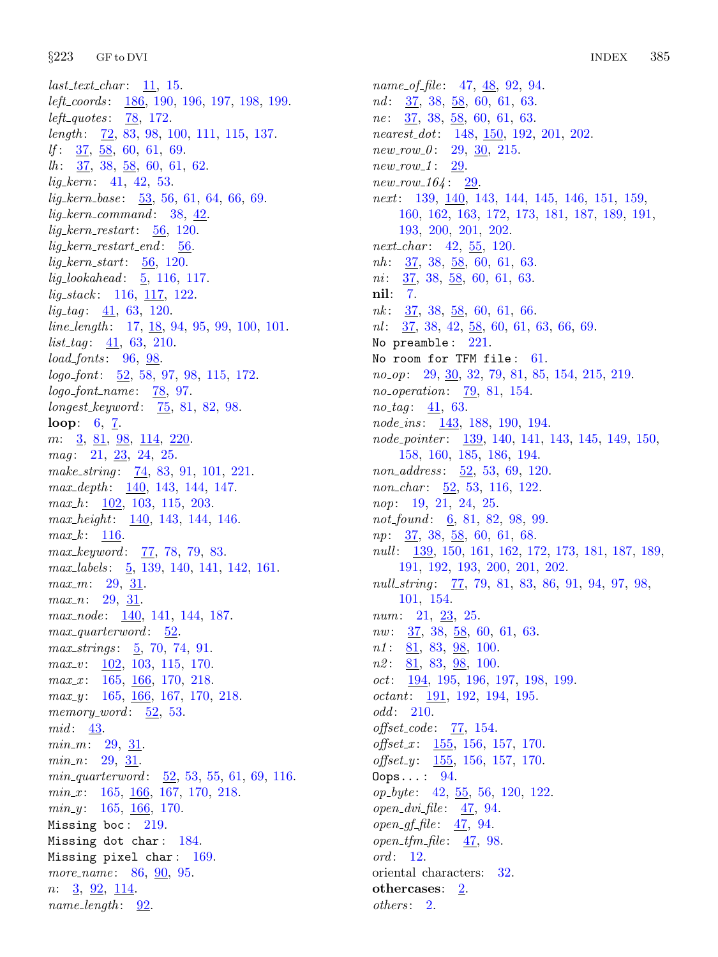$last\_text\_char:$  [11](#page-4-0), [15](#page-5-0).  $left\_{coords: 186, 190, 196, 197, 198, 199.$  $left\_{coords: 186, 190, 196, 197, 198, 199.$  $left\_{coords: 186, 190, 196, 197, 198, 199.$  $left\_{coords: 186, 190, 196, 197, 198, 199.$  $left\_{coords: 186, 190, 196, 197, 198, 199.$  $left\_{coords: 186, 190, 196, 197, 198, 199.$  $left\_{coords: 186, 190, 196, 197, 198, 199.$  $left\_{coords: 186, 190, 196, 197, 198, 199.$  $left\_{coords: 186, 190, 196, 197, 198, 199.$  $left\_{coords: 186, 190, 196, 197, 198, 199.$  $left\_{coords: 186, 190, 196, 197, 198, 199.$  $left\_{coords: 186, 190, 196, 197, 198, 199.$ left\_quotes:  $78, 172$  $78, 172$ . length: [72,](#page-34-0) [83](#page-39-0), [98](#page-44-0), [100,](#page-44-0) [111,](#page-47-0) [115](#page-48-0), [137.](#page-57-0)  $lf: \frac{37}{58}, \frac{58}{60}, \frac{61}{69}.$  $lf: \frac{37}{58}, \frac{58}{60}, \frac{61}{69}.$  $lf: \frac{37}{58}, \frac{58}{60}, \frac{61}{69}.$  $lf: \frac{37}{58}, \frac{58}{60}, \frac{61}{69}.$  $lf: \frac{37}{58}, \frac{58}{60}, \frac{61}{69}.$  $lh: \frac{37}{36}$ , [38,](#page-21-0) [58](#page-29-0), [60,](#page-30-0) [61](#page-30-0), [62.](#page-30-0) lig kern: [41,](#page-22-0) [42,](#page-23-0) [53](#page-27-0).  $lig\text{-}kern\text{-}base: \quad 53, 56, 61, 64, 66, 69.$  $lig\text{-}kern\text{-}base: \quad 53, 56, 61, 64, 66, 69.$  $lig\text{-}kern\text{-}base: \quad 53, 56, 61, 64, 66, 69.$  $lig\text{-}kern\text{-}base: \quad 53, 56, 61, 64, 66, 69.$  $lig\text{-}kern\text{-}base: \quad 53, 56, 61, 64, 66, 69.$  $lig\text{-}kern\text{-}base: \quad 53, 56, 61, 64, 66, 69.$  $lig\text{-}kern\text{-}base: \quad 53, 56, 61, 64, 66, 69.$  $lig\text{-}kern\text{-}base: \quad 53, 56, 61, 64, 66, 69.$  $lig\text{-}kern\text{-}base: \quad 53, 56, 61, 64, 66, 69.$  $lig\text{-}kern\text{-}base: \quad 53, 56, 61, 64, 66, 69.$  $lig\text{-}kern\text{-}base: \quad 53, 56, 61, 64, 66, 69.$  $lig\text{-}kern\text{-}base: \quad 53, 56, 61, 64, 66, 69.$  $lig\text{-}kern\text{-}base: \quad 53, 56, 61, 64, 66, 69.$  $lig_k$  kern command: [38,](#page-21-0) [42](#page-23-0).  $lig\_kern\_restart: 56, 120.$  $lig\_kern\_restart: 56, 120.$  $lig\_kern\_restart: 56, 120.$  $lig\_kern\_restart: 56, 120.$  $lig\_kern\_restart: 56, 120.$  $lig\_kern\_restart\_end$ : [56.](#page-28-0)  $lig\_kern\_start: 56, 120.$  $lig\_kern\_start: 56, 120.$  $lig\_kern\_start: 56, 120.$  $lig\_kern\_start: 56, 120.$  $lig\_kern\_start: 56, 120.$  $lig\_look ahead: 5, 116, 117.$  $lig\_look ahead: 5, 116, 117.$  $lig\_look ahead: 5, 116, 117.$  $lig\_look ahead: 5, 116, 117.$  $lig\_look ahead: 5, 116, 117.$  $lig\_look ahead: 5, 116, 117.$  $lig\_look ahead: 5, 116, 117.$  $lig\_stack: 116, 117, 122.$  $lig\_stack: 116, 117, 122.$  $lig\_stack: 116, 117, 122.$  $lig\_stack: 116, 117, 122.$  $lig\_stack: 116, 117, 122.$  $lig\_stack: 116, 117, 122.$  $lig\_tag: 41, 63, 120.$  $lig\_tag: 41, 63, 120.$  $lig\_tag: 41, 63, 120.$  $lig\_tag: 41, 63, 120.$  $lig\_tag: 41, 63, 120.$  $lig\_tag: 41, 63, 120.$  $lig\_tag: 41, 63, 120.$  $line_length: 17, 18, 94, 95, 99, 100, 101.$  $line_length: 17, 18, 94, 95, 99, 100, 101.$  $line_length: 17, 18, 94, 95, 99, 100, 101.$  $line_length: 17, 18, 94, 95, 99, 100, 101.$  $line_length: 17, 18, 94, 95, 99, 100, 101.$  $line_length: 17, 18, 94, 95, 99, 100, 101.$  $line_length: 17, 18, 94, 95, 99, 100, 101.$  $line_length: 17, 18, 94, 95, 99, 100, 101.$  $line_length: 17, 18, 94, 95, 99, 100, 101.$  $line_length: 17, 18, 94, 95, 99, 100, 101.$  $line_length: 17, 18, 94, 95, 99, 100, 101.$  $line_length: 17, 18, 94, 95, 99, 100, 101.$  $line_length: 17, 18, 94, 95, 99, 100, 101.$  $line_length: 17, 18, 94, 95, 99, 100, 101.$  $list\_tag: 41, 63, 210.$  $list\_tag: 41, 63, 210.$  $list\_tag: 41, 63, 210.$  $list\_tag: 41, 63, 210.$  $list\_tag: 41, 63, 210.$  $list\_tag: 41, 63, 210.$  $list\_tag: 41, 63, 210.$  $load\; fonts: 96, 98.$  $load\; fonts: 96, 98.$  $load\; fonts: 96, 98.$  $load\; fonts: 96, 98.$ logo\_font: [52,](#page-26-0) [58,](#page-29-0) [97](#page-43-0), [98](#page-44-0), [115](#page-48-0), [172](#page-66-0).  $logo\_font_name: 78, 97.$  $logo\_font_name: 78, 97.$  $logo\_font_name: 78, 97.$  $logo\_font_name: 78, 97.$  $logo\_font_name: 78, 97.$ longest\_keyword: [75](#page-35-0), [81](#page-38-0), [82](#page-39-0), [98](#page-44-0). loop:  $6, 7$  $6, 7$ . m:  $\frac{3}{5}, \frac{81}{5}, \frac{98}{114}, \frac{114}{220}$  $\frac{3}{5}, \frac{81}{5}, \frac{98}{114}, \frac{114}{220}$  $\frac{3}{5}, \frac{81}{5}, \frac{98}{114}, \frac{114}{220}$  $\frac{3}{5}, \frac{81}{5}, \frac{98}{114}, \frac{114}{220}$  $\frac{3}{5}, \frac{81}{5}, \frac{98}{114}, \frac{114}{220}$  $\frac{3}{5}, \frac{81}{5}, \frac{98}{114}, \frac{114}{220}$  $\frac{3}{5}, \frac{81}{5}, \frac{98}{114}, \frac{114}{220}$ .  $mag: \quad 21, \frac{23}{23}, \frac{24}{25}.$  $mag: \quad 21, \frac{23}{23}, \frac{24}{25}.$  $mag: \quad 21, \frac{23}{23}, \frac{24}{25}.$  $mag: \quad 21, \frac{23}{23}, \frac{24}{25}.$  $mag: \quad 21, \frac{23}{23}, \frac{24}{25}.$ make\_string: [74,](#page-34-0) [83,](#page-39-0) [91,](#page-42-0) [101,](#page-45-0) [221.](#page-79-0)  $max\_depth: 140, 143, 144, 147.$  $max\_depth: 140, 143, 144, 147.$  $max\_depth: 140, 143, 144, 147.$  $max\_depth: 140, 143, 144, 147.$  $max\_depth: 140, 143, 144, 147.$  $max\_depth: 140, 143, 144, 147.$  $max\_depth: 140, 143, 144, 147.$  $max\_depth: 140, 143, 144, 147.$  $max_h$ :  $\frac{102}{103}$ , [103,](#page-46-0) [115](#page-48-0), [203.](#page-74-0)  $max\_height: 140, 143, 144, 146.$  $max\_height: 140, 143, 144, 146.$  $max\_height: 140, 143, 144, 146.$  $max\_height: 140, 143, 144, 146.$  $max\_height: 140, 143, 144, 146.$  $max\_height: 140, 143, 144, 146.$  $max\_height: 140, 143, 144, 146.$  $max\_height: 140, 143, 144, 146.$  $max_k$ : [116](#page-49-0). max\_keyword: [77](#page-36-0), [78](#page-37-0), [79,](#page-38-0) [83.](#page-39-0)  $max\_labels: \underline{5}, 139, 140, 141, 142, 161.$  $max\_labels: \underline{5}, 139, 140, 141, 142, 161.$  $max\_labels: \underline{5}, 139, 140, 141, 142, 161.$  $max\_labels: \underline{5}, 139, 140, 141, 142, 161.$  $max\_labels: \underline{5}, 139, 140, 141, 142, 161.$  $max\_labels: \underline{5}, 139, 140, 141, 142, 161.$  $max\_labels: \underline{5}, 139, 140, 141, 142, 161.$  $max\_labels: \underline{5}, 139, 140, 141, 142, 161.$  $max\_labels: \underline{5}, 139, 140, 141, 142, 161.$  $max\_labels: \underline{5}, 139, 140, 141, 142, 161.$  $max\_labels: \underline{5}, 139, 140, 141, 142, 161.$  $max\_labels: \underline{5}, 139, 140, 141, 142, 161.$  $max_m: 29, 31.$  $max_m: 29, 31.$  $max_m: 29, 31.$  $max_m: 29, 31.$  $max_n: 29, 31.$  $max_n: 29, 31.$  $max_n: 29, 31.$  $max_n: 29, 31.$  $max_n: 29, 31.$  $max-node: 140, 141, 144, 187.$  $max-node: 140, 141, 144, 187.$  $max-node: 140, 141, 144, 187.$  $max-node: 140, 141, 144, 187.$  $max-node: 140, 141, 144, 187.$  $max-node: 140, 141, 144, 187.$  $max-node: 140, 141, 144, 187.$  $max-node: 140, 141, 144, 187.$  $max_$ quarterword: [52.](#page-26-0)  $max\_strings: 5, 70, 74, 91.$  $max\_strings: 5, 70, 74, 91.$  $max\_strings: 5, 70, 74, 91.$  $max\_strings: 5, 70, 74, 91.$  $max\_strings: 5, 70, 74, 91.$  $max\_strings: 5, 70, 74, 91.$  $max\_strings: 5, 70, 74, 91.$  $max\_strings: 5, 70, 74, 91.$  $max_v$ : [102](#page-46-0), [103,](#page-46-0) [115](#page-48-0), [170](#page-65-0).  $max_x$ : [165,](#page-64-0) [166,](#page-65-0) [170](#page-65-0), [218](#page-78-0).  $max_y$ : [165](#page-64-0), [166](#page-65-0), [167,](#page-65-0) [170,](#page-65-0) [218.](#page-78-0) memory\_word:  $52, 53$  $52, 53$  $52, 53$ .  $mid: 43.$  $mid: 43.$  $min_{m}$ : [29,](#page-14-0) [31.](#page-16-0)  $min_n: 29, 31.$  $min_n: 29, 31.$  $min_n: 29, 31.$  $min_n: 29, 31.$  $min_n: 29, 31.$  $min\_quarterword: \quad 52, 53, 55, 61, 69, 116.$  $min\_quarterword: \quad 52, 53, 55, 61, 69, 116.$  $min\_quarterword: \quad 52, 53, 55, 61, 69, 116.$  $min\_quarterword: \quad 52, 53, 55, 61, 69, 116.$  $min\_quarterword: \quad 52, 53, 55, 61, 69, 116.$  $min\_quarterword: \quad 52, 53, 55, 61, 69, 116.$  $min\_quarterword: \quad 52, 53, 55, 61, 69, 116.$  $min\_quarterword: \quad 52, 53, 55, 61, 69, 116.$  $min\_quarterword: \quad 52, 53, 55, 61, 69, 116.$  $min\_quarterword: \quad 52, 53, 55, 61, 69, 116.$  $min\_quarterword: \quad 52, 53, 55, 61, 69, 116.$  $min\_quarterword: \quad 52, 53, 55, 61, 69, 116.$  $min\_quarterword: \quad 52, 53, 55, 61, 69, 116.$  $min_x$ : [165](#page-64-0), [166,](#page-65-0) [167,](#page-65-0) [170,](#page-65-0) [218.](#page-78-0)  $min_y$ : [165](#page-64-0), [166,](#page-65-0) [170.](#page-65-0) Missing boc: [219](#page-79-0). Missing dot char: [184](#page-69-0). Missing pixel char:  $169$ . more\_name:  $86, 90, 95$  $86, 90, 95$  $86, 90, 95$  $86, 90, 95$ .  $n: \frac{3}{92}, \frac{92}{114}.$  $name_length: 92.$  $name_length: 92.$ 

name\_of\_file: [47,](#page-24-0) [48,](#page-25-0) [92](#page-42-0), [94](#page-43-0). nd:  $\frac{37}{58}$ ,  $\frac{58}{60}$ ,  $\frac{61}{63}$  $\frac{61}{63}$  $\frac{61}{63}$ . ne: [37](#page-20-0), [38](#page-21-0), [58,](#page-29-0) [60](#page-30-0), [61,](#page-30-0) [63.](#page-31-0)  $nearest\_dot: 148, 150, 192, 201, 202.$  $nearest\_dot: 148, 150, 192, 201, 202.$  $nearest\_dot: 148, 150, 192, 201, 202.$  $nearest\_dot: 148, 150, 192, 201, 202.$  $nearest\_dot: 148, 150, 192, 201, 202.$  $nearest\_dot: 148, 150, 192, 201, 202.$  $nearest\_dot: 148, 150, 192, 201, 202.$  $nearest\_dot: 148, 150, 192, 201, 202.$  $nearest\_dot: 148, 150, 192, 201, 202.$  $nearest\_dot: 148, 150, 192, 201, 202.$  $new_{1}row_{0}$ : [29](#page-14-0), [30,](#page-15-0) [215](#page-77-0).  $new_{Tow_1}: 29.$  $new_{Tow_1}: 29.$  $new_{Tow_1}: 29.$  $new_{164}: 29.$  $new_{164}: 29.$  $new_{164}: 29.$ next: [139](#page-58-0), [140,](#page-58-0) [143](#page-59-0), [144,](#page-59-0) [145,](#page-59-0) [146](#page-59-0), [151,](#page-61-0) [159](#page-63-0), [160,](#page-63-0) [162,](#page-63-0) [163,](#page-64-0) [172,](#page-66-0) [173,](#page-67-0) [181,](#page-68-0) [187](#page-70-0), [189](#page-70-0), [191](#page-71-0), [193,](#page-72-0) [200](#page-74-0), [201,](#page-74-0) [202.](#page-74-0) next\_char: [42,](#page-23-0) [55,](#page-28-0) [120](#page-50-0).  $nh: \frac{37}{58}, \frac{58}{58}, \frac{60}{61}, \frac{61}{63}.$  $nh: \frac{37}{58}, \frac{58}{58}, \frac{60}{61}, \frac{61}{63}.$  $nh: \frac{37}{58}, \frac{58}{58}, \frac{60}{61}, \frac{61}{63}.$  $nh: \frac{37}{58}, \frac{58}{58}, \frac{60}{61}, \frac{61}{63}.$  $nh: \frac{37}{58}, \frac{58}{58}, \frac{60}{61}, \frac{61}{63}.$  $nh: \frac{37}{58}, \frac{58}{58}, \frac{60}{61}, \frac{61}{63}.$  $nh: \frac{37}{58}, \frac{58}{58}, \frac{60}{61}, \frac{61}{63}.$ ni: [37,](#page-20-0) [38](#page-21-0), [58,](#page-29-0) [60,](#page-30-0) [61](#page-30-0), [63.](#page-31-0) nil: [7.](#page-2-0)  $nk: \frac{37}{58}, \frac{38}{58}, \frac{58}{60}, \frac{61}{61}, \frac{66}{6}.$  $nk: \frac{37}{58}, \frac{38}{58}, \frac{58}{60}, \frac{61}{61}, \frac{66}{6}.$  $nk: \frac{37}{58}, \frac{38}{58}, \frac{58}{60}, \frac{61}{61}, \frac{66}{6}.$  $nk: \frac{37}{58}, \frac{38}{58}, \frac{58}{60}, \frac{61}{61}, \frac{66}{6}.$  $nk: \frac{37}{58}, \frac{38}{58}, \frac{58}{60}, \frac{61}{61}, \frac{66}{6}.$  $nk: \frac{37}{58}, \frac{38}{58}, \frac{58}{60}, \frac{61}{61}, \frac{66}{6}.$  $nk: \frac{37}{58}, \frac{38}{58}, \frac{58}{60}, \frac{61}{61}, \frac{66}{6}.$  $nk: \frac{37}{58}, \frac{38}{58}, \frac{58}{60}, \frac{61}{61}, \frac{66}{6}.$  $nk: \frac{37}{58}, \frac{38}{58}, \frac{58}{60}, \frac{61}{61}, \frac{66}{6}.$  $nl: \frac{37}{25}$  $nl: \frac{37}{25}$  $nl: \frac{37}{25}$ , [38](#page-21-0), [42,](#page-23-0)  $\frac{58}{25}$ , [60](#page-30-0), [61](#page-30-0), [63,](#page-31-0) [66,](#page-32-0) [69](#page-33-0). No preamble: [221](#page-79-0). No room for TFM file: [61](#page-30-0). no<sub>-</sub>op: [29](#page-14-0), [30,](#page-15-0) [32](#page-16-0), [79,](#page-38-0) [81,](#page-38-0) [85](#page-40-0), [154,](#page-62-0) [215](#page-77-0), [219](#page-79-0). no *operation*: [79](#page-38-0), [81,](#page-38-0) [154](#page-62-0).  $no\_tag$ : [41](#page-22-0), [63](#page-31-0). node ins: [143](#page-59-0), [188](#page-70-0), [190,](#page-71-0) [194.](#page-72-0) node<sub>-</sub>pointer: [139](#page-58-0), [140,](#page-58-0) [141,](#page-58-0) [143](#page-59-0), [145,](#page-59-0) [149,](#page-60-0) [150](#page-60-0), [158,](#page-63-0) [160](#page-63-0), [185](#page-69-0), [186,](#page-70-0) [194](#page-72-0).  $non\_address: \quad \underline{52}, \; 53, \; 69, \; 120.$  $non\_address: \quad \underline{52}, \; 53, \; 69, \; 120.$  $non\_address: \quad \underline{52}, \; 53, \; 69, \; 120.$  $non\_address: \quad \underline{52}, \; 53, \; 69, \; 120.$  $non\_address: \quad \underline{52}, \; 53, \; 69, \; 120.$  $non\_address: \quad \underline{52}, \; 53, \; 69, \; 120.$  $non\_address: \quad \underline{52}, \; 53, \; 69, \; 120.$ non<sub>-char: [52](#page-26-0)</sub>, [53](#page-27-0), [116,](#page-49-0) [122](#page-51-0). nop: [19,](#page-7-0) [21](#page-8-0), [24](#page-11-0), [25.](#page-12-0) not\_found:  $6, 81, 82, 98, 99$  $6, 81, 82, 98, 99$  $6, 81, 82, 98, 99$  $6, 81, 82, 98, 99$  $6, 81, 82, 98, 99$  $6, 81, 82, 98, 99$  $6, 81, 82, 98, 99$  $6, 81, 82, 98, 99$  $6, 81, 82, 98, 99$ . np: [37](#page-20-0), [38,](#page-21-0) [58](#page-29-0), [60,](#page-30-0) [61,](#page-30-0) [68](#page-32-0). null: [139,](#page-58-0) [150](#page-60-0), [161,](#page-63-0) [162,](#page-63-0) [172](#page-66-0), [173,](#page-67-0) [181](#page-68-0), [187](#page-70-0), [189,](#page-70-0) [191,](#page-71-0) [192,](#page-72-0) [193,](#page-72-0) [200,](#page-74-0) [201,](#page-74-0) [202.](#page-74-0) null\_string: [77](#page-36-0), [79](#page-38-0), [81,](#page-38-0) [83,](#page-39-0) [86](#page-41-0), [91](#page-42-0), [94,](#page-43-0) [97,](#page-43-0) [98,](#page-44-0) [101,](#page-45-0) [154.](#page-62-0) num: [21](#page-8-0), [23,](#page-11-0) [25.](#page-12-0)  $nw: \frac{37}{38}, \frac{58}{58}, \frac{60}{61}, \frac{61}{63}.$  $nw: \frac{37}{38}, \frac{58}{58}, \frac{60}{61}, \frac{61}{63}.$  $nw: \frac{37}{38}, \frac{58}{58}, \frac{60}{61}, \frac{61}{63}.$  $nw: \frac{37}{38}, \frac{58}{58}, \frac{60}{61}, \frac{61}{63}.$  $nw: \frac{37}{38}, \frac{58}{58}, \frac{60}{61}, \frac{61}{63}.$  $nw: \frac{37}{38}, \frac{58}{58}, \frac{60}{61}, \frac{61}{63}.$  $nw: \frac{37}{38}, \frac{58}{58}, \frac{60}{61}, \frac{61}{63}.$  $nw: \frac{37}{38}, \frac{58}{58}, \frac{60}{61}, \frac{61}{63}.$  $nw: \frac{37}{38}, \frac{58}{58}, \frac{60}{61}, \frac{61}{63}.$  $n1: \underline{81}, 83, \underline{98}, 100.$  $n1: \underline{81}, 83, \underline{98}, 100.$  $n1: \underline{81}, 83, \underline{98}, 100.$  $n1: \underline{81}, 83, \underline{98}, 100.$  $n1: \underline{81}, 83, \underline{98}, 100.$  $n1: \underline{81}, 83, \underline{98}, 100.$  $n1: \underline{81}, 83, \underline{98}, 100.$  $n2: 81, 83, 98, 100.$  $n2: 81, 83, 98, 100.$  $n2: 81, 83, 98, 100.$  $n2: 81, 83, 98, 100.$  $n2: 81, 83, 98, 100.$  $n2: 81, 83, 98, 100.$  $n2: 81, 83, 98, 100.$  $n2: 81, 83, 98, 100.$  $n2: 81, 83, 98, 100.$  $oct: \quad 194, \ 195, \ 196, \ 197, \ 198, \ 199.$  $oct: \quad 194, \ 195, \ 196, \ 197, \ 198, \ 199.$  $oct: \quad 194, \ 195, \ 196, \ 197, \ 198, \ 199.$  $oct: \quad 194, \ 195, \ 196, \ 197, \ 198, \ 199.$  $oct: \quad 194, \ 195, \ 196, \ 197, \ 198, \ 199.$  $oct: \quad 194, \ 195, \ 196, \ 197, \ 198, \ 199.$  $oct: \quad 194, \ 195, \ 196, \ 197, \ 198, \ 199.$  $oct: \quad 194, \ 195, \ 196, \ 197, \ 198, \ 199.$  $oct: \quad 194, \ 195, \ 196, \ 197, \ 198, \ 199.$  $oct: \quad 194, \ 195, \ 196, \ 197, \ 198, \ 199.$  $oct: \quad 194, \ 195, \ 196, \ 197, \ 198, \ 199.$  $oct: \quad 194, \ 195, \ 196, \ 197, \ 198, \ 199.$  $oct: \quad 194, \ 195, \ 196, \ 197, \ 198, \ 199.$ octant: [191,](#page-71-0) [192,](#page-72-0) [194](#page-72-0), [195.](#page-73-0) odd: [210.](#page-76-0)  $offset\_code: 77, 154.$  $offset\_code: 77, 154.$  $offset\_code: 77, 154.$  $offset\_code: 77, 154.$  $offset_x: 155, 156, 157, 170.$  $offset_x: 155, 156, 157, 170.$  $offset_x: 155, 156, 157, 170.$  $offset_x: 155, 156, 157, 170.$  $offset_x: 155, 156, 157, 170.$  $offset_x: 155, 156, 157, 170.$  $offset_x: 155, 156, 157, 170.$  $offset_x: 155, 156, 157, 170.$  $offset_{y}: 155, 156, 157, 170.$  $offset_{y}: 155, 156, 157, 170.$  $offset_{y}: 155, 156, 157, 170.$  $offset_{y}: 155, 156, 157, 170.$  $offset_{y}: 155, 156, 157, 170.$  $offset_{y}: 155, 156, 157, 170.$  $offset_{y}: 155, 156, 157, 170.$  $offset_{y}: 155, 156, 157, 170.$  $offset_{y}: 155, 156, 157, 170.$  $\texttt{Oops} \ldots : 94.$  $\texttt{Oops} \ldots : 94.$  $\texttt{Oops} \ldots : 94.$  $op\_byte$ : [42](#page-23-0), [55](#page-28-0), [56](#page-28-0), [120,](#page-50-0) [122.](#page-51-0)  $open\_dvi\_file:$   $47, 94.$  $47, 94.$  $47, 94.$  $47, 94.$  $open\_gf\_file: 47, 94.$  $open\_gf\_file: 47, 94.$  $open\_gf\_file: 47, 94.$  $open\_gf\_file: 47, 94.$  $open\_gf\_file: 47, 94.$  $open\_tfm\_file: 47, 98.$  $open\_tfm\_file: 47, 98.$  $open\_tfm\_file: 47, 98.$  $open\_tfm\_file: 47, 98.$  $open\_tfm\_file: 47, 98.$ ord: [12](#page-4-0). oriental characters: [32](#page-16-0). othercases: [2.](#page-1-0) others: [2](#page-1-0).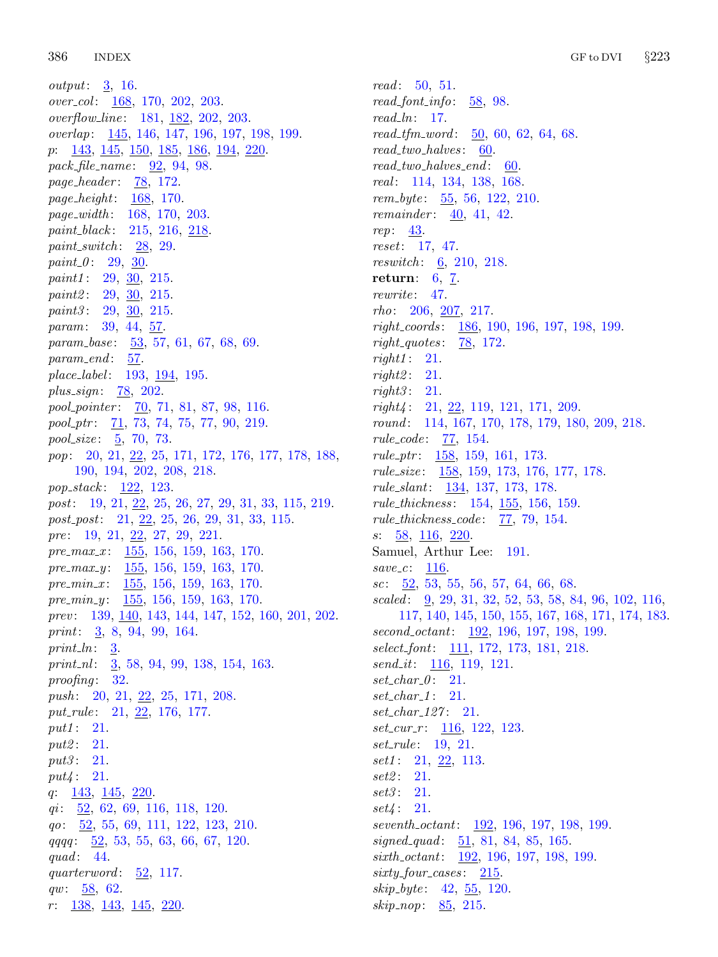output: [3,](#page-1-0) [16.](#page-6-0)  $over_col: 168, 170, 202, 203.$  $over_col: 168, 170, 202, 203.$  $over_col: 168, 170, 202, 203.$  $over_col: 168, 170, 202, 203.$  $over_col: 168, 170, 202, 203.$  $over_col: 168, 170, 202, 203.$  $over_col: 168, 170, 202, 203.$  $over_col: 168, 170, 202, 203.$ overflow line : [181](#page-68-0), [182](#page-69-0), [202](#page-74-0), [203](#page-74-0). overlap: [145](#page-59-0), [146](#page-59-0), [147,](#page-60-0) [196](#page-73-0), [197,](#page-73-0) [198](#page-73-0), [199.](#page-73-0) p: [143,](#page-59-0) [145](#page-59-0), [150](#page-60-0), [185](#page-69-0), [186,](#page-70-0) [194,](#page-72-0) [220](#page-79-0). pack\_file\_name:  $92, 94, 98$  $92, 94, 98$  $92, 94, 98$  $92, 94, 98$ . page\_header:  $\overline{78}$ , [172.](#page-66-0) page height: [168](#page-65-0), [170.](#page-65-0) page width: [168,](#page-65-0) [170,](#page-65-0) [203](#page-74-0). paint\_black: [215,](#page-77-0) [216](#page-78-0), [218.](#page-78-0) paint\_switch: [28](#page-13-0), [29.](#page-14-0)  $paint_0 : 29, 30.$  $paint_0 : 29, 30.$  $paint_0 : 29, 30.$  $paint_0 : 29, 30.$ *paint1*:  $29, 30, 215$  $29, 30, 215$  $29, 30, 215$  $29, 30, 215$ . paint2:  $29, 30, 215$  $29, 30, 215$  $29, 30, 215$  $29, 30, 215$ . paint $3: 29, 30, 215.$  $3: 29, 30, 215.$  $3: 29, 30, 215.$  $3: 29, 30, 215.$  $3: 29, 30, 215.$  $3: 29, 30, 215.$ param: [39,](#page-21-0) [44](#page-23-0), [57](#page-29-0). param base: [53](#page-27-0), [57,](#page-29-0) [61,](#page-30-0) [67,](#page-32-0) [68,](#page-32-0) [69.](#page-33-0)  $param\_end$ :  $57$ . place label : [193](#page-72-0), [194](#page-72-0), [195.](#page-73-0) plus sign: [78](#page-37-0), [202.](#page-74-0) pool pointer: [70](#page-34-0), [71,](#page-34-0) [81,](#page-38-0) [87,](#page-41-0) [98](#page-44-0), [116](#page-49-0). pool<sub>-</sub>ptr:  $\frac{71}{73}$  $\frac{71}{73}$  $\frac{71}{73}$  $\frac{71}{73}$  $\frac{71}{73}$ , 73, [74,](#page-34-0) [75,](#page-35-0) [77,](#page-36-0) [90](#page-41-0), [219](#page-79-0). *pool\_size*:  $\underline{5}$  $\underline{5}$  $\underline{5}$ , [70,](#page-34-0) [73.](#page-34-0) pop: [20,](#page-7-0) [21](#page-8-0), [22](#page-10-0), [25,](#page-12-0) [171](#page-66-0), [172,](#page-66-0) [176](#page-67-0), [177,](#page-67-0) [178](#page-68-0), [188,](#page-70-0) [190,](#page-71-0) [194](#page-72-0), [202](#page-74-0), [208,](#page-76-0) [218](#page-78-0). pop\_stack:  $122, 123$  $122, 123$  $122, 123$ . post: [19](#page-7-0), [21](#page-8-0), [22,](#page-10-0) [25,](#page-12-0) [26,](#page-12-0) [27](#page-13-0), [29](#page-14-0), [31](#page-16-0), [33](#page-17-0), [115,](#page-48-0) [219.](#page-79-0) post<sub>-</sub>post: [21,](#page-8-0) [22](#page-10-0), [25](#page-12-0), [26,](#page-12-0) [29](#page-14-0), [31,](#page-16-0) [33](#page-17-0), [115.](#page-48-0) pre: [19](#page-7-0), [21,](#page-8-0) [22,](#page-10-0) [27](#page-13-0), [29](#page-14-0), [221.](#page-79-0) pre  $max_x$ : [155,](#page-62-0) [156](#page-62-0), [159](#page-63-0), [163](#page-64-0), [170.](#page-65-0) pre  $max_y$ : [155](#page-62-0), [156](#page-62-0), [159](#page-63-0), [163,](#page-64-0) [170.](#page-65-0) pre\_min\_x:  $\frac{155}{150}$ , [156](#page-62-0), [159](#page-63-0), [163](#page-64-0), [170.](#page-65-0) pre\_min\_y:  $\frac{155}{150}$  $\frac{155}{150}$  $\frac{155}{150}$ , [156](#page-62-0), [159](#page-63-0), [163,](#page-64-0) [170.](#page-65-0) prev: [139](#page-58-0), [140](#page-58-0), [143](#page-59-0), [144,](#page-59-0) [147,](#page-60-0) [152,](#page-61-0) [160,](#page-63-0) [201,](#page-74-0) [202](#page-74-0). print:  $3, 8, 94, 99, 164$  $3, 8, 94, 99, 164$  $3, 8, 94, 99, 164$  $3, 8, 94, 99, 164$  $3, 8, 94, 99, 164$  $3, 8, 94, 99, 164$  $3, 8, 94, 99, 164$  $3, 8, 94, 99, 164$  $3, 8, 94, 99, 164$ . print  $\lfloor ln \cdot \rfloor$  [3](#page-1-0). print  $nl$ :  $\frac{3}{58}$  $\frac{3}{58}$  $\frac{3}{58}$  $\frac{3}{58}$  $\frac{3}{58}$ , [94,](#page-43-0) [99,](#page-44-0) [138](#page-57-0), [154](#page-62-0), [163.](#page-64-0) proofing:  $32$ . push: [20,](#page-7-0) [21,](#page-8-0) [22,](#page-10-0) [25,](#page-12-0) [171](#page-66-0), [208](#page-76-0). put\_rule: [21](#page-8-0), [22](#page-10-0), [176,](#page-67-0) [177](#page-67-0).  $put1: 21.$  $put1: 21.$  $put1: 21.$ put2: [21](#page-8-0). put $3:21$  $3:21$ .  $put4: 21.$  $put4: 21.$  $put4: 21.$ q: [143](#page-59-0), [145](#page-59-0), [220](#page-79-0). qi: [52,](#page-26-0) [62](#page-30-0), [69](#page-33-0), [116](#page-49-0), [118,](#page-50-0) [120.](#page-50-0) qo: [52,](#page-26-0) [55](#page-28-0), [69](#page-33-0), [111](#page-47-0), [122](#page-51-0), [123](#page-52-0), [210.](#page-76-0) qqqq: [52](#page-26-0), [53](#page-27-0), [55](#page-28-0), [63](#page-31-0), [66](#page-32-0), [67](#page-32-0), [120](#page-50-0). quad:  $44$ . quarterword:  $\frac{52}{117}$  $\frac{52}{117}$  $\frac{52}{117}$ . qw: [58](#page-29-0), [62.](#page-30-0)  $r: \quad \underline{138}, \; \underline{143}, \; \underline{145}, \; \underline{220}.$  $r: \quad \underline{138}, \; \underline{143}, \; \underline{145}, \; \underline{220}.$  $r: \quad \underline{138}, \; \underline{143}, \; \underline{145}, \; \underline{220}.$  $r: \quad \underline{138}, \; \underline{143}, \; \underline{145}, \; \underline{220}.$  $r: \quad \underline{138}, \; \underline{143}, \; \underline{145}, \; \underline{220}.$  $r: \quad \underline{138}, \; \underline{143}, \; \underline{145}, \; \underline{220}.$  $r: \quad \underline{138}, \; \underline{143}, \; \underline{145}, \; \underline{220}.$ 

 $read: 50, 51.$  $read: 50, 51.$  $read: 50, 51.$  $read: 50, 51.$  $read: 50, 51.$  $read\_font\_info: 58, 98.$  $read\_font\_info: 58, 98.$  $read\_font\_info: 58, 98.$  $read\_font\_info: 58, 98.$  $read\_ln: 17$ . read\_tfm\_word: [50](#page-25-0), [60](#page-30-0), [62](#page-30-0), [64](#page-31-0), [68](#page-32-0). read\_two\_halves: [60](#page-30-0).  $read\_two\_halves\_end$ : [60](#page-30-0). real: [114,](#page-48-0) [134](#page-57-0), [138](#page-57-0), [168.](#page-65-0)  $rem\_byte: 55, 56, 122, 210.$  $rem\_byte: 55, 56, 122, 210.$  $rem\_byte: 55, 56, 122, 210.$  $rem\_byte: 55, 56, 122, 210.$  $rem\_byte: 55, 56, 122, 210.$  $rem\_byte: 55, 56, 122, 210.$  $rem\_byte: 55, 56, 122, 210.$  $rem\_byte: 55, 56, 122, 210.$  $rem\_byte: 55, 56, 122, 210.$ *remainder*:  $40, 41, 42$  $40, 41, 42$  $40, 41, 42$  $40, 41, 42$  $40, 41, 42$ . rep: [43](#page-23-0). reset: [17](#page-6-0), [47](#page-24-0). reswitch: [6,](#page-2-0) [210,](#page-76-0) [218](#page-78-0). return: [6](#page-2-0), [7](#page-2-0). rewrite: [47.](#page-24-0)  $rho: 206, 207, 217.$  $rho: 206, 207, 217.$  $rho: 206, 207, 217.$  $rho: 206, 207, 217.$  $rho: 206, 207, 217.$  $rho: 206, 207, 217.$ right coords : [186](#page-70-0), [190,](#page-71-0) [196](#page-73-0), [197,](#page-73-0) [198](#page-73-0), [199.](#page-73-0) right quotes:  $\frac{78}{172}$ .  $right1: 21.$  $right1: 21.$  $right2: 21.$  $right2: 21.$  $right3: 21.$  $right3: 21.$ right4 : [21,](#page-8-0) [22,](#page-10-0) [119,](#page-50-0) [121,](#page-51-0) [171](#page-66-0), [209](#page-76-0). round : [114,](#page-48-0) [167](#page-65-0), [170,](#page-65-0) [178,](#page-68-0) [179](#page-68-0), [180](#page-68-0), [209,](#page-76-0) [218.](#page-78-0) rule\_code: [77,](#page-36-0) [154](#page-62-0).  $rule\_ptr: 158, 159, 161, 173.$  $rule\_ptr: 158, 159, 161, 173.$  $rule\_ptr: 158, 159, 161, 173.$  $rule\_ptr: 158, 159, 161, 173.$  $rule\_ptr: 158, 159, 161, 173.$  $rule\_ptr: 158, 159, 161, 173.$  $rule\_ptr: 158, 159, 161, 173.$  $rule\_ptr: 158, 159, 161, 173.$ rule\_size: <u>[158](#page-63-0),</u> [159,](#page-63-0) [173](#page-67-0), [176,](#page-67-0) [177,](#page-67-0) [178](#page-68-0). rule slant: [134](#page-57-0), [137](#page-57-0), [173](#page-67-0), [178](#page-68-0). rule\_thickness: [154](#page-62-0), <u>[155](#page-62-0)</u>, [156](#page-62-0), [159.](#page-63-0) rule thickness code : [77](#page-36-0), [79](#page-38-0), [154](#page-62-0). s: [58](#page-29-0), [116](#page-49-0), [220](#page-79-0). Samuel, Arthur Lee: [191.](#page-71-0) save\_ $c: \underline{116}$  $c: \underline{116}$  $c: \underline{116}$ . sc:  $\frac{52}{53}$  $\frac{52}{53}$  $\frac{52}{53}$  $\frac{52}{53}$  $\frac{52}{53}$ , [55](#page-28-0), [56](#page-28-0), [57](#page-29-0), [64](#page-31-0), [66](#page-32-0), [68](#page-32-0). scaled : [9](#page-3-0), [29,](#page-14-0) [31,](#page-16-0) [32](#page-16-0), [52,](#page-26-0) [53,](#page-27-0) [58](#page-29-0), [84,](#page-39-0) [96,](#page-43-0) [102](#page-46-0), [116,](#page-49-0) [117,](#page-50-0) [140,](#page-58-0) [145](#page-59-0), [150,](#page-60-0) [155,](#page-62-0) [167](#page-65-0), [168](#page-65-0), [171,](#page-66-0) [174,](#page-67-0) [183](#page-69-0). second octant: [192](#page-72-0), [196,](#page-73-0) [197,](#page-73-0) [198](#page-73-0), [199.](#page-73-0) select font: [111,](#page-47-0) [172,](#page-66-0) [173,](#page-67-0) [181](#page-68-0), [218](#page-78-0).  $send\_it: 116, 119, 121.$  $send\_it: 116, 119, 121.$  $send\_it: 116, 119, 121.$  $send\_it: 116, 119, 121.$  $send\_it: 116, 119, 121.$  $send\_it: 116, 119, 121.$  $set\_char_0: 21.$  $set\_char_0: 21.$  $set\_char_1: 21.$  $set\_char_1: 21.$  $set\_char_127: 21.$  $set\_char_127: 21.$  $set\_char_127: 21.$  $set\_curr_r$ : [116,](#page-49-0) [122](#page-51-0), [123.](#page-52-0) set\_rule: [19](#page-7-0), [21](#page-8-0).  $set1: 21, 22, 113.$  $set1: 21, 22, 113.$  $set1: 21, 22, 113.$  $set1: 21, 22, 113.$  $set1: 21, 22, 113.$  $set1: 21, 22, 113.$  $set1: 21, 22, 113.$ set2: [21.](#page-8-0)  $set3: 21.$  $set3: 21.$  $set4: 21.$  $set4: 21.$ seventh octant: [192](#page-72-0), [196,](#page-73-0) [197](#page-73-0), [198,](#page-73-0) [199](#page-73-0). signed quad:  $\frac{51}{61}$  $\frac{51}{61}$  $\frac{51}{61}$ , [81](#page-38-0), [84](#page-39-0), [85](#page-40-0), [165](#page-64-0).  $sixth\_octant: \quad \underline{192}, \, 196, \, 197, \, 198, \, 199.$  $sixth\_octant: \quad \underline{192}, \, 196, \, 197, \, 198, \, 199.$  $sixth\_octant: \quad \underline{192}, \, 196, \, 197, \, 198, \, 199.$  $sixth\_octant: \quad \underline{192}, \, 196, \, 197, \, 198, \, 199.$  $sixth\_octant: \quad \underline{192}, \, 196, \, 197, \, 198, \, 199.$  $sixth\_octant: \quad \underline{192}, \, 196, \, 197, \, 198, \, 199.$  $sixth\_octant: \quad \underline{192}, \, 196, \, 197, \, 198, \, 199.$  $sixth\_octant: \quad \underline{192}, \, 196, \, 197, \, 198, \, 199.$  $sixth\_octant: \quad \underline{192}, \, 196, \, 197, \, 198, \, 199.$  $sixth\_octant: \quad \underline{192}, \, 196, \, 197, \, 198, \, 199.$  $sixth\_octant: \quad \underline{192}, \, 196, \, 197, \, 198, \, 199.$  $sixty\_four\_cases: \quad 215.$  $sixty\_four\_cases: \quad 215.$  $skip\_byte: 42, 55, 120.$  $skip\_byte: 42, 55, 120.$  $skip\_byte: 42, 55, 120.$  $skip\_byte: 42, 55, 120.$  $skip\_byte: 42, 55, 120.$  $skip\_byte: 42, 55, 120.$ skip\_nop: [85](#page-40-0), [215.](#page-77-0)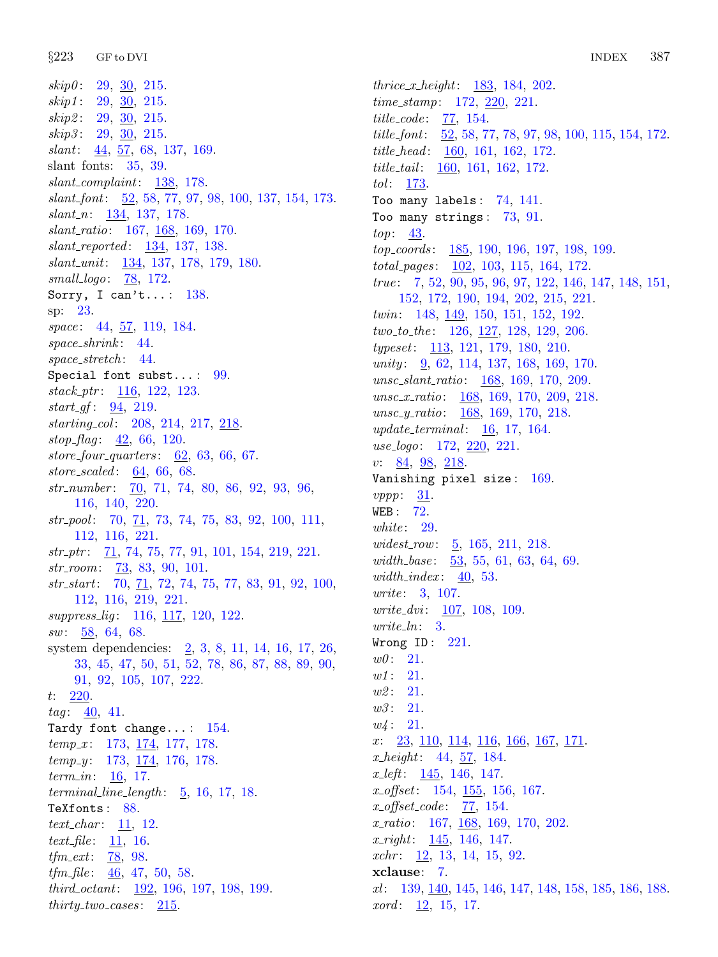$skip0: 29, 30, 215.$  $skip0: 29, 30, 215.$  $skip0: 29, 30, 215.$  $skip0: 29, 30, 215.$  $skip0: 29, 30, 215.$  $skip0: 29, 30, 215.$  $skip0: 29, 30, 215.$  $skip11 : 29, 30, 215.$  $skip11 : 29, 30, 215.$  $skip11 : 29, 30, 215.$  $skip11 : 29, 30, 215.$  $skip11 : 29, 30, 215.$  $skip11 : 29, 30, 215.$  $skip11 : 29, 30, 215.$ skip2: [29](#page-14-0), [30](#page-15-0), [215](#page-77-0).  $skip3:30, 215.$  $skip3:30, 215.$  $skip3:30, 215.$  $skip3:30, 215.$  $skip3:30, 215.$  $slant: \underline{44}, \underline{57}, 68, 137, 169.$  $slant: \underline{44}, \underline{57}, 68, 137, 169.$  $slant: \underline{44}, \underline{57}, 68, 137, 169.$  $slant: \underline{44}, \underline{57}, 68, 137, 169.$  $slant: \underline{44}, \underline{57}, 68, 137, 169.$  $slant: \underline{44}, \underline{57}, 68, 137, 169.$  $slant: \underline{44}, \underline{57}, 68, 137, 169.$  $slant: \underline{44}, \underline{57}, 68, 137, 169.$  $slant: \underline{44}, \underline{57}, 68, 137, 169.$ slant fonts: [35](#page-18-0), [39](#page-21-0).  $slant\_complaint: 138, 178.$  $slant\_complaint: 138, 178.$  $slant\_complaint: 138, 178.$  $slant\_complaint: 138, 178.$  $slant_font: \frac{52}{2}, 58, 77, 97, 98, 100, 137, 154, 173.$  $slant_font: \frac{52}{2}, 58, 77, 97, 98, 100, 137, 154, 173.$  $slant_font: \frac{52}{2}, 58, 77, 97, 98, 100, 137, 154, 173.$  $slant_font: \frac{52}{2}, 58, 77, 97, 98, 100, 137, 154, 173.$  $slant_font: \frac{52}{2}, 58, 77, 97, 98, 100, 137, 154, 173.$  $slant_font: \frac{52}{2}, 58, 77, 97, 98, 100, 137, 154, 173.$  $slant_font: \frac{52}{2}, 58, 77, 97, 98, 100, 137, 154, 173.$  $slant_font: \frac{52}{2}, 58, 77, 97, 98, 100, 137, 154, 173.$  $slant_font: \frac{52}{2}, 58, 77, 97, 98, 100, 137, 154, 173.$  $slant_font: \frac{52}{2}, 58, 77, 97, 98, 100, 137, 154, 173.$  $slant_font: \frac{52}{2}, 58, 77, 97, 98, 100, 137, 154, 173.$  $slant_font: \frac{52}{2}, 58, 77, 97, 98, 100, 137, 154, 173.$  $slant_font: \frac{52}{2}, 58, 77, 97, 98, 100, 137, 154, 173.$  $slant_font: \frac{52}{2}, 58, 77, 97, 98, 100, 137, 154, 173.$  $slant_font: \frac{52}{2}, 58, 77, 97, 98, 100, 137, 154, 173.$  $slant_font: \frac{52}{2}, 58, 77, 97, 98, 100, 137, 154, 173.$  $slant_font: \frac{52}{2}, 58, 77, 97, 98, 100, 137, 154, 173.$  $slant_font: \frac{52}{2}, 58, 77, 97, 98, 100, 137, 154, 173.$  $slant_n: \quad 134, \; 137, \; 178.$  $slant_n: \quad 134, \; 137, \; 178.$  $slant_n: \quad 134, \; 137, \; 178.$  $slant_n: \quad 134, \; 137, \; 178.$  $slant_n: \quad 134, \; 137, \; 178.$  $slant_n: \quad 134, \; 137, \; 178.$ slant\_ratio: [167](#page-65-0), [168](#page-65-0), [169,](#page-65-0) [170.](#page-65-0) slant reported : [134](#page-57-0), [137](#page-57-0), [138.](#page-57-0) slant\_unit: [134,](#page-57-0) [137,](#page-57-0) [178](#page-68-0), [179](#page-68-0), [180](#page-68-0).  $small\_logo: 78, 172.$  $small\_logo: 78, 172.$  $small\_logo: 78, 172.$  $small\_logo: 78, 172.$ Sorry, I can't...:  $138$ . sp: [23](#page-11-0). space: [44](#page-23-0), [57,](#page-29-0) [119](#page-50-0), [184.](#page-69-0)  $space\_shrink: 44$ . space\_stretch: [44.](#page-23-0) Special font subst...: [99.](#page-44-0)  $stack\_ptr: 116, 122, 123.$  $stack\_ptr: 116, 122, 123.$  $stack\_ptr: 116, 122, 123.$  $stack\_ptr: 116, 122, 123.$  $stack\_ptr: 116, 122, 123.$  $stack\_ptr: 116, 122, 123.$  $stack\_ptr: 116, 122, 123.$  $start\_gf: 94, 219.$  $start\_gf: 94, 219.$  $start\_gf: 94, 219.$  $start\_gf: 94, 219.$  $start\_gf: 94, 219.$ starting\_col: [208,](#page-76-0) [214,](#page-77-0) [217,](#page-78-0) [218.](#page-78-0) stop  $flag: \frac{42}{66}$  $flag: \frac{42}{66}$  $flag: \frac{42}{66}$ , [120](#page-50-0). store\_four\_quarters:  $62, 63, 66, 67$  $62, 63, 66, 67$  $62, 63, 66, 67$  $62, 63, 66, 67$  $62, 63, 66, 67$  $62, 63, 66, 67$ . store\_scaled:  $64, 66, 68$  $64, 66, 68$  $64, 66, 68$  $64, 66, 68$ . str\_number: [70](#page-34-0), [71](#page-34-0), [74,](#page-34-0) [80,](#page-38-0) [86,](#page-41-0) [92,](#page-42-0) [93,](#page-42-0) [96,](#page-43-0) [116,](#page-49-0) [140,](#page-58-0) [220.](#page-79-0)  $str\_pool$ : [70](#page-34-0),  $\overline{71}$ , [73](#page-34-0), [74](#page-34-0), [75,](#page-35-0) [83](#page-39-0), [92,](#page-42-0) [100,](#page-44-0) [111](#page-47-0), [112,](#page-47-0) [116,](#page-49-0) [221.](#page-79-0)  $str\_ptr$ :  $\overline{71}$  $\overline{71}$  $\overline{71}$ , [74](#page-34-0), [75,](#page-35-0) [77](#page-36-0), [91](#page-42-0), [101,](#page-45-0) [154,](#page-62-0) [219](#page-79-0), [221](#page-79-0).  $str\_room: \quad \underline{73}, \, 83, \, 90, \, 101.$  $str\_room: \quad \underline{73}, \, 83, \, 90, \, 101.$  $str\_room: \quad \underline{73}, \, 83, \, 90, \, 101.$  $str\_room: \quad \underline{73}, \, 83, \, 90, \, 101.$  $str\_room: \quad \underline{73}, \, 83, \, 90, \, 101.$  $str\_room: \quad \underline{73}, \, 83, \, 90, \, 101.$  $str\_start: 70, 71, 72, 74, 75, 77, 83, 91, 92, 100,$  $str\_start: 70, 71, 72, 74, 75, 77, 83, 91, 92, 100,$  $str\_start: 70, 71, 72, 74, 75, 77, 83, 91, 92, 100,$  $str\_start: 70, 71, 72, 74, 75, 77, 83, 91, 92, 100,$  $str\_start: 70, 71, 72, 74, 75, 77, 83, 91, 92, 100,$  $str\_start: 70, 71, 72, 74, 75, 77, 83, 91, 92, 100,$  $str\_start: 70, 71, 72, 74, 75, 77, 83, 91, 92, 100,$  $str\_start: 70, 71, 72, 74, 75, 77, 83, 91, 92, 100,$  $str\_start: 70, 71, 72, 74, 75, 77, 83, 91, 92, 100,$  $str\_start: 70, 71, 72, 74, 75, 77, 83, 91, 92, 100,$  $str\_start: 70, 71, 72, 74, 75, 77, 83, 91, 92, 100,$  $str\_start: 70, 71, 72, 74, 75, 77, 83, 91, 92, 100,$  $str\_start: 70, 71, 72, 74, 75, 77, 83, 91, 92, 100,$  $str\_start: 70, 71, 72, 74, 75, 77, 83, 91, 92, 100,$  $str\_start: 70, 71, 72, 74, 75, 77, 83, 91, 92, 100,$  $str\_start: 70, 71, 72, 74, 75, 77, 83, 91, 92, 100,$  $str\_start: 70, 71, 72, 74, 75, 77, 83, 91, 92, 100,$  $str\_start: 70, 71, 72, 74, 75, 77, 83, 91, 92, 100,$  $str\_start: 70, 71, 72, 74, 75, 77, 83, 91, 92, 100,$  $str\_start: 70, 71, 72, 74, 75, 77, 83, 91, 92, 100,$  $str\_start: 70, 71, 72, 74, 75, 77, 83, 91, 92, 100,$ [112,](#page-47-0) [116](#page-49-0), [219](#page-79-0), [221.](#page-79-0) suppress\_lig: [116,](#page-49-0) [117,](#page-50-0) [120,](#page-50-0) [122](#page-51-0). sw: [58,](#page-29-0) [64,](#page-31-0) [68.](#page-32-0) system dependencies: [2,](#page-1-0) [3,](#page-1-0) [8](#page-2-0), [11,](#page-4-0) [14,](#page-5-0) [16](#page-6-0), [17,](#page-6-0) [26](#page-12-0), [33,](#page-17-0) [45,](#page-24-0) [47](#page-24-0), [50,](#page-25-0) [51,](#page-25-0) [52](#page-26-0), [78](#page-37-0), [86,](#page-41-0) [87](#page-41-0), [88](#page-41-0), [89,](#page-41-0) [90,](#page-41-0) [91,](#page-42-0) [92](#page-42-0), [105,](#page-46-0) [107](#page-46-0), [222.](#page-80-0) t: [220](#page-79-0).  $tag: 40, 41.$  $tag: 40, 41.$  $tag: 40, 41.$  $tag: 40, 41.$  $tag: 40, 41.$ Tardy font change...:  $154$ .  $temp\_x$ : [173,](#page-67-0) <u>[174](#page-67-0)</u>, [177](#page-67-0), [178.](#page-68-0)  $temp_{y}: 173, 174, 176, 178.$  $temp_{y}: 173, 174, 176, 178.$  $temp_{y}: 173, 174, 176, 178.$  $temp_{y}: 173, 174, 176, 178.$  $temp_{y}: 173, 174, 176, 178.$  $temp_{y}: 173, 174, 176, 178.$  $temp_{y}: 173, 174, 176, 178.$  $temp_{y}: 173, 174, 176, 178.$ *term\_in*:  $16, 17$  $16, 17$  $16, 17$ . terminal line length:  $\frac{5}{2}$  $\frac{5}{2}$  $\frac{5}{2}$ , [16](#page-6-0), [17](#page-6-0), [18](#page-6-0). TeXfonts: [88.](#page-41-0)  $text_{\textit{-}char:}$   $\frac{11}{12}$ , [12.](#page-4-0) text file:  $11, 16$  $11, 16$  $11, 16$ . tfm ext: [78,](#page-37-0) [98.](#page-44-0)  $tfm_{\perp} file: \quad 46, \; 47, \; 50, \; 58.$  $tfm_{\perp} file: \quad 46, \; 47, \; 50, \; 58.$  $tfm_{\perp} file: \quad 46, \; 47, \; 50, \; 58.$  $tfm_{\perp} file: \quad 46, \; 47, \; 50, \; 58.$  $tfm_{\perp} file: \quad 46, \; 47, \; 50, \; 58.$  $tfm_{\perp} file: \quad 46, \; 47, \; 50, \; 58.$  $tfm_{\perp} file: \quad 46, \; 47, \; 50, \; 58.$  $tfm_{\perp} file: \quad 46, \; 47, \; 50, \; 58.$  $tfm_{\perp} file: \quad 46, \; 47, \; 50, \; 58.$ third octant: [192,](#page-72-0) [196](#page-73-0), [197](#page-73-0), [198,](#page-73-0) [199](#page-73-0). thirty\_two\_cases:  $215$ .

 $thrice\_x\_height: 183, 184, 202.$  $thrice\_x\_height: 183, 184, 202.$  $thrice\_x\_height: 183, 184, 202.$  $thrice\_x\_height: 183, 184, 202.$  $thrice\_x\_height: 183, 184, 202.$  $thrice\_x\_height: 183, 184, 202.$  $thrice\_x\_height: 183, 184, 202.$ time\_stamp: [172](#page-66-0), [220,](#page-79-0) [221.](#page-79-0) title  $code: 77, 154.$  $code: 77, 154.$  $code: 77, 154.$  $code: 77, 154.$ title font: [52,](#page-26-0) [58](#page-29-0), [77,](#page-36-0) [78](#page-37-0), [97,](#page-43-0) [98](#page-44-0), [100,](#page-44-0) [115](#page-48-0), [154,](#page-62-0) [172](#page-66-0).  $title\_\textit{head}$ :  $160, 161, 162, 172.$  $160, 161, 162, 172.$  $160, 161, 162, 172.$  $160, 161, 162, 172.$  $160, 161, 162, 172.$  $160, 161, 162, 172.$  $160, 161, 162, 172.$  $160, 161, 162, 172.$  $title\_tail: 160, 161, 162, 172.$  $title\_tail: 160, 161, 162, 172.$  $title\_tail: 160, 161, 162, 172.$  $title\_tail: 160, 161, 162, 172.$  $title\_tail: 160, 161, 162, 172.$  $title\_tail: 160, 161, 162, 172.$  $title\_tail: 160, 161, 162, 172.$  $title\_tail: 160, 161, 162, 172.$  $title\_tail: 160, 161, 162, 172.$ tol: [173](#page-67-0). Too many labels: [74](#page-34-0), [141](#page-58-0). Too many strings: [73](#page-34-0), [91.](#page-42-0)  $top: \underline{43}.$  $top: \underline{43}.$  $top: \underline{43}.$ top coords : [185,](#page-69-0) [190](#page-71-0), [196,](#page-73-0) [197](#page-73-0), [198,](#page-73-0) [199.](#page-73-0) total pages: [102,](#page-46-0) [103,](#page-46-0) [115](#page-48-0), [164](#page-64-0), [172](#page-66-0). true : [7](#page-2-0), [52](#page-26-0), [90](#page-41-0), [95](#page-43-0), [96](#page-43-0), [97](#page-43-0), [122](#page-51-0), [146](#page-59-0), [147](#page-60-0), [148](#page-60-0), [151](#page-61-0), [152,](#page-61-0) [172,](#page-66-0) [190](#page-71-0), [194](#page-72-0), [202,](#page-74-0) [215,](#page-77-0) [221](#page-79-0). twin: [148](#page-60-0), [149](#page-60-0), [150](#page-60-0), [151](#page-61-0), [152,](#page-61-0) [192.](#page-72-0)  $two\_to\_the$ : [126,](#page-54-0) [127](#page-54-0), [128](#page-54-0), [129](#page-55-0), [206.](#page-75-0) typeset: [113](#page-48-0), [121](#page-51-0), [179](#page-68-0), [180](#page-68-0), [210](#page-76-0). unity:  $\frac{9}{2}$  $\frac{9}{2}$  $\frac{9}{2}$ , [62,](#page-30-0) [114,](#page-48-0) [137](#page-57-0), [168](#page-65-0), [169,](#page-65-0) [170.](#page-65-0) unsc\_slant\_ratio: [168,](#page-65-0) [169](#page-65-0), [170](#page-65-0), [209.](#page-76-0) unsc\_x\_ratio: [168,](#page-65-0) [169](#page-65-0), [170](#page-65-0), [209,](#page-76-0) [218.](#page-78-0) unsc\_y\_ratio: [168,](#page-65-0) [169,](#page-65-0) [170,](#page-65-0) [218.](#page-78-0) update\_terminal:  $\overline{16}$  $\overline{16}$  $\overline{16}$ , [17,](#page-6-0) [164.](#page-64-0) use\_logo: [172](#page-66-0), [220,](#page-79-0) [221](#page-79-0). v: [84,](#page-39-0) [98,](#page-44-0) [218.](#page-78-0) Vanishing pixel size: [169](#page-65-0).  $vppp: 31.$  $vppp: 31.$ WEB: [72](#page-34-0). white:  $29$ . widest\_row:  $\frac{5}{0}$  $\frac{5}{0}$  $\frac{5}{0}$ , [165](#page-64-0), [211](#page-76-0), [218.](#page-78-0) width base:  $\frac{53}{55}$ , [55,](#page-28-0) [61](#page-30-0), [63](#page-31-0), [64](#page-31-0), [69](#page-33-0). width index:  $\overline{40}$  $\overline{40}$  $\overline{40}$ , [53.](#page-27-0) write: [3,](#page-1-0) [107.](#page-46-0)  $write\_dvi: 107, 108, 109.$  $write\_dvi: 107, 108, 109.$  $write\_dvi: 107, 108, 109.$  $write\_dvi: 107, 108, 109.$  $write\_dvi: 107, 108, 109.$  $write\_dvi: 107, 108, 109.$  $write\_dvi: 107, 108, 109.$  $write\_ln: 3$ . Wrong ID:  $221$ .  $w0: 21.$  $w0: 21.$  $w0: 21.$  $w1: 21.$  $w1: 21.$  $w1: 21.$  $w2: 21.$  $w2: 21.$  $w2: 21.$  $w3: 21.$  $w3: 21.$  $w3: 21.$  $w_4$ : [21](#page-8-0). x: [23](#page-11-0), [110](#page-47-0), [114](#page-48-0), [116,](#page-49-0) [166,](#page-65-0) [167,](#page-65-0) [171](#page-66-0). x height: [44](#page-23-0), [57,](#page-29-0) [184](#page-69-0).  $x_{\textit{left}}$ : [145,](#page-59-0) [146,](#page-59-0) [147](#page-60-0).  $x \text{-} \text{offset}: \quad 154, \; \underline{155}, \; 156, \; 167.$  $x \text{-} \text{offset}: \quad 154, \; \underline{155}, \; 156, \; 167.$  $x \text{-} \text{offset}: \quad 154, \; \underline{155}, \; 156, \; 167.$  $x \text{-} \text{offset}: \quad 154, \; \underline{155}, \; 156, \; 167.$  $x \text{-} \text{offset}: \quad 154, \; \underline{155}, \; 156, \; 167.$  $x \text{-} \text{offset}: \quad 154, \; \underline{155}, \; 156, \; 167.$  $x \text{-} \text{offset}: \quad 154, \; \underline{155}, \; 156, \; 167.$  $x \text{-} \text{offset}\text{-} \text{code}: \quad 77, \, 154.$  $x \text{-} \text{offset}\text{-} \text{code}: \quad 77, \, 154.$  $x \text{-} \text{offset}\text{-} \text{code}: \quad 77, \, 154.$  $x \text{-} \text{offset}\text{-} \text{code}: \quad 77, \, 154.$ x ratio: [167](#page-65-0), [168](#page-65-0), [169](#page-65-0), [170](#page-65-0), [202](#page-74-0).  $x$ -right: [145,](#page-59-0) [146](#page-59-0), [147.](#page-60-0)  $xchr: \underline{12}, 13, 14, 15, 92.$  $xchr: \underline{12}, 13, 14, 15, 92.$  $xchr: \underline{12}, 13, 14, 15, 92.$  $xchr: \underline{12}, 13, 14, 15, 92.$  $xchr: \underline{12}, 13, 14, 15, 92.$  $xchr: \underline{12}, 13, 14, 15, 92.$  $xchr: \underline{12}, 13, 14, 15, 92.$  $xchr: \underline{12}, 13, 14, 15, 92.$ xclause: [7](#page-2-0).  $x!$  : [139](#page-58-0), [140,](#page-58-0) [145](#page-59-0), [146,](#page-59-0) [147,](#page-60-0) [148](#page-60-0), [158,](#page-63-0) [185](#page-69-0), [186,](#page-70-0) [188](#page-70-0).  $xord: 12, 15, 17.$  $xord: 12, 15, 17.$  $xord: 12, 15, 17.$  $xord: 12, 15, 17.$  $xord: 12, 15, 17.$  $xord: 12, 15, 17.$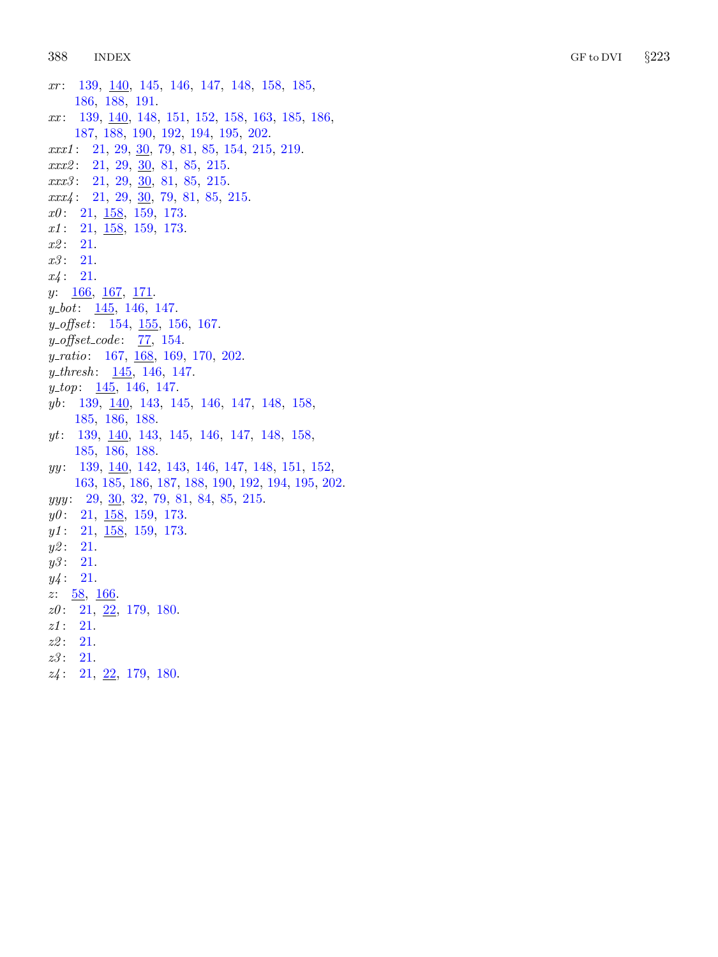*xr*: [139](#page-58-0), <u>[140](#page-58-0),</u> [145](#page-59-0), [146](#page-59-0), [147](#page-60-0), [148](#page-60-0), [158](#page-63-0), [185](#page-69-0), [186](#page-70-0) , [188](#page-70-0) , [191](#page-71-0) . xx: [139](#page-58-0), [140](#page-58-0), [148](#page-60-0), [151](#page-61-0), [152](#page-61-0), [158](#page-63-0), [163](#page-64-0), [185](#page-69-0), [186](#page-70-0), [187](#page-70-0), [188](#page-70-0), [190](#page-71-0), [192](#page-72-0), [194](#page-72-0), [195](#page-73-0), [202](#page-74-0).  $xxx1: \quad 21, \, 29, \, \underline{30}, \, 79, \, 81, \, 85, \, 154, \, 215, \, 219.$  $xxx1: \quad 21, \, 29, \, \underline{30}, \, 79, \, 81, \, 85, \, 154, \, 215, \, 219.$  $xxx1: \quad 21, \, 29, \, \underline{30}, \, 79, \, 81, \, 85, \, 154, \, 215, \, 219.$  $xxx1: \quad 21, \, 29, \, \underline{30}, \, 79, \, 81, \, 85, \, 154, \, 215, \, 219.$  $xxx1: \quad 21, \, 29, \, \underline{30}, \, 79, \, 81, \, 85, \, 154, \, 215, \, 219.$  $xxx1: \quad 21, \, 29, \, \underline{30}, \, 79, \, 81, \, 85, \, 154, \, 215, \, 219.$  $xxx1: \quad 21, \, 29, \, \underline{30}, \, 79, \, 81, \, 85, \, 154, \, 215, \, 219.$  $xxx1: \quad 21, \, 29, \, \underline{30}, \, 79, \, 81, \, 85, \, 154, \, 215, \, 219.$  $xxx1: \quad 21, \, 29, \, \underline{30}, \, 79, \, 81, \, 85, \, 154, \, 215, \, 219.$  $xxx1: \quad 21, \, 29, \, \underline{30}, \, 79, \, 81, \, 85, \, 154, \, 215, \, 219.$  $xxx1: \quad 21, \, 29, \, \underline{30}, \, 79, \, 81, \, 85, \, 154, \, 215, \, 219.$  $xxx1: \quad 21, \, 29, \, \underline{30}, \, 79, \, 81, \, 85, \, 154, \, 215, \, 219.$  $xxx1: \quad 21, \, 29, \, \underline{30}, \, 79, \, 81, \, 85, \, 154, \, 215, \, 219.$  $xxx1: \quad 21, \, 29, \, \underline{30}, \, 79, \, 81, \, 85, \, 154, \, 215, \, 219.$  $xxx1: \quad 21, \, 29, \, \underline{30}, \, 79, \, 81, \, 85, \, 154, \, 215, \, 219.$  $xxx1: \quad 21, \, 29, \, \underline{30}, \, 79, \, 81, \, 85, \, 154, \, 215, \, 219.$  $xxx1: \quad 21, \, 29, \, \underline{30}, \, 79, \, 81, \, 85, \, 154, \, 215, \, 219.$  $xxx1: \quad 21, \, 29, \, \underline{30}, \, 79, \, 81, \, 85, \, 154, \, 215, \, 219.$  $xxx1: \quad 21, \, 29, \, \underline{30}, \, 79, \, 81, \, 85, \, 154, \, 215, \, 219.$ xxx2: [21](#page-8-0), [29](#page-14-0), [30](#page-15-0), [81](#page-38-0), [85](#page-40-0), [215](#page-77-0).  $xxx3: \quad 21, \ 29, \ \underline{30}, \ 81, \ 85, \ 215.$  $xxx3: \quad 21, \ 29, \ \underline{30}, \ 81, \ 85, \ 215.$  $xxx3: \quad 21, \ 29, \ \underline{30}, \ 81, \ 85, \ 215.$  $xxx3: \quad 21, \ 29, \ \underline{30}, \ 81, \ 85, \ 215.$  $xxx3: \quad 21, \ 29, \ \underline{30}, \ 81, \ 85, \ 215.$  $xxx3: \quad 21, \ 29, \ \underline{30}, \ 81, \ 85, \ 215.$  $xxx3: \quad 21, \ 29, \ \underline{30}, \ 81, \ 85, \ 215.$  $xxx3: \quad 21, \ 29, \ \underline{30}, \ 81, \ 85, \ 215.$  $xxx3: \quad 21, \ 29, \ \underline{30}, \ 81, \ 85, \ 215.$  $xxx3: \quad 21, \ 29, \ \underline{30}, \ 81, \ 85, \ 215.$  $xxx3: \quad 21, \ 29, \ \underline{30}, \ 81, \ 85, \ 215.$  $xxx3: \quad 21, \ 29, \ \underline{30}, \ 81, \ 85, \ 215.$  $xxx3: \quad 21, \ 29, \ \underline{30}, \ 81, \ 85, \ 215.$  $xxx4: \quad 21, \ 29, \ \underline{30}, \ 79, \ 81, \ 85, \ 215.$  $xxx4: \quad 21, \ 29, \ \underline{30}, \ 79, \ 81, \ 85, \ 215.$  $xxx4: \quad 21, \ 29, \ \underline{30}, \ 79, \ 81, \ 85, \ 215.$  $xxx4: \quad 21, \ 29, \ \underline{30}, \ 79, \ 81, \ 85, \ 215.$  $xxx4: \quad 21, \ 29, \ \underline{30}, \ 79, \ 81, \ 85, \ 215.$  $xxx4: \quad 21, \ 29, \ \underline{30}, \ 79, \ 81, \ 85, \ 215.$  $xxx4: \quad 21, \ 29, \ \underline{30}, \ 79, \ 81, \ 85, \ 215.$  $xxx4: \quad 21, \ 29, \ \underline{30}, \ 79, \ 81, \ 85, \ 215.$  $xxx4: \quad 21, \ 29, \ \underline{30}, \ 79, \ 81, \ 85, \ 215.$  $xxx4: \quad 21, \ 29, \ \underline{30}, \ 79, \ 81, \ 85, \ 215.$  $xxx4: \quad 21, \ 29, \ \underline{30}, \ 79, \ 81, \ 85, \ 215.$  $xxx4: \quad 21, \ 29, \ \underline{30}, \ 79, \ 81, \ 85, \ 215.$  $xxx4: \quad 21, \ 29, \ \underline{30}, \ 79, \ 81, \ 85, \ 215.$  $xxx4: \quad 21, \ 29, \ \underline{30}, \ 79, \ 81, \ 85, \ 215.$  $xxx4: \quad 21, \ 29, \ \underline{30}, \ 79, \ 81, \ 85, \ 215.$  $x0: \quad 21, \ \underline{158}, \ \underline{159}, \ \underline{173}.$  $x0: \quad 21, \ \underline{158}, \ \underline{159}, \ \underline{173}.$  $x0: \quad 21, \ \underline{158}, \ \underline{159}, \ \underline{173}.$  $x0: \quad 21, \ \underline{158}, \ \underline{159}, \ \underline{173}.$  $x0: \quad 21, \ \underline{158}, \ \underline{159}, \ \underline{173}.$  $x0: \quad 21, \ \underline{158}, \ \underline{159}, \ \underline{173}.$  $x0: \quad 21, \ \underline{158}, \ \underline{159}, \ \underline{173}.$  $x0: \quad 21, \ \underline{158}, \ \underline{159}, \ \underline{173}.$  $x0: \quad 21, \ \underline{158}, \ \underline{159}, \ \underline{173}.$  $x1: \quad 21, \ \underline{158}, \ \underline{159}, \ \underline{173}.$  $x1: \quad 21, \ \underline{158}, \ \underline{159}, \ \underline{173}.$  $x1: \quad 21, \ \underline{158}, \ \underline{159}, \ \underline{173}.$  $x1: \quad 21, \ \underline{158}, \ \underline{159}, \ \underline{173}.$  $x1: \quad 21, \ \underline{158}, \ \underline{159}, \ \underline{173}.$  $x1: \quad 21, \ \underline{158}, \ \underline{159}, \ \underline{173}.$  $x1: \quad 21, \ \underline{158}, \ \underline{159}, \ \underline{173}.$  $x1: \quad 21, \ \underline{158}, \ \underline{159}, \ \underline{173}.$  $x1: \quad 21, \ \underline{158}, \ \underline{159}, \ \underline{173}.$ x2 : [21](#page-8-0) . x3: [21](#page-8-0).  $x_4: 21.$  $x_4: 21.$  $x_4: 21.$  $y: \quad \underline{166}, \ \underline{167}, \ \underline{171}.$  $y: \quad \underline{166}, \ \underline{167}, \ \underline{171}.$  $y: \quad \underline{166}, \ \underline{167}, \ \underline{171}.$  $y: \quad \underline{166}, \ \underline{167}, \ \underline{171}.$  $y: \quad \underline{166}, \ \underline{167}, \ \underline{171}.$  $y: \quad \underline{166}, \ \underline{167}, \ \underline{171}.$  $y: \quad \underline{166}, \ \underline{167}, \ \underline{171}.$  $y_{\text{-}}bot: \underline{145}, 146, 147.$  $y_{\text{-}}bot: \underline{145}, 146, 147.$  $y_{\text{-}}bot: \underline{145}, 146, 147.$  $y_{\text{-}}bot: \underline{145}, 146, 147.$  $y_{\text{-}}bot: \underline{145}, 146, 147.$  $y_{\text{-}}bot: \underline{145}, 146, 147.$  $y_{\text{-}}bot: \underline{145}, 146, 147.$  $y\_offset: 154, 155, 156, 167.$  $y\_offset: 154, 155, 156, 167.$  $y\_offset: 154, 155, 156, 167.$  $y\_offset: 154, 155, 156, 167.$  $y\_offset: 154, 155, 156, 167.$  $y\_offset: 154, 155, 156, 167.$  $y\_offset: 154, 155, 156, 167.$  $y\_offset: 154, 155, 156, 167.$  $y\_offset: 154, 155, 156, 167.$ y\_offset\_code: [77](#page-36-0), [154](#page-62-0).  $y\_ratio:$  [167](#page-65-0), [168](#page-65-0), [169](#page-65-0), [170](#page-65-0), [202](#page-74-0).  $y_{\text{-}}thresh: \quad \underline{145}$  $y_{\text{-}}thresh: \quad \underline{145}$  $y_{\text{-}}thresh: \quad \underline{145}$ , [146](#page-59-0), [147](#page-60-0).  $y_{\text{-}}top: \underline{145}, 146, 147.$  $y_{\text{-}}top: \underline{145}, 146, 147.$  $y_{\text{-}}top: \underline{145}, 146, 147.$  $y_{\text{-}}top: \underline{145}, 146, 147.$  $y_{\text{-}}top: \underline{145}, 146, 147.$  $y_{\text{-}}top: \underline{145}, 146, 147.$  $y_{\text{-}}top: \underline{145}, 146, 147.$ yb: [139](#page-58-0), [140](#page-58-0), [143](#page-59-0), [145](#page-59-0), [146](#page-59-0), [147](#page-60-0), [148](#page-60-0), [158](#page-63-0), [185](#page-69-0) , [186](#page-70-0) , [188](#page-70-0) . yt: [139](#page-58-0), [140](#page-58-0), [143](#page-59-0), [145](#page-59-0), [146](#page-59-0), [147](#page-60-0), [148](#page-60-0), [158](#page-63-0), [185](#page-69-0) , [186](#page-70-0) , [188](#page-70-0) . yy: [139](#page-58-0), [140](#page-58-0), [142](#page-58-0), [143](#page-59-0), [146](#page-59-0), [147](#page-60-0), [148](#page-60-0), [151](#page-61-0), [152](#page-61-0), [163](#page-64-0), [185](#page-69-0), [186](#page-70-0), [187](#page-70-0), [188](#page-70-0), [190](#page-71-0), [192](#page-72-0), [194](#page-72-0), [195](#page-73-0), [202](#page-74-0).  $yyy: \quad 29, \underline{30}, \underline{32}, \underline{79}, \underline{81}, \underline{84}, \underline{85}, \underline{215}.$  $yyy: \quad 29, \underline{30}, \underline{32}, \underline{79}, \underline{81}, \underline{84}, \underline{85}, \underline{215}.$  $yyy: \quad 29, \underline{30}, \underline{32}, \underline{79}, \underline{81}, \underline{84}, \underline{85}, \underline{215}.$  $yyy: \quad 29, \underline{30}, \underline{32}, \underline{79}, \underline{81}, \underline{84}, \underline{85}, \underline{215}.$  $yyy: \quad 29, \underline{30}, \underline{32}, \underline{79}, \underline{81}, \underline{84}, \underline{85}, \underline{215}.$  $yyy: \quad 29, \underline{30}, \underline{32}, \underline{79}, \underline{81}, \underline{84}, \underline{85}, \underline{215}.$  $yyy: \quad 29, \underline{30}, \underline{32}, \underline{79}, \underline{81}, \underline{84}, \underline{85}, \underline{215}.$  $yyy: \quad 29, \underline{30}, \underline{32}, \underline{79}, \underline{81}, \underline{84}, \underline{85}, \underline{215}.$  $yyy: \quad 29, \underline{30}, \underline{32}, \underline{79}, \underline{81}, \underline{84}, \underline{85}, \underline{215}.$  $yyy: \quad 29, \underline{30}, \underline{32}, \underline{79}, \underline{81}, \underline{84}, \underline{85}, \underline{215}.$  $yyy: \quad 29, \underline{30}, \underline{32}, \underline{79}, \underline{81}, \underline{84}, \underline{85}, \underline{215}.$  $yyy: \quad 29, \underline{30}, \underline{32}, \underline{79}, \underline{81}, \underline{84}, \underline{85}, \underline{215}.$  $yyy: \quad 29, \underline{30}, \underline{32}, \underline{79}, \underline{81}, \underline{84}, \underline{85}, \underline{215}.$  $yyy: \quad 29, \underline{30}, \underline{32}, \underline{79}, \underline{81}, \underline{84}, \underline{85}, \underline{215}.$  $yyy: \quad 29, \underline{30}, \underline{32}, \underline{79}, \underline{81}, \underline{84}, \underline{85}, \underline{215}.$  $yyy: \quad 29, \underline{30}, \underline{32}, \underline{79}, \underline{81}, \underline{84}, \underline{85}, \underline{215}.$  $yyy: \quad 29, \underline{30}, \underline{32}, \underline{79}, \underline{81}, \underline{84}, \underline{85}, \underline{215}.$  $y0: \quad 21, \ \underline{158}, \ 159, \ 173.$  $y0: \quad 21, \ \underline{158}, \ 159, \ 173.$  $y0: \quad 21, \ \underline{158}, \ 159, \ 173.$  $y0: \quad 21, \ \underline{158}, \ 159, \ 173.$  $y0: \quad 21, \ \underline{158}, \ 159, \ 173.$  $y0: \quad 21, \ \underline{158}, \ 159, \ 173.$  $y0: \quad 21, \ \underline{158}, \ 159, \ 173.$  $y0: \quad 21, \ \underline{158}, \ 159, \ 173.$  $y0: \quad 21, \ \underline{158}, \ 159, \ 173.$  $y1: \quad 21, \ \underline{158}, \ 159, \ 173.$  $y1: \quad 21, \ \underline{158}, \ 159, \ 173.$  $y1: \quad 21, \ \underline{158}, \ 159, \ 173.$  $y1: \quad 21, \ \underline{158}, \ 159, \ 173.$  $y1: \quad 21, \ \underline{158}, \ 159, \ 173.$  $y1: \quad 21, \ \underline{158}, \ 159, \ 173.$  $y1: \quad 21, \ \underline{158}, \ 159, \ 173.$  $y1: \quad 21, \ \underline{158}, \ 159, \ 173.$  $y1: \quad 21, \ \underline{158}, \ 159, \ 173.$ y2 : [21](#page-8-0) .  $y3: 21.$  $y3: 21.$  $y3: 21.$  $y_4: \quad 21.$  $y_4: \quad 21.$  $y_4: \quad 21.$  $z:$ :  $\frac{58}{.06}$  $\frac{58}{.06}$  $\frac{58}{.06}$  $z0: \quad 21, \ \underline{22}, \ 179, \ 180.$  $z0: \quad 21, \ \underline{22}, \ 179, \ 180.$  $z0: \quad 21, \ \underline{22}, \ 179, \ 180.$  $z0: \quad 21, \ \underline{22}, \ 179, \ 180.$  $z0: \quad 21, \ \underline{22}, \ 179, \ 180.$  $z0: \quad 21, \ \underline{22}, \ 179, \ 180.$  $z0: \quad 21, \ \underline{22}, \ 179, \ 180.$  $z0: \quad 21, \ \underline{22}, \ 179, \ 180.$  $z0: \quad 21, \ \underline{22}, \ 179, \ 180.$  $z1: \quad 21.$  $z1: \quad 21.$  $z1: \quad 21.$ z2 : [21](#page-8-0) . z3 : [21](#page-8-0) .  $z_4$ : [21](#page-8-0), [22](#page-10-0), [179](#page-68-0), [180](#page-68-0).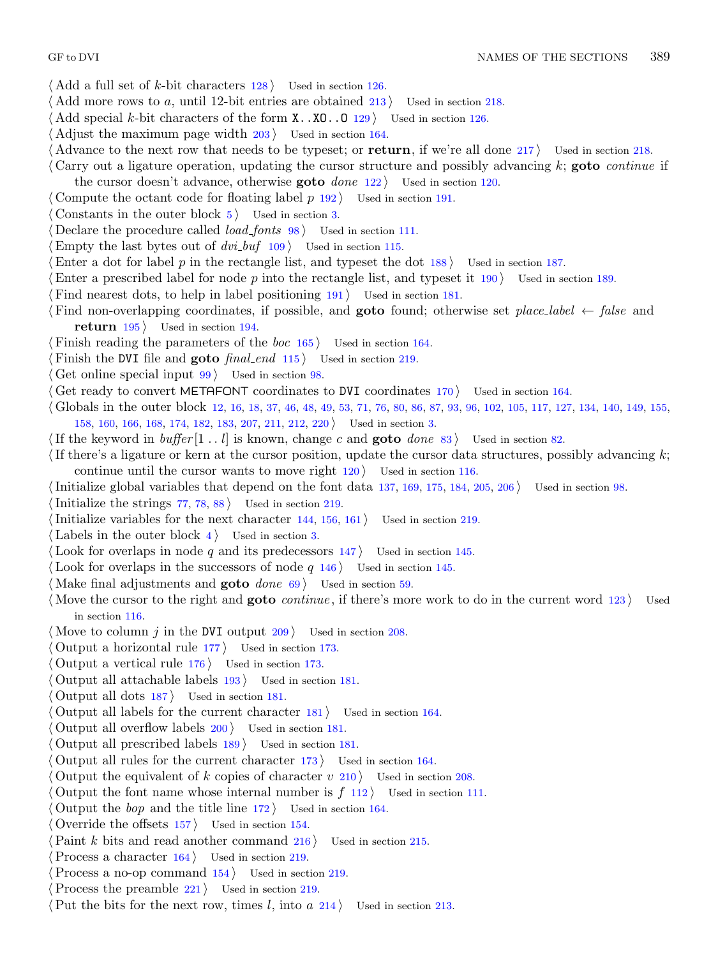- $\langle$  Add a full set of k-bit characters [128](#page-54-0) in section [126.](#page-54-0)
- $\langle$  Add more rows to a, until 12-bit entries are obtained [213](#page-77-0) is Used in section [218.](#page-78-0)
- Add special k-bit characters of the form  $X \cdot X0 \cdot 0$  [129](#page-55-0) is Used in section [126.](#page-54-0)
- Adjust the maximum page width Used in section [164](#page-64-0).
- $\langle$  Advance to the next row that needs to be typeset; or return, if we're all done [217](#page-78-0) $\rangle$  Used in section [218.](#page-78-0)
- (Carry out a ligature operation, updating the cursor structure and possibly advancing  $k$ ; goto *continue* if the cursor doesn't advance, otherwise **goto** done Used in section [120](#page-50-0).
- Compute the octant code for floating label  $p \ 192$  $p \ 192$  Used in section [191](#page-71-0).
- Constants in the outer block Used in section [3.](#page-1-0)
- Declare the procedure called *load\_fonts* Used in section [111.](#page-47-0)
- Empty the last bytes out of  $dvi_buf$  [109](#page-47-0)) Used in section [115.](#page-48-0)
- Enter a dot for label p in the rectangle list, and typeset the dot Used in section [187](#page-70-0).
- Enter a prescribed label for node p into the rectangle list, and typeset it Used in section [189](#page-70-0).
- Find nearest dots, to help in label positioning Used in section [181.](#page-68-0)
- $\Diamond$  Find non-overlapping coordinates, if possible, and **goto** found; otherwise set place<sub>-label</sub>  $\leftarrow$  false and **return** Used in section [194.](#page-72-0)
- Finish reading the parameters of the *boc* Used in section [164](#page-64-0).
- Finish the DVI file and **goto** final end Used in section [219.](#page-79-0)
- Get online special input Used in section [98.](#page-44-0)
- Get ready to convert METAFONT coordinates to DVI coordinates Used in section [164](#page-64-0).
- Globals in the outer block [12](#page-4-0), [16,](#page-6-0) [18](#page-6-0), [37,](#page-20-0) [46,](#page-24-0) [48](#page-25-0), [49,](#page-25-0) [53](#page-27-0), [71](#page-34-0), [76,](#page-35-0) [80](#page-38-0), [86,](#page-41-0) [87,](#page-41-0) [93](#page-42-0), [96,](#page-43-0) [102,](#page-46-0) [105](#page-46-0), [117](#page-50-0), [127](#page-54-0), [134](#page-57-0), [140,](#page-58-0) [149,](#page-60-0) [155,](#page-62-0) [158,](#page-63-0) [160,](#page-63-0) [166](#page-65-0), [168](#page-65-0), [174](#page-67-0), [182](#page-69-0), [183,](#page-69-0) [207,](#page-75-0) [211,](#page-76-0) [212,](#page-76-0) [220](#page-79-0) Used in section [3](#page-1-0).
- If the keyword in  $buffer[1..l]$  is known, change c and **goto** done [83](#page-39-0)) Used in section [82.](#page-39-0)
- If there's a ligature or kern at the cursor position, update the cursor data structures, possibly advancing  $k$ ; continue until the cursor wants to move right Used in section [116.](#page-49-0)
- Initialize global variables that depend on the font data [137](#page-57-0), [169](#page-65-0), [175](#page-67-0), [184](#page-69-0), [205,](#page-75-0) [206](#page-75-0)  $\backslash$  Used in section [98.](#page-44-0)
- Initialize the strings  $77, 78, 88$  $77, 78, 88$  $77, 78, 88$  $77, 78, 88$  $77, 78, 88$  Used in section [219](#page-79-0).
- Initialize variables for the next character  $144, 156, 161$  $144, 156, 161$  $144, 156, 161$  $144, 156, 161$  Used in section [219](#page-79-0).
- Labels in the outer block Used in section [3](#page-1-0).
- Look for overlaps in node q and its predecessors Used in section [145](#page-59-0).
- Look for overlaps in the successors of node  $q$  [146](#page-59-0)) Used in section [145](#page-59-0).
- Make final adjustments and **goto** done Used in section [59.](#page-29-0)
- (Move the cursor to the right and **goto** *continue*, if there's more work to do in the current word ) Used in section [116.](#page-49-0)
- Move to column j in the DVI output Used in section [208.](#page-76-0)
- Output a horizontal rule Used in section [173.](#page-67-0)
- Output a vertical rule Used in section [173.](#page-67-0)
- Output all attachable labels Used in section [181](#page-68-0).
- Output all dots Used in section [181](#page-68-0).
- Output all labels for the current character Used in section [164](#page-64-0).
- Output all overflow labels Used in section [181.](#page-68-0)
- Output all prescribed labels Used in section [181.](#page-68-0)
- Output all rules for the current character Used in section [164](#page-64-0).
- Output the equivalent of k copies of character v [210](#page-76-0) ised in section [208](#page-76-0).
- Output the font name whose internal number is  $f(112)$  $f(112)$  $f(112)$  Used in section [111.](#page-47-0)
- Output the *bop* and the title line Used in section [164](#page-64-0).
- Override the offsets Used in section [154.](#page-62-0)
- Paint k bits and read another command Used in section [215.](#page-77-0)
- Process a character Used in section [219](#page-79-0).
- Process a no-op command Used in section [219.](#page-79-0)
- Process the preamble Used in section [219.](#page-79-0)
- Put the bits for the next row, times l, into a Used in section [213.](#page-77-0)